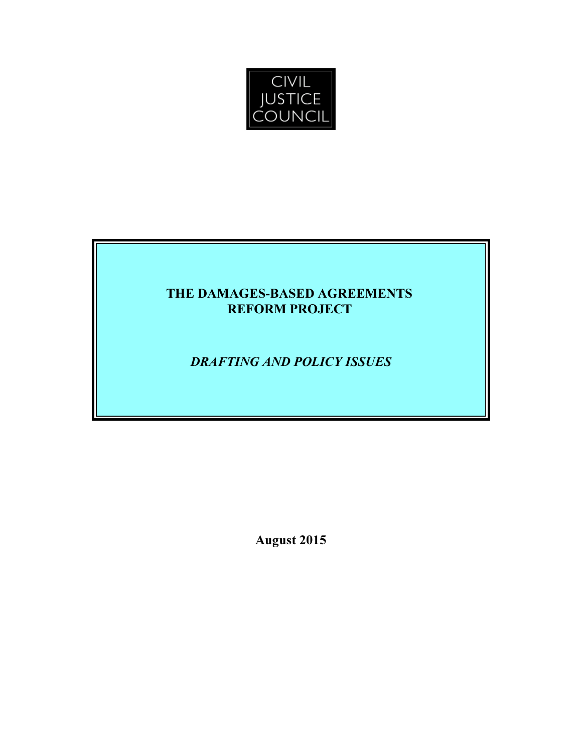

# THE DAMAGES-BASED AGREEMENTS REFORM PROJECT

# DRAFTING AND POLICY ISSUES

August 2015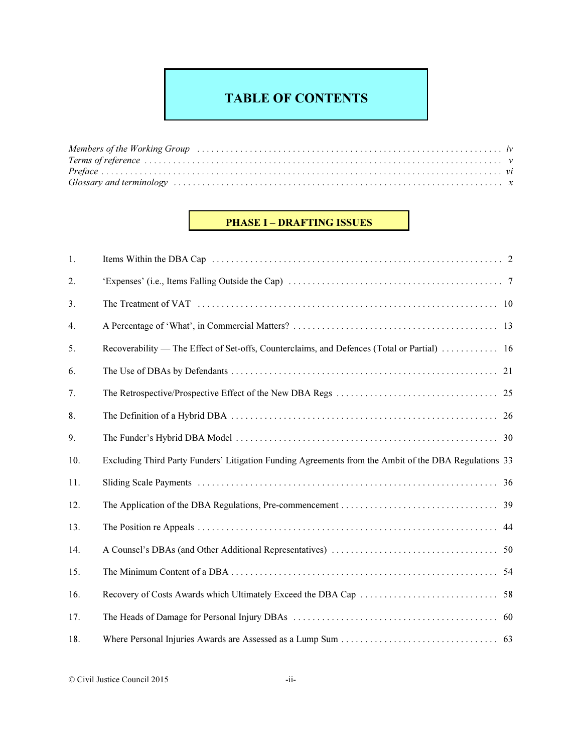# TABLE OF CONTENTS

| Members of the Working Group (and according contained a series of the Working Coronavistic and the Working Group |  |
|------------------------------------------------------------------------------------------------------------------|--|
|                                                                                                                  |  |
|                                                                                                                  |  |
|                                                                                                                  |  |

# PHASE I – DRAFTING ISSUES

| 1.  |                                                                                                       |  |
|-----|-------------------------------------------------------------------------------------------------------|--|
| 2.  |                                                                                                       |  |
| 3.  |                                                                                                       |  |
| 4.  |                                                                                                       |  |
| 5.  | Recoverability — The Effect of Set-offs, Counterclaims, and Defences (Total or Partial)  16           |  |
| 6.  |                                                                                                       |  |
| 7.  |                                                                                                       |  |
| 8.  |                                                                                                       |  |
| 9.  |                                                                                                       |  |
| 10. | Excluding Third Party Funders' Litigation Funding Agreements from the Ambit of the DBA Regulations 33 |  |
| 11. |                                                                                                       |  |
| 12. |                                                                                                       |  |
| 13. |                                                                                                       |  |
| 14. |                                                                                                       |  |
| 15. |                                                                                                       |  |
| 16. |                                                                                                       |  |
| 17. |                                                                                                       |  |
| 18. |                                                                                                       |  |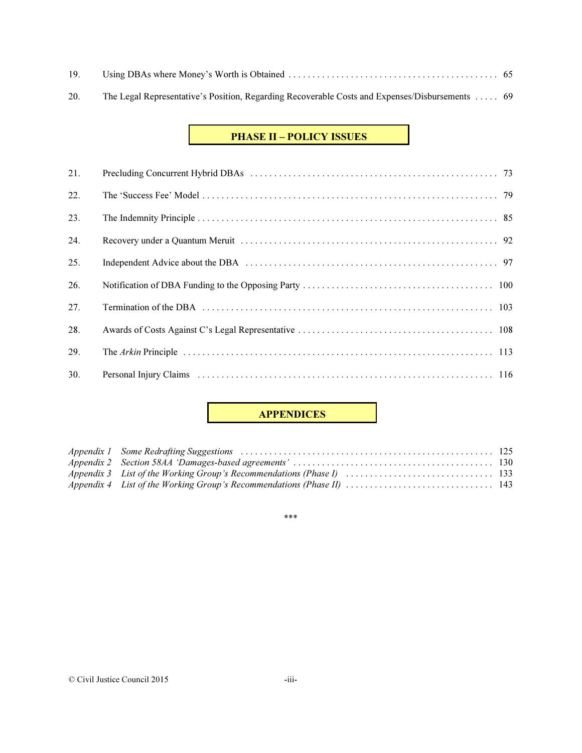20. The Legal Representative's Position, Regarding Recoverable Costs and Expenses/Disbursements . . . . . 69

# PHASE II – POLICY ISSUES

| 21. |  |
|-----|--|
| 22. |  |
| 23. |  |
| 24. |  |
| 25. |  |
| 26. |  |
| 27. |  |
| 28. |  |
| 29. |  |
| 30. |  |

# APPENDICES

\*\*\*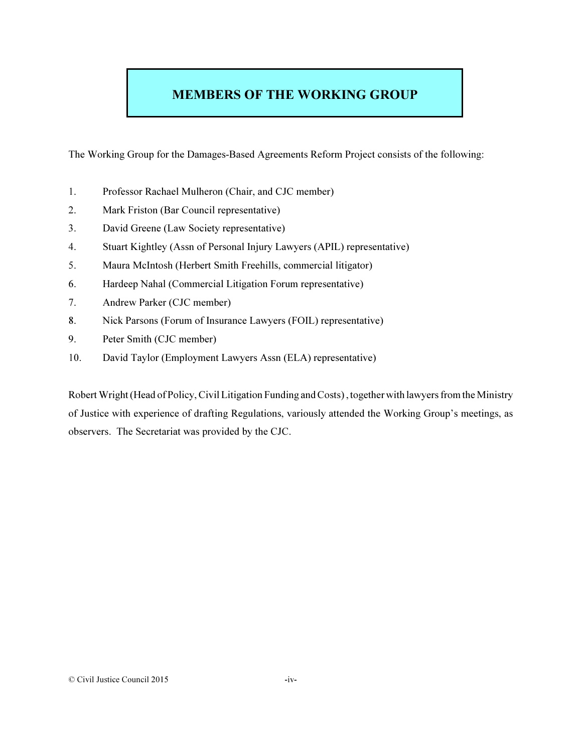# MEMBERS OF THE WORKING GROUP

The Working Group for the Damages-Based Agreements Reform Project consists of the following:

- 1. Professor Rachael Mulheron (Chair, and CJC member)
- 2. Mark Friston (Bar Council representative)
- 3. David Greene (Law Society representative)
- 4. Stuart Kightley (Assn of Personal Injury Lawyers (APIL) representative)
- 5. Maura McIntosh (Herbert Smith Freehills, commercial litigator)
- 6. Hardeep Nahal (Commercial Litigation Forum representative)
- 7. Andrew Parker (CJC member)
- 8. Nick Parsons (Forum of Insurance Lawyers (FOIL) representative)
- 9. Peter Smith (CJC member)
- 10. David Taylor (Employment Lawyers Assn (ELA) representative)

Robert Wright (Head of Policy, Civil Litigation Funding and Costs) , together with lawyers from the Ministry of Justice with experience of drafting Regulations, variously attended the Working Group's meetings, as observers. The Secretariat was provided by the CJC.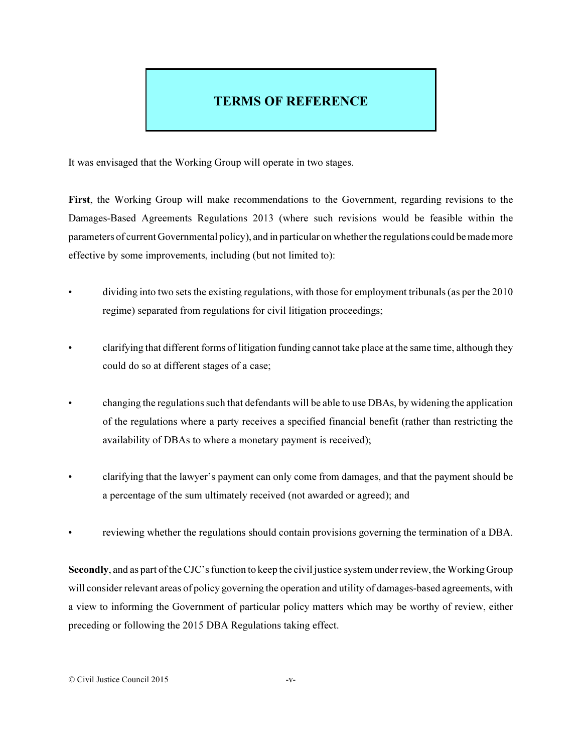# TERMS OF REFERENCE

It was envisaged that the Working Group will operate in two stages.

First, the Working Group will make recommendations to the Government, regarding revisions to the Damages-Based Agreements Regulations 2013 (where such revisions would be feasible within the parameters of current Governmental policy), and in particular on whether the regulations could be made more effective by some improvements, including (but not limited to):

- dividing into two sets the existing regulations, with those for employment tribunals (as per the 2010 regime) separated from regulations for civil litigation proceedings;
- clarifying that different forms of litigation funding cannot take place at the same time, although they could do so at different stages of a case;
- changing the regulations such that defendants will be able to use DBAs, by widening the application of the regulations where a party receives a specified financial benefit (rather than restricting the availability of DBAs to where a monetary payment is received);
- clarifying that the lawyer's payment can only come from damages, and that the payment should be a percentage of the sum ultimately received (not awarded or agreed); and
- reviewing whether the regulations should contain provisions governing the termination of a DBA.

Secondly, and as part of the CJC's function to keep the civil justice system under review, the Working Group will consider relevant areas of policy governing the operation and utility of damages-based agreements, with a view to informing the Government of particular policy matters which may be worthy of review, either preceding or following the 2015 DBA Regulations taking effect.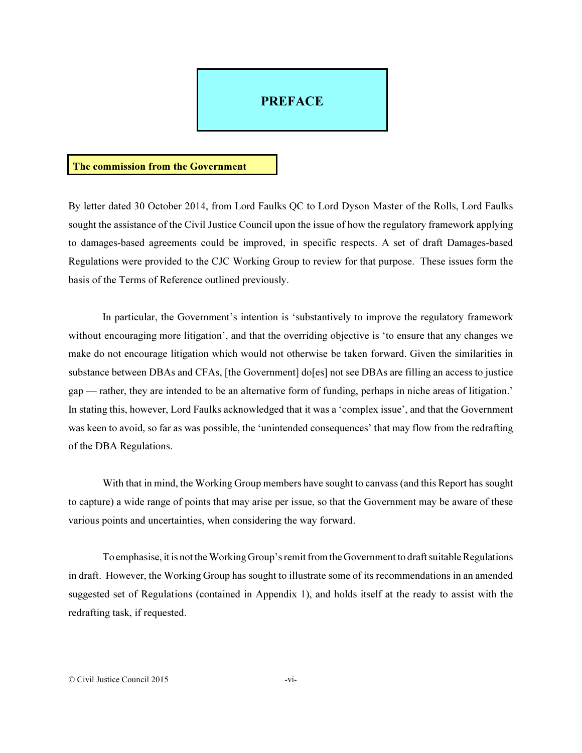# **PREFACE**

#### The commission from the Government

By letter dated 30 October 2014, from Lord Faulks QC to Lord Dyson Master of the Rolls, Lord Faulks sought the assistance of the Civil Justice Council upon the issue of how the regulatory framework applying to damages-based agreements could be improved, in specific respects. A set of draft Damages-based Regulations were provided to the CJC Working Group to review for that purpose. These issues form the basis of the Terms of Reference outlined previously.

In particular, the Government's intention is 'substantively to improve the regulatory framework without encouraging more litigation', and that the overriding objective is 'to ensure that any changes we make do not encourage litigation which would not otherwise be taken forward. Given the similarities in substance between DBAs and CFAs, [the Government] do[es] not see DBAs are filling an access to justice gap — rather, they are intended to be an alternative form of funding, perhaps in niche areas of litigation.' In stating this, however, Lord Faulks acknowledged that it was a 'complex issue', and that the Government was keen to avoid, so far as was possible, the 'unintended consequences' that may flow from the redrafting of the DBA Regulations.

With that in mind, the Working Group members have sought to canvass (and this Report has sought to capture) a wide range of points that may arise per issue, so that the Government may be aware of these various points and uncertainties, when considering the way forward.

To emphasise, it is not the Working Group's remit from the Government to draft suitable Regulations in draft. However, the Working Group has sought to illustrate some of its recommendations in an amended suggested set of Regulations (contained in Appendix 1), and holds itself at the ready to assist with the redrafting task, if requested.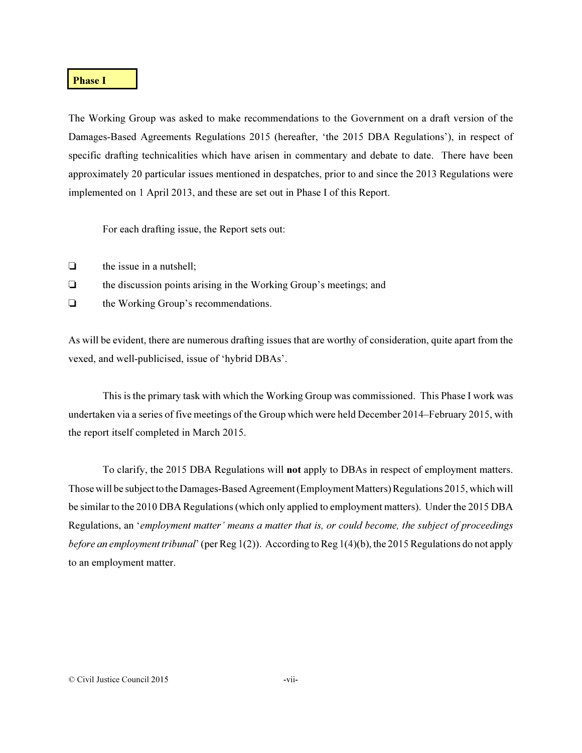### Phase I

The Working Group was asked to make recommendations to the Government on a draft version of the Damages-Based Agreements Regulations 2015 (hereafter, 'the 2015 DBA Regulations'), in respect of specific drafting technicalities which have arisen in commentary and debate to date. There have been approximately 20 particular issues mentioned in despatches, prior to and since the 2013 Regulations were implemented on 1 April 2013, and these are set out in Phase I of this Report.

For each drafting issue, the Report sets out:

- $\Box$  the issue in a nutshell:
- $\Box$  the discussion points arising in the Working Group's meetings; and
- $\Box$  the Working Group's recommendations.

As will be evident, there are numerous drafting issues that are worthy of consideration, quite apart from the vexed, and well-publicised, issue of 'hybrid DBAs'.

This is the primary task with which the Working Group was commissioned. This Phase I work was undertaken via a series of five meetings of the Group which were held December 2014–February 2015, with the report itself completed in March 2015.

To clarify, the 2015 DBA Regulations will not apply to DBAs in respect of employment matters. Those will be subject to the Damages-Based Agreement (Employment Matters) Regulations 2015, which will be similar to the 2010 DBA Regulations (which only applied to employment matters). Under the 2015 DBA Regulations, an '*employment matter' means a matter that is, or could become, the subject of proceedings before an employment tribunal*' (per Reg 1(2)). According to Reg 1(4)(b), the 2015 Regulations do not apply to an employment matter.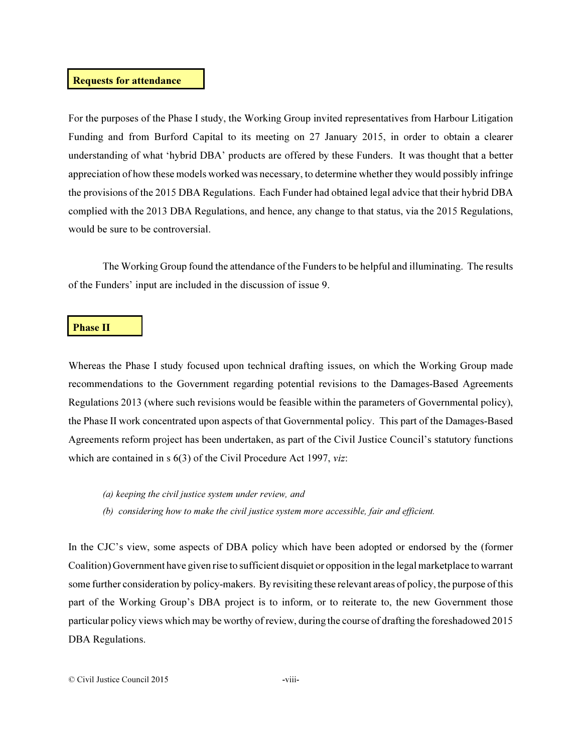## Requests for attendance

For the purposes of the Phase I study, the Working Group invited representatives from Harbour Litigation Funding and from Burford Capital to its meeting on 27 January 2015, in order to obtain a clearer understanding of what 'hybrid DBA' products are offered by these Funders. It was thought that a better appreciation of how these models worked was necessary, to determine whether they would possibly infringe the provisions of the 2015 DBA Regulations. Each Funder had obtained legal advice that their hybrid DBA complied with the 2013 DBA Regulations, and hence, any change to that status, via the 2015 Regulations, would be sure to be controversial.

The Working Group found the attendance of the Funders to be helpful and illuminating. The results of the Funders' input are included in the discussion of issue 9.

#### **Phase II**

Whereas the Phase I study focused upon technical drafting issues, on which the Working Group made recommendations to the Government regarding potential revisions to the Damages-Based Agreements Regulations 2013 (where such revisions would be feasible within the parameters of Governmental policy), the Phase II work concentrated upon aspects of that Governmental policy. This part of the Damages-Based Agreements reform project has been undertaken, as part of the Civil Justice Council's statutory functions which are contained in s 6(3) of the Civil Procedure Act 1997, *viz*:

#### (a) keeping the civil justice system under review, and

(b) considering how to make the civil justice system more accessible, fair and efficient.

In the CJC's view, some aspects of DBA policy which have been adopted or endorsed by the (former Coalition) Government have given rise to sufficient disquiet or opposition in the legal marketplace to warrant some further consideration by policy-makers. By revisiting these relevant areas of policy, the purpose of this part of the Working Group's DBA project is to inform, or to reiterate to, the new Government those particular policy views which may be worthy of review, during the course of drafting the foreshadowed 2015 DBA Regulations.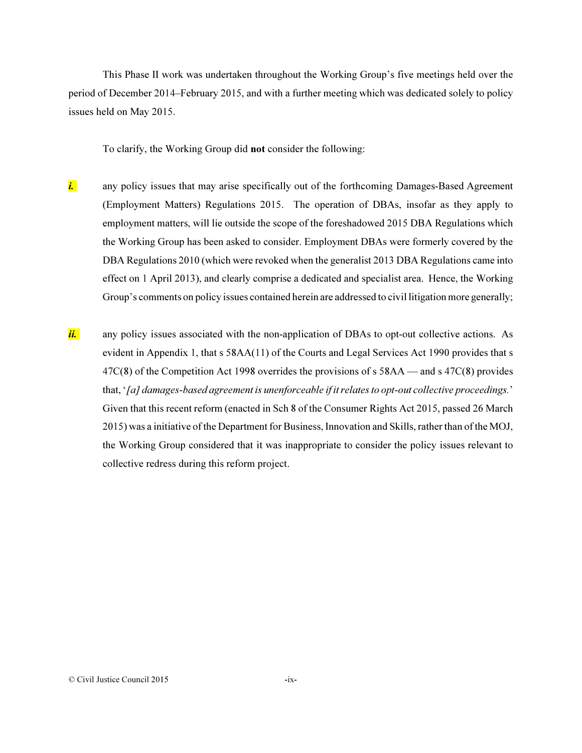This Phase II work was undertaken throughout the Working Group's five meetings held over the period of December 2014–February 2015, and with a further meeting which was dedicated solely to policy issues held on May 2015.

To clarify, the Working Group did not consider the following:

- *i.* any policy issues that may arise specifically out of the forthcoming Damages-Based Agreement (Employment Matters) Regulations 2015. The operation of DBAs, insofar as they apply to employment matters, will lie outside the scope of the foreshadowed 2015 DBA Regulations which the Working Group has been asked to consider. Employment DBAs were formerly covered by the DBA Regulations 2010 (which were revoked when the generalist 2013 DBA Regulations came into effect on 1 April 2013), and clearly comprise a dedicated and specialist area. Hence, the Working Group's comments on policy issues contained herein are addressed to civil litigation more generally;
- *ii.* any policy issues associated with the non-application of DBAs to opt-out collective actions. As evident in Appendix 1, that s 58AA(11) of the Courts and Legal Services Act 1990 provides that s 47C(8) of the Competition Act 1998 overrides the provisions of s 58AA — and s 47C(8) provides that, '*[a] damages-based agreement is unenforceable if it relates to opt-out collective proceedings.*' Given that this recent reform (enacted in Sch 8 of the Consumer Rights Act 2015, passed 26 March 2015) was a initiative of the Department for Business, Innovation and Skills, rather than of the MOJ, the Working Group considered that it was inappropriate to consider the policy issues relevant to collective redress during this reform project.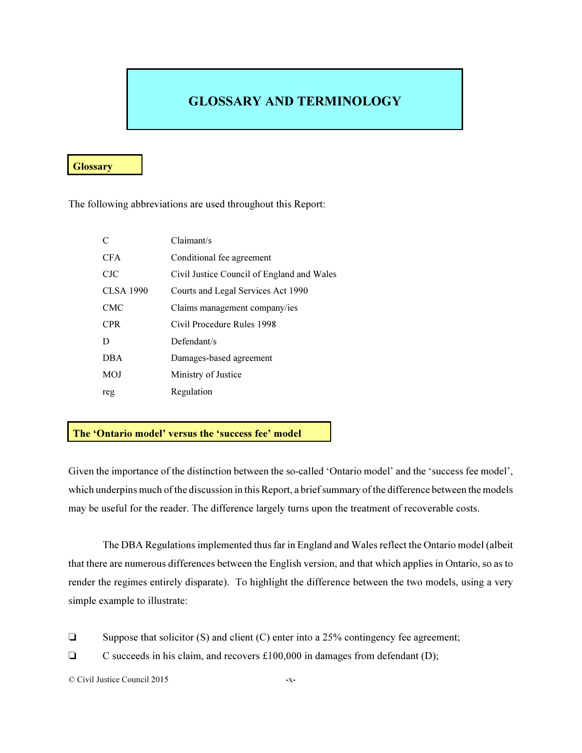# GLOSSARY AND TERMINOLOGY

## **Glossary**

The following abbreviations are used throughout this Report:

| $\mathcal{C}$    | Claimant/s                                 |
|------------------|--------------------------------------------|
| <b>CFA</b>       | Conditional fee agreement                  |
| CJC              | Civil Justice Council of England and Wales |
| <b>CLSA 1990</b> | Courts and Legal Services Act 1990         |
| <b>CMC</b>       | Claims management company/ies              |
| <b>CPR</b>       | Civil Procedure Rules 1998                 |
| D                | Defendant/s                                |
| <b>DBA</b>       | Damages-based agreement                    |
| <b>MOJ</b>       | Ministry of Justice                        |
| reg              | Regulation                                 |

## The 'Ontario model' versus the 'success fee' model

Given the importance of the distinction between the so-called 'Ontario model' and the 'success fee model', which underpins much of the discussion in this Report, a brief summary of the difference between the models may be useful for the reader. The difference largely turns upon the treatment of recoverable costs.

The DBA Regulations implemented thus far in England and Wales reflect the Ontario model (albeit that there are numerous differences between the English version, and that which applies in Ontario, so as to render the regimes entirely disparate). To highlight the difference between the two models, using a very simple example to illustrate:

- $\Box$  Suppose that solicitor (S) and client (C) enter into a 25% contingency fee agreement;
- $\Box$  C succeeds in his claim, and recovers £100,000 in damages from defendant (D);

© Civil Justice Council 2015 -x-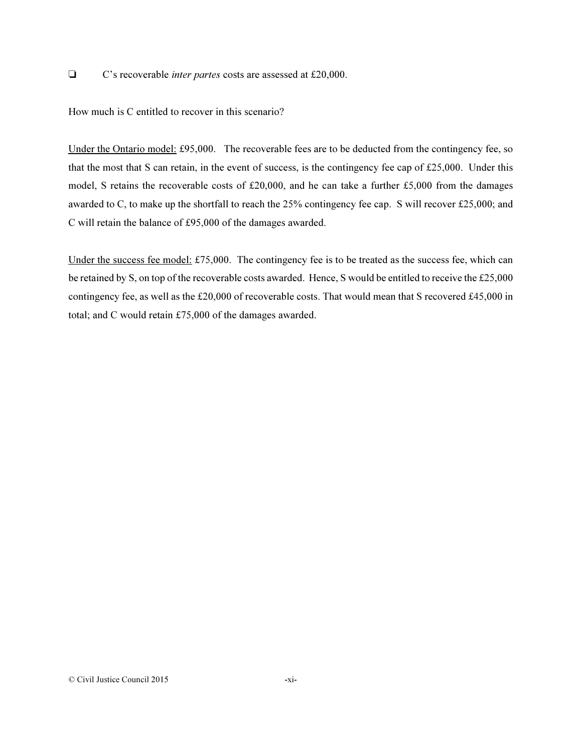' C's recoverable *inter partes* costs are assessed at £20,000.

How much is C entitled to recover in this scenario?

Under the Ontario model: £95,000. The recoverable fees are to be deducted from the contingency fee, so that the most that S can retain, in the event of success, is the contingency fee cap of £25,000. Under this model, S retains the recoverable costs of £20,000, and he can take a further £5,000 from the damages awarded to C, to make up the shortfall to reach the 25% contingency fee cap. S will recover £25,000; and C will retain the balance of £95,000 of the damages awarded.

Under the success fee model: £75,000. The contingency fee is to be treated as the success fee, which can be retained by S, on top of the recoverable costs awarded. Hence, S would be entitled to receive the £25,000 contingency fee, as well as the £20,000 of recoverable costs. That would mean that S recovered £45,000 in total; and C would retain £75,000 of the damages awarded.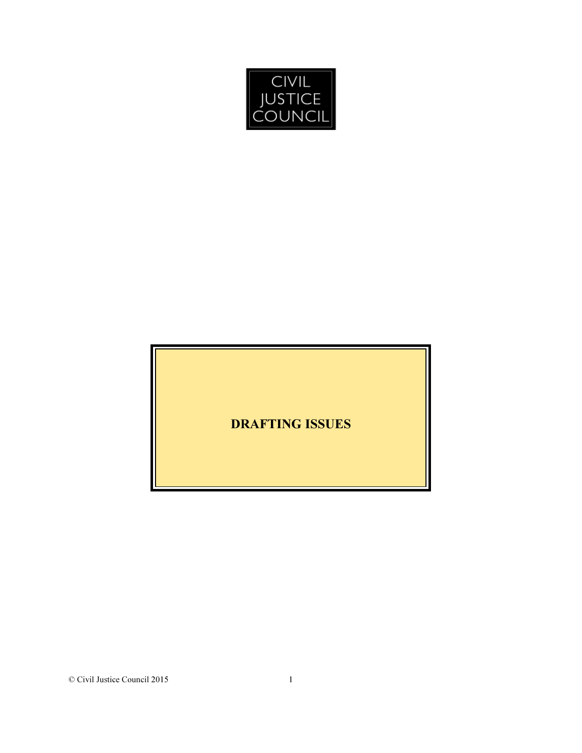

DRAFTING ISSUES

© Civil Justice Council 2015 1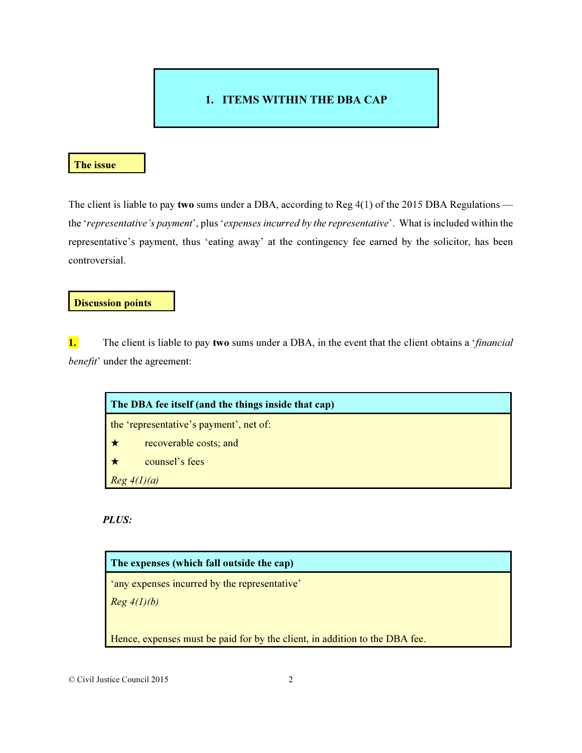# 1. ITEMS WITHIN THE DBA CAP

# The issue

The client is liable to pay two sums under a DBA, according to Reg 4(1) of the 2015 DBA Regulations the '*representative's payment*', plus '*expenses incurred by the representative*'. What is included within the representative's payment, thus 'eating away' at the contingency fee earned by the solicitor, has been controversial.

## Discussion points

1. The client is liable to pay two sums under a DBA, in the event that the client obtains a '*financial benefit*' under the agreement:

| The DBA fee itself (and the things inside that cap) |                        |
|-----------------------------------------------------|------------------------|
| the 'representative's payment', net of:             |                        |
| ∣ ★                                                 | recoverable costs; and |
|                                                     | counsel's fees         |
| $Reg\ 4(l)(a)$                                      |                        |

# *PLUS:*



© Civil Justice Council 2015 2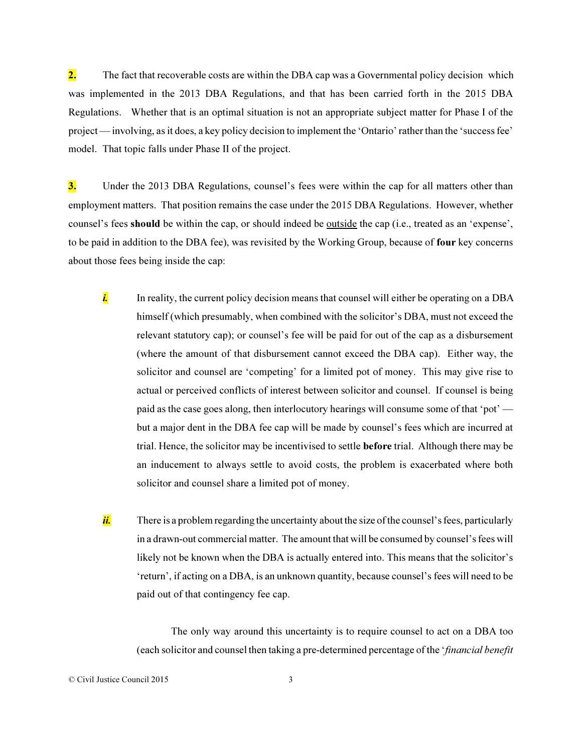2. The fact that recoverable costs are within the DBA cap was a Governmental policy decision which was implemented in the 2013 DBA Regulations, and that has been carried forth in the 2015 DBA Regulations. Whether that is an optimal situation is not an appropriate subject matter for Phase I of the project — involving, as it does, a key policy decision to implement the 'Ontario' rather than the 'success fee' model. That topic falls under Phase II of the project.

3. Under the 2013 DBA Regulations, counsel's fees were within the cap for all matters other than employment matters. That position remains the case under the 2015 DBA Regulations. However, whether counsel's fees should be within the cap, or should indeed be outside the cap (i.e., treated as an 'expense', to be paid in addition to the DBA fee), was revisited by the Working Group, because of four key concerns about those fees being inside the cap:

- *i.* In reality, the current policy decision means that counsel will either be operating on a DBA himself (which presumably, when combined with the solicitor's DBA, must not exceed the relevant statutory cap); or counsel's fee will be paid for out of the cap as a disbursement (where the amount of that disbursement cannot exceed the DBA cap). Either way, the solicitor and counsel are 'competing' for a limited pot of money. This may give rise to actual or perceived conflicts of interest between solicitor and counsel. If counsel is being paid as the case goes along, then interlocutory hearings will consume some of that 'pot' but a major dent in the DBA fee cap will be made by counsel's fees which are incurred at trial. Hence, the solicitor may be incentivised to settle before trial. Although there may be an inducement to always settle to avoid costs, the problem is exacerbated where both solicitor and counsel share a limited pot of money.
- *ii.* There is a problem regarding the uncertainty about the size of the counsel's fees, particularly in a drawn-out commercial matter. The amount that will be consumed by counsel's fees will likely not be known when the DBA is actually entered into. This means that the solicitor's 'return', if acting on a DBA, is an unknown quantity, because counsel's fees will need to be paid out of that contingency fee cap.

The only way around this uncertainty is to require counsel to act on a DBA too (each solicitor and counsel then taking a pre-determined percentage of the '*financial benefit*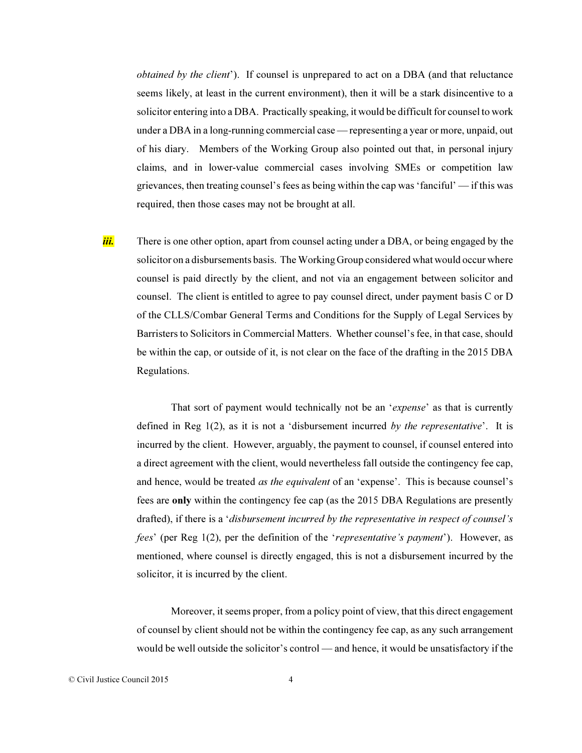*obtained by the client*'). If counsel is unprepared to act on a DBA (and that reluctance seems likely, at least in the current environment), then it will be a stark disincentive to a solicitor entering into a DBA. Practically speaking, it would be difficult for counsel to work under a DBA in a long-running commercial case — representing a year or more, unpaid, out of his diary. Members of the Working Group also pointed out that, in personal injury claims, and in lower-value commercial cases involving SMEs or competition law grievances, then treating counsel's fees as being within the cap was 'fanciful' — if this was required, then those cases may not be brought at all.

*iii.* There is one other option, apart from counsel acting under a DBA, or being engaged by the solicitor on a disbursements basis. The Working Group considered what would occur where counsel is paid directly by the client, and not via an engagement between solicitor and counsel. The client is entitled to agree to pay counsel direct, under payment basis C or D of the CLLS/Combar General Terms and Conditions for the Supply of Legal Services by Barristers to Solicitors in Commercial Matters. Whether counsel's fee, in that case, should be within the cap, or outside of it, is not clear on the face of the drafting in the 2015 DBA Regulations.

That sort of payment would technically not be an '*expense*' as that is currently defined in Reg 1(2), as it is not a 'disbursement incurred *by the representative*'. It is incurred by the client. However, arguably, the payment to counsel, if counsel entered into a direct agreement with the client, would nevertheless fall outside the contingency fee cap, and hence, would be treated *as the equivalent* of an 'expense'. This is because counsel's fees are only within the contingency fee cap (as the 2015 DBA Regulations are presently drafted), if there is a '*disbursement incurred by the representative in respect of counsel's fees*' (per Reg 1(2), per the definition of the '*representative's payment*'). However, as mentioned, where counsel is directly engaged, this is not a disbursement incurred by the solicitor, it is incurred by the client.

Moreover, it seems proper, from a policy point of view, that this direct engagement of counsel by client should not be within the contingency fee cap, as any such arrangement would be well outside the solicitor's control — and hence, it would be unsatisfactory if the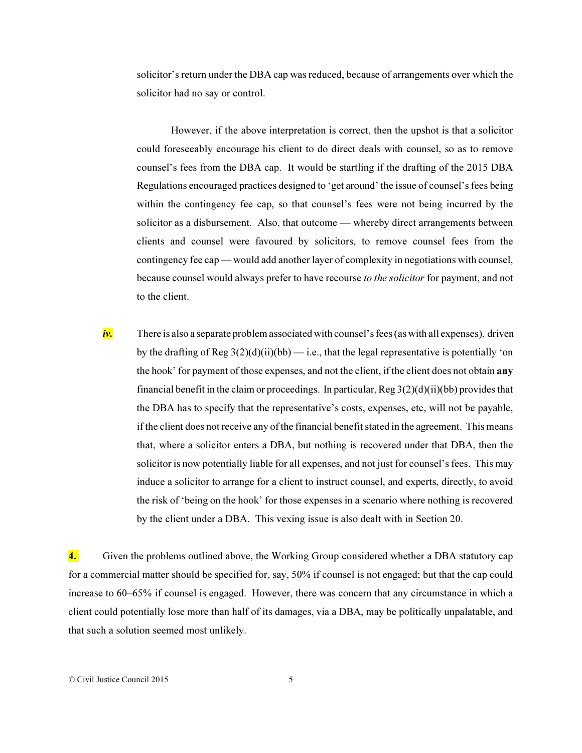solicitor's return under the DBA cap was reduced, because of arrangements over which the solicitor had no say or control.

However, if the above interpretation is correct, then the upshot is that a solicitor could foreseeably encourage his client to do direct deals with counsel, so as to remove counsel's fees from the DBA cap. It would be startling if the drafting of the 2015 DBA Regulations encouraged practices designed to 'get around' the issue of counsel's fees being within the contingency fee cap, so that counsel's fees were not being incurred by the solicitor as a disbursement. Also, that outcome — whereby direct arrangements between clients and counsel were favoured by solicitors, to remove counsel fees from the contingency fee cap — would add another layer of complexity in negotiations with counsel, because counsel would always prefer to have recourse *to the solicitor* for payment, and not to the client.

iv. There is also a separate problem associated with counsel's fees (as with all expenses), driven by the drafting of Reg  $3(2)(d)(ii)(bb)$  — i.e., that the legal representative is potentially 'on the hook' for payment of those expenses, and not the client, if the client does not obtain any financial benefit in the claim or proceedings. In particular,  $Reg 3(2)(d)(ii)(bb)$  provides that the DBA has to specify that the representative's costs, expenses, etc, will not be payable, if the client does not receive any of the financial benefit stated in the agreement. This means that, where a solicitor enters a DBA, but nothing is recovered under that DBA, then the solicitor is now potentially liable for all expenses, and not just for counsel's fees. This may induce a solicitor to arrange for a client to instruct counsel, and experts, directly, to avoid the risk of 'being on the hook' for those expenses in a scenario where nothing is recovered by the client under a DBA. This vexing issue is also dealt with in Section 20.

4. Given the problems outlined above, the Working Group considered whether a DBA statutory cap for a commercial matter should be specified for, say, 50% if counsel is not engaged; but that the cap could increase to 60–65% if counsel is engaged. However, there was concern that any circumstance in which a client could potentially lose more than half of its damages, via a DBA, may be politically unpalatable, and that such a solution seemed most unlikely.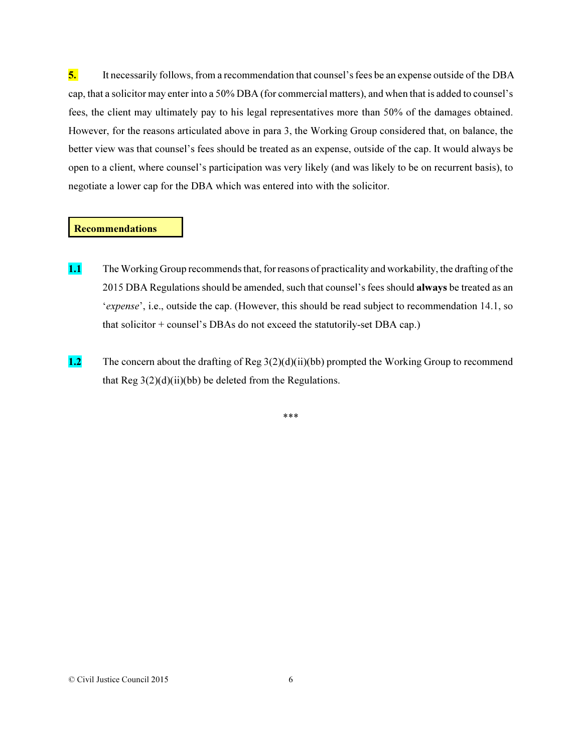5. It necessarily follows, from a recommendation that counsel's fees be an expense outside of the DBA cap, that a solicitor may enter into a 50% DBA (for commercial matters), and when that is added to counsel's fees, the client may ultimately pay to his legal representatives more than 50% of the damages obtained. However, for the reasons articulated above in para 3, the Working Group considered that, on balance, the better view was that counsel's fees should be treated as an expense, outside of the cap. It would always be open to a client, where counsel's participation was very likely (and was likely to be on recurrent basis), to negotiate a lower cap for the DBA which was entered into with the solicitor.

### Recommendations

- 1.1 The Working Group recommends that, for reasons of practicality and workability, the drafting of the 2015 DBA Regulations should be amended, such that counsel's fees should always be treated as an '*expense*', i.e., outside the cap. (However, this should be read subject to recommendation 14.1, so that solicitor + counsel's DBAs do not exceed the statutorily-set DBA cap.)
- 1.2 The concern about the drafting of Reg 3(2)(d)(ii)(bb) prompted the Working Group to recommend that Reg  $3(2)(d)(ii)(bb)$  be deleted from the Regulations.

\*\*\*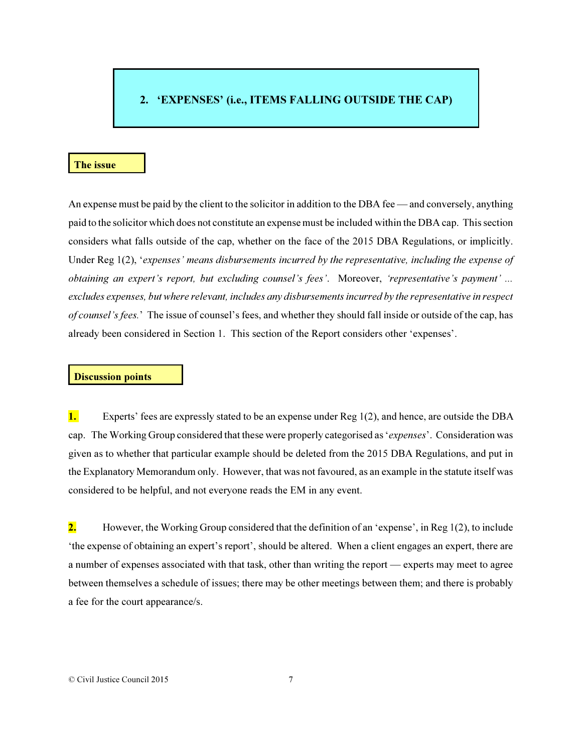# 2. 'EXPENSES' (i.e., ITEMS FALLING OUTSIDE THE CAP)

## The issue

An expense must be paid by the client to the solicitor in addition to the DBA fee — and conversely, anything paid to the solicitor which does not constitute an expense must be included within the DBA cap. This section considers what falls outside of the cap, whether on the face of the 2015 DBA Regulations, or implicitly. Under Reg 1(2), '*expenses' means disbursements incurred by the representative, including the expense of obtaining an expert's report, but excluding counsel's fees'*. Moreover, *'representative's payment' ... excludes expenses, but where relevant, includes any disbursements incurred by the representative in respect of counsel's fees.*' The issue of counsel's fees, and whether they should fall inside or outside of the cap, has already been considered in Section 1. This section of the Report considers other 'expenses'.

## Discussion points

1. Experts' fees are expressly stated to be an expense under Reg 1(2), and hence, are outside the DBA cap. The Working Group considered that these were properly categorised as '*expenses*'. Consideration was given as to whether that particular example should be deleted from the 2015 DBA Regulations, and put in the Explanatory Memorandum only. However, that was not favoured, as an example in the statute itself was considered to be helpful, and not everyone reads the EM in any event.

**2.** However, the Working Group considered that the definition of an 'expense', in Reg  $1(2)$ , to include 'the expense of obtaining an expert's report', should be altered. When a client engages an expert, there are a number of expenses associated with that task, other than writing the report — experts may meet to agree between themselves a schedule of issues; there may be other meetings between them; and there is probably a fee for the court appearance/s.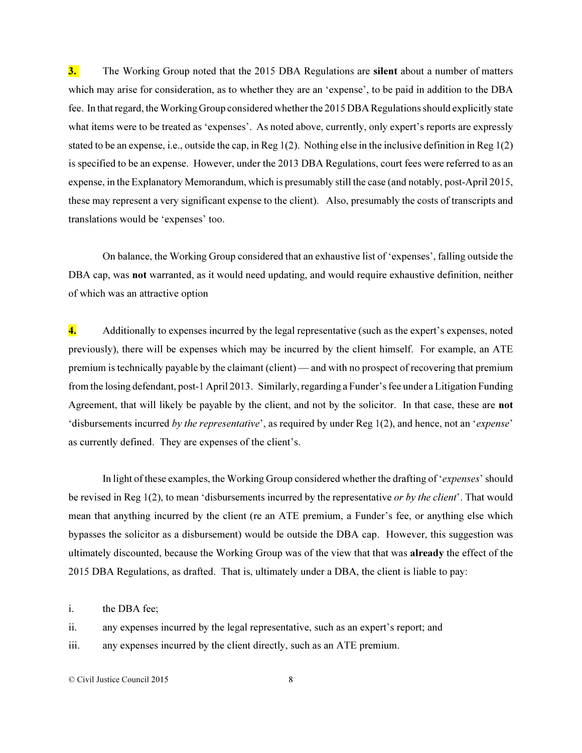3. The Working Group noted that the 2015 DBA Regulations are silent about a number of matters which may arise for consideration, as to whether they are an 'expense', to be paid in addition to the DBA fee. In that regard, the Working Group considered whether the 2015 DBA Regulations should explicitly state what items were to be treated as 'expenses'. As noted above, currently, only expert's reports are expressly stated to be an expense, i.e., outside the cap, in Reg 1(2). Nothing else in the inclusive definition in Reg 1(2) is specified to be an expense. However, under the 2013 DBA Regulations, court fees were referred to as an expense, in the Explanatory Memorandum, which is presumably still the case (and notably, post-April 2015, these may represent a very significant expense to the client). Also, presumably the costs of transcripts and translations would be 'expenses' too.

On balance, the Working Group considered that an exhaustive list of 'expenses', falling outside the DBA cap, was not warranted, as it would need updating, and would require exhaustive definition, neither of which was an attractive option

4. Additionally to expenses incurred by the legal representative (such as the expert's expenses, noted previously), there will be expenses which may be incurred by the client himself. For example, an ATE premium is technically payable by the claimant (client) — and with no prospect of recovering that premium from the losing defendant, post-1 April 2013. Similarly, regarding a Funder's fee under a Litigation Funding Agreement, that will likely be payable by the client, and not by the solicitor. In that case, these are not 'disbursements incurred *by the representative*', as required by under Reg 1(2), and hence, not an '*expense*' as currently defined. They are expenses of the client's.

In light of these examples, the Working Group considered whether the drafting of '*expenses*' should be revised in Reg 1(2), to mean 'disbursements incurred by the representative *or by the client*'. That would mean that anything incurred by the client (re an ATE premium, a Funder's fee, or anything else which bypasses the solicitor as a disbursement) would be outside the DBA cap. However, this suggestion was ultimately discounted, because the Working Group was of the view that that was already the effect of the 2015 DBA Regulations, as drafted. That is, ultimately under a DBA, the client is liable to pay:

i. the DBA fee;

ii. any expenses incurred by the legal representative, such as an expert's report; and

iii. any expenses incurred by the client directly, such as an ATE premium.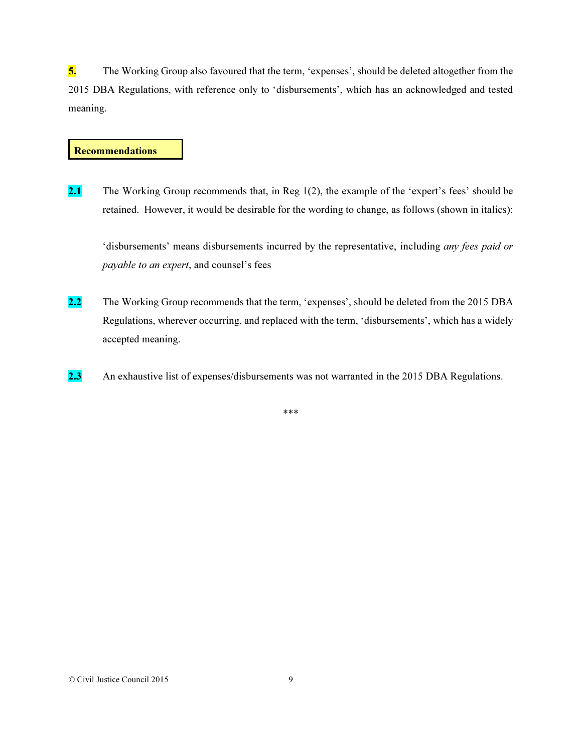5. The Working Group also favoured that the term, 'expenses', should be deleted altogether from the 2015 DBA Regulations, with reference only to 'disbursements', which has an acknowledged and tested meaning.

## **Recommendations**

2.1 The Working Group recommends that, in Reg  $1(2)$ , the example of the 'expert's fees' should be retained. However, it would be desirable for the wording to change, as follows (shown in italics):

'disbursements' means disbursements incurred by the representative, including *any fees paid or payable to an expert*, and counsel's fees

- 2.2 The Working Group recommends that the term, 'expenses', should be deleted from the 2015 DBA Regulations, wherever occurring, and replaced with the term, 'disbursements', which has a widely accepted meaning.
- 2.3 An exhaustive list of expenses/disbursements was not warranted in the 2015 DBA Regulations.

\*\*\*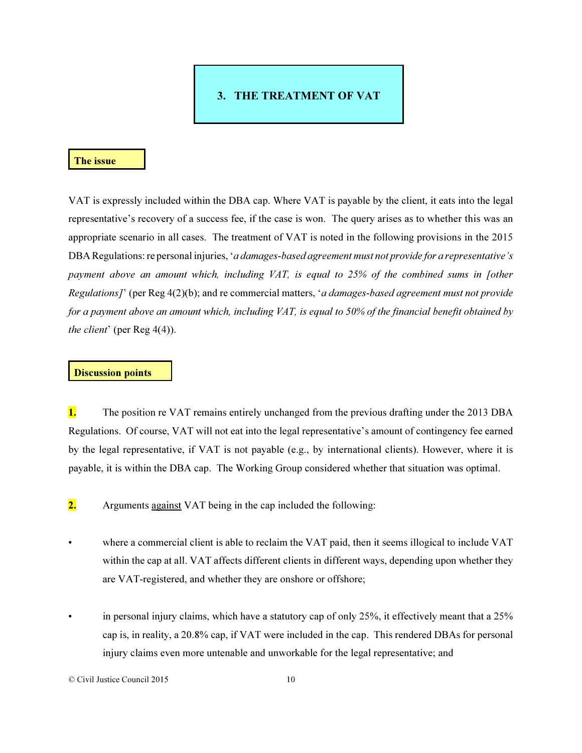# 3. THE TREATMENT OF VAT

### The issue

VAT is expressly included within the DBA cap. Where VAT is payable by the client, it eats into the legal representative's recovery of a success fee, if the case is won. The query arises as to whether this was an appropriate scenario in all cases. The treatment of VAT is noted in the following provisions in the 2015 DBA Regulations: re personal injuries, '*a damages-based agreement must not provide for a representative's payment above an amount which, including VAT, is equal to 25% of the combined sums in [other Regulations]*' (per Reg 4(2)(b); and re commercial matters, '*a damages-based agreement must not provide for a payment above an amount which, including VAT, is equal to 50% of the financial benefit obtained by the client*' (per Reg 4(4)).

## Discussion points

**1.** The position re VAT remains entirely unchanged from the previous drafting under the 2013 DBA Regulations. Of course, VAT will not eat into the legal representative's amount of contingency fee earned by the legal representative, if VAT is not payable (e.g., by international clients). However, where it is payable, it is within the DBA cap. The Working Group considered whether that situation was optimal.

2. Arguments against VAT being in the cap included the following:

- where a commercial client is able to reclaim the VAT paid, then it seems illogical to include VAT within the cap at all. VAT affects different clients in different ways, depending upon whether they are VAT-registered, and whether they are onshore or offshore;
- in personal injury claims, which have a statutory cap of only 25%, it effectively meant that a 25% cap is, in reality, a 20.8% cap, if VAT were included in the cap. This rendered DBAs for personal injury claims even more untenable and unworkable for the legal representative; and

<sup>©</sup> Civil Justice Council 2015 10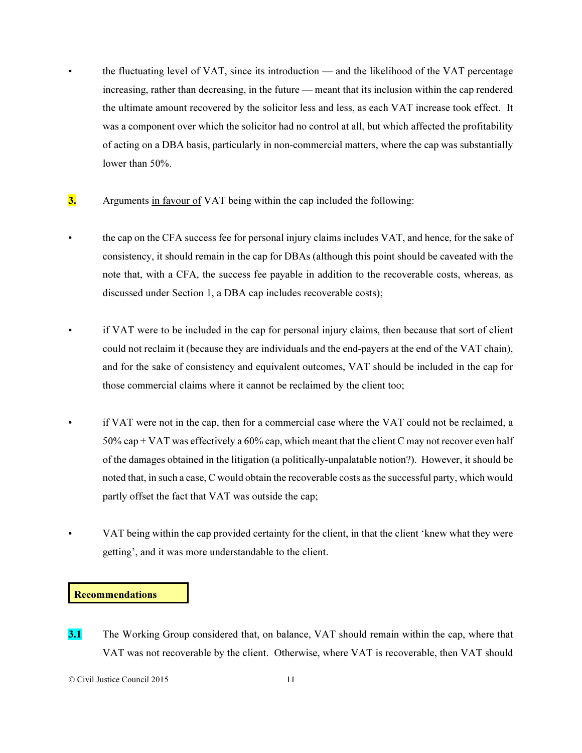- the fluctuating level of VAT, since its introduction and the likelihood of the VAT percentage increasing, rather than decreasing, in the future — meant that its inclusion within the cap rendered the ultimate amount recovered by the solicitor less and less, as each VAT increase took effect. It was a component over which the solicitor had no control at all, but which affected the profitability of acting on a DBA basis, particularly in non-commercial matters, where the cap was substantially lower than 50%.
- 3. Arguments in favour of VAT being within the cap included the following:
- the cap on the CFA success fee for personal injury claims includes VAT, and hence, for the sake of consistency, it should remain in the cap for DBAs (although this point should be caveated with the note that, with a CFA, the success fee payable in addition to the recoverable costs, whereas, as discussed under Section 1, a DBA cap includes recoverable costs);
- if VAT were to be included in the cap for personal injury claims, then because that sort of client could not reclaim it (because they are individuals and the end-payers at the end of the VAT chain), and for the sake of consistency and equivalent outcomes, VAT should be included in the cap for those commercial claims where it cannot be reclaimed by the client too;
	- if VAT were not in the cap, then for a commercial case where the VAT could not be reclaimed, a 50% cap + VAT was effectively a 60% cap, which meant that the client C may not recover even half of the damages obtained in the litigation (a politically-unpalatable notion?). However, it should be noted that, in such a case, C would obtain the recoverable costs as the successful party, which would partly offset the fact that VAT was outside the cap;
		- VAT being within the cap provided certainty for the client, in that the client 'knew what they were getting', and it was more understandable to the client.

## Recommendations

**3.1** The Working Group considered that, on balance, VAT should remain within the cap, where that VAT was not recoverable by the client. Otherwise, where VAT is recoverable, then VAT should

<sup>©</sup> Civil Justice Council 2015 11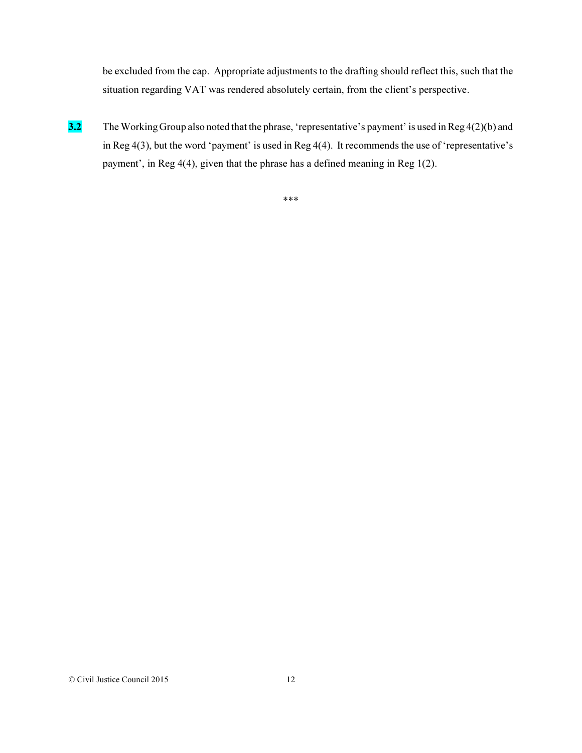be excluded from the cap. Appropriate adjustments to the drafting should reflect this, such that the situation regarding VAT was rendered absolutely certain, from the client's perspective.

3.2 The Working Group also noted that the phrase, 'representative's payment' is used in Reg 4(2)(b) and in Reg 4(3), but the word 'payment' is used in Reg 4(4). It recommends the use of 'representative's payment', in Reg 4(4), given that the phrase has a defined meaning in Reg 1(2).

\*\*\*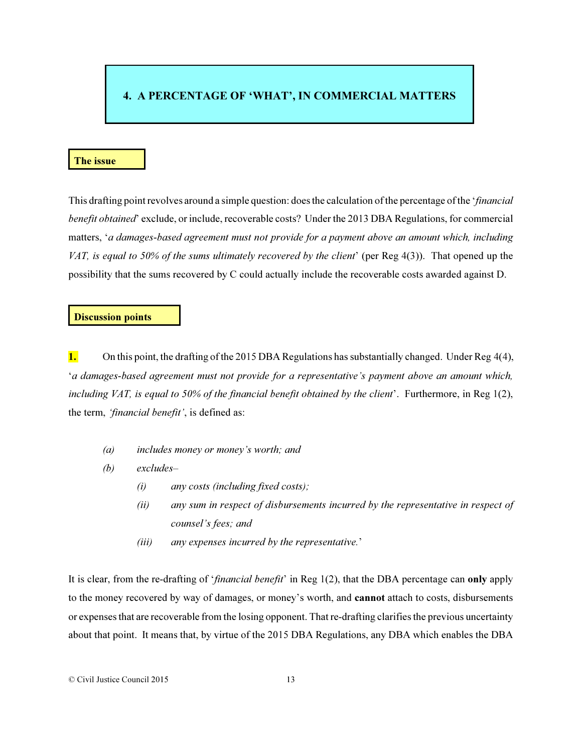# 4. A PERCENTAGE OF 'WHAT', IN COMMERCIAL MATTERS

## The issue

This drafting point revolves around a simple question: does the calculation of the percentage of the '*financial benefit obtained*' exclude, or include, recoverable costs? Under the 2013 DBA Regulations, for commercial matters, '*a damages-based agreement must not provide for a payment above an amount which, including VAT, is equal to 50% of the sums ultimately recovered by the client*' (per Reg 4(3)). That opened up the possibility that the sums recovered by C could actually include the recoverable costs awarded against D.

#### Discussion points

1. On this point, the drafting of the 2015 DBA Regulations has substantially changed. Under Reg  $4(4)$ , '*a damages-based agreement must not provide for a representative's payment above an amount which, including VAT, is equal to 50% of the financial benefit obtained by the client*'. Furthermore, in Reg 1(2), the term, *'financial benefit'*, is defined as:

- *(a) includes money or money's worth; and*
- *(b) excludes–* 
	- *(i) any costs (including fixed costs);*
	- *(ii) any sum in respect of disbursements incurred by the representative in respect of counsel's fees; and*
	- *(iii) any expenses incurred by the representative.*'

It is clear, from the re-drafting of '*financial benefit*' in Reg 1(2), that the DBA percentage can only apply to the money recovered by way of damages, or money's worth, and cannot attach to costs, disbursements or expenses that are recoverable from the losing opponent. That re-drafting clarifies the previous uncertainty about that point. It means that, by virtue of the 2015 DBA Regulations, any DBA which enables the DBA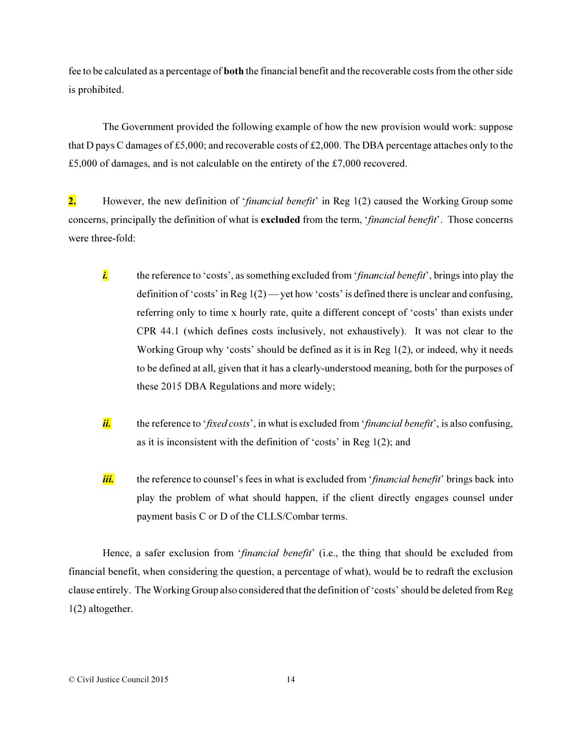fee to be calculated as a percentage of both the financial benefit and the recoverable costs from the other side is prohibited.

The Government provided the following example of how the new provision would work: suppose that D pays C damages of £5,000; and recoverable costs of £2,000. The DBA percentage attaches only to the £5,000 of damages, and is not calculable on the entirety of the £7,000 recovered.

2. However, the new definition of '*financial benefit*' in Reg 1(2) caused the Working Group some concerns, principally the definition of what is excluded from the term, '*financial benefit*'. Those concerns were three-fold:

- *i.* the reference to 'costs', as something excluded from '*financial benefit*', brings into play the definition of 'costs' in Reg  $1(2)$ —vet how 'costs' is defined there is unclear and confusing, referring only to time x hourly rate, quite a different concept of 'costs' than exists under CPR 44.1 (which defines costs inclusively, not exhaustively). It was not clear to the Working Group why 'costs' should be defined as it is in Reg 1(2), or indeed, why it needs to be defined at all, given that it has a clearly-understood meaning, both for the purposes of these 2015 DBA Regulations and more widely;
- *ii.* the reference to '*fixed costs*', in what is excluded from '*financial benefit*', is also confusing, as it is inconsistent with the definition of 'costs' in Reg 1(2); and
- *iii.* the reference to counsel's fees in what is excluded from '*financial benefit*' brings back into play the problem of what should happen, if the client directly engages counsel under payment basis C or D of the CLLS/Combar terms.

Hence, a safer exclusion from '*financial benefit*' (i.e., the thing that should be excluded from financial benefit, when considering the question, a percentage of what), would be to redraft the exclusion clause entirely. The Working Group also considered that the definition of 'costs' should be deleted from Reg 1(2) altogether.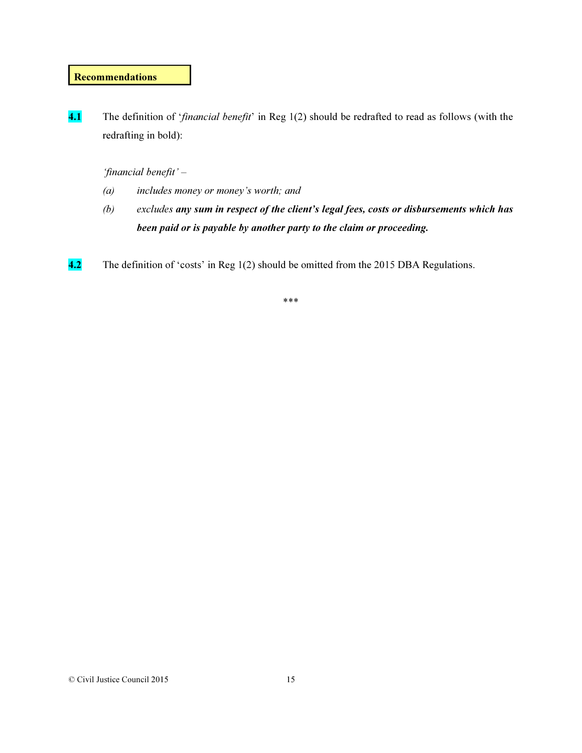# **Recommendations**

4.1 The definition of '*financial benefit*' in Reg 1(2) should be redrafted to read as follows (with the redrafting in bold):

# *'financial benefit' –*

- *(a) includes money or money's worth; and*
- *(b) excludes any sum in respect of the client's legal fees, costs or disbursements which has been paid or is payable by another party to the claim or proceeding.*
- 4.2 The definition of 'costs' in Reg 1(2) should be omitted from the 2015 DBA Regulations.

\*\*\*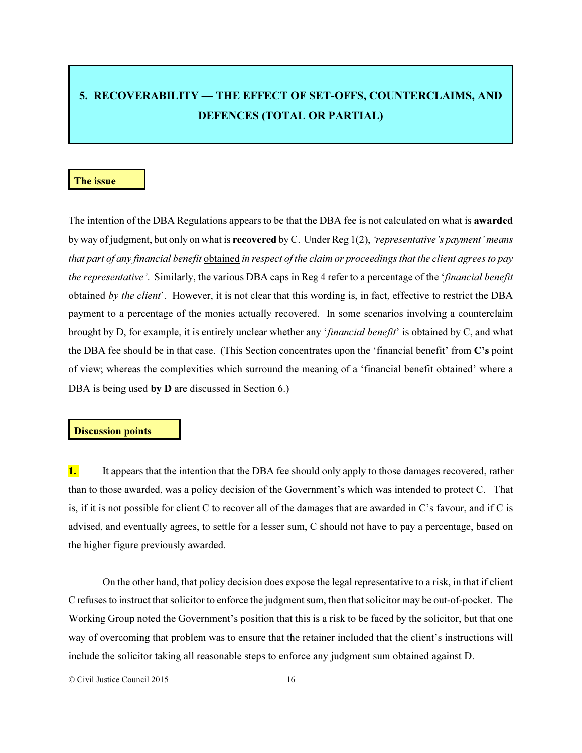# 5. RECOVERABILITY — THE EFFECT OF SET-OFFS, COUNTERCLAIMS, AND DEFENCES (TOTAL OR PARTIAL)

### The issue

The intention of the DBA Regulations appears to be that the DBA fee is not calculated on what is awarded by way of judgment, but only on what is recovered by C. Under Reg 1(2), *'representative's payment' means that part of any financial benefit* obtained *in respect of the claim or proceedings that the client agrees to pay the representative'*. Similarly, the various DBA caps in Reg 4 refer to a percentage of the '*financial benefit* obtained *by the client*'. However, it is not clear that this wording is, in fact, effective to restrict the DBA payment to a percentage of the monies actually recovered. In some scenarios involving a counterclaim brought by D, for example, it is entirely unclear whether any '*financial benefit*' is obtained by C, and what the DBA fee should be in that case. (This Section concentrates upon the 'financial benefit' from C's point of view; whereas the complexities which surround the meaning of a 'financial benefit obtained' where a DBA is being used by **D** are discussed in Section 6.)

### Discussion points

1. It appears that the intention that the DBA fee should only apply to those damages recovered, rather than to those awarded, was a policy decision of the Government's which was intended to protect C. That is, if it is not possible for client C to recover all of the damages that are awarded in C's favour, and if C is advised, and eventually agrees, to settle for a lesser sum, C should not have to pay a percentage, based on the higher figure previously awarded.

On the other hand, that policy decision does expose the legal representative to a risk, in that if client C refuses to instruct that solicitor to enforce the judgment sum, then that solicitor may be out-of-pocket. The Working Group noted the Government's position that this is a risk to be faced by the solicitor, but that one way of overcoming that problem was to ensure that the retainer included that the client's instructions will include the solicitor taking all reasonable steps to enforce any judgment sum obtained against D.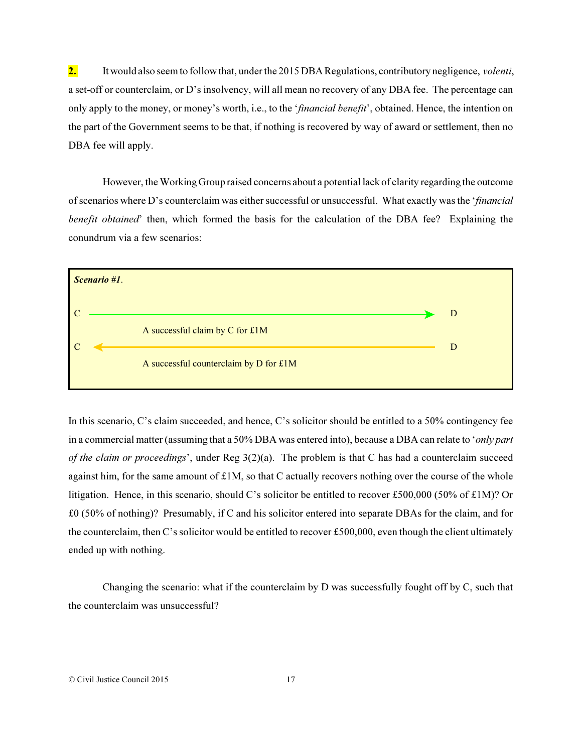2. It would also seem to follow that, under the 2015 DBA Regulations, contributory negligence, *volenti*, a set-off or counterclaim, or D's insolvency, will all mean no recovery of any DBA fee. The percentage can only apply to the money, or money's worth, i.e., to the '*financial benefit*', obtained. Hence, the intention on the part of the Government seems to be that, if nothing is recovered by way of award or settlement, then no DBA fee will apply.

However, the Working Group raised concerns about a potential lack of clarity regarding the outcome of scenarios where D's counterclaim was either successful or unsuccessful. What exactly was the '*financial benefit obtained*' then, which formed the basis for the calculation of the DBA fee? Explaining the conundrum via a few scenarios:



In this scenario, C's claim succeeded, and hence, C's solicitor should be entitled to a 50% contingency fee in a commercial matter (assuming that a 50% DBA was entered into), because a DBA can relate to '*only part of the claim or proceedings*', under Reg 3(2)(a). The problem is that C has had a counterclaim succeed against him, for the same amount of  $£1M$ , so that C actually recovers nothing over the course of the whole litigation. Hence, in this scenario, should C's solicitor be entitled to recover £500,000 (50% of £1M)? Or £0 (50% of nothing)? Presumably, if C and his solicitor entered into separate DBAs for the claim, and for the counterclaim, then C's solicitor would be entitled to recover £500,000, even though the client ultimately ended up with nothing.

Changing the scenario: what if the counterclaim by D was successfully fought off by C, such that the counterclaim was unsuccessful?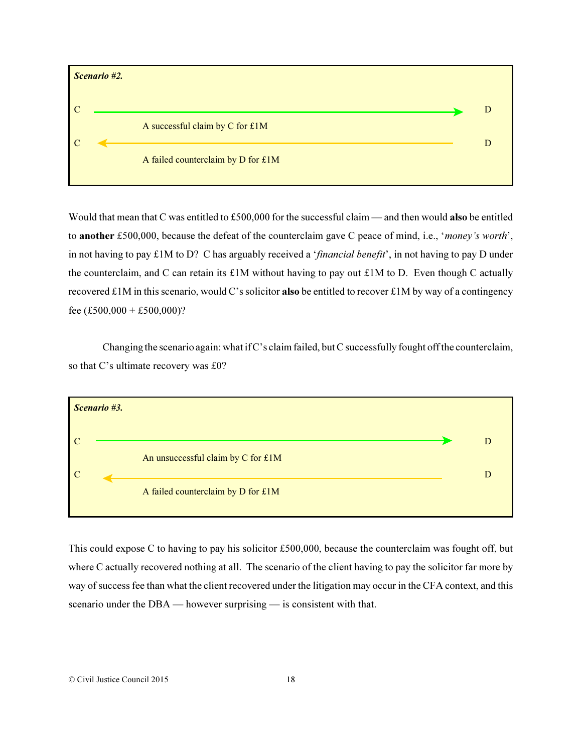

Would that mean that C was entitled to £500,000 for the successful claim — and then would also be entitled to another £500,000, because the defeat of the counterclaim gave C peace of mind, i.e., '*money's worth*', in not having to pay £1M to D? C has arguably received a '*financial benefit*', in not having to pay D under the counterclaim, and C can retain its  $\pounds 1M$  without having to pay out  $\pounds 1M$  to D. Even though C actually recovered £1M in this scenario, would C's solicitor **also** be entitled to recover £1M by way of a contingency fee  $(\text{\pounds}500,000 + \text{\pounds}500,000)$ ?

Changing the scenario again: what if C's claim failed, but C successfully fought off the counterclaim, so that C's ultimate recovery was £0?



This could expose C to having to pay his solicitor £500,000, because the counterclaim was fought off, but where C actually recovered nothing at all. The scenario of the client having to pay the solicitor far more by way of success fee than what the client recovered under the litigation may occur in the CFA context, and this scenario under the DBA — however surprising — is consistent with that.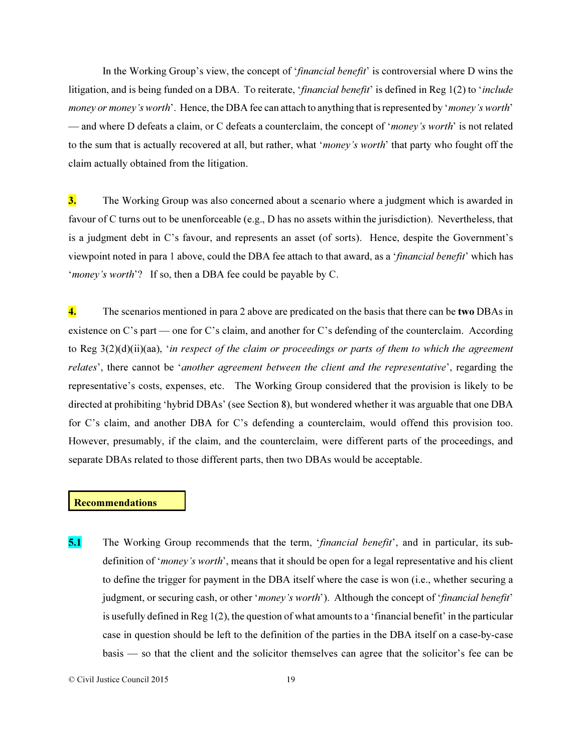In the Working Group's view, the concept of '*financial benefit*' is controversial where D wins the litigation, and is being funded on a DBA. To reiterate, '*financial benefit*' is defined in Reg 1(2) to '*include money or money's worth*'. Hence, the DBA fee can attach to anything that is represented by '*money's worth*' — and where D defeats a claim, or C defeats a counterclaim, the concept of '*money's worth*' is not related to the sum that is actually recovered at all, but rather, what '*money's worth*' that party who fought off the claim actually obtained from the litigation.

3. The Working Group was also concerned about a scenario where a judgment which is awarded in favour of C turns out to be unenforceable (e.g., D has no assets within the jurisdiction). Nevertheless, that is a judgment debt in C's favour, and represents an asset (of sorts). Hence, despite the Government's viewpoint noted in para 1 above, could the DBA fee attach to that award, as a '*financial benefit*' which has '*money's worth*'? If so, then a DBA fee could be payable by C.

4. The scenarios mentioned in para 2 above are predicated on the basis that there can be two DBAs in existence on C's part — one for C's claim, and another for C's defending of the counterclaim. According to Reg 3(2)(d)(ii)(aa), '*in respect of the claim or proceedings or parts of them to which the agreement relates*', there cannot be '*another agreement between the client and the representative*', regarding the representative's costs, expenses, etc. The Working Group considered that the provision is likely to be directed at prohibiting 'hybrid DBAs' (see Section 8), but wondered whether it was arguable that one DBA for C's claim, and another DBA for C's defending a counterclaim, would offend this provision too. However, presumably, if the claim, and the counterclaim, were different parts of the proceedings, and separate DBAs related to those different parts, then two DBAs would be acceptable.

# **Recommendations**

5.1 The Working Group recommends that the term, '*financial benefit*', and in particular, its subdefinition of '*money's worth*', means that it should be open for a legal representative and his client to define the trigger for payment in the DBA itself where the case is won (i.e., whether securing a judgment, or securing cash, or other '*money's worth*'). Although the concept of '*financial benefit*' is usefully defined in Reg 1(2), the question of what amounts to a 'financial benefit' in the particular case in question should be left to the definition of the parties in the DBA itself on a case-by-case basis — so that the client and the solicitor themselves can agree that the solicitor's fee can be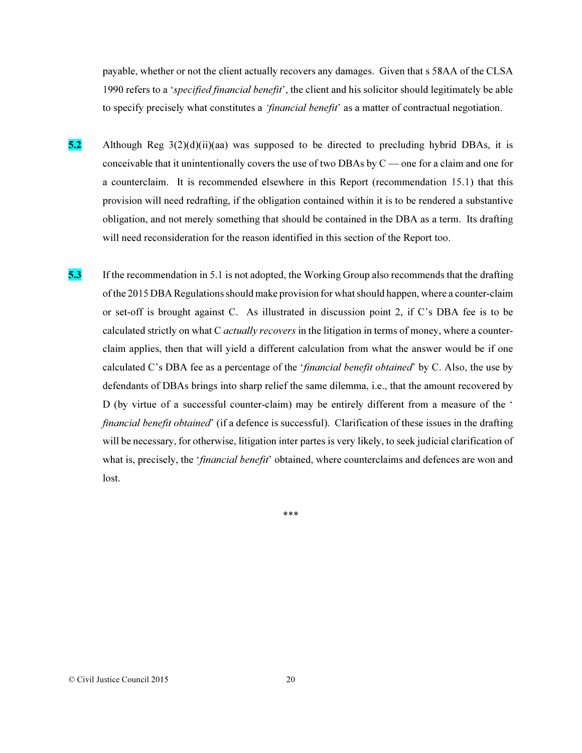payable, whether or not the client actually recovers any damages. Given that s 58AA of the CLSA 1990 refers to a '*specified financial benefit*', the client and his solicitor should legitimately be able to specify precisely what constitutes a *'financial benefit*' as a matter of contractual negotiation.

- 5.2 Although Reg  $3(2)(d)(ii)(aa)$  was supposed to be directed to precluding hybrid DBAs, it is conceivable that it unintentionally covers the use of two DBAs by C — one for a claim and one for a counterclaim. It is recommended elsewhere in this Report (recommendation 15.1) that this provision will need redrafting, if the obligation contained within it is to be rendered a substantive obligation, and not merely something that should be contained in the DBA as a term. Its drafting will need reconsideration for the reason identified in this section of the Report too.
- 5.3 If the recommendation in 5.1 is not adopted, the Working Group also recommends that the drafting of the 2015 DBA Regulations should make provision for what should happen, where a counter-claim or set-off is brought against C. As illustrated in discussion point 2, if C's DBA fee is to be calculated strictly on what C *actually recovers* in the litigation in terms of money, where a counterclaim applies, then that will yield a different calculation from what the answer would be if one calculated C's DBA fee as a percentage of the '*financial benefit obtained*' by C. Also, the use by defendants of DBAs brings into sharp relief the same dilemma, i.e., that the amount recovered by D (by virtue of a successful counter-claim) may be entirely different from a measure of the ' *financial benefit obtained*' (if a defence is successful). Clarification of these issues in the drafting will be necessary, for otherwise, litigation inter partes is very likely, to seek judicial clarification of what is, precisely, the '*financial benefit*' obtained, where counterclaims and defences are won and lost.

\*\*\*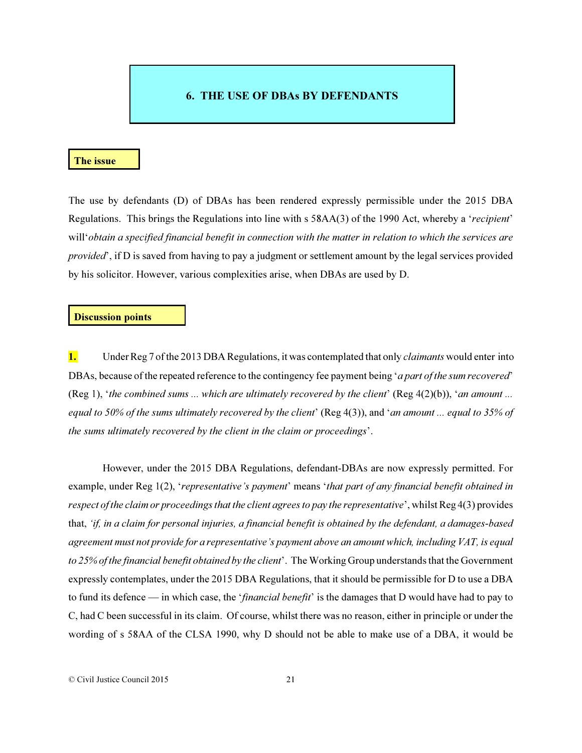# 6. THE USE OF DBAs BY DEFENDANTS

### The issue

The use by defendants (D) of DBAs has been rendered expressly permissible under the 2015 DBA Regulations. This brings the Regulations into line with s 58AA(3) of the 1990 Act, whereby a '*recipient*' will'*obtain a specified financial benefit in connection with the matter in relation to which the services are provided*', if D is saved from having to pay a judgment or settlement amount by the legal services provided by his solicitor. However, various complexities arise, when DBAs are used by D.

### Discussion points

1. Under Reg 7 of the 2013 DBA Regulations, it was contemplated that only *claimants* would enter into DBAs, because of the repeated reference to the contingency fee payment being '*a part of the sum recovered*' (Reg 1), '*the combined sums ... which are ultimately recovered by the client*' (Reg 4(2)(b)), '*an amount ... equal to 50% of the sums ultimately recovered by the client*' (Reg 4(3)), and '*an amount ... equal to 35% of the sums ultimately recovered by the client in the claim or proceedings*'.

However, under the 2015 DBA Regulations, defendant-DBAs are now expressly permitted. For example, under Reg 1(2), '*representative's payment*' means '*that part of any financial benefit obtained in respect of the claim or proceedings that the client agrees to pay the representative*', whilst Reg 4(3) provides that, *'if, in a claim for personal injuries, a financial benefit is obtained by the defendant, a damages-based agreement must not provide for a representative's payment above an amount which, including VAT, is equal to 25% of the financial benefit obtained by the client*'. The Working Group understands that the Government expressly contemplates, under the 2015 DBA Regulations, that it should be permissible for D to use a DBA to fund its defence — in which case, the '*financial benefit*' is the damages that D would have had to pay to C, had C been successful in its claim. Of course, whilst there was no reason, either in principle or under the wording of s 58AA of the CLSA 1990, why D should not be able to make use of a DBA, it would be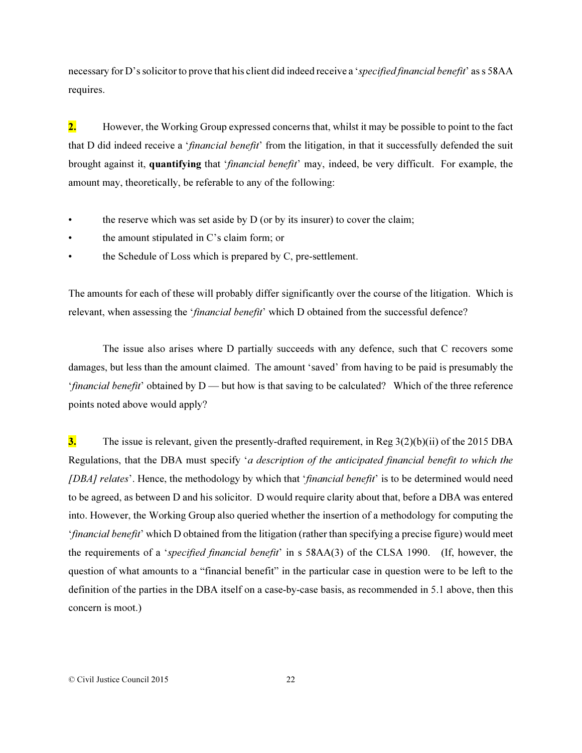necessary for D's solicitor to prove that his client did indeed receive a '*specified financial benefit*' as s 58AA requires.

2. However, the Working Group expressed concerns that, whilst it may be possible to point to the fact that D did indeed receive a '*financial benefit*' from the litigation, in that it successfully defended the suit brought against it, quantifying that '*financial benefit*' may, indeed, be very difficult. For example, the amount may, theoretically, be referable to any of the following:

- the reserve which was set aside by D (or by its insurer) to cover the claim;
- the amount stipulated in C's claim form; or
- the Schedule of Loss which is prepared by C, pre-settlement.

The amounts for each of these will probably differ significantly over the course of the litigation. Which is relevant, when assessing the '*financial benefit*' which D obtained from the successful defence?

The issue also arises where D partially succeeds with any defence, such that C recovers some damages, but less than the amount claimed. The amount 'saved' from having to be paid is presumably the *'financial benefit'* obtained by D — but how is that saving to be calculated? Which of the three reference points noted above would apply?

3. The issue is relevant, given the presently-drafted requirement, in Reg  $3(2)(b)(ii)$  of the 2015 DBA Regulations, that the DBA must specify '*a description of the anticipated financial benefit to which the [DBA] relates*'. Hence, the methodology by which that '*financial benefit*' is to be determined would need to be agreed, as between D and his solicitor. D would require clarity about that, before a DBA was entered into. However, the Working Group also queried whether the insertion of a methodology for computing the '*financial benefit*' which D obtained from the litigation (rather than specifying a precise figure) would meet the requirements of a '*specified financial benefit*' in s 58AA(3) of the CLSA 1990. (If, however, the question of what amounts to a "financial benefit" in the particular case in question were to be left to the definition of the parties in the DBA itself on a case-by-case basis, as recommended in 5.1 above, then this concern is moot.)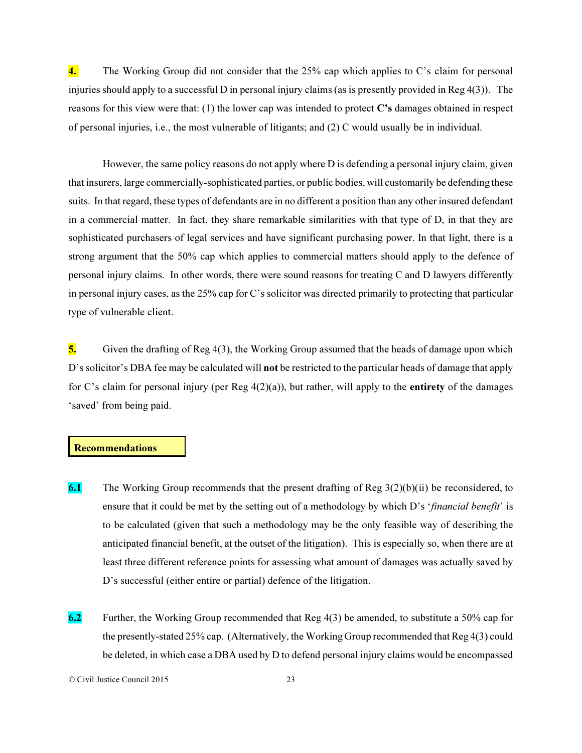4. The Working Group did not consider that the 25% cap which applies to C's claim for personal injuries should apply to a successful D in personal injury claims (as is presently provided in Reg 4(3)). The reasons for this view were that: (1) the lower cap was intended to protect C's damages obtained in respect of personal injuries, i.e., the most vulnerable of litigants; and (2) C would usually be in individual.

However, the same policy reasons do not apply where D is defending a personal injury claim, given that insurers, large commercially-sophisticated parties, or public bodies, will customarily be defending these suits. In that regard, these types of defendants are in no different a position than any other insured defendant in a commercial matter. In fact, they share remarkable similarities with that type of D, in that they are sophisticated purchasers of legal services and have significant purchasing power. In that light, there is a strong argument that the 50% cap which applies to commercial matters should apply to the defence of personal injury claims. In other words, there were sound reasons for treating C and D lawyers differently in personal injury cases, as the 25% cap for C's solicitor was directed primarily to protecting that particular type of vulnerable client.

5. Given the drafting of Reg  $4(3)$ , the Working Group assumed that the heads of damage upon which D's solicitor's DBA fee may be calculated will not be restricted to the particular heads of damage that apply for C's claim for personal injury (per Reg  $4(2)(a)$ ), but rather, will apply to the **entirety** of the damages 'saved' from being paid.

## Recommendations

- 6.1 The Working Group recommends that the present drafting of Reg  $3(2)(b)(ii)$  be reconsidered, to ensure that it could be met by the setting out of a methodology by which D's '*financial benefit*' is to be calculated (given that such a methodology may be the only feasible way of describing the anticipated financial benefit, at the outset of the litigation). This is especially so, when there are at least three different reference points for assessing what amount of damages was actually saved by D's successful (either entire or partial) defence of the litigation.
- 6.2 Further, the Working Group recommended that Reg  $4(3)$  be amended, to substitute a 50% cap for the presently-stated 25% cap. (Alternatively, the Working Group recommended that Reg 4(3) could be deleted, in which case a DBA used by D to defend personal injury claims would be encompassed

<sup>©</sup> Civil Justice Council 2015 23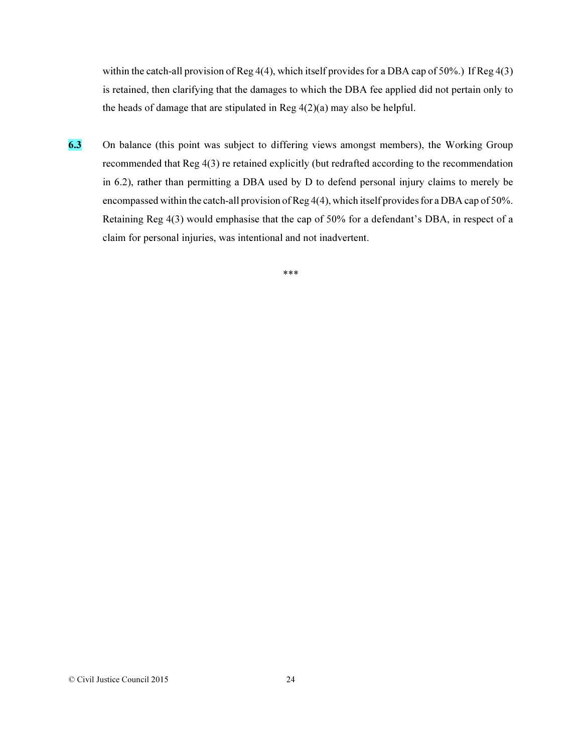within the catch-all provision of Reg 4(4), which itself provides for a DBA cap of 50%.) If Reg 4(3) is retained, then clarifying that the damages to which the DBA fee applied did not pertain only to the heads of damage that are stipulated in Reg  $4(2)(a)$  may also be helpful.

6.3 On balance (this point was subject to differing views amongst members), the Working Group recommended that Reg 4(3) re retained explicitly (but redrafted according to the recommendation in 6.2), rather than permitting a DBA used by D to defend personal injury claims to merely be encompassed within the catch-all provision of Reg 4(4), which itself provides for a DBA cap of 50%. Retaining Reg 4(3) would emphasise that the cap of 50% for a defendant's DBA, in respect of a claim for personal injuries, was intentional and not inadvertent.

\*\*\*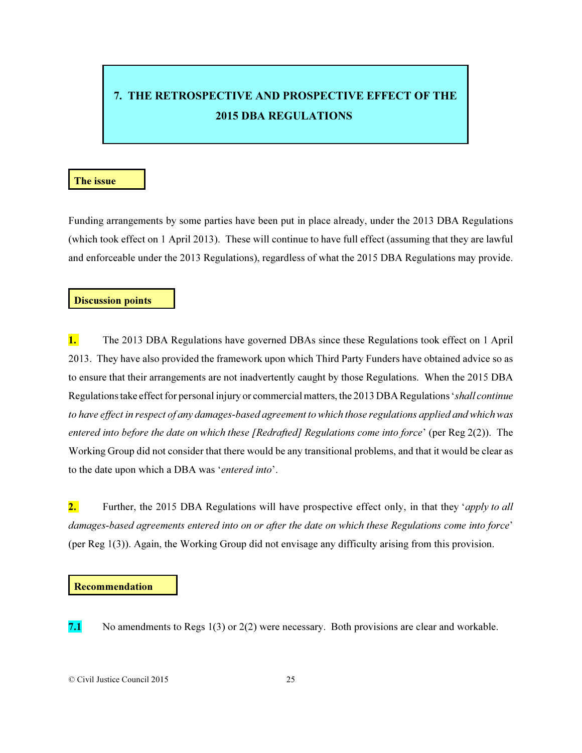# 7. THE RETROSPECTIVE AND PROSPECTIVE EFFECT OF THE 2015 DBA REGULATIONS

#### The issue

Funding arrangements by some parties have been put in place already, under the 2013 DBA Regulations (which took effect on 1 April 2013). These will continue to have full effect (assuming that they are lawful and enforceable under the 2013 Regulations), regardless of what the 2015 DBA Regulations may provide.

# Discussion points

1. The 2013 DBA Regulations have governed DBAs since these Regulations took effect on 1 April 2013. They have also provided the framework upon which Third Party Funders have obtained advice so as to ensure that their arrangements are not inadvertently caught by those Regulations. When the 2015 DBA Regulations take effect for personal injury or commercial matters, the 2013 DBA Regulations '*shall continue to have effect in respect of any damages-based agreement to which those regulations applied and which was entered into before the date on which these [Redrafted] Regulations come into force*' (per Reg 2(2)). The Working Group did not consider that there would be any transitional problems, and that it would be clear as to the date upon which a DBA was '*entered into*'.

2. Further, the 2015 DBA Regulations will have prospective effect only, in that they '*apply to all damages-based agreements entered into on or after the date on which these Regulations come into force*' (per Reg 1(3)). Again, the Working Group did not envisage any difficulty arising from this provision.

#### Recommendation

7.1 No amendments to Regs  $1(3)$  or  $2(2)$  were necessary. Both provisions are clear and workable.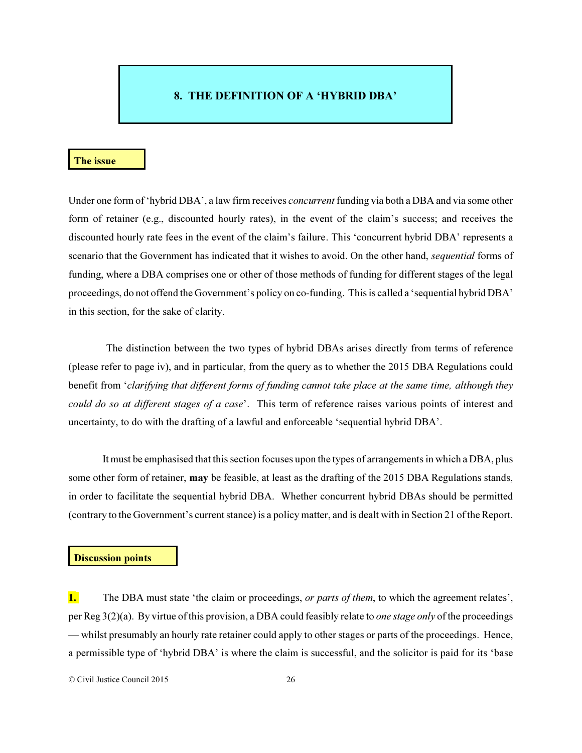## 8. THE DEFINITION OF A 'HYBRID DBA'

#### The issue

Under one form of 'hybrid DBA', a law firm receives *concurrent* funding via both a DBA and via some other form of retainer (e.g., discounted hourly rates), in the event of the claim's success; and receives the discounted hourly rate fees in the event of the claim's failure. This 'concurrent hybrid DBA' represents a scenario that the Government has indicated that it wishes to avoid. On the other hand, *sequential* forms of funding, where a DBA comprises one or other of those methods of funding for different stages of the legal proceedings, do not offend the Government's policy on co-funding. This is called a 'sequential hybrid DBA' in this section, for the sake of clarity.

 The distinction between the two types of hybrid DBAs arises directly from terms of reference (please refer to page iv), and in particular, from the query as to whether the 2015 DBA Regulations could benefit from '*clarifying that different forms of funding cannot take place at the same time, although they could do so at different stages of a case*'. This term of reference raises various points of interest and uncertainty, to do with the drafting of a lawful and enforceable 'sequential hybrid DBA'.

It must be emphasised that this section focuses upon the types of arrangements in which a DBA, plus some other form of retainer, may be feasible, at least as the drafting of the 2015 DBA Regulations stands, in order to facilitate the sequential hybrid DBA. Whether concurrent hybrid DBAs should be permitted (contrary to the Government's current stance) is a policy matter, and is dealt with in Section 21 of the Report.

#### Discussion points

1. The DBA must state 'the claim or proceedings, *or parts of them*, to which the agreement relates', per Reg 3(2)(a). By virtue of this provision, a DBA could feasibly relate to *one stage only* of the proceedings — whilst presumably an hourly rate retainer could apply to other stages or parts of the proceedings. Hence, a permissible type of 'hybrid DBA' is where the claim is successful, and the solicitor is paid for its 'base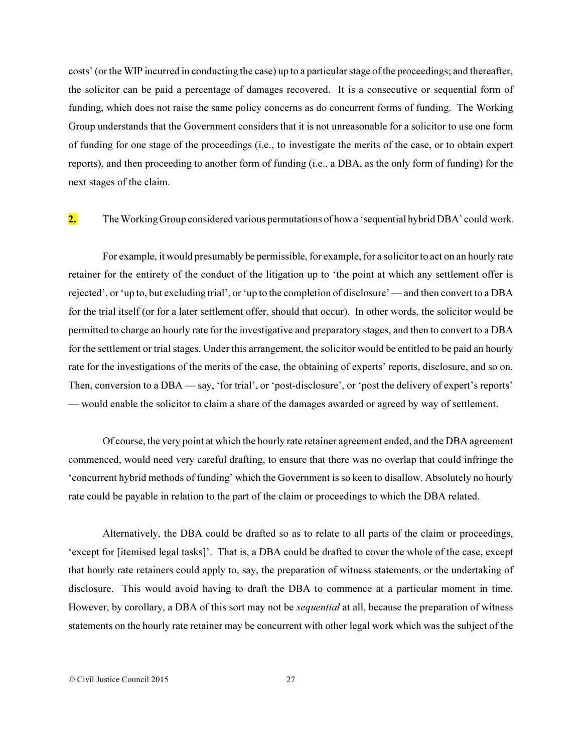costs' (or the WIP incurred in conducting the case) up to a particular stage of the proceedings; and thereafter, the solicitor can be paid a percentage of damages recovered. It is a consecutive or sequential form of funding, which does not raise the same policy concerns as do concurrent forms of funding. The Working Group understands that the Government considers that it is not unreasonable for a solicitor to use one form of funding for one stage of the proceedings (i.e., to investigate the merits of the case, or to obtain expert reports), and then proceeding to another form of funding (i.e., a DBA, as the only form of funding) for the next stages of the claim.

2. The Working Group considered various permutations of how a 'sequential hybrid DBA' could work.

For example, it would presumably be permissible, for example, for a solicitor to act on an hourly rate retainer for the entirety of the conduct of the litigation up to 'the point at which any settlement offer is rejected', or 'up to, but excluding trial', or 'up to the completion of disclosure' — and then convert to a DBA for the trial itself (or for a later settlement offer, should that occur). In other words, the solicitor would be permitted to charge an hourly rate for the investigative and preparatory stages, and then to convert to a DBA for the settlement or trial stages. Under this arrangement, the solicitor would be entitled to be paid an hourly rate for the investigations of the merits of the case, the obtaining of experts' reports, disclosure, and so on. Then, conversion to a DBA — say, 'for trial', or 'post-disclosure', or 'post the delivery of expert's reports' — would enable the solicitor to claim a share of the damages awarded or agreed by way of settlement.

Of course, the very point at which the hourly rate retainer agreement ended, and the DBA agreement commenced, would need very careful drafting, to ensure that there was no overlap that could infringe the 'concurrent hybrid methods of funding' which the Government is so keen to disallow. Absolutely no hourly rate could be payable in relation to the part of the claim or proceedings to which the DBA related.

Alternatively, the DBA could be drafted so as to relate to all parts of the claim or proceedings, 'except for [itemised legal tasks]'. That is, a DBA could be drafted to cover the whole of the case, except that hourly rate retainers could apply to, say, the preparation of witness statements, or the undertaking of disclosure. This would avoid having to draft the DBA to commence at a particular moment in time. However, by corollary, a DBA of this sort may not be *sequential* at all, because the preparation of witness statements on the hourly rate retainer may be concurrent with other legal work which was the subject of the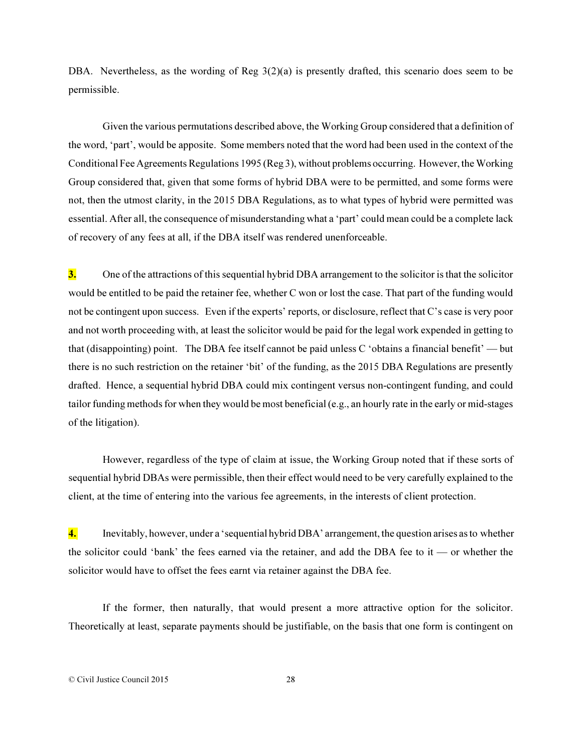DBA. Nevertheless, as the wording of Reg  $3(2)(a)$  is presently drafted, this scenario does seem to be permissible.

Given the various permutations described above, the Working Group considered that a definition of the word, 'part', would be apposite. Some members noted that the word had been used in the context of the Conditional Fee Agreements Regulations 1995 (Reg 3), without problems occurring. However, the Working Group considered that, given that some forms of hybrid DBA were to be permitted, and some forms were not, then the utmost clarity, in the 2015 DBA Regulations, as to what types of hybrid were permitted was essential. After all, the consequence of misunderstanding what a 'part' could mean could be a complete lack of recovery of any fees at all, if the DBA itself was rendered unenforceable.

3. One of the attractions of this sequential hybrid DBA arrangement to the solicitor is that the solicitor would be entitled to be paid the retainer fee, whether C won or lost the case. That part of the funding would not be contingent upon success. Even if the experts' reports, or disclosure, reflect that C's case is very poor and not worth proceeding with, at least the solicitor would be paid for the legal work expended in getting to that (disappointing) point. The DBA fee itself cannot be paid unless C 'obtains a financial benefit' — but there is no such restriction on the retainer 'bit' of the funding, as the 2015 DBA Regulations are presently drafted. Hence, a sequential hybrid DBA could mix contingent versus non-contingent funding, and could tailor funding methods for when they would be most beneficial (e.g., an hourly rate in the early or mid-stages of the litigation).

However, regardless of the type of claim at issue, the Working Group noted that if these sorts of sequential hybrid DBAs were permissible, then their effect would need to be very carefully explained to the client, at the time of entering into the various fee agreements, in the interests of client protection.

4. Inevitably, however, under a 'sequential hybrid DBA' arrangement, the question arises as to whether the solicitor could 'bank' the fees earned via the retainer, and add the DBA fee to it — or whether the solicitor would have to offset the fees earnt via retainer against the DBA fee.

If the former, then naturally, that would present a more attractive option for the solicitor. Theoretically at least, separate payments should be justifiable, on the basis that one form is contingent on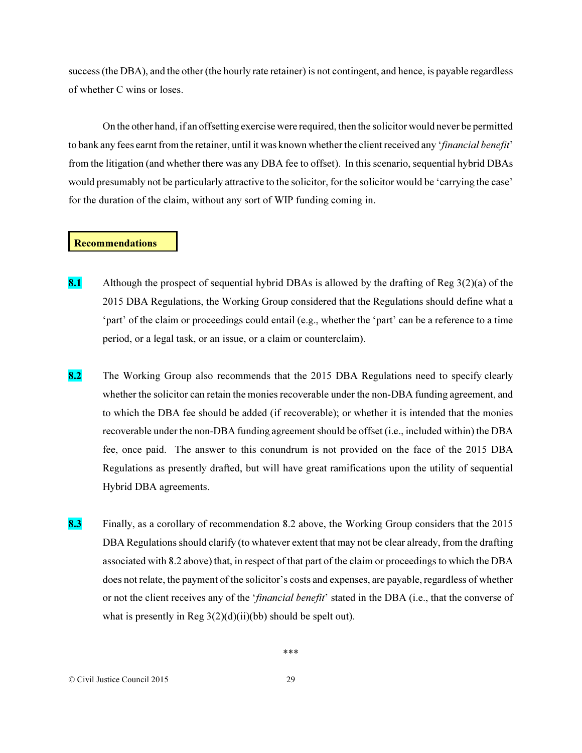success (the DBA), and the other (the hourly rate retainer) is not contingent, and hence, is payable regardless of whether C wins or loses.

On the other hand, if an offsetting exercise were required, then the solicitor would never be permitted to bank any fees earnt from the retainer, until it was known whether the client received any '*financial benefit*' from the litigation (and whether there was any DBA fee to offset). In this scenario, sequential hybrid DBAs would presumably not be particularly attractive to the solicitor, for the solicitor would be 'carrying the case' for the duration of the claim, without any sort of WIP funding coming in.

#### Recommendations

- 8.1 Although the prospect of sequential hybrid DBAs is allowed by the drafting of Reg  $3(2)(a)$  of the 2015 DBA Regulations, the Working Group considered that the Regulations should define what a 'part' of the claim or proceedings could entail (e.g., whether the 'part' can be a reference to a time period, or a legal task, or an issue, or a claim or counterclaim).
- 8.2 The Working Group also recommends that the 2015 DBA Regulations need to specify clearly whether the solicitor can retain the monies recoverable under the non-DBA funding agreement, and to which the DBA fee should be added (if recoverable); or whether it is intended that the monies recoverable under the non-DBA funding agreement should be offset (i.e., included within) the DBA fee, once paid. The answer to this conundrum is not provided on the face of the 2015 DBA Regulations as presently drafted, but will have great ramifications upon the utility of sequential Hybrid DBA agreements.
- 8.3 Finally, as a corollary of recommendation 8.2 above, the Working Group considers that the 2015 DBA Regulations should clarify (to whatever extent that may not be clear already, from the drafting associated with 8.2 above) that, in respect of that part of the claim or proceedings to which the DBA does not relate, the payment of the solicitor's costs and expenses, are payable, regardless of whether or not the client receives any of the '*financial benefit*' stated in the DBA (i.e., that the converse of what is presently in Reg  $3(2)(d)(ii)(bb)$  should be spelt out).

© Civil Justice Council 2015 29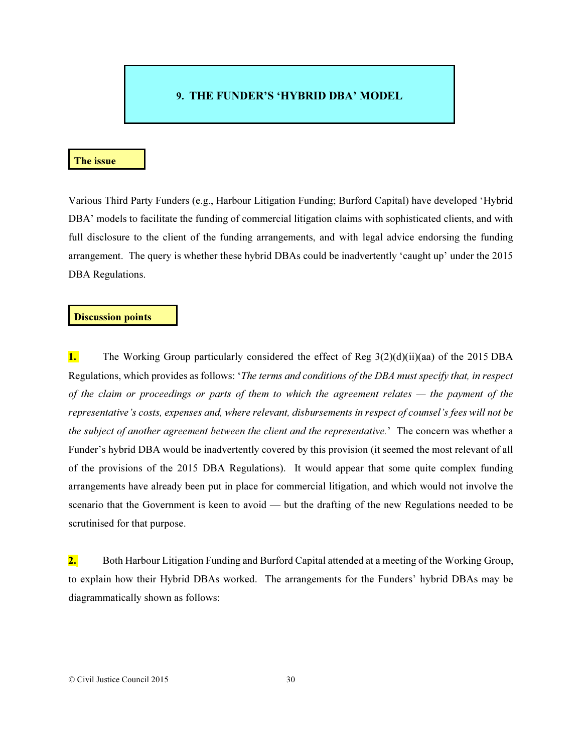## 9. THE FUNDER'S 'HYBRID DBA' MODEL

#### The issue

Various Third Party Funders (e.g., Harbour Litigation Funding; Burford Capital) have developed 'Hybrid DBA' models to facilitate the funding of commercial litigation claims with sophisticated clients, and with full disclosure to the client of the funding arrangements, and with legal advice endorsing the funding arrangement. The query is whether these hybrid DBAs could be inadvertently 'caught up' under the 2015 DBA Regulations.

#### Discussion points

1. The Working Group particularly considered the effect of Reg 3(2)(d)(ii)(aa) of the 2015 DBA Regulations, which provides as follows: '*The terms and conditions of the DBA must specify that, in respect of the claim or proceedings or parts of them to which the agreement relates — the payment of the representative's costs, expenses and, where relevant, disbursements in respect of counsel's fees will not be the subject of another agreement between the client and the representative.*' The concern was whether a Funder's hybrid DBA would be inadvertently covered by this provision (it seemed the most relevant of all of the provisions of the 2015 DBA Regulations). It would appear that some quite complex funding arrangements have already been put in place for commercial litigation, and which would not involve the scenario that the Government is keen to avoid — but the drafting of the new Regulations needed to be scrutinised for that purpose.

2. Both Harbour Litigation Funding and Burford Capital attended at a meeting of the Working Group, to explain how their Hybrid DBAs worked. The arrangements for the Funders' hybrid DBAs may be diagrammatically shown as follows: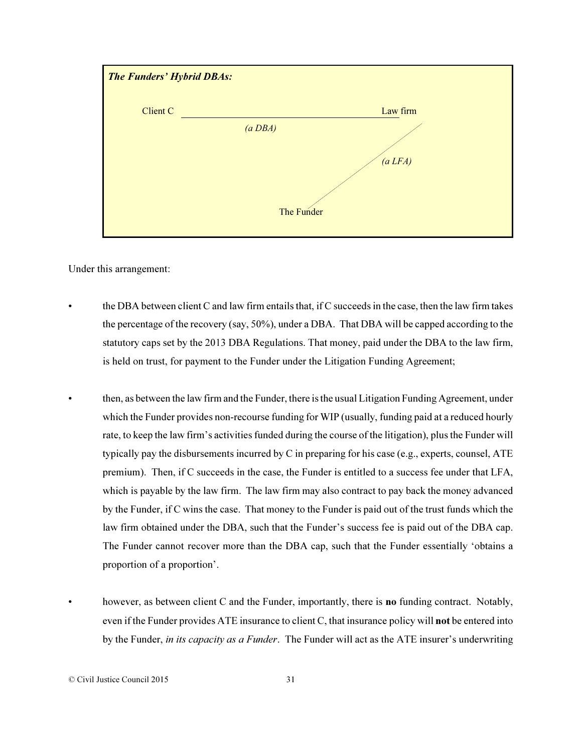

Under this arrangement:

- the DBA between client C and law firm entails that, if C succeeds in the case, then the law firm takes the percentage of the recovery (say, 50%), under a DBA. That DBA will be capped according to the statutory caps set by the 2013 DBA Regulations. That money, paid under the DBA to the law firm, is held on trust, for payment to the Funder under the Litigation Funding Agreement;
- then, as between the law firm and the Funder, there is the usual Litigation Funding Agreement, under which the Funder provides non-recourse funding for WIP (usually, funding paid at a reduced hourly rate, to keep the law firm's activities funded during the course of the litigation), plus the Funder will typically pay the disbursements incurred by C in preparing for his case (e.g., experts, counsel, ATE premium). Then, if C succeeds in the case, the Funder is entitled to a success fee under that LFA, which is payable by the law firm. The law firm may also contract to pay back the money advanced by the Funder, if C wins the case. That money to the Funder is paid out of the trust funds which the law firm obtained under the DBA, such that the Funder's success fee is paid out of the DBA cap. The Funder cannot recover more than the DBA cap, such that the Funder essentially 'obtains a proportion of a proportion'.
	- however, as between client C and the Funder, importantly, there is **no** funding contract. Notably, even if the Funder provides ATE insurance to client C, that insurance policy will **not** be entered into by the Funder, *in its capacity as a Funder*. The Funder will act as the ATE insurer's underwriting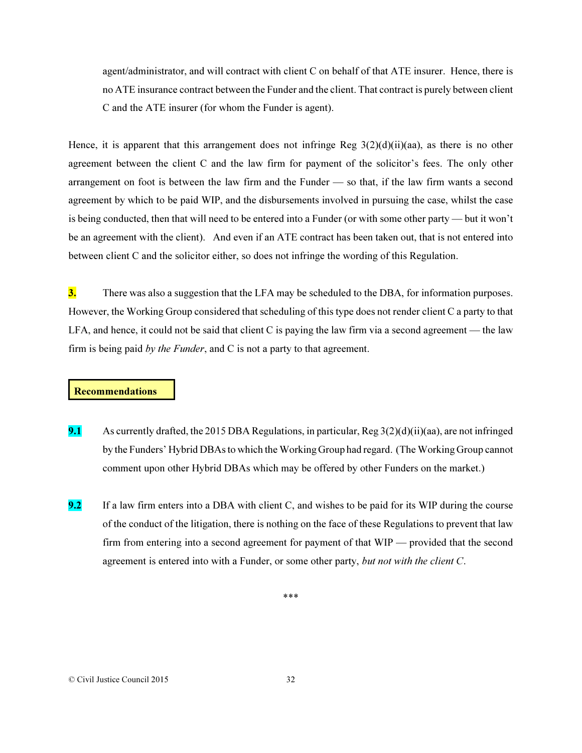agent/administrator, and will contract with client C on behalf of that ATE insurer. Hence, there is no ATE insurance contract between the Funder and the client. That contract is purely between client C and the ATE insurer (for whom the Funder is agent).

Hence, it is apparent that this arrangement does not infringe Reg  $3(2)(d)(ii)(aa)$ , as there is no other agreement between the client C and the law firm for payment of the solicitor's fees. The only other arrangement on foot is between the law firm and the Funder — so that, if the law firm wants a second agreement by which to be paid WIP, and the disbursements involved in pursuing the case, whilst the case is being conducted, then that will need to be entered into a Funder (or with some other party — but it won't be an agreement with the client). And even if an ATE contract has been taken out, that is not entered into between client C and the solicitor either, so does not infringe the wording of this Regulation.

3. There was also a suggestion that the LFA may be scheduled to the DBA, for information purposes. However, the Working Group considered that scheduling of this type does not render client C a party to that LFA, and hence, it could not be said that client C is paying the law firm via a second agreement — the law firm is being paid *by the Funder*, and C is not a party to that agreement.

#### Recommendations

- 9.1 As currently drafted, the 2015 DBA Regulations, in particular, Reg  $3(2)(d)(ii)(aa)$ , are not infringed by the Funders' Hybrid DBAs to which the Working Group had regard. (The Working Group cannot comment upon other Hybrid DBAs which may be offered by other Funders on the market.)
- 9.2 If a law firm enters into a DBA with client C, and wishes to be paid for its WIP during the course of the conduct of the litigation, there is nothing on the face of these Regulations to prevent that law firm from entering into a second agreement for payment of that WIP — provided that the second agreement is entered into with a Funder, or some other party, *but not with the client C*.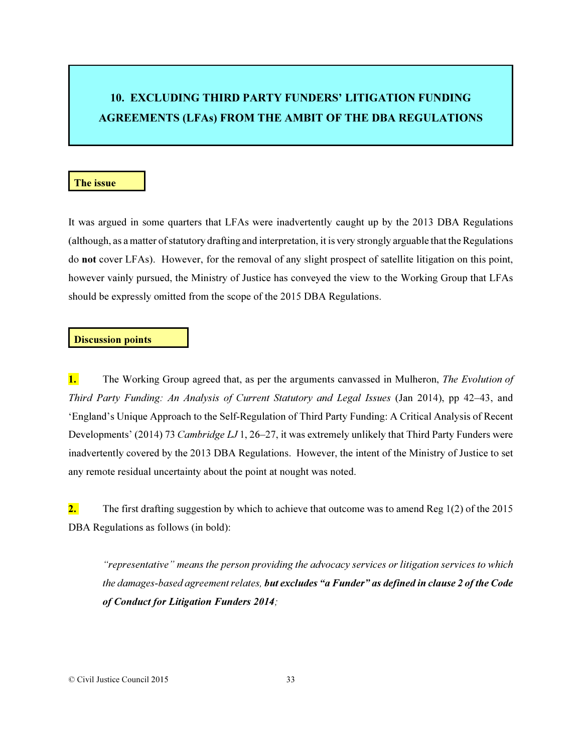# 10. EXCLUDING THIRD PARTY FUNDERS' LITIGATION FUNDING AGREEMENTS (LFAs) FROM THE AMBIT OF THE DBA REGULATIONS

#### The issue

It was argued in some quarters that LFAs were inadvertently caught up by the 2013 DBA Regulations (although, as a matter of statutory drafting and interpretation, it is very strongly arguable that the Regulations do not cover LFAs). However, for the removal of any slight prospect of satellite litigation on this point, however vainly pursued, the Ministry of Justice has conveyed the view to the Working Group that LFAs should be expressly omitted from the scope of the 2015 DBA Regulations.

#### Discussion points

1. The Working Group agreed that, as per the arguments canvassed in Mulheron, *The Evolution of Third Party Funding: An Analysis of Current Statutory and Legal Issues* (Jan 2014), pp 42–43, and 'England's Unique Approach to the Self-Regulation of Third Party Funding: A Critical Analysis of Recent Developments' (2014) 73 *Cambridge LJ* 1, 26–27, it was extremely unlikely that Third Party Funders were inadvertently covered by the 2013 DBA Regulations. However, the intent of the Ministry of Justice to set any remote residual uncertainty about the point at nought was noted.

2. The first drafting suggestion by which to achieve that outcome was to amend Reg  $1(2)$  of the 2015 DBA Regulations as follows (in bold):

*"representative" means the person providing the advocacy services or litigation services to which the damages-based agreement relates, but excludes "a Funder" as defined in clause 2 of the Code of Conduct for Litigation Funders 2014;*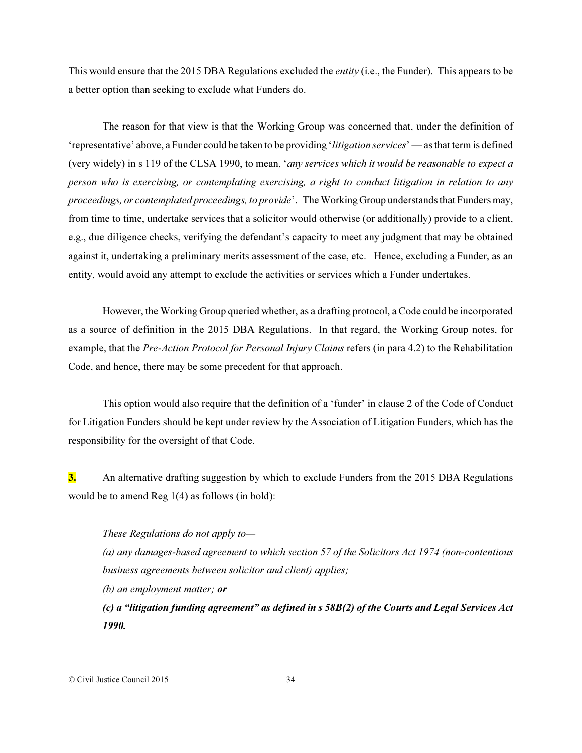This would ensure that the 2015 DBA Regulations excluded the *entity* (i.e., the Funder). This appears to be a better option than seeking to exclude what Funders do.

The reason for that view is that the Working Group was concerned that, under the definition of 'representative' above, a Funder could be taken to be providing '*litigation services*' — as that term is defined (very widely) in s 119 of the CLSA 1990, to mean, '*any services which it would be reasonable to expect a person who is exercising, or contemplating exercising, a right to conduct litigation in relation to any proceedings, or contemplated proceedings, to provide*'. The Working Group understands that Funders may, from time to time, undertake services that a solicitor would otherwise (or additionally) provide to a client, e.g., due diligence checks, verifying the defendant's capacity to meet any judgment that may be obtained against it, undertaking a preliminary merits assessment of the case, etc. Hence, excluding a Funder, as an entity, would avoid any attempt to exclude the activities or services which a Funder undertakes.

However, the Working Group queried whether, as a drafting protocol, a Code could be incorporated as a source of definition in the 2015 DBA Regulations. In that regard, the Working Group notes, for example, that the *Pre-Action Protocol for Personal Injury Claims* refers (in para 4.2) to the Rehabilitation Code, and hence, there may be some precedent for that approach.

This option would also require that the definition of a 'funder' in clause 2 of the Code of Conduct for Litigation Funders should be kept under review by the Association of Litigation Funders, which has the responsibility for the oversight of that Code.

3. An alternative drafting suggestion by which to exclude Funders from the 2015 DBA Regulations would be to amend Reg 1(4) as follows (in bold):

*These Regulations do not apply to—*

*(a) any damages-based agreement to which section 57 of the Solicitors Act 1974 (non-contentious business agreements between solicitor and client) applies;* 

*(b) an employment matter; or*

*(c) a "litigation funding agreement" as defined in s 58B(2) of the Courts and Legal Services Act 1990.* 

© Civil Justice Council 2015 34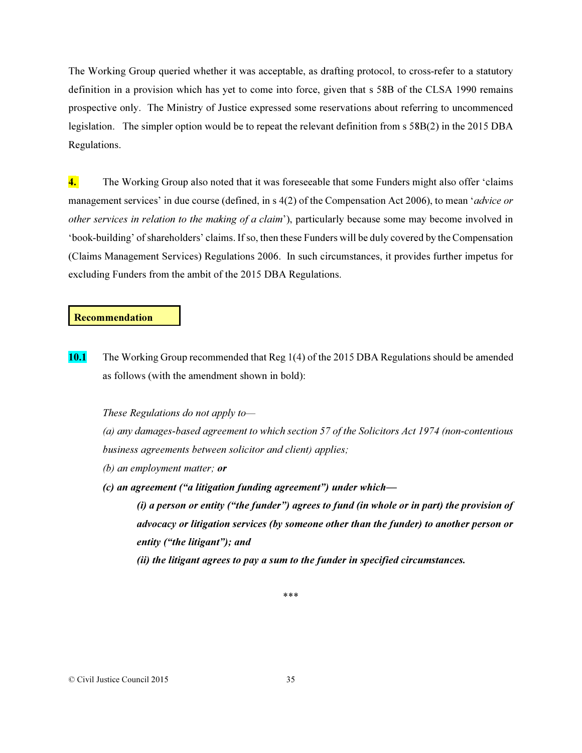The Working Group queried whether it was acceptable, as drafting protocol, to cross-refer to a statutory definition in a provision which has yet to come into force, given that s 58B of the CLSA 1990 remains prospective only. The Ministry of Justice expressed some reservations about referring to uncommenced legislation. The simpler option would be to repeat the relevant definition from s 58B(2) in the 2015 DBA Regulations.

4. The Working Group also noted that it was foreseeable that some Funders might also offer 'claims' management services' in due course (defined, in s 4(2) of the Compensation Act 2006), to mean '*advice or other services in relation to the making of a claim*'), particularly because some may become involved in 'book-building' of shareholders' claims. If so, then these Funders will be duly covered by the Compensation (Claims Management Services) Regulations 2006. In such circumstances, it provides further impetus for excluding Funders from the ambit of the 2015 DBA Regulations.

#### Recommendation

10.1 The Working Group recommended that Reg 1(4) of the 2015 DBA Regulations should be amended as follows (with the amendment shown in bold):

*These Regulations do not apply to—*

*(a) any damages-based agreement to which section 57 of the Solicitors Act 1974 (non-contentious business agreements between solicitor and client) applies;* 

- *(b) an employment matter; or*
- *(c) an agreement ("a litigation funding agreement") under which—*

*(i) a person or entity ("the funder") agrees to fund (in whole or in part) the provision of advocacy or litigation services (by someone other than the funder) to another person or entity ("the litigant"); and* 

*(ii) the litigant agrees to pay a sum to the funder in specified circumstances.*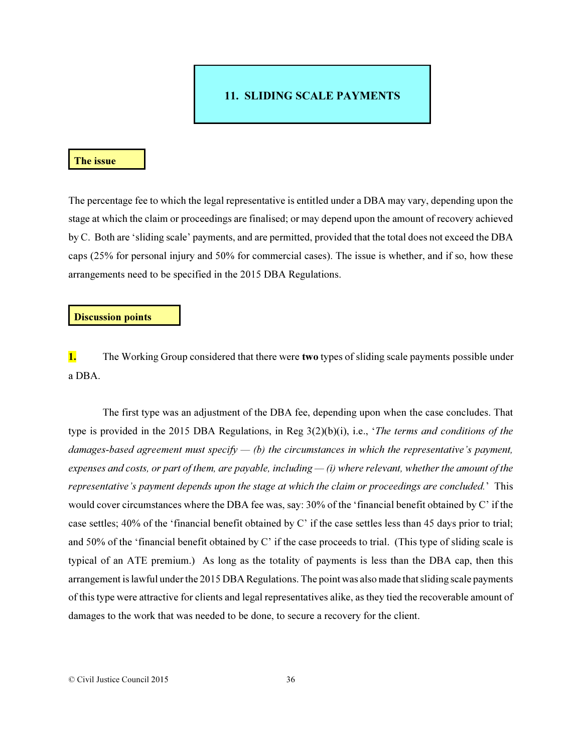# 11. SLIDING SCALE PAYMENTS

#### The issue

The percentage fee to which the legal representative is entitled under a DBA may vary, depending upon the stage at which the claim or proceedings are finalised; or may depend upon the amount of recovery achieved by C. Both are 'sliding scale' payments, and are permitted, provided that the total does not exceed the DBA caps (25% for personal injury and 50% for commercial cases). The issue is whether, and if so, how these arrangements need to be specified in the 2015 DBA Regulations.

#### Discussion points

1. The Working Group considered that there were two types of sliding scale payments possible under a DBA.

The first type was an adjustment of the DBA fee, depending upon when the case concludes. That type is provided in the 2015 DBA Regulations, in Reg 3(2)(b)(i), i.e., '*The terms and conditions of the damages-based agreement must specify — (b) the circumstances in which the representative's payment, expenses and costs, or part of them, are payable, including — (i) where relevant, whether the amount of the representative's payment depends upon the stage at which the claim or proceedings are concluded.*' This would cover circumstances where the DBA fee was, say: 30% of the 'financial benefit obtained by C' if the case settles; 40% of the 'financial benefit obtained by C' if the case settles less than 45 days prior to trial; and 50% of the 'financial benefit obtained by C' if the case proceeds to trial. (This type of sliding scale is typical of an ATE premium.) As long as the totality of payments is less than the DBA cap, then this arrangement is lawful under the 2015 DBA Regulations. The point was also made that sliding scale payments of this type were attractive for clients and legal representatives alike, as they tied the recoverable amount of damages to the work that was needed to be done, to secure a recovery for the client.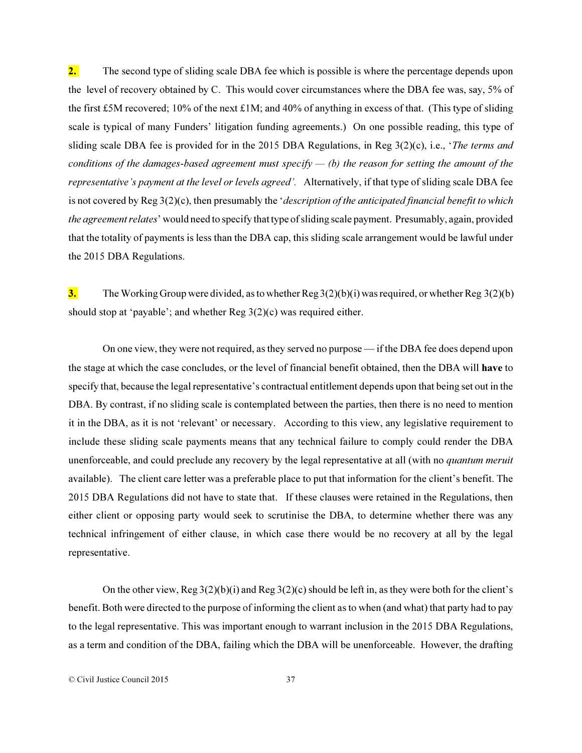2. The second type of sliding scale DBA fee which is possible is where the percentage depends upon the level of recovery obtained by C. This would cover circumstances where the DBA fee was, say, 5% of the first £5M recovered; 10% of the next £1M; and 40% of anything in excess of that. (This type of sliding scale is typical of many Funders' litigation funding agreements.) On one possible reading, this type of sliding scale DBA fee is provided for in the 2015 DBA Regulations, in Reg 3(2)(c), i.e., '*The terms and conditions of the damages-based agreement must specify — (b) the reason for setting the amount of the representative's payment at the level or levels agreed'.* Alternatively, if that type of sliding scale DBA fee is not covered by Reg 3(2)(c), then presumably the '*description of the anticipated financial benefit to which the agreement relates*' would need to specify that type of sliding scale payment. Presumably, again, provided that the totality of payments is less than the DBA cap, this sliding scale arrangement would be lawful under the 2015 DBA Regulations.

3. The Working Group were divided, as to whether  $\text{Reg } 3(2)(b)(i)$  was required, or whether  $\text{Reg } 3(2)(b)$ should stop at 'payable'; and whether Reg 3(2)(c) was required either.

On one view, they were not required, as they served no purpose — if the DBA fee does depend upon the stage at which the case concludes, or the level of financial benefit obtained, then the DBA will have to specify that, because the legal representative's contractual entitlement depends upon that being set out in the DBA. By contrast, if no sliding scale is contemplated between the parties, then there is no need to mention it in the DBA, as it is not 'relevant' or necessary. According to this view, any legislative requirement to include these sliding scale payments means that any technical failure to comply could render the DBA unenforceable, and could preclude any recovery by the legal representative at all (with no *quantum meruit* available). The client care letter was a preferable place to put that information for the client's benefit. The 2015 DBA Regulations did not have to state that. If these clauses were retained in the Regulations, then either client or opposing party would seek to scrutinise the DBA, to determine whether there was any technical infringement of either clause, in which case there would be no recovery at all by the legal representative.

On the other view, Reg 3(2)(b)(i) and Reg 3(2)(c) should be left in, as they were both for the client's benefit. Both were directed to the purpose of informing the client as to when (and what) that party had to pay to the legal representative. This was important enough to warrant inclusion in the 2015 DBA Regulations, as a term and condition of the DBA, failing which the DBA will be unenforceable. However, the drafting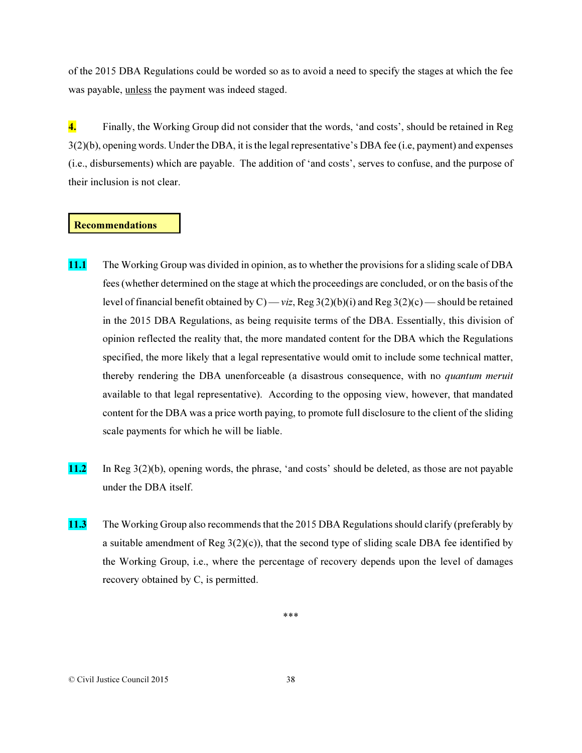of the 2015 DBA Regulations could be worded so as to avoid a need to specify the stages at which the fee was payable, unless the payment was indeed staged.

4. Finally, the Working Group did not consider that the words, 'and costs', should be retained in Reg 3(2)(b), opening words. Under the DBA, it is the legal representative's DBA fee (i.e, payment) and expenses (i.e., disbursements) which are payable. The addition of 'and costs', serves to confuse, and the purpose of their inclusion is not clear.

#### Recommendations

- 11.1 The Working Group was divided in opinion, as to whether the provisions for a sliding scale of DBA fees (whether determined on the stage at which the proceedings are concluded, or on the basis of the level of financial benefit obtained by C) — *viz*, Reg 3(2)(b)(i) and Reg 3(2)(c) — should be retained in the 2015 DBA Regulations, as being requisite terms of the DBA. Essentially, this division of opinion reflected the reality that, the more mandated content for the DBA which the Regulations specified, the more likely that a legal representative would omit to include some technical matter, thereby rendering the DBA unenforceable (a disastrous consequence, with no *quantum meruit* available to that legal representative). According to the opposing view, however, that mandated content for the DBA was a price worth paying, to promote full disclosure to the client of the sliding scale payments for which he will be liable.
- 11.2 In Reg 3(2)(b), opening words, the phrase, 'and costs' should be deleted, as those are not payable under the DBA itself.
- 11.3 The Working Group also recommends that the 2015 DBA Regulations should clarify (preferably by a suitable amendment of Reg  $3(2)(c)$ ), that the second type of sliding scale DBA fee identified by the Working Group, i.e., where the percentage of recovery depends upon the level of damages recovery obtained by C, is permitted.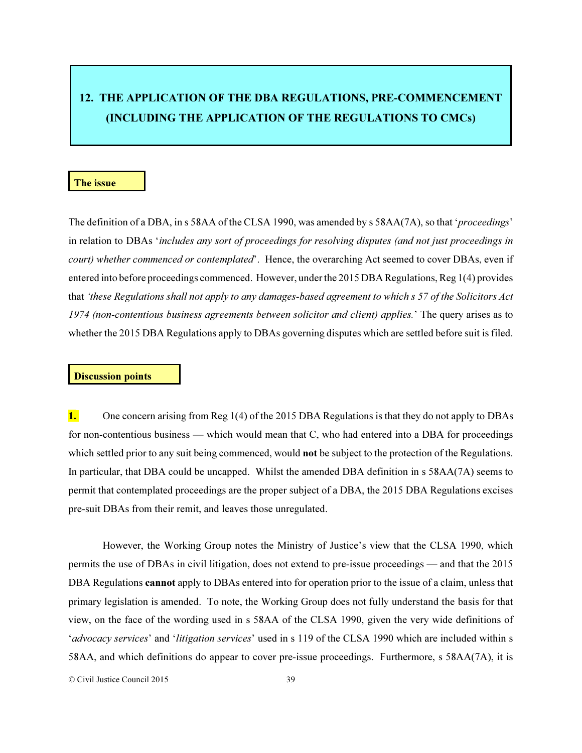# 12. THE APPLICATION OF THE DBA REGULATIONS, PRE-COMMENCEMENT (INCLUDING THE APPLICATION OF THE REGULATIONS TO CMCs)

#### The issue

The definition of a DBA, in s 58AA of the CLSA 1990, was amended by s 58AA(7A), so that '*proceedings*' in relation to DBAs '*includes any sort of proceedings for resolving disputes (and not just proceedings in court)* whether commenced or contemplated'. Hence, the overarching Act seemed to cover DBAs, even if entered into before proceedings commenced. However, under the 2015 DBA Regulations, Reg 1(4) provides that *'these Regulations shall not apply to any damages-based agreement to which s 57 of the Solicitors Act 1974 (non-contentious business agreements between solicitor and client) applies.*' The query arises as to whether the 2015 DBA Regulations apply to DBAs governing disputes which are settled before suit is filed.

## Discussion points

1. One concern arising from Reg 1(4) of the 2015 DBA Regulations is that they do not apply to DBAs for non-contentious business — which would mean that C, who had entered into a DBA for proceedings which settled prior to any suit being commenced, would **not** be subject to the protection of the Regulations. In particular, that DBA could be uncapped. Whilst the amended DBA definition in s 58AA(7A) seems to permit that contemplated proceedings are the proper subject of a DBA, the 2015 DBA Regulations excises pre-suit DBAs from their remit, and leaves those unregulated.

However, the Working Group notes the Ministry of Justice's view that the CLSA 1990, which permits the use of DBAs in civil litigation, does not extend to pre-issue proceedings — and that the 2015 DBA Regulations **cannot** apply to DBAs entered into for operation prior to the issue of a claim, unless that primary legislation is amended. To note, the Working Group does not fully understand the basis for that view, on the face of the wording used in s 58AA of the CLSA 1990, given the very wide definitions of '*advocacy services*' and '*litigation services*' used in s 119 of the CLSA 1990 which are included within s 58AA, and which definitions do appear to cover pre-issue proceedings. Furthermore, s 58AA(7A), it is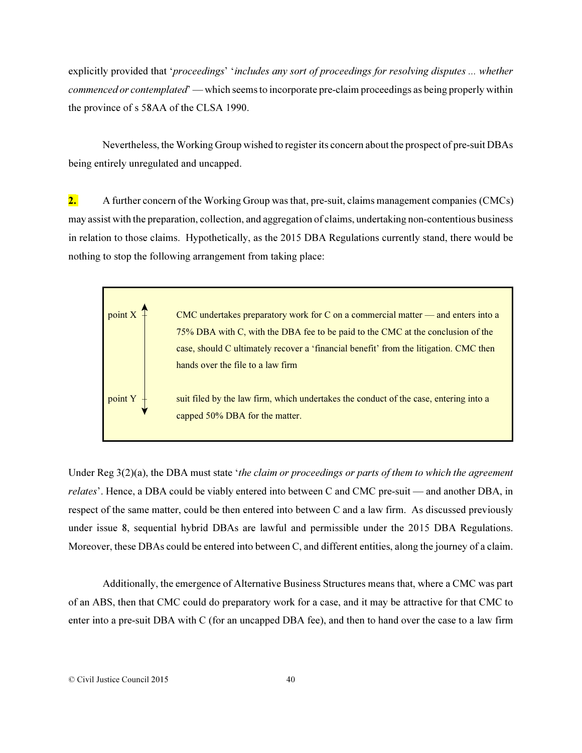explicitly provided that '*proceedings*' '*includes any sort of proceedings for resolving disputes ... whether commenced or contemplated*' — which seems to incorporate pre-claim proceedings as being properly within the province of s 58AA of the CLSA 1990.

Nevertheless, the Working Group wished to register its concern about the prospect of pre-suit DBAs being entirely unregulated and uncapped.

2. A further concern of the Working Group was that, pre-suit, claims management companies (CMCs) may assist with the preparation, collection, and aggregation of claims, undertaking non-contentious business in relation to those claims. Hypothetically, as the 2015 DBA Regulations currently stand, there would be nothing to stop the following arrangement from taking place:



Under Reg 3(2)(a), the DBA must state '*the claim or proceedings or parts of them to which the agreement relates*'. Hence, a DBA could be viably entered into between C and CMC pre-suit — and another DBA, in respect of the same matter, could be then entered into between C and a law firm. As discussed previously under issue 8, sequential hybrid DBAs are lawful and permissible under the 2015 DBA Regulations. Moreover, these DBAs could be entered into between C, and different entities, along the journey of a claim.

Additionally, the emergence of Alternative Business Structures means that, where a CMC was part of an ABS, then that CMC could do preparatory work for a case, and it may be attractive for that CMC to enter into a pre-suit DBA with C (for an uncapped DBA fee), and then to hand over the case to a law firm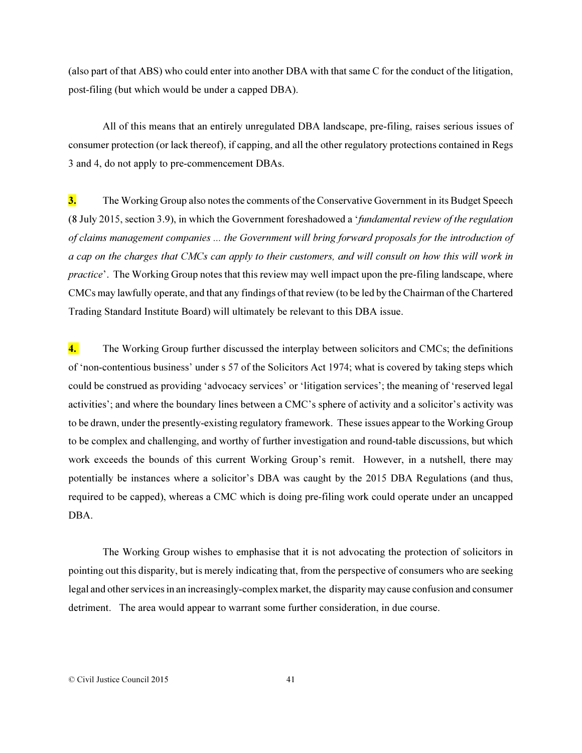(also part of that ABS) who could enter into another DBA with that same C for the conduct of the litigation, post-filing (but which would be under a capped DBA).

All of this means that an entirely unregulated DBA landscape, pre-filing, raises serious issues of consumer protection (or lack thereof), if capping, and all the other regulatory protections contained in Regs 3 and 4, do not apply to pre-commencement DBAs.

3. The Working Group also notes the comments of the Conservative Government in its Budget Speech (8 July 2015, section 3.9), in which the Government foreshadowed a '*fundamental review of the regulation of claims management companies ... the Government will bring forward proposals for the introduction of a cap on the charges that CMCs can apply to their customers, and will consult on how this will work in practice*'. The Working Group notes that this review may well impact upon the pre-filing landscape, where CMCs may lawfully operate, and that any findings of that review (to be led by the Chairman of the Chartered Trading Standard Institute Board) will ultimately be relevant to this DBA issue.

4. The Working Group further discussed the interplay between solicitors and CMCs; the definitions of 'non-contentious business' under s 57 of the Solicitors Act 1974; what is covered by taking steps which could be construed as providing 'advocacy services' or 'litigation services'; the meaning of 'reserved legal activities'; and where the boundary lines between a CMC's sphere of activity and a solicitor's activity was to be drawn, under the presently-existing regulatory framework. These issues appear to the Working Group to be complex and challenging, and worthy of further investigation and round-table discussions, but which work exceeds the bounds of this current Working Group's remit. However, in a nutshell, there may potentially be instances where a solicitor's DBA was caught by the 2015 DBA Regulations (and thus, required to be capped), whereas a CMC which is doing pre-filing work could operate under an uncapped DBA.

The Working Group wishes to emphasise that it is not advocating the protection of solicitors in pointing out this disparity, but is merely indicating that, from the perspective of consumers who are seeking legal and other services in an increasingly-complex market, the disparity may cause confusion and consumer detriment. The area would appear to warrant some further consideration, in due course.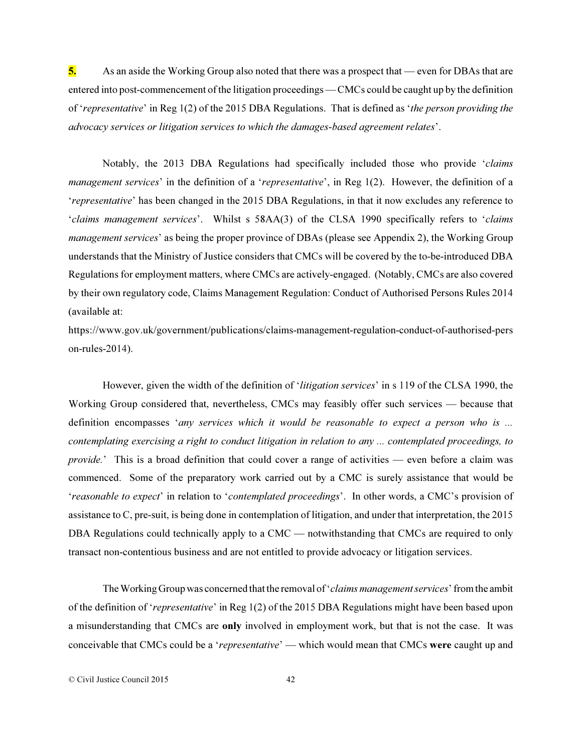5. As an aside the Working Group also noted that there was a prospect that — even for DBAs that are entered into post-commencement of the litigation proceedings — CMCs could be caught up by the definition of '*representative*' in Reg 1(2) of the 2015 DBA Regulations. That is defined as '*the person providing the advocacy services or litigation services to which the damages-based agreement relates*'.

Notably, the 2013 DBA Regulations had specifically included those who provide '*claims management services*' in the definition of a '*representative*', in Reg 1(2). However, the definition of a '*representative*' has been changed in the 2015 DBA Regulations, in that it now excludes any reference to '*claims management services*'. Whilst s 58AA(3) of the CLSA 1990 specifically refers to '*claims management services*' as being the proper province of DBAs (please see Appendix 2), the Working Group understands that the Ministry of Justice considers that CMCs will be covered by the to-be-introduced DBA Regulations for employment matters, where CMCs are actively-engaged. (Notably, CMCs are also covered by their own regulatory code, Claims Management Regulation: Conduct of Authorised Persons Rules 2014 (available at:

https://www.gov.uk/government/publications/claims-management-regulation-conduct-of-authorised-pers on-rules-2014).

However, given the width of the definition of '*litigation services*' in s 119 of the CLSA 1990, the Working Group considered that, nevertheless, CMCs may feasibly offer such services — because that definition encompasses '*any services which it would be reasonable to expect a person who is ... contemplating exercising a right to conduct litigation in relation to any ... contemplated proceedings, to provide.*' This is a broad definition that could cover a range of activities — even before a claim was commenced. Some of the preparatory work carried out by a CMC is surely assistance that would be '*reasonable to expect*' in relation to '*contemplated proceedings*'. In other words, a CMC's provision of assistance to C, pre-suit, is being done in contemplation of litigation, and under that interpretation, the 2015 DBA Regulations could technically apply to a CMC — notwithstanding that CMCs are required to only transact non-contentious business and are not entitled to provide advocacy or litigation services.

The Working Group was concerned that the removal of '*claims management services*' from the ambit of the definition of '*representative*' in Reg 1(2) of the 2015 DBA Regulations might have been based upon a misunderstanding that CMCs are only involved in employment work, but that is not the case. It was conceivable that CMCs could be a '*representative*' — which would mean that CMCs were caught up and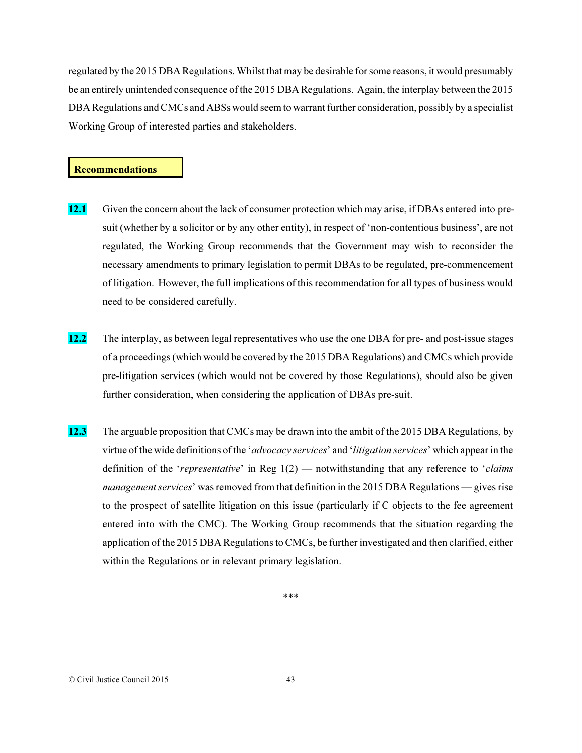regulated by the 2015 DBA Regulations. Whilst that may be desirable for some reasons, it would presumably be an entirely unintended consequence of the 2015 DBA Regulations. Again, the interplay between the 2015 DBA Regulations and CMCs and ABSs would seem to warrant further consideration, possibly by a specialist Working Group of interested parties and stakeholders.

#### Recommendations

- 12.1 Given the concern about the lack of consumer protection which may arise, if DBAs entered into presuit (whether by a solicitor or by any other entity), in respect of 'non-contentious business', are not regulated, the Working Group recommends that the Government may wish to reconsider the necessary amendments to primary legislation to permit DBAs to be regulated, pre-commencement of litigation. However, the full implications of this recommendation for all types of business would need to be considered carefully.
- 12.2 The interplay, as between legal representatives who use the one DBA for pre- and post-issue stages of a proceedings (which would be covered by the 2015 DBA Regulations) and CMCs which provide pre-litigation services (which would not be covered by those Regulations), should also be given further consideration, when considering the application of DBAs pre-suit.
- 12.3 The arguable proposition that CMCs may be drawn into the ambit of the 2015 DBA Regulations, by virtue of the wide definitions of the '*advocacy services*' and '*litigation services*' which appear in the definition of the '*representative*' in Reg 1(2) — notwithstanding that any reference to '*claims management services*' was removed from that definition in the 2015 DBA Regulations — gives rise to the prospect of satellite litigation on this issue (particularly if C objects to the fee agreement entered into with the CMC). The Working Group recommends that the situation regarding the application of the 2015 DBA Regulations to CMCs, be further investigated and then clarified, either within the Regulations or in relevant primary legislation.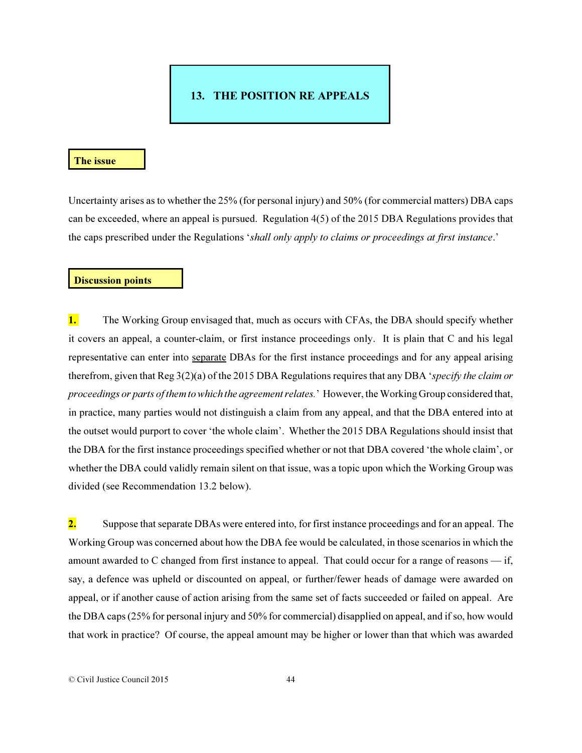# 13. THE POSITION RE APPEALS

#### The issue

Uncertainty arises as to whether the 25% (for personal injury) and 50% (for commercial matters) DBA caps can be exceeded, where an appeal is pursued. Regulation 4(5) of the 2015 DBA Regulations provides that the caps prescribed under the Regulations '*shall only apply to claims or proceedings at first instance*.'

#### Discussion points

**1.** The Working Group envisaged that, much as occurs with CFAs, the DBA should specify whether it covers an appeal, a counter-claim, or first instance proceedings only. It is plain that C and his legal representative can enter into separate DBAs for the first instance proceedings and for any appeal arising therefrom, given that Reg 3(2)(a) of the 2015 DBA Regulations requires that any DBA '*specify the claim or proceedings or parts of them to which the agreement relates.*' However, the Working Group considered that, in practice, many parties would not distinguish a claim from any appeal, and that the DBA entered into at the outset would purport to cover 'the whole claim'. Whether the 2015 DBA Regulations should insist that the DBA for the first instance proceedings specified whether or not that DBA covered 'the whole claim', or whether the DBA could validly remain silent on that issue, was a topic upon which the Working Group was divided (see Recommendation 13.2 below).

2. Suppose that separate DBAs were entered into, for first instance proceedings and for an appeal. The Working Group was concerned about how the DBA fee would be calculated, in those scenarios in which the amount awarded to C changed from first instance to appeal. That could occur for a range of reasons — if, say, a defence was upheld or discounted on appeal, or further/fewer heads of damage were awarded on appeal, or if another cause of action arising from the same set of facts succeeded or failed on appeal. Are the DBA caps (25% for personal injury and 50% for commercial) disapplied on appeal, and if so, how would that work in practice? Of course, the appeal amount may be higher or lower than that which was awarded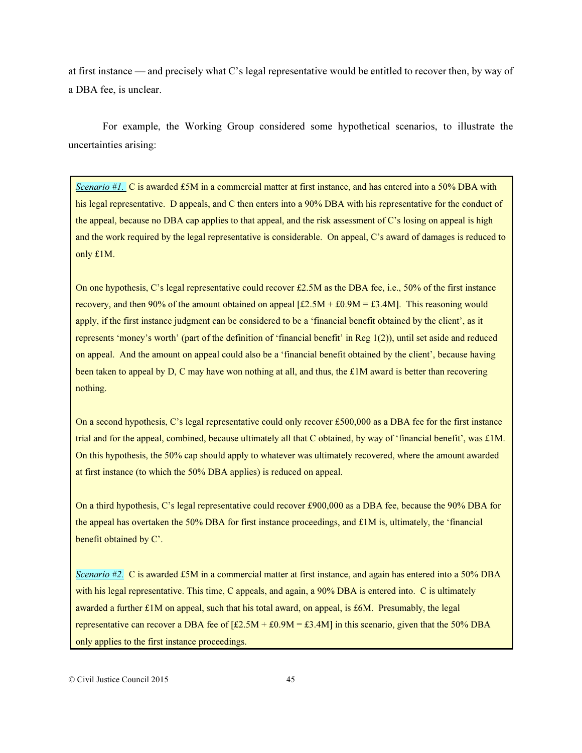at first instance — and precisely what C's legal representative would be entitled to recover then, by way of a DBA fee, is unclear.

For example, the Working Group considered some hypothetical scenarios, to illustrate the uncertainties arising:

Scenario  $#I$ . C is awarded £5M in a commercial matter at first instance, and has entered into a 50% DBA with his legal representative. D appeals, and C then enters into a 90% DBA with his representative for the conduct of the appeal, because no DBA cap applies to that appeal, and the risk assessment of C's losing on appeal is high and the work required by the legal representative is considerable. On appeal, C's award of damages is reduced to only £1M.

On one hypothesis, C's legal representative could recover £2.5M as the DBA fee, i.e., 50% of the first instance recovery, and then 90% of the amount obtained on appeal  $\text{[£2.5M + £0.9M = £3.4M]}$ . This reasoning would apply, if the first instance judgment can be considered to be a 'financial benefit obtained by the client', as it represents 'money's worth' (part of the definition of 'financial benefit' in Reg 1(2)), until set aside and reduced on appeal. And the amount on appeal could also be a 'financial benefit obtained by the client', because having been taken to appeal by D, C may have won nothing at all, and thus, the £1M award is better than recovering nothing.

On a second hypothesis, C's legal representative could only recover £500,000 as a DBA fee for the first instance trial and for the appeal, combined, because ultimately all that C obtained, by way of 'financial benefit', was £1M. On this hypothesis, the 50% cap should apply to whatever was ultimately recovered, where the amount awarded at first instance (to which the 50% DBA applies) is reduced on appeal.

On a third hypothesis, C's legal representative could recover £900,000 as a DBA fee, because the 90% DBA for the appeal has overtaken the 50% DBA for first instance proceedings, and £1M is, ultimately, the 'financial benefit obtained by C'.

Scenario  $\sharp$ 2. C is awarded £5M in a commercial matter at first instance, and again has entered into a 50% DBA with his legal representative. This time, C appeals, and again, a 90% DBA is entered into. C is ultimately awarded a further £1M on appeal, such that his total award, on appeal, is £6M. Presumably, the legal representative can recover a DBA fee of  $[£2.5M + £0.9M = £3.4M]$  in this scenario, given that the 50% DBA only applies to the first instance proceedings.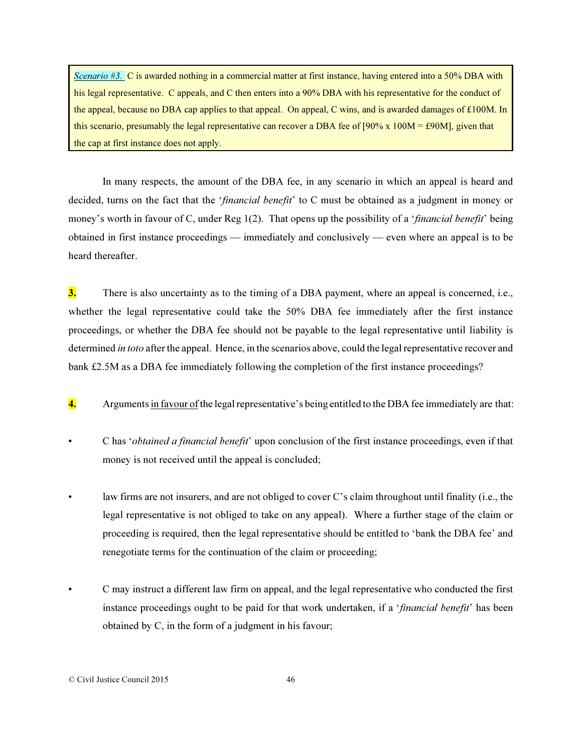Scenario #3. C is awarded nothing in a commercial matter at first instance, having entered into a 50% DBA with his legal representative. C appeals, and C then enters into a 90% DBA with his representative for the conduct of the appeal, because no DBA cap applies to that appeal. On appeal, C wins, and is awarded damages of £100M. In this scenario, presumably the legal representative can recover a DBA fee of  $[90\% \times 100M = \text{\textsterling}90M]$ , given that the cap at first instance does not apply.

In many respects, the amount of the DBA fee, in any scenario in which an appeal is heard and decided, turns on the fact that the '*financial benefit*' to C must be obtained as a judgment in money or money's worth in favour of C, under Reg 1(2). That opens up the possibility of a '*financial benefit*' being obtained in first instance proceedings — immediately and conclusively — even where an appeal is to be heard thereafter.

3. There is also uncertainty as to the timing of a DBA payment, where an appeal is concerned, i.e., whether the legal representative could take the 50% DBA fee immediately after the first instance proceedings, or whether the DBA fee should not be payable to the legal representative until liability is determined *in toto* after the appeal. Hence, in the scenarios above, could the legal representative recover and bank £2.5M as a DBA fee immediately following the completion of the first instance proceedings?

- 4. Arguments in favour of the legal representative's being entitled to the DBA fee immediately are that:
- C has '*obtained a financial benefit*' upon conclusion of the first instance proceedings, even if that money is not received until the appeal is concluded;
- law firms are not insurers, and are not obliged to cover C's claim throughout until finality (i.e., the legal representative is not obliged to take on any appeal). Where a further stage of the claim or proceeding is required, then the legal representative should be entitled to 'bank the DBA fee' and renegotiate terms for the continuation of the claim or proceeding;
- C may instruct a different law firm on appeal, and the legal representative who conducted the first instance proceedings ought to be paid for that work undertaken, if a '*financial benefit*' has been obtained by C, in the form of a judgment in his favour;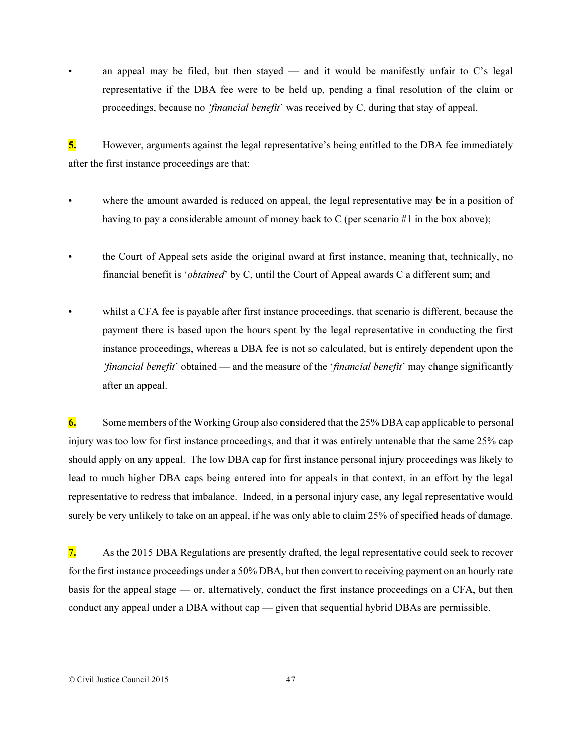an appeal may be filed, but then stayed — and it would be manifestly unfair to  $C$ 's legal representative if the DBA fee were to be held up, pending a final resolution of the claim or proceedings, because no *'financial benefit*' was received by C, during that stay of appeal.

5. However, arguments against the legal representative's being entitled to the DBA fee immediately after the first instance proceedings are that:

- where the amount awarded is reduced on appeal, the legal representative may be in a position of having to pay a considerable amount of money back to C (per scenario #1 in the box above);
- the Court of Appeal sets aside the original award at first instance, meaning that, technically, no financial benefit is '*obtained*' by C, until the Court of Appeal awards C a different sum; and
- whilst a CFA fee is payable after first instance proceedings, that scenario is different, because the payment there is based upon the hours spent by the legal representative in conducting the first instance proceedings, whereas a DBA fee is not so calculated, but is entirely dependent upon the *'financial benefit*' obtained — and the measure of the '*financial benefit*' may change significantly after an appeal.

6. Some members of the Working Group also considered that the 25% DBA cap applicable to personal injury was too low for first instance proceedings, and that it was entirely untenable that the same 25% cap should apply on any appeal. The low DBA cap for first instance personal injury proceedings was likely to lead to much higher DBA caps being entered into for appeals in that context, in an effort by the legal representative to redress that imbalance. Indeed, in a personal injury case, any legal representative would surely be very unlikely to take on an appeal, if he was only able to claim 25% of specified heads of damage.

7. As the 2015 DBA Regulations are presently drafted, the legal representative could seek to recover for the first instance proceedings under a 50% DBA, but then convert to receiving payment on an hourly rate basis for the appeal stage — or, alternatively, conduct the first instance proceedings on a CFA, but then conduct any appeal under a DBA without cap — given that sequential hybrid DBAs are permissible.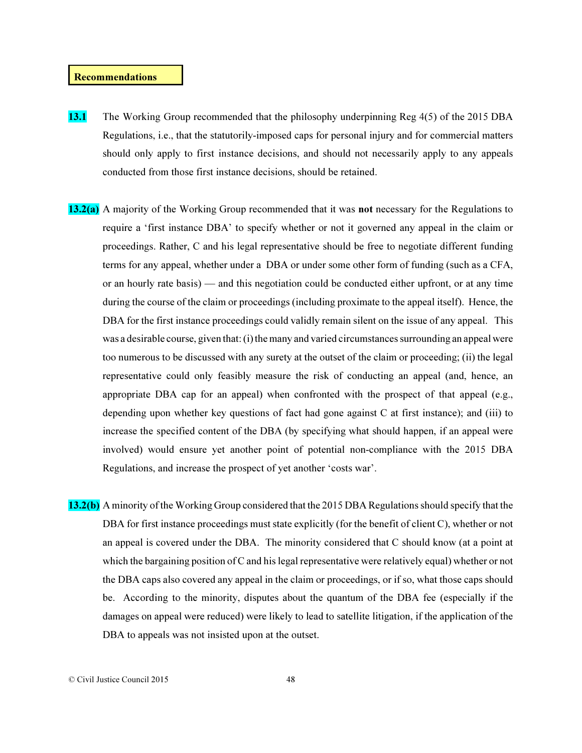#### Recommendations

- 13.1 The Working Group recommended that the philosophy underpinning Reg 4(5) of the 2015 DBA Regulations, i.e., that the statutorily-imposed caps for personal injury and for commercial matters should only apply to first instance decisions, and should not necessarily apply to any appeals conducted from those first instance decisions, should be retained.
- 13.2(a) A majority of the Working Group recommended that it was not necessary for the Regulations to require a 'first instance DBA' to specify whether or not it governed any appeal in the claim or proceedings. Rather, C and his legal representative should be free to negotiate different funding terms for any appeal, whether under a DBA or under some other form of funding (such as a CFA, or an hourly rate basis) — and this negotiation could be conducted either upfront, or at any time during the course of the claim or proceedings (including proximate to the appeal itself). Hence, the DBA for the first instance proceedings could validly remain silent on the issue of any appeal. This was a desirable course, given that: (i) the many and varied circumstances surrounding an appeal were too numerous to be discussed with any surety at the outset of the claim or proceeding; (ii) the legal representative could only feasibly measure the risk of conducting an appeal (and, hence, an appropriate DBA cap for an appeal) when confronted with the prospect of that appeal (e.g., depending upon whether key questions of fact had gone against C at first instance); and (iii) to increase the specified content of the DBA (by specifying what should happen, if an appeal were involved) would ensure yet another point of potential non-compliance with the 2015 DBA Regulations, and increase the prospect of yet another 'costs war'.
- 13.2(b) A minority of the Working Group considered that the 2015 DBA Regulations should specify that the DBA for first instance proceedings must state explicitly (for the benefit of client C), whether or not an appeal is covered under the DBA. The minority considered that C should know (at a point at which the bargaining position of C and his legal representative were relatively equal) whether or not the DBA caps also covered any appeal in the claim or proceedings, or if so, what those caps should be. According to the minority, disputes about the quantum of the DBA fee (especially if the damages on appeal were reduced) were likely to lead to satellite litigation, if the application of the DBA to appeals was not insisted upon at the outset.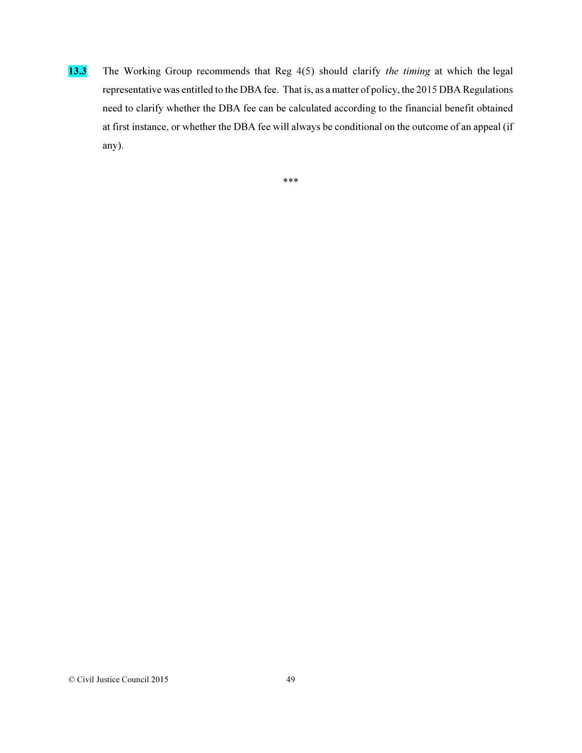13.3 The Working Group recommends that Reg 4(5) should clarify *the timing* at which the legal representative was entitled to the DBA fee. That is, as a matter of policy, the 2015 DBA Regulations need to clarify whether the DBA fee can be calculated according to the financial benefit obtained at first instance, or whether the DBA fee will always be conditional on the outcome of an appeal (if any).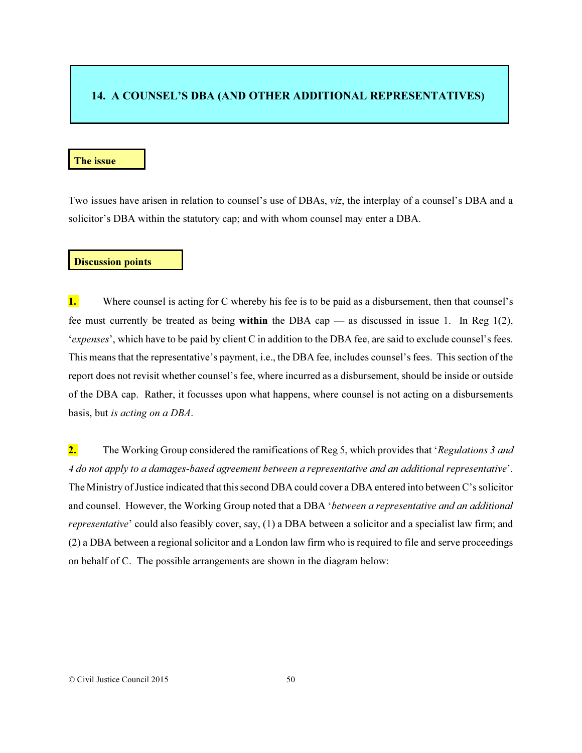# 14. A COUNSEL'S DBA (AND OTHER ADDITIONAL REPRESENTATIVES)

## The issue

Two issues have arisen in relation to counsel's use of DBAs, *viz*, the interplay of a counsel's DBA and a solicitor's DBA within the statutory cap; and with whom counsel may enter a DBA.

#### Discussion points

1. Where counsel is acting for C whereby his fee is to be paid as a disbursement, then that counsel's fee must currently be treated as being within the DBA cap — as discussed in issue 1. In Reg 1(2), '*expenses*', which have to be paid by client C in addition to the DBA fee, are said to exclude counsel's fees. This means that the representative's payment, i.e., the DBA fee, includes counsel's fees. This section of the report does not revisit whether counsel's fee, where incurred as a disbursement, should be inside or outside of the DBA cap. Rather, it focusses upon what happens, where counsel is not acting on a disbursements basis, but *is acting on a DBA*.

2. The Working Group considered the ramifications of Reg 5, which provides that '*Regulations 3 and 4 do not apply to a damages-based agreement between a representative and an additional representative*'. The Ministry of Justice indicated that this second DBA could cover a DBA entered into between C's solicitor and counsel. However, the Working Group noted that a DBA '*between a representative and an additional representative*' could also feasibly cover, say, (1) a DBA between a solicitor and a specialist law firm; and (2) a DBA between a regional solicitor and a London law firm who is required to file and serve proceedings on behalf of C. The possible arrangements are shown in the diagram below: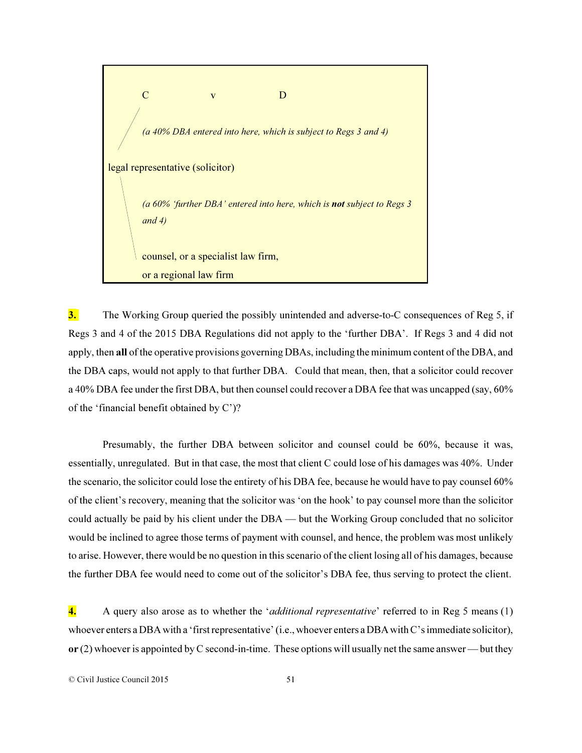

3. The Working Group queried the possibly unintended and adverse-to-C consequences of Reg 5, if Regs 3 and 4 of the 2015 DBA Regulations did not apply to the 'further DBA'. If Regs 3 and 4 did not apply, then all of the operative provisions governing DBAs, including the minimum content of the DBA, and the DBA caps, would not apply to that further DBA. Could that mean, then, that a solicitor could recover a 40% DBA fee under the first DBA, but then counsel could recover a DBA fee that was uncapped (say, 60% of the 'financial benefit obtained by C')?

Presumably, the further DBA between solicitor and counsel could be 60%, because it was, essentially, unregulated. But in that case, the most that client C could lose of his damages was 40%. Under the scenario, the solicitor could lose the entirety of his DBA fee, because he would have to pay counsel 60% of the client's recovery, meaning that the solicitor was 'on the hook' to pay counsel more than the solicitor could actually be paid by his client under the DBA — but the Working Group concluded that no solicitor would be inclined to agree those terms of payment with counsel, and hence, the problem was most unlikely to arise. However, there would be no question in this scenario of the client losing all of his damages, because the further DBA fee would need to come out of the solicitor's DBA fee, thus serving to protect the client.

4. A query also arose as to whether the '*additional representative*' referred to in Reg 5 means (1) whoever enters a DBA with a 'first representative' (i.e., whoever enters a DBA with C's immediate solicitor), or (2) whoever is appointed by C second-in-time. These options will usually net the same answer — but they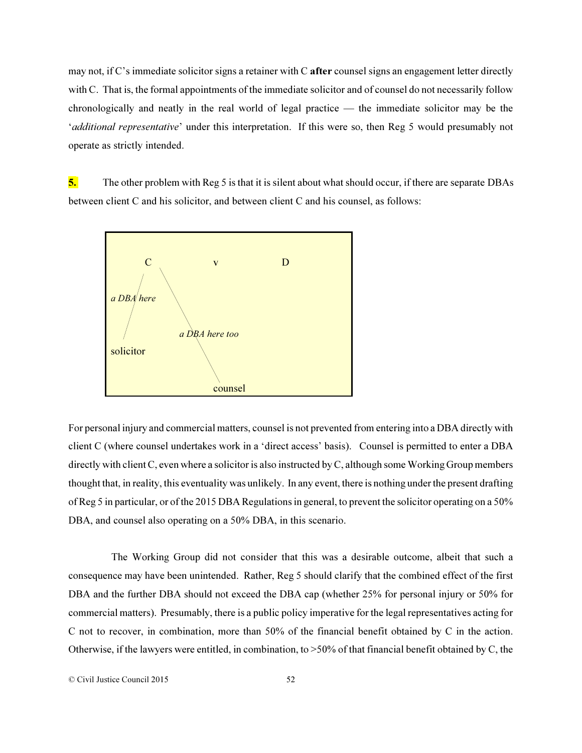may not, if C's immediate solicitor signs a retainer with C **after** counsel signs an engagement letter directly with C. That is, the formal appointments of the immediate solicitor and of counsel do not necessarily follow chronologically and neatly in the real world of legal practice — the immediate solicitor may be the '*additional representative*' under this interpretation. If this were so, then Reg 5 would presumably not operate as strictly intended.

5. The other problem with Reg 5 is that it is silent about what should occur, if there are separate DBAs between client C and his solicitor, and between client C and his counsel, as follows:



For personal injury and commercial matters, counsel is not prevented from entering into a DBA directly with client C (where counsel undertakes work in a 'direct access' basis). Counsel is permitted to enter a DBA directly with client C, even where a solicitor is also instructed by C, although some Working Group members thought that, in reality, this eventuality was unlikely. In any event, there is nothing under the present drafting of Reg 5 in particular, or of the 2015 DBA Regulations in general, to prevent the solicitor operating on a 50% DBA, and counsel also operating on a 50% DBA, in this scenario.

 The Working Group did not consider that this was a desirable outcome, albeit that such a consequence may have been unintended. Rather, Reg 5 should clarify that the combined effect of the first DBA and the further DBA should not exceed the DBA cap (whether 25% for personal injury or 50% for commercial matters). Presumably, there is a public policy imperative for the legal representatives acting for C not to recover, in combination, more than 50% of the financial benefit obtained by C in the action. Otherwise, if the lawyers were entitled, in combination, to >50% of that financial benefit obtained by C, the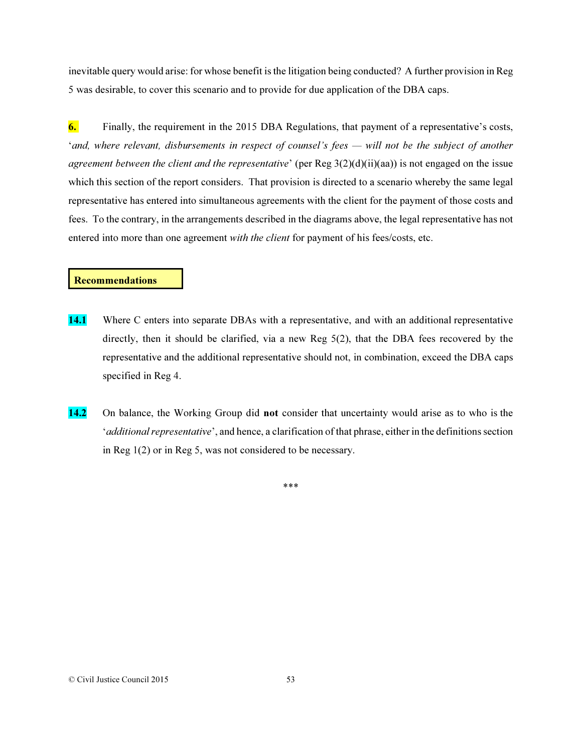inevitable query would arise: for whose benefit is the litigation being conducted? A further provision in Reg 5 was desirable, to cover this scenario and to provide for due application of the DBA caps.

6. Finally, the requirement in the 2015 DBA Regulations, that payment of a representative's costs, '*and, where relevant, disbursements in respect of counsel's fees — will not be the subject of another agreement between the client and the representative*' (per Reg 3(2)(d)(ii)(aa)) is not engaged on the issue which this section of the report considers. That provision is directed to a scenario whereby the same legal representative has entered into simultaneous agreements with the client for the payment of those costs and fees. To the contrary, in the arrangements described in the diagrams above, the legal representative has not entered into more than one agreement *with the client* for payment of his fees/costs, etc.

## Recommendations

- 14.1 Where C enters into separate DBAs with a representative, and with an additional representative directly, then it should be clarified, via a new Reg 5(2), that the DBA fees recovered by the representative and the additional representative should not, in combination, exceed the DBA caps specified in Reg 4.
- 14.2 On balance, the Working Group did not consider that uncertainty would arise as to who is the '*additional representative*', and hence, a clarification of that phrase, either in the definitions section in Reg 1(2) or in Reg 5, was not considered to be necessary.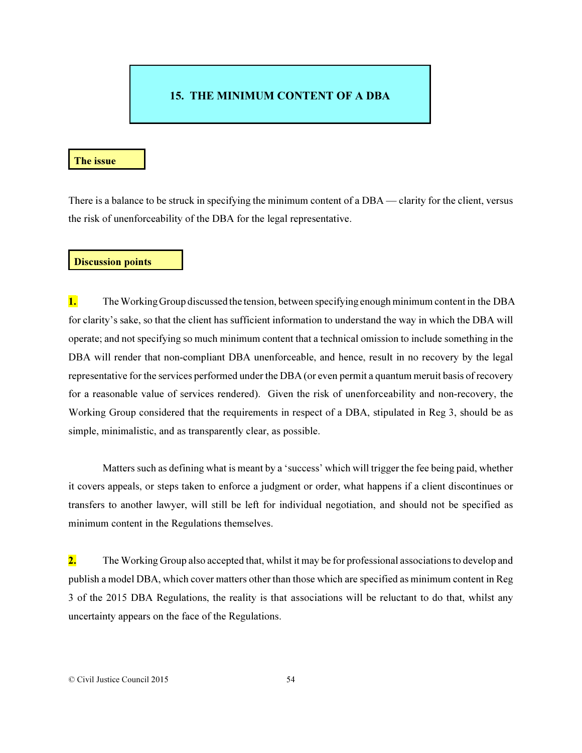# 15. THE MINIMUM CONTENT OF A DBA

#### The issue

There is a balance to be struck in specifying the minimum content of a DBA — clarity for the client, versus the risk of unenforceability of the DBA for the legal representative.

#### Discussion points

1. The Working Group discussed the tension, between specifying enough minimum content in the DBA for clarity's sake, so that the client has sufficient information to understand the way in which the DBA will operate; and not specifying so much minimum content that a technical omission to include something in the DBA will render that non-compliant DBA unenforceable, and hence, result in no recovery by the legal representative for the services performed under the DBA (or even permit a quantum meruit basis of recovery for a reasonable value of services rendered). Given the risk of unenforceability and non-recovery, the Working Group considered that the requirements in respect of a DBA, stipulated in Reg 3, should be as simple, minimalistic, and as transparently clear, as possible.

Matters such as defining what is meant by a 'success' which will trigger the fee being paid, whether it covers appeals, or steps taken to enforce a judgment or order, what happens if a client discontinues or transfers to another lawyer, will still be left for individual negotiation, and should not be specified as minimum content in the Regulations themselves.

2. The Working Group also accepted that, whilst it may be for professional associations to develop and publish a model DBA, which cover matters other than those which are specified as minimum content in Reg 3 of the 2015 DBA Regulations, the reality is that associations will be reluctant to do that, whilst any uncertainty appears on the face of the Regulations.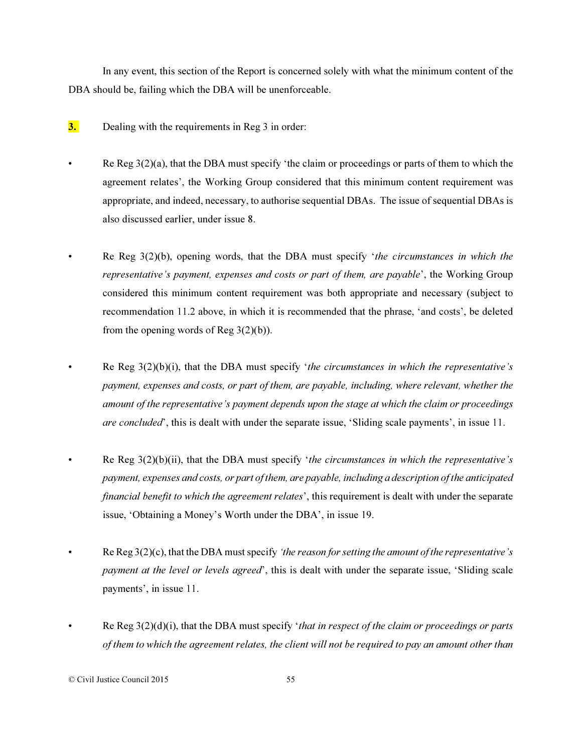In any event, this section of the Report is concerned solely with what the minimum content of the DBA should be, failing which the DBA will be unenforceable.

- 3. Dealing with the requirements in Reg 3 in order:
	- Re Reg  $3(2)(a)$ , that the DBA must specify 'the claim or proceedings or parts of them to which the agreement relates', the Working Group considered that this minimum content requirement was appropriate, and indeed, necessary, to authorise sequential DBAs. The issue of sequential DBAs is also discussed earlier, under issue 8.
- Re Reg 3(2)(b), opening words, that the DBA must specify '*the circumstances in which the representative's payment, expenses and costs or part of them, are payable*', the Working Group considered this minimum content requirement was both appropriate and necessary (subject to recommendation 11.2 above, in which it is recommended that the phrase, 'and costs', be deleted from the opening words of Reg  $3(2)(b)$ ).
- Re Reg 3(2)(b)(i), that the DBA must specify '*the circumstances in which the representative's payment, expenses and costs, or part of them, are payable, including, where relevant, whether the amount of the representative's payment depends upon the stage at which the claim or proceedings are concluded*', this is dealt with under the separate issue, 'Sliding scale payments', in issue 11.
- Re Reg 3(2)(b)(ii), that the DBA must specify '*the circumstances in which the representative's payment, expenses and costs, or part of them, are payable, including a description of the anticipated financial benefit to which the agreement relates*', this requirement is dealt with under the separate issue, 'Obtaining a Money's Worth under the DBA', in issue 19.
- Re Reg 3(2)(c), that the DBA must specify *'the reason for setting the amount of the representative's payment at the level or levels agreed*', this is dealt with under the separate issue, 'Sliding scale payments', in issue 11.
- Re Reg 3(2)(d)(i), that the DBA must specify '*that in respect of the claim or proceedings or parts of them to which the agreement relates, the client will not be required to pay an amount other than*

© Civil Justice Council 2015 55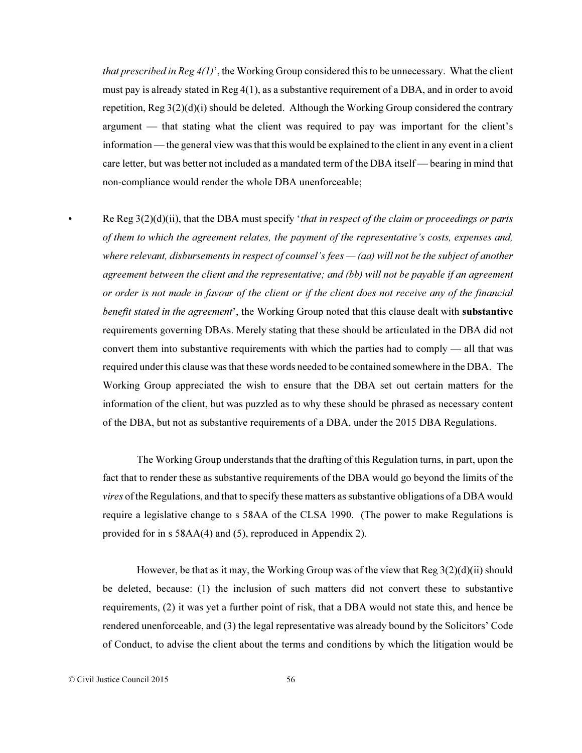*that prescribed in Reg 4(1)*', the Working Group considered this to be unnecessary. What the client must pay is already stated in Reg 4(1), as a substantive requirement of a DBA, and in order to avoid repetition, Reg  $3(2)(d)(i)$  should be deleted. Although the Working Group considered the contrary argument — that stating what the client was required to pay was important for the client's information — the general view was that this would be explained to the client in any event in a client care letter, but was better not included as a mandated term of the DBA itself — bearing in mind that non-compliance would render the whole DBA unenforceable;

• Re Reg 3(2)(d)(ii), that the DBA must specify '*that in respect of the claim or proceedings or parts of them to which the agreement relates, the payment of the representative's costs, expenses and, where relevant, disbursements in respect of counsel's fees — (aa) will not be the subject of another agreement between the client and the representative; and (bb) will not be payable if an agreement or order is not made in favour of the client or if the client does not receive any of the financial benefit stated in the agreement*', the Working Group noted that this clause dealt with substantive requirements governing DBAs. Merely stating that these should be articulated in the DBA did not convert them into substantive requirements with which the parties had to comply — all that was required under this clause was that these words needed to be contained somewhere in the DBA. The Working Group appreciated the wish to ensure that the DBA set out certain matters for the information of the client, but was puzzled as to why these should be phrased as necessary content of the DBA, but not as substantive requirements of a DBA, under the 2015 DBA Regulations.

The Working Group understands that the drafting of this Regulation turns, in part, upon the fact that to render these as substantive requirements of the DBA would go beyond the limits of the *vires* of the Regulations, and that to specify these matters as substantive obligations of a DBA would require a legislative change to s 58AA of the CLSA 1990. (The power to make Regulations is provided for in s 58AA(4) and (5), reproduced in Appendix 2).

However, be that as it may, the Working Group was of the view that  $\text{Reg } 3(2)(d)(ii)$  should be deleted, because: (1) the inclusion of such matters did not convert these to substantive requirements, (2) it was yet a further point of risk, that a DBA would not state this, and hence be rendered unenforceable, and (3) the legal representative was already bound by the Solicitors' Code of Conduct, to advise the client about the terms and conditions by which the litigation would be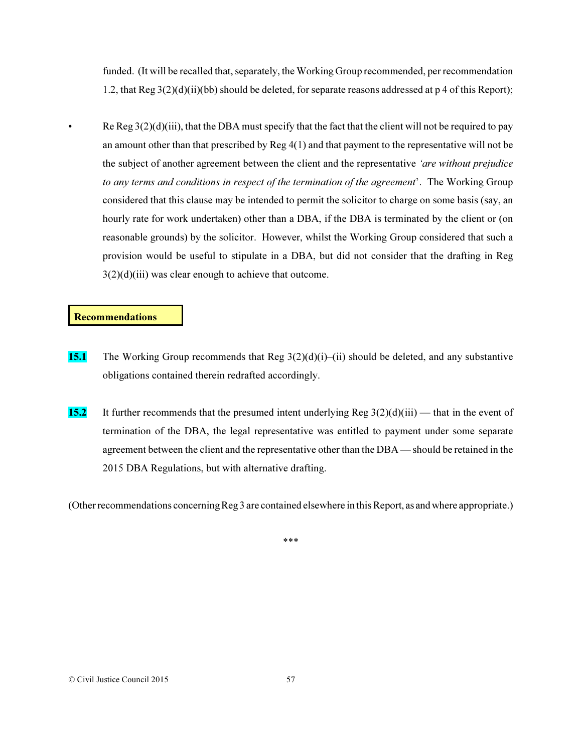funded. (It will be recalled that, separately, the Working Group recommended, per recommendation 1.2, that Reg 3(2)(d)(ii)(bb) should be deleted, for separate reasons addressed at p 4 of this Report);

• Re Reg  $3(2)(d)(iii)$ , that the DBA must specify that the fact that the client will not be required to pay an amount other than that prescribed by Reg 4(1) and that payment to the representative will not be the subject of another agreement between the client and the representative *'are without prejudice to any terms and conditions in respect of the termination of the agreement*'. The Working Group considered that this clause may be intended to permit the solicitor to charge on some basis (say, an hourly rate for work undertaken) other than a DBA, if the DBA is terminated by the client or (on reasonable grounds) by the solicitor. However, whilst the Working Group considered that such a provision would be useful to stipulate in a DBA, but did not consider that the drafting in Reg  $3(2)(d)(iii)$  was clear enough to achieve that outcome.

## Recommendations

- 15.1 The Working Group recommends that Reg  $3(2)(d)(i)$ –(ii) should be deleted, and any substantive obligations contained therein redrafted accordingly.
- 15.2 It further recommends that the presumed intent underlying Reg  $3(2)(d)(iii)$  that in the event of termination of the DBA, the legal representative was entitled to payment under some separate agreement between the client and the representative other than the DBA — should be retained in the 2015 DBA Regulations, but with alternative drafting.

(Other recommendations concerning Reg 3 are contained elsewhere in this Report, as and where appropriate.)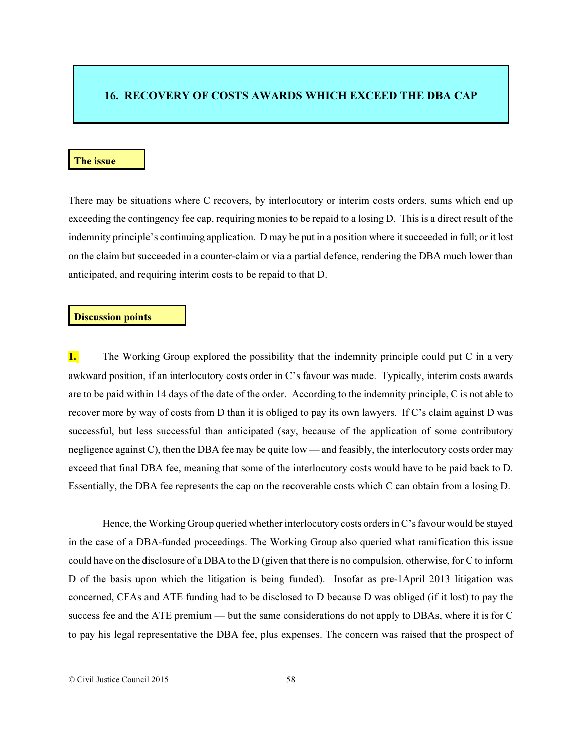## 16. RECOVERY OF COSTS AWARDS WHICH EXCEED THE DBA CAP

#### The issue

There may be situations where C recovers, by interlocutory or interim costs orders, sums which end up exceeding the contingency fee cap, requiring monies to be repaid to a losing D. This is a direct result of the indemnity principle's continuing application. D may be put in a position where it succeeded in full; or it lost on the claim but succeeded in a counter-claim or via a partial defence, rendering the DBA much lower than anticipated, and requiring interim costs to be repaid to that D.

#### Discussion points

**1.** The Working Group explored the possibility that the indemnity principle could put C in a very awkward position, if an interlocutory costs order in C's favour was made. Typically, interim costs awards are to be paid within 14 days of the date of the order. According to the indemnity principle, C is not able to recover more by way of costs from D than it is obliged to pay its own lawyers. If C's claim against D was successful, but less successful than anticipated (say, because of the application of some contributory negligence against C), then the DBA fee may be quite low — and feasibly, the interlocutory costs order may exceed that final DBA fee, meaning that some of the interlocutory costs would have to be paid back to D. Essentially, the DBA fee represents the cap on the recoverable costs which C can obtain from a losing D.

Hence, the Working Group queried whether interlocutory costs orders in C's favour would be stayed in the case of a DBA-funded proceedings. The Working Group also queried what ramification this issue could have on the disclosure of a DBA to the D (given that there is no compulsion, otherwise, for C to inform D of the basis upon which the litigation is being funded). Insofar as pre-1April 2013 litigation was concerned, CFAs and ATE funding had to be disclosed to D because D was obliged (if it lost) to pay the success fee and the ATE premium — but the same considerations do not apply to DBAs, where it is for C to pay his legal representative the DBA fee, plus expenses. The concern was raised that the prospect of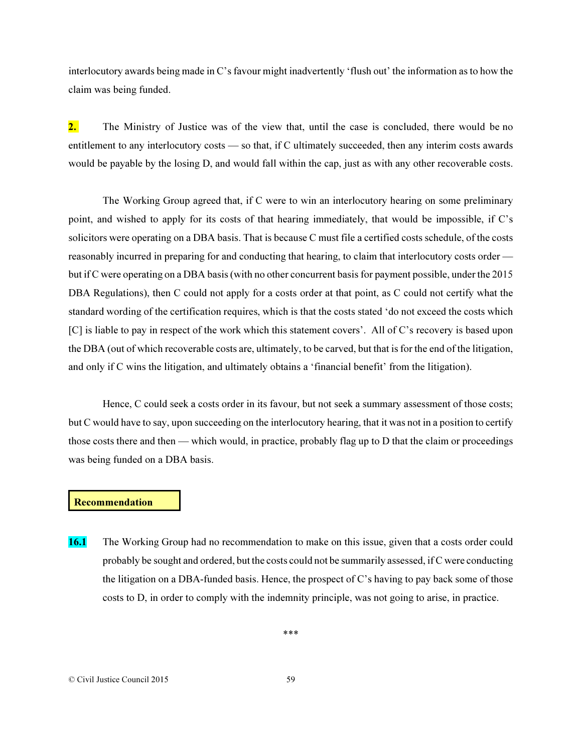interlocutory awards being made in C's favour might inadvertently 'flush out' the information as to how the claim was being funded.

2. The Ministry of Justice was of the view that, until the case is concluded, there would be no entitlement to any interlocutory costs — so that, if C ultimately succeeded, then any interim costs awards would be payable by the losing D, and would fall within the cap, just as with any other recoverable costs.

The Working Group agreed that, if C were to win an interlocutory hearing on some preliminary point, and wished to apply for its costs of that hearing immediately, that would be impossible, if C's solicitors were operating on a DBA basis. That is because C must file a certified costs schedule, of the costs reasonably incurred in preparing for and conducting that hearing, to claim that interlocutory costs order but if C were operating on a DBA basis (with no other concurrent basis for payment possible, under the 2015 DBA Regulations), then C could not apply for a costs order at that point, as C could not certify what the standard wording of the certification requires, which is that the costs stated 'do not exceed the costs which [C] is liable to pay in respect of the work which this statement covers'. All of C's recovery is based upon the DBA (out of which recoverable costs are, ultimately, to be carved, but that is for the end of the litigation, and only if C wins the litigation, and ultimately obtains a 'financial benefit' from the litigation).

Hence, C could seek a costs order in its favour, but not seek a summary assessment of those costs; but C would have to say, upon succeeding on the interlocutory hearing, that it was not in a position to certify those costs there and then — which would, in practice, probably flag up to D that the claim or proceedings was being funded on a DBA basis.

## Recommendation

16.1 The Working Group had no recommendation to make on this issue, given that a costs order could probably be sought and ordered, but the costs could not be summarily assessed, if C were conducting the litigation on a DBA-funded basis. Hence, the prospect of C's having to pay back some of those costs to D, in order to comply with the indemnity principle, was not going to arise, in practice.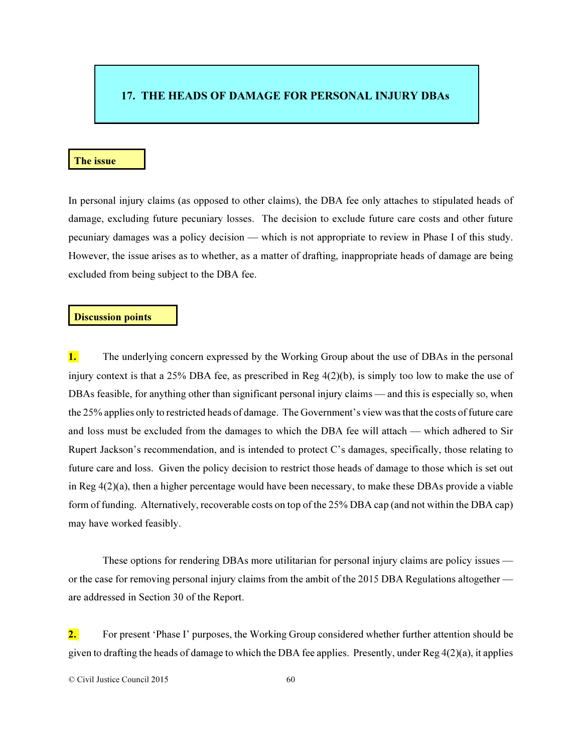# 17. THE HEADS OF DAMAGE FOR PERSONAL INJURY DBAs

#### The issue

In personal injury claims (as opposed to other claims), the DBA fee only attaches to stipulated heads of damage, excluding future pecuniary losses. The decision to exclude future care costs and other future pecuniary damages was a policy decision — which is not appropriate to review in Phase I of this study. However, the issue arises as to whether, as a matter of drafting, inappropriate heads of damage are being excluded from being subject to the DBA fee.

#### Discussion points

**1.** The underlying concern expressed by the Working Group about the use of DBAs in the personal injury context is that a 25% DBA fee, as prescribed in Reg  $4(2)(b)$ , is simply too low to make the use of DBAs feasible, for anything other than significant personal injury claims — and this is especially so, when the 25% applies only to restricted heads of damage. The Government's view was that the costs of future care and loss must be excluded from the damages to which the DBA fee will attach — which adhered to Sir Rupert Jackson's recommendation, and is intended to protect C's damages, specifically, those relating to future care and loss. Given the policy decision to restrict those heads of damage to those which is set out in Reg 4(2)(a), then a higher percentage would have been necessary, to make these DBAs provide a viable form of funding. Alternatively, recoverable costs on top of the 25% DBA cap (and not within the DBA cap) may have worked feasibly.

These options for rendering DBAs more utilitarian for personal injury claims are policy issues or the case for removing personal injury claims from the ambit of the 2015 DBA Regulations altogether are addressed in Section 30 of the Report.

2. For present 'Phase I' purposes, the Working Group considered whether further attention should be given to drafting the heads of damage to which the DBA fee applies. Presently, under Reg 4(2)(a), it applies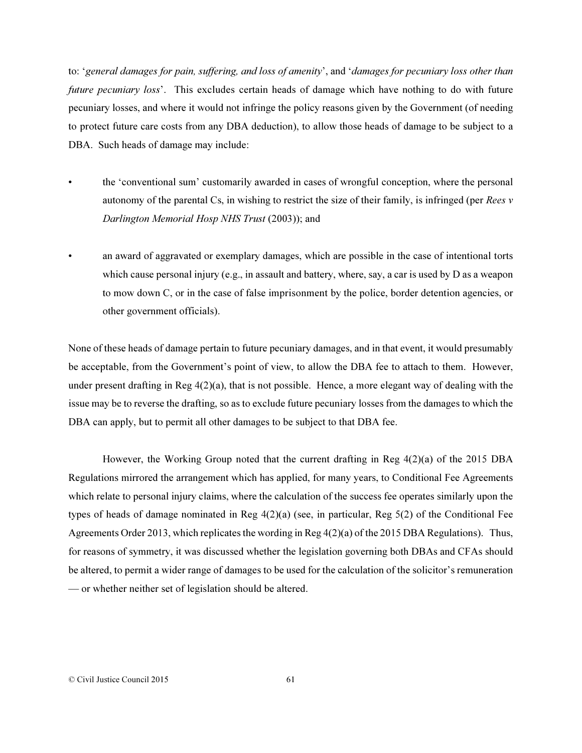to: '*general damages for pain, suffering, and loss of amenity*', and '*damages for pecuniary loss other than future pecuniary loss*'. This excludes certain heads of damage which have nothing to do with future pecuniary losses, and where it would not infringe the policy reasons given by the Government (of needing to protect future care costs from any DBA deduction), to allow those heads of damage to be subject to a DBA. Such heads of damage may include:

- the 'conventional sum' customarily awarded in cases of wrongful conception, where the personal autonomy of the parental Cs, in wishing to restrict the size of their family, is infringed (per *Rees v Darlington Memorial Hosp NHS Trust* (2003)); and
- an award of aggravated or exemplary damages, which are possible in the case of intentional torts which cause personal injury (e.g., in assault and battery, where, say, a car is used by D as a weapon to mow down C, or in the case of false imprisonment by the police, border detention agencies, or other government officials).

None of these heads of damage pertain to future pecuniary damages, and in that event, it would presumably be acceptable, from the Government's point of view, to allow the DBA fee to attach to them. However, under present drafting in Reg  $4(2)(a)$ , that is not possible. Hence, a more elegant way of dealing with the issue may be to reverse the drafting, so as to exclude future pecuniary losses from the damages to which the DBA can apply, but to permit all other damages to be subject to that DBA fee.

However, the Working Group noted that the current drafting in Reg 4(2)(a) of the 2015 DBA Regulations mirrored the arrangement which has applied, for many years, to Conditional Fee Agreements which relate to personal injury claims, where the calculation of the success fee operates similarly upon the types of heads of damage nominated in Reg  $4(2)(a)$  (see, in particular, Reg  $5(2)$  of the Conditional Fee Agreements Order 2013, which replicates the wording in Reg 4(2)(a) of the 2015 DBA Regulations). Thus, for reasons of symmetry, it was discussed whether the legislation governing both DBAs and CFAs should be altered, to permit a wider range of damages to be used for the calculation of the solicitor's remuneration — or whether neither set of legislation should be altered.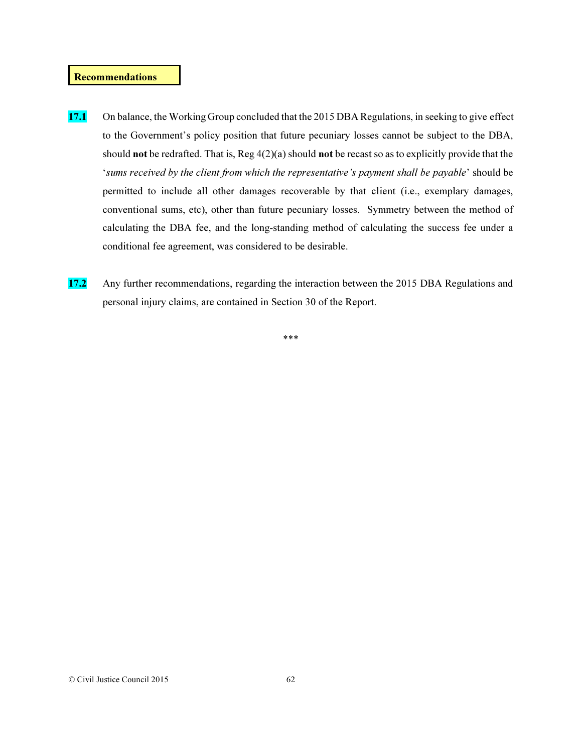### Recommendations

- 17.1 On balance, the Working Group concluded that the 2015 DBA Regulations, in seeking to give effect to the Government's policy position that future pecuniary losses cannot be subject to the DBA, should not be redrafted. That is, Reg 4(2)(a) should not be recast so as to explicitly provide that the '*sums received by the client from which the representative's payment shall be payable*' should be permitted to include all other damages recoverable by that client (i.e., exemplary damages, conventional sums, etc), other than future pecuniary losses. Symmetry between the method of calculating the DBA fee, and the long-standing method of calculating the success fee under a conditional fee agreement, was considered to be desirable.
- 17.2 Any further recommendations, regarding the interaction between the 2015 DBA Regulations and personal injury claims, are contained in Section 30 of the Report.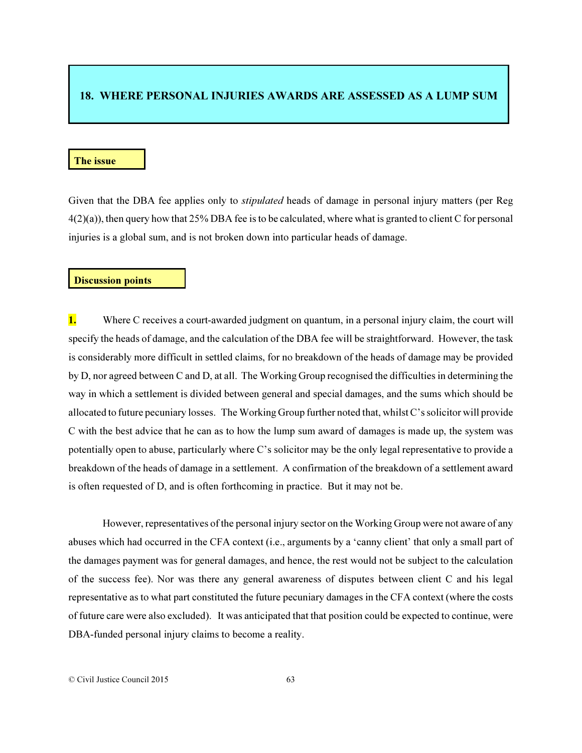# 18. WHERE PERSONAL INJURIES AWARDS ARE ASSESSED AS A LUMP SUM

### The issue

Given that the DBA fee applies only to *stipulated* heads of damage in personal injury matters (per Reg 4(2)(a)), then query how that 25% DBA fee is to be calculated, where what is granted to client C for personal injuries is a global sum, and is not broken down into particular heads of damage.

#### Discussion points

1. Where C receives a court-awarded judgment on quantum, in a personal injury claim, the court will specify the heads of damage, and the calculation of the DBA fee will be straightforward. However, the task is considerably more difficult in settled claims, for no breakdown of the heads of damage may be provided by D, nor agreed between C and D, at all. The Working Group recognised the difficulties in determining the way in which a settlement is divided between general and special damages, and the sums which should be allocated to future pecuniary losses. The Working Group further noted that, whilst C's solicitor will provide C with the best advice that he can as to how the lump sum award of damages is made up, the system was potentially open to abuse, particularly where C's solicitor may be the only legal representative to provide a breakdown of the heads of damage in a settlement. A confirmation of the breakdown of a settlement award is often requested of D, and is often forthcoming in practice. But it may not be.

However, representatives of the personal injury sector on the Working Group were not aware of any abuses which had occurred in the CFA context (i.e., arguments by a 'canny client' that only a small part of the damages payment was for general damages, and hence, the rest would not be subject to the calculation of the success fee). Nor was there any general awareness of disputes between client C and his legal representative as to what part constituted the future pecuniary damages in the CFA context (where the costs of future care were also excluded). It was anticipated that that position could be expected to continue, were DBA-funded personal injury claims to become a reality.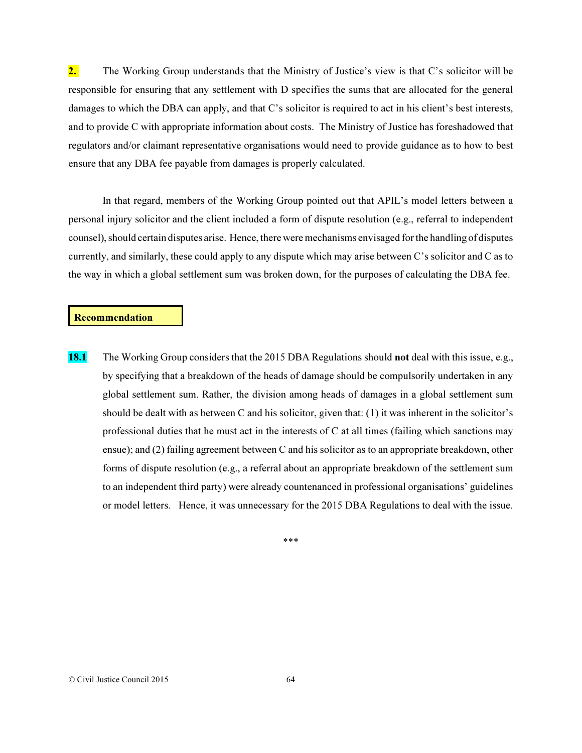2. The Working Group understands that the Ministry of Justice's view is that C's solicitor will be responsible for ensuring that any settlement with D specifies the sums that are allocated for the general damages to which the DBA can apply, and that C's solicitor is required to act in his client's best interests, and to provide C with appropriate information about costs. The Ministry of Justice has foreshadowed that regulators and/or claimant representative organisations would need to provide guidance as to how to best ensure that any DBA fee payable from damages is properly calculated.

In that regard, members of the Working Group pointed out that APIL's model letters between a personal injury solicitor and the client included a form of dispute resolution (e.g., referral to independent counsel), should certain disputes arise. Hence, there were mechanisms envisaged for the handling of disputes currently, and similarly, these could apply to any dispute which may arise between C's solicitor and C as to the way in which a global settlement sum was broken down, for the purposes of calculating the DBA fee.

### Recommendation

18.1 The Working Group considers that the 2015 DBA Regulations should not deal with this issue, e.g., by specifying that a breakdown of the heads of damage should be compulsorily undertaken in any global settlement sum. Rather, the division among heads of damages in a global settlement sum should be dealt with as between C and his solicitor, given that: (1) it was inherent in the solicitor's professional duties that he must act in the interests of C at all times (failing which sanctions may ensue); and (2) failing agreement between C and his solicitor as to an appropriate breakdown, other forms of dispute resolution (e.g., a referral about an appropriate breakdown of the settlement sum to an independent third party) were already countenanced in professional organisations' guidelines or model letters. Hence, it was unnecessary for the 2015 DBA Regulations to deal with the issue.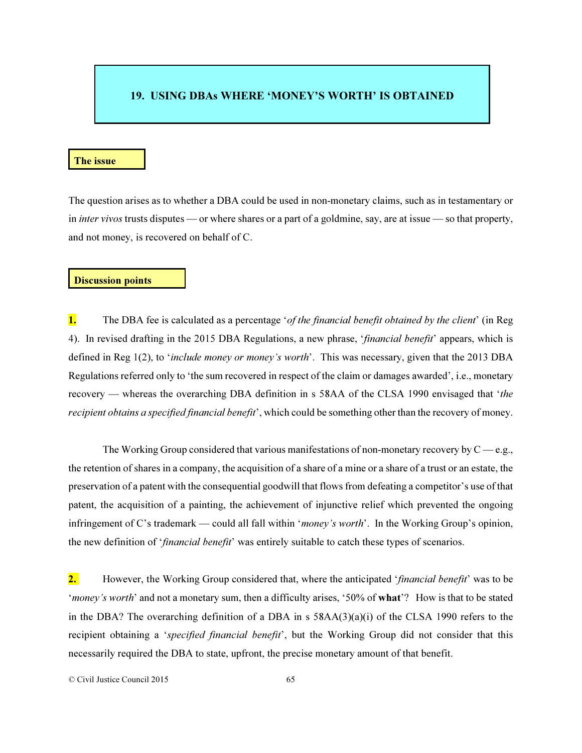# 19. USING DBAs WHERE 'MONEY'S WORTH' IS OBTAINED

#### The issue

The question arises as to whether a DBA could be used in non-monetary claims, such as in testamentary or in *inter vivos* trusts disputes — or where shares or a part of a goldmine, say, are at issue — so that property, and not money, is recovered on behalf of C.

#### Discussion points

1. The DBA fee is calculated as a percentage '*of the financial benefit obtained by the client*' (in Reg 4). In revised drafting in the 2015 DBA Regulations, a new phrase, '*financial benefit*' appears, which is defined in Reg 1(2), to '*include money or money's worth*'. This was necessary, given that the 2013 DBA Regulations referred only to 'the sum recovered in respect of the claim or damages awarded', i.e., monetary recovery — whereas the overarching DBA definition in s 58AA of the CLSA 1990 envisaged that '*the recipient obtains a specified financial benefit*', which could be something other than the recovery of money.

The Working Group considered that various manifestations of non-monetary recovery by  $C$  — e.g., the retention of shares in a company, the acquisition of a share of a mine or a share of a trust or an estate, the preservation of a patent with the consequential goodwill that flows from defeating a competitor's use of that patent, the acquisition of a painting, the achievement of injunctive relief which prevented the ongoing infringement of C's trademark — could all fall within '*money's worth*'. In the Working Group's opinion, the new definition of '*financial benefit*' was entirely suitable to catch these types of scenarios.

2. However, the Working Group considered that, where the anticipated '*financial benefit*' was to be '*money's worth*' and not a monetary sum, then a difficulty arises, '50% of what'? How is that to be stated in the DBA? The overarching definition of a DBA in s 58AA(3)(a)(i) of the CLSA 1990 refers to the recipient obtaining a '*specified financial benefit*', but the Working Group did not consider that this necessarily required the DBA to state, upfront, the precise monetary amount of that benefit.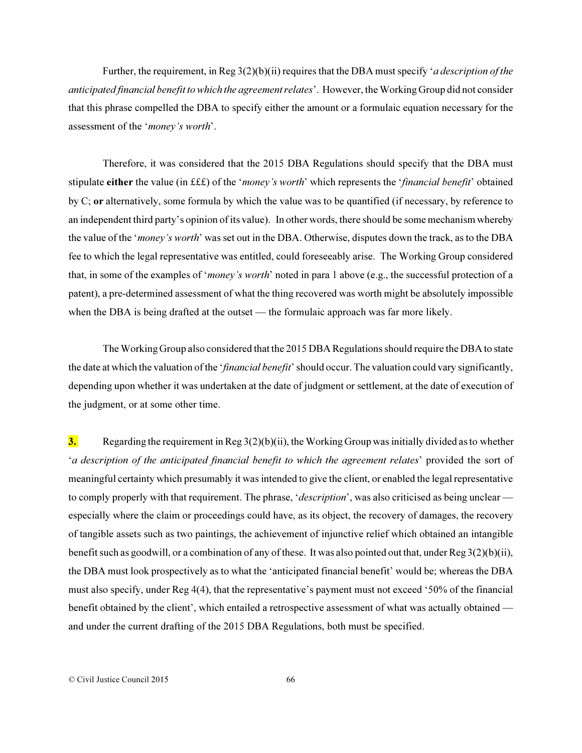Further, the requirement, in Reg 3(2)(b)(ii) requires that the DBA must specify '*a description of the anticipated financial benefit to which the agreement relates*'. However, the Working Group did not consider that this phrase compelled the DBA to specify either the amount or a formulaic equation necessary for the assessment of the '*money's worth*'.

Therefore, it was considered that the 2015 DBA Regulations should specify that the DBA must stipulate either the value (in £££) of the '*money's worth*' which represents the '*financial benefit*' obtained by C; or alternatively, some formula by which the value was to be quantified (if necessary, by reference to an independent third party's opinion of its value). In other words, there should be some mechanism whereby the value of the '*money's worth*' was set out in the DBA. Otherwise, disputes down the track, as to the DBA fee to which the legal representative was entitled, could foreseeably arise. The Working Group considered that, in some of the examples of '*money's worth*' noted in para 1 above (e.g., the successful protection of a patent), a pre-determined assessment of what the thing recovered was worth might be absolutely impossible when the DBA is being drafted at the outset — the formulaic approach was far more likely.

The Working Group also considered that the 2015 DBA Regulations should require the DBA to state the date at which the valuation of the '*financial benefit*' should occur. The valuation could vary significantly, depending upon whether it was undertaken at the date of judgment or settlement, at the date of execution of the judgment, or at some other time.

**3.** Regarding the requirement in Reg  $3(2)(b)(ii)$ , the Working Group was initially divided as to whether '*a description of the anticipated financial benefit to which the agreement relates*' provided the sort of meaningful certainty which presumably it was intended to give the client, or enabled the legal representative to comply properly with that requirement. The phrase, '*description*', was also criticised as being unclear especially where the claim or proceedings could have, as its object, the recovery of damages, the recovery of tangible assets such as two paintings, the achievement of injunctive relief which obtained an intangible benefit such as goodwill, or a combination of any of these. It was also pointed out that, under Reg 3(2)(b)(ii), the DBA must look prospectively as to what the 'anticipated financial benefit' would be; whereas the DBA must also specify, under Reg 4(4), that the representative's payment must not exceed '50% of the financial benefit obtained by the client', which entailed a retrospective assessment of what was actually obtained and under the current drafting of the 2015 DBA Regulations, both must be specified.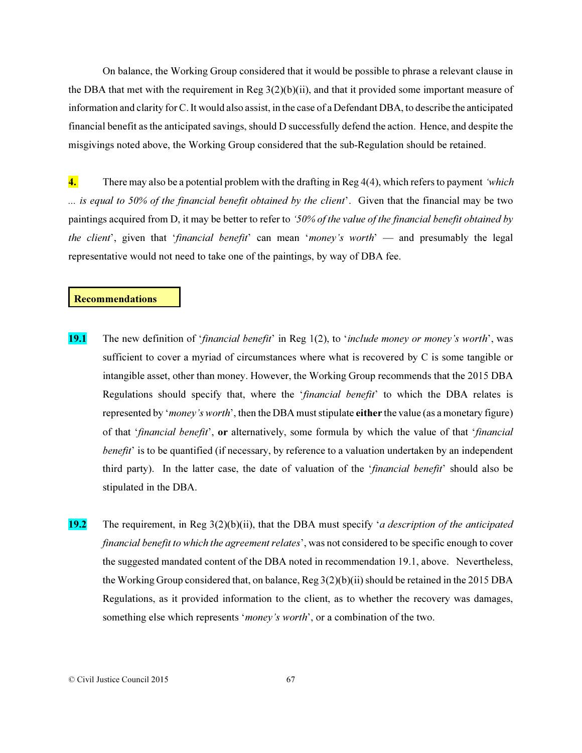On balance, the Working Group considered that it would be possible to phrase a relevant clause in the DBA that met with the requirement in Reg 3(2)(b)(ii), and that it provided some important measure of information and clarity for C. It would also assist, in the case of a Defendant DBA, to describe the anticipated financial benefit as the anticipated savings, should D successfully defend the action. Hence, and despite the misgivings noted above, the Working Group considered that the sub-Regulation should be retained.

4. There may also be a potential problem with the drafting in Reg 4(4), which refers to payment *'which ... is equal to 50% of the financial benefit obtained by the client*'. Given that the financial may be two paintings acquired from D, it may be better to refer to *'50% of the value of the financial benefit obtained by the client*', given that '*financial benefit*' can mean '*money's worth*' — and presumably the legal representative would not need to take one of the paintings, by way of DBA fee.

### Recommendations

- 19.1 The new definition of '*financial benefit*' in Reg 1(2), to '*include money or money's worth*', was sufficient to cover a myriad of circumstances where what is recovered by C is some tangible or intangible asset, other than money. However, the Working Group recommends that the 2015 DBA Regulations should specify that, where the '*financial benefit*' to which the DBA relates is represented by '*money's worth*', then the DBA must stipulate either the value (as a monetary figure) of that '*financial benefit*', or alternatively, some formula by which the value of that '*financial benefit*' is to be quantified (if necessary, by reference to a valuation undertaken by an independent third party). In the latter case, the date of valuation of the '*financial benefit*' should also be stipulated in the DBA.
- 19.2 The requirement, in Reg 3(2)(b)(ii), that the DBA must specify '*a description of the anticipated financial benefit to which the agreement relates*', was not considered to be specific enough to cover the suggested mandated content of the DBA noted in recommendation 19.1, above. Nevertheless, the Working Group considered that, on balance, Reg 3(2)(b)(ii) should be retained in the 2015 DBA Regulations, as it provided information to the client, as to whether the recovery was damages, something else which represents '*money's worth*', or a combination of the two.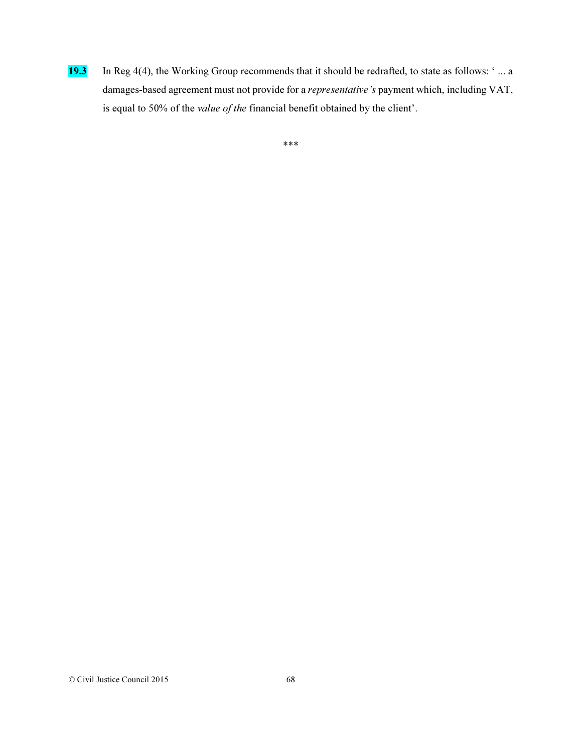19.3 In Reg 4(4), the Working Group recommends that it should be redrafted, to state as follows: ' ... a damages-based agreement must not provide for a *representative's* payment which, including VAT, is equal to 50% of the *value of the* financial benefit obtained by the client'.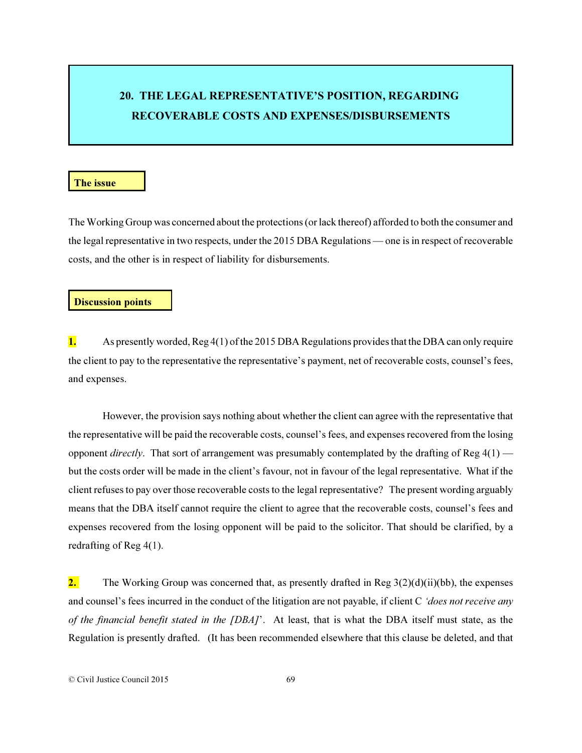# 20. THE LEGAL REPRESENTATIVE'S POSITION, REGARDING RECOVERABLE COSTS AND EXPENSES/DISBURSEMENTS

### The issue

The Working Group was concerned about the protections (or lack thereof) afforded to both the consumer and the legal representative in two respects, under the 2015 DBA Regulations — one is in respect of recoverable costs, and the other is in respect of liability for disbursements.

### Discussion points

1. As presently worded, Reg 4(1) of the 2015 DBA Regulations provides that the DBA can only require the client to pay to the representative the representative's payment, net of recoverable costs, counsel's fees, and expenses.

However, the provision says nothing about whether the client can agree with the representative that the representative will be paid the recoverable costs, counsel's fees, and expenses recovered from the losing opponent *directly*. That sort of arrangement was presumably contemplated by the drafting of Reg 4(1) but the costs order will be made in the client's favour, not in favour of the legal representative. What if the client refuses to pay over those recoverable costs to the legal representative? The present wording arguably means that the DBA itself cannot require the client to agree that the recoverable costs, counsel's fees and expenses recovered from the losing opponent will be paid to the solicitor. That should be clarified, by a redrafting of Reg 4(1).

**2.** The Working Group was concerned that, as presently drafted in Reg  $3(2)(d)(ii)(bb)$ , the expenses and counsel's fees incurred in the conduct of the litigation are not payable, if client C *'does not receive any of the financial benefit stated in the [DBA]*'. At least, that is what the DBA itself must state, as the Regulation is presently drafted. (It has been recommended elsewhere that this clause be deleted, and that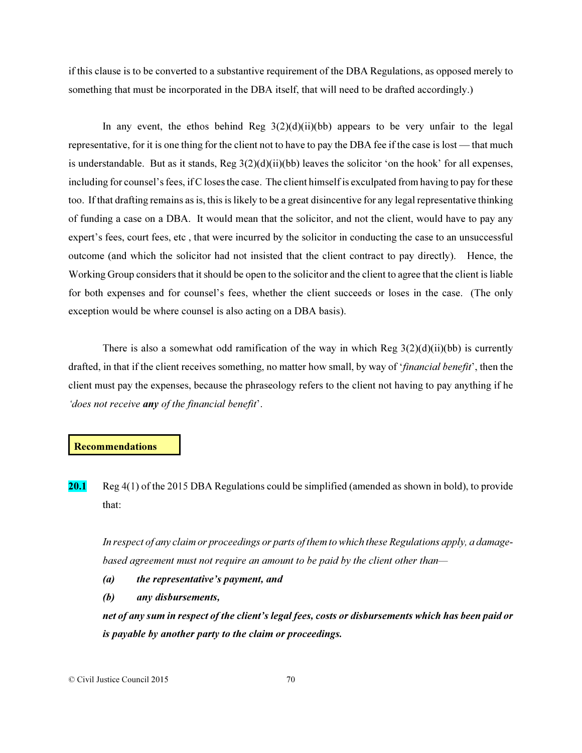if this clause is to be converted to a substantive requirement of the DBA Regulations, as opposed merely to something that must be incorporated in the DBA itself, that will need to be drafted accordingly.)

In any event, the ethos behind Reg  $3(2)(d)(ii)(bb)$  appears to be very unfair to the legal representative, for it is one thing for the client not to have to pay the DBA fee if the case is lost — that much is understandable. But as it stands,  $\text{Reg } 3(2)(d)(ii)(bb)$  leaves the solicitor 'on the hook' for all expenses, including for counsel's fees, if C loses the case. The client himself is exculpated from having to pay for these too. If that drafting remains as is, this is likely to be a great disincentive for any legal representative thinking of funding a case on a DBA. It would mean that the solicitor, and not the client, would have to pay any expert's fees, court fees, etc , that were incurred by the solicitor in conducting the case to an unsuccessful outcome (and which the solicitor had not insisted that the client contract to pay directly). Hence, the Working Group considers that it should be open to the solicitor and the client to agree that the client is liable for both expenses and for counsel's fees, whether the client succeeds or loses in the case. (The only exception would be where counsel is also acting on a DBA basis).

There is also a somewhat odd ramification of the way in which Reg  $3(2)(d)(ii)(bb)$  is currently drafted, in that if the client receives something, no matter how small, by way of '*financial benefit*', then the client must pay the expenses, because the phraseology refers to the client not having to pay anything if he *'does not receive any of the financial benefit*'.

### Recommendations

20.1 Reg 4(1) of the 2015 DBA Regulations could be simplified (amended as shown in bold), to provide that:

*In respect of any claim or proceedings or parts of them to which these Regulations apply, a damagebased agreement must not require an amount to be paid by the client other than—*

- *(a) the representative's payment, and*
- *(b) any disbursements,*

*net of any sum in respect of the client's legal fees, costs or disbursements which has been paid or is payable by another party to the claim or proceedings.*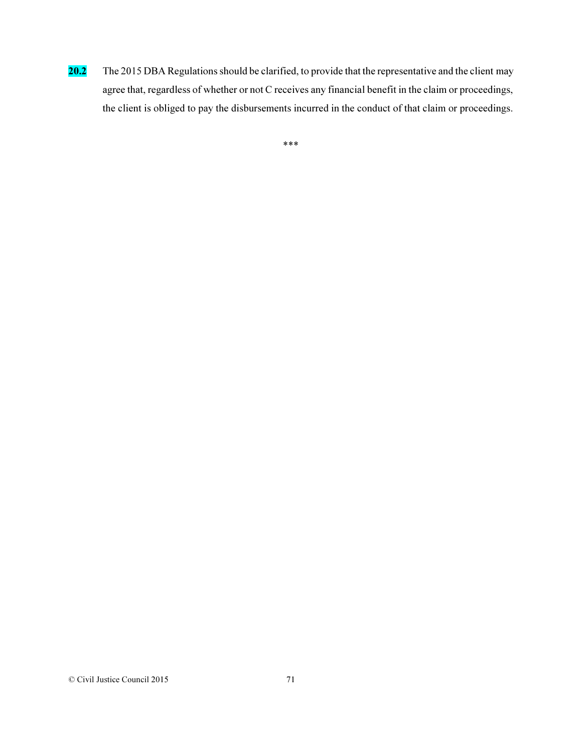20.2 The 2015 DBA Regulations should be clarified, to provide that the representative and the client may agree that, regardless of whether or not C receives any financial benefit in the claim or proceedings, the client is obliged to pay the disbursements incurred in the conduct of that claim or proceedings.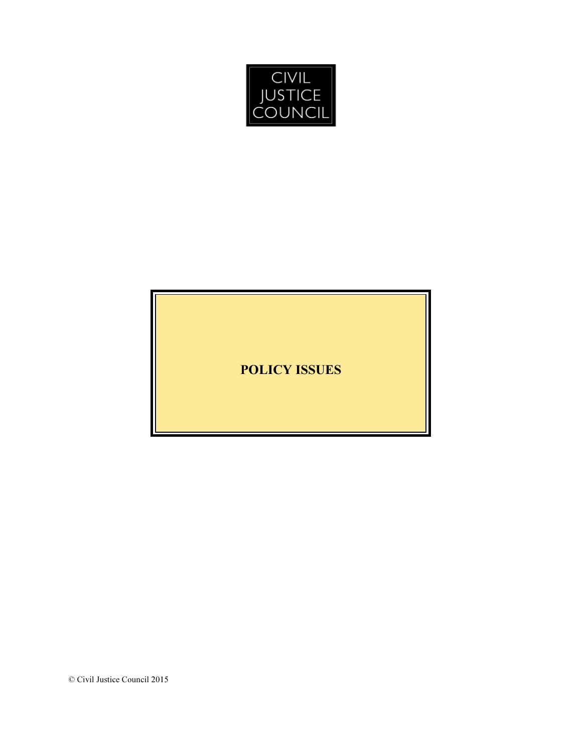

POLICY ISSUES

© Civil Justice Council 2015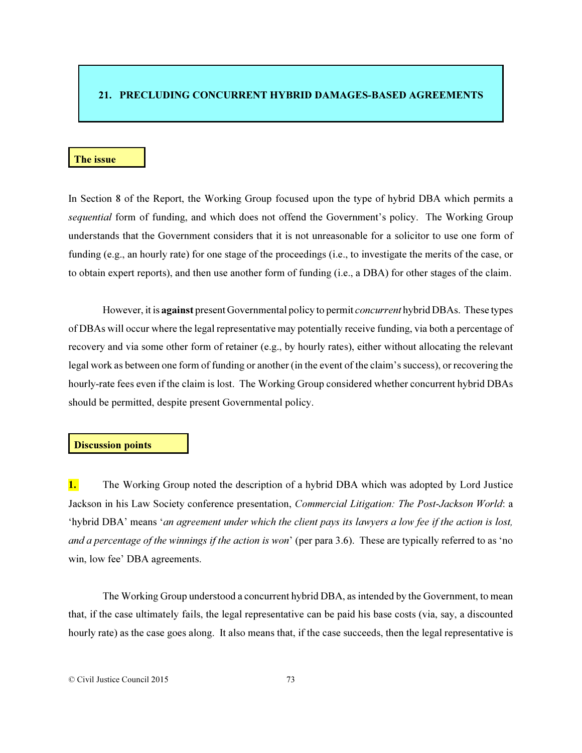### 21. PRECLUDING CONCURRENT HYBRID DAMAGES-BASED AGREEMENTS

### The issue

In Section 8 of the Report, the Working Group focused upon the type of hybrid DBA which permits a *sequential* form of funding, and which does not offend the Government's policy. The Working Group understands that the Government considers that it is not unreasonable for a solicitor to use one form of funding (e.g., an hourly rate) for one stage of the proceedings (i.e., to investigate the merits of the case, or to obtain expert reports), and then use another form of funding (i.e., a DBA) for other stages of the claim.

However, it is against present Governmental policy to permit *concurrent* hybrid DBAs. These types of DBAs will occur where the legal representative may potentially receive funding, via both a percentage of recovery and via some other form of retainer (e.g., by hourly rates), either without allocating the relevant legal work as between one form of funding or another (in the event of the claim's success), or recovering the hourly-rate fees even if the claim is lost. The Working Group considered whether concurrent hybrid DBAs should be permitted, despite present Governmental policy.

# Discussion points

1. The Working Group noted the description of a hybrid DBA which was adopted by Lord Justice Jackson in his Law Society conference presentation, *Commercial Litigation: The Post-Jackson World*: a 'hybrid DBA' means '*an agreement under which the client pays its lawyers a low fee if the action is lost, and a percentage of the winnings if the action is won*' (per para 3.6). These are typically referred to as 'no win, low fee' DBA agreements.

The Working Group understood a concurrent hybrid DBA, as intended by the Government, to mean that, if the case ultimately fails, the legal representative can be paid his base costs (via, say, a discounted hourly rate) as the case goes along. It also means that, if the case succeeds, then the legal representative is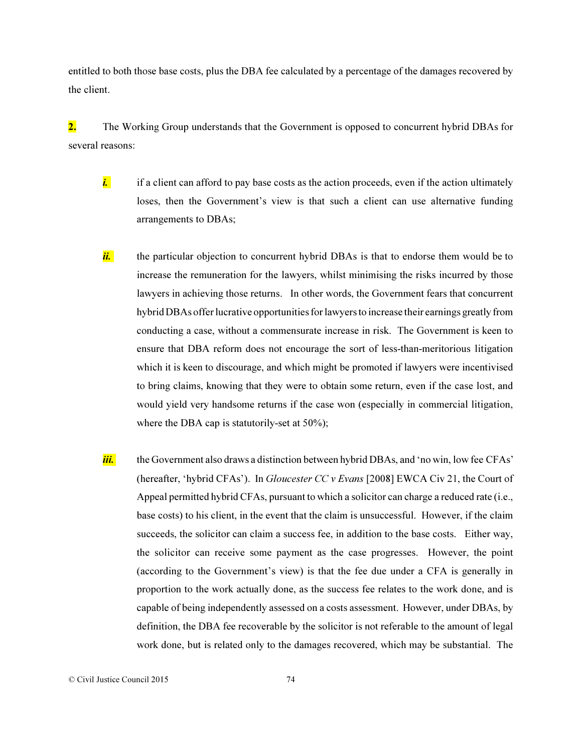entitled to both those base costs, plus the DBA fee calculated by a percentage of the damages recovered by the client.

2. The Working Group understands that the Government is opposed to concurrent hybrid DBAs for several reasons:

- *i.* if a client can afford to pay base costs as the action proceeds, even if the action ultimately loses, then the Government's view is that such a client can use alternative funding arrangements to DBAs;
- *ii.* the particular objection to concurrent hybrid DBAs is that to endorse them would be to increase the remuneration for the lawyers, whilst minimising the risks incurred by those lawyers in achieving those returns. In other words, the Government fears that concurrent hybrid DBAs offer lucrative opportunities for lawyers to increase their earnings greatly from conducting a case, without a commensurate increase in risk. The Government is keen to ensure that DBA reform does not encourage the sort of less-than-meritorious litigation which it is keen to discourage, and which might be promoted if lawyers were incentivised to bring claims, knowing that they were to obtain some return, even if the case lost, and would yield very handsome returns if the case won (especially in commercial litigation, where the DBA cap is statutorily-set at 50%);
- iii. the Government also draws a distinction between hybrid DBAs, and 'no win, low fee CFAs' (hereafter, 'hybrid CFAs'). In *Gloucester CC v Evans* [2008] EWCA Civ 21, the Court of Appeal permitted hybrid CFAs, pursuant to which a solicitor can charge a reduced rate (i.e., base costs) to his client, in the event that the claim is unsuccessful. However, if the claim succeeds, the solicitor can claim a success fee, in addition to the base costs. Either way, the solicitor can receive some payment as the case progresses. However, the point (according to the Government's view) is that the fee due under a CFA is generally in proportion to the work actually done, as the success fee relates to the work done, and is capable of being independently assessed on a costs assessment. However, under DBAs, by definition, the DBA fee recoverable by the solicitor is not referable to the amount of legal work done, but is related only to the damages recovered, which may be substantial. The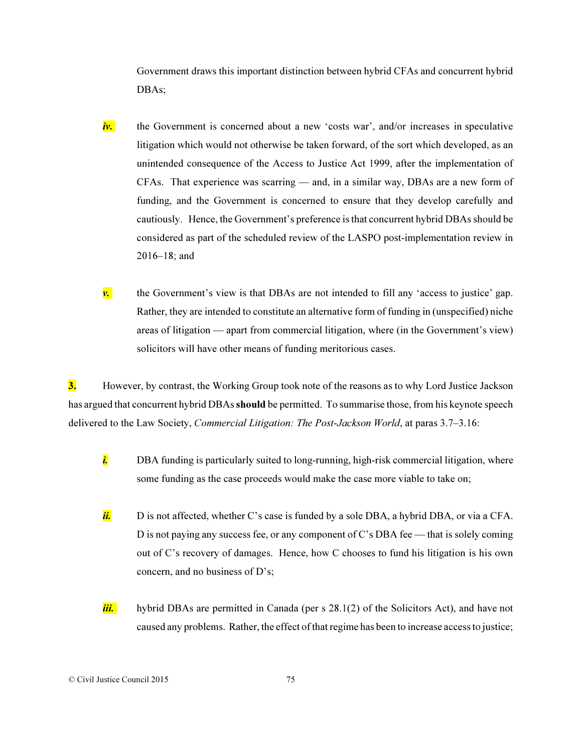Government draws this important distinction between hybrid CFAs and concurrent hybrid DBAs;

- *iv.* the Government is concerned about a new 'costs war', and/or increases in speculative litigation which would not otherwise be taken forward, of the sort which developed, as an unintended consequence of the Access to Justice Act 1999, after the implementation of CFAs. That experience was scarring — and, in a similar way, DBAs are a new form of funding, and the Government is concerned to ensure that they develop carefully and cautiously. Hence, the Government's preference is that concurrent hybrid DBAs should be considered as part of the scheduled review of the LASPO post-implementation review in 2016–18; and
- **v.** the Government's view is that DBAs are not intended to fill any 'access to justice' gap. Rather, they are intended to constitute an alternative form of funding in (unspecified) niche areas of litigation — apart from commercial litigation, where (in the Government's view) solicitors will have other means of funding meritorious cases.

3. However, by contrast, the Working Group took note of the reasons as to why Lord Justice Jackson has argued that concurrent hybrid DBAs should be permitted. To summarise those, from his keynote speech delivered to the Law Society, *Commercial Litigation: The Post-Jackson World*, at paras 3.7–3.16:

- *i.* DBA funding is particularly suited to long-running, high-risk commercial litigation, where some funding as the case proceeds would make the case more viable to take on;
- *ii.* D is not affected, whether C's case is funded by a sole DBA, a hybrid DBA, or via a CFA. D is not paying any success fee, or any component of C's DBA fee — that is solely coming out of C's recovery of damages. Hence, how C chooses to fund his litigation is his own concern, and no business of D's;
- *iii.* hybrid DBAs are permitted in Canada (per s 28.1(2) of the Solicitors Act), and have not caused any problems. Rather, the effect of that regime has been to increase access to justice;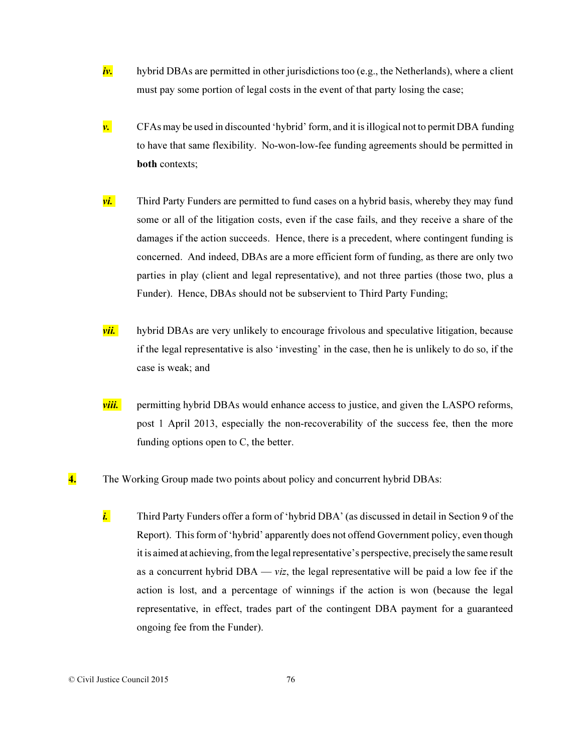- *iv.* hybrid DBAs are permitted in other jurisdictions too (e.g., the Netherlands), where a client must pay some portion of legal costs in the event of that party losing the case;
- $\nu$ . CFAs may be used in discounted 'hybrid' form, and it is illogical not to permit DBA funding to have that same flexibility. No-won-low-fee funding agreements should be permitted in both contexts;
- **vi.** Third Party Funders are permitted to fund cases on a hybrid basis, whereby they may fund some or all of the litigation costs, even if the case fails, and they receive a share of the damages if the action succeeds. Hence, there is a precedent, where contingent funding is concerned. And indeed, DBAs are a more efficient form of funding, as there are only two parties in play (client and legal representative), and not three parties (those two, plus a Funder). Hence, DBAs should not be subservient to Third Party Funding;
- *vii.* hybrid DBAs are very unlikely to encourage frivolous and speculative litigation, because if the legal representative is also 'investing' in the case, then he is unlikely to do so, if the case is weak; and
- *viii.* permitting hybrid DBAs would enhance access to justice, and given the LASPO reforms, post 1 April 2013, especially the non-recoverability of the success fee, then the more funding options open to C, the better.
- 4. The Working Group made two points about policy and concurrent hybrid DBAs:
	- *i.* Third Party Funders offer a form of 'hybrid DBA' (as discussed in detail in Section 9 of the Report). This form of 'hybrid' apparently does not offend Government policy, even though it is aimed at achieving, from the legal representative's perspective, precisely the same result as a concurrent hybrid DBA — *viz*, the legal representative will be paid a low fee if the action is lost, and a percentage of winnings if the action is won (because the legal representative, in effect, trades part of the contingent DBA payment for a guaranteed ongoing fee from the Funder).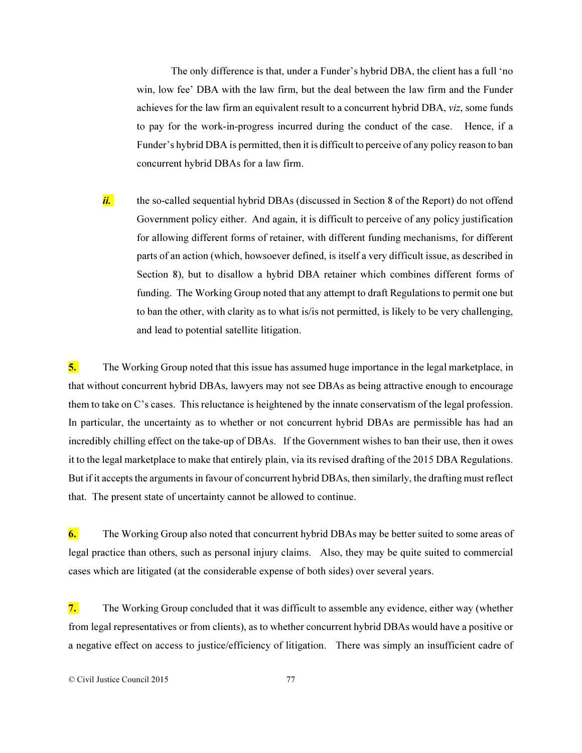The only difference is that, under a Funder's hybrid DBA, the client has a full 'no win, low fee' DBA with the law firm, but the deal between the law firm and the Funder achieves for the law firm an equivalent result to a concurrent hybrid DBA, *viz*, some funds to pay for the work-in-progress incurred during the conduct of the case. Hence, if a Funder's hybrid DBA is permitted, then it is difficult to perceive of any policy reason to ban concurrent hybrid DBAs for a law firm.

ii. the so-called sequential hybrid DBAs (discussed in Section 8 of the Report) do not offend Government policy either. And again, it is difficult to perceive of any policy justification for allowing different forms of retainer, with different funding mechanisms, for different parts of an action (which, howsoever defined, is itself a very difficult issue, as described in Section 8), but to disallow a hybrid DBA retainer which combines different forms of funding. The Working Group noted that any attempt to draft Regulations to permit one but to ban the other, with clarity as to what is/is not permitted, is likely to be very challenging, and lead to potential satellite litigation.

5. The Working Group noted that this issue has assumed huge importance in the legal marketplace, in that without concurrent hybrid DBAs, lawyers may not see DBAs as being attractive enough to encourage them to take on C's cases. This reluctance is heightened by the innate conservatism of the legal profession. In particular, the uncertainty as to whether or not concurrent hybrid DBAs are permissible has had an incredibly chilling effect on the take-up of DBAs. If the Government wishes to ban their use, then it owes it to the legal marketplace to make that entirely plain, via its revised drafting of the 2015 DBA Regulations. But if it accepts the arguments in favour of concurrent hybrid DBAs, then similarly, the drafting must reflect that. The present state of uncertainty cannot be allowed to continue.

6. The Working Group also noted that concurrent hybrid DBAs may be better suited to some areas of legal practice than others, such as personal injury claims. Also, they may be quite suited to commercial cases which are litigated (at the considerable expense of both sides) over several years.

7. The Working Group concluded that it was difficult to assemble any evidence, either way (whether from legal representatives or from clients), as to whether concurrent hybrid DBAs would have a positive or a negative effect on access to justice/efficiency of litigation. There was simply an insufficient cadre of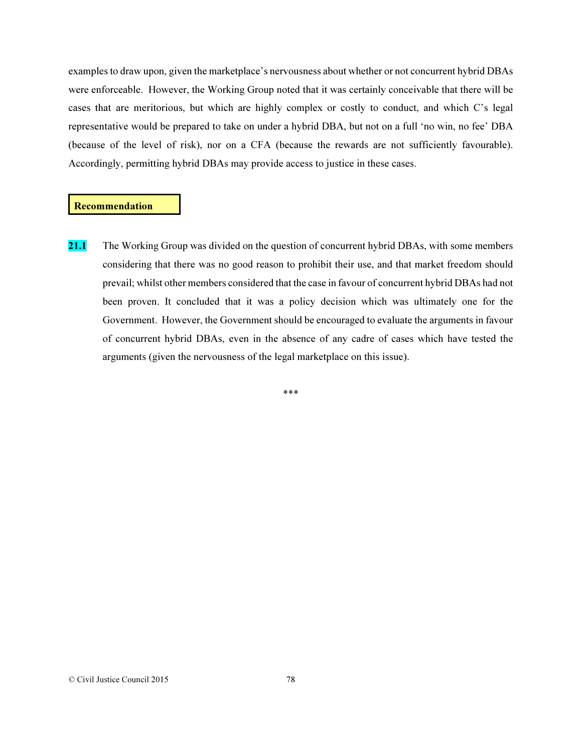examples to draw upon, given the marketplace's nervousness about whether or not concurrent hybrid DBAs were enforceable. However, the Working Group noted that it was certainly conceivable that there will be cases that are meritorious, but which are highly complex or costly to conduct, and which C's legal representative would be prepared to take on under a hybrid DBA, but not on a full 'no win, no fee' DBA (because of the level of risk), nor on a CFA (because the rewards are not sufficiently favourable). Accordingly, permitting hybrid DBAs may provide access to justice in these cases.

#### Recommendation

21.1 The Working Group was divided on the question of concurrent hybrid DBAs, with some members considering that there was no good reason to prohibit their use, and that market freedom should prevail; whilst other members considered that the case in favour of concurrent hybrid DBAs had not been proven. It concluded that it was a policy decision which was ultimately one for the Government. However, the Government should be encouraged to evaluate the arguments in favour of concurrent hybrid DBAs, even in the absence of any cadre of cases which have tested the arguments (given the nervousness of the legal marketplace on this issue).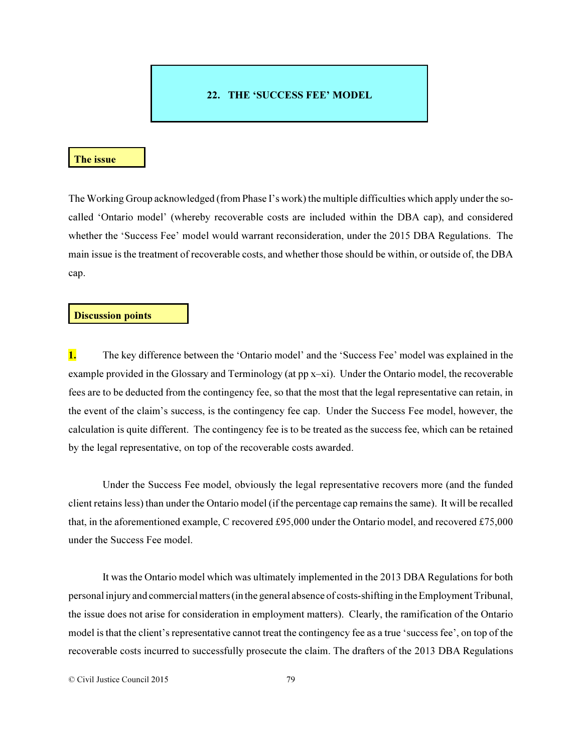# 22. THE 'SUCCESS FEE' MODEL

### The issue

The Working Group acknowledged (from Phase I's work) the multiple difficulties which apply under the socalled 'Ontario model' (whereby recoverable costs are included within the DBA cap), and considered whether the 'Success Fee' model would warrant reconsideration, under the 2015 DBA Regulations. The main issue is the treatment of recoverable costs, and whether those should be within, or outside of, the DBA cap.

### Discussion points

1. The key difference between the 'Ontario model' and the 'Success Fee' model was explained in the example provided in the Glossary and Terminology (at pp x–xi). Under the Ontario model, the recoverable fees are to be deducted from the contingency fee, so that the most that the legal representative can retain, in the event of the claim's success, is the contingency fee cap. Under the Success Fee model, however, the calculation is quite different. The contingency fee is to be treated as the success fee, which can be retained by the legal representative, on top of the recoverable costs awarded.

Under the Success Fee model, obviously the legal representative recovers more (and the funded client retains less) than under the Ontario model (if the percentage cap remains the same). It will be recalled that, in the aforementioned example, C recovered £95,000 under the Ontario model, and recovered £75,000 under the Success Fee model.

It was the Ontario model which was ultimately implemented in the 2013 DBA Regulations for both personal injury and commercial matters (in the general absence of costs-shifting in the Employment Tribunal, the issue does not arise for consideration in employment matters). Clearly, the ramification of the Ontario model is that the client's representative cannot treat the contingency fee as a true 'success fee', on top of the recoverable costs incurred to successfully prosecute the claim. The drafters of the 2013 DBA Regulations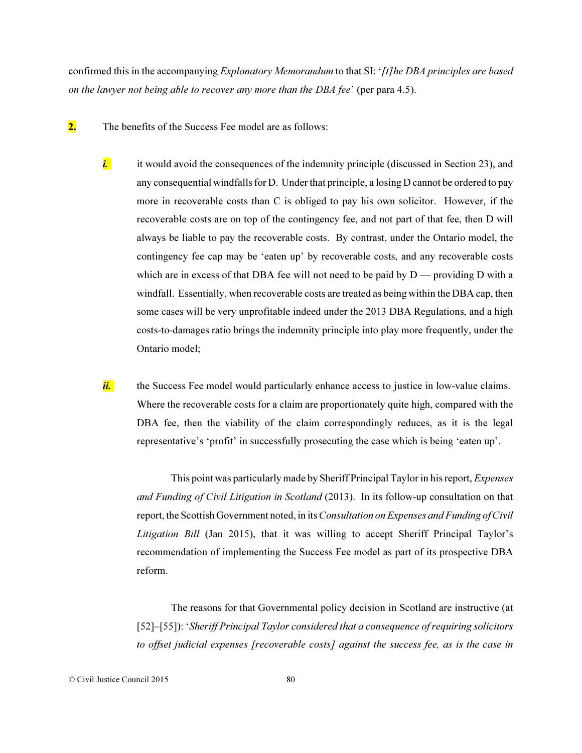confirmed this in the accompanying *Explanatory Memorandum* to that SI: '*[t]he DBA principles are based on the lawyer not being able to recover any more than the DBA fee*' (per para 4.5).

- 2. The benefits of the Success Fee model are as follows:
	- *i.* it would avoid the consequences of the indemnity principle (discussed in Section 23), and any consequential windfalls for D. Under that principle, a losing D cannot be ordered to pay more in recoverable costs than C is obliged to pay his own solicitor. However, if the recoverable costs are on top of the contingency fee, and not part of that fee, then D will always be liable to pay the recoverable costs. By contrast, under the Ontario model, the contingency fee cap may be 'eaten up' by recoverable costs, and any recoverable costs which are in excess of that DBA fee will not need to be paid by  $D$  — providing D with a windfall. Essentially, when recoverable costs are treated as being within the DBA cap, then some cases will be very unprofitable indeed under the 2013 DBA Regulations, and a high costs-to-damages ratio brings the indemnity principle into play more frequently, under the Ontario model;

*ii.* the Success Fee model would particularly enhance access to justice in low-value claims. Where the recoverable costs for a claim are proportionately quite high, compared with the DBA fee, then the viability of the claim correspondingly reduces, as it is the legal representative's 'profit' in successfully prosecuting the case which is being 'eaten up'.

This point was particularly made by Sheriff Principal Taylor in his report, *Expenses and Funding of Civil Litigation in Scotland* (2013). In its follow-up consultation on that report, the Scottish Government noted, in its *Consultation on Expenses and Funding of Civil Litigation Bill* (Jan 2015), that it was willing to accept Sheriff Principal Taylor's recommendation of implementing the Success Fee model as part of its prospective DBA reform.

The reasons for that Governmental policy decision in Scotland are instructive (at [52]–[55]): '*Sheriff Principal Taylor considered that a consequence of requiring solicitors to offset judicial expenses [recoverable costs] against the success fee, as is the case in*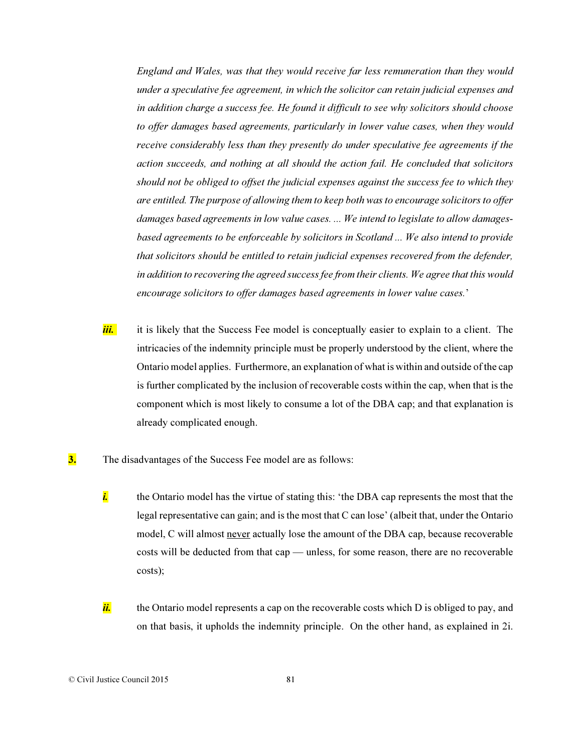*England and Wales, was that they would receive far less remuneration than they would under a speculative fee agreement, in which the solicitor can retain judicial expenses and in addition charge a success fee. He found it difficult to see why solicitors should choose to offer damages based agreements, particularly in lower value cases, when they would receive considerably less than they presently do under speculative fee agreements if the action succeeds, and nothing at all should the action fail. He concluded that solicitors should not be obliged to offset the judicial expenses against the success fee to which they are entitled. The purpose of allowing them to keep both was to encourage solicitors to offer damages based agreements in low value cases. ... We intend to legislate to allow damagesbased agreements to be enforceable by solicitors in Scotland ... We also intend to provide that solicitors should be entitled to retain judicial expenses recovered from the defender, in addition to recovering the agreed success fee from their clients. We agree that this would encourage solicitors to offer damages based agreements in lower value cases.*'

- *iii.* it is likely that the Success Fee model is conceptually easier to explain to a client. The intricacies of the indemnity principle must be properly understood by the client, where the Ontario model applies. Furthermore, an explanation of what is within and outside of the cap is further complicated by the inclusion of recoverable costs within the cap, when that is the component which is most likely to consume a lot of the DBA cap; and that explanation is already complicated enough.
- **3.** The disadvantages of the Success Fee model are as follows:
	- *i.* the Ontario model has the virtue of stating this: 'the DBA cap represents the most that the legal representative can gain; and is the most that C can lose' (albeit that, under the Ontario model, C will almost never actually lose the amount of the DBA cap, because recoverable costs will be deducted from that cap — unless, for some reason, there are no recoverable costs);
	- $\frac{di}{i}$  the Ontario model represents a cap on the recoverable costs which  $\overline{D}$  is obliged to pay, and on that basis, it upholds the indemnity principle. On the other hand, as explained in 2i.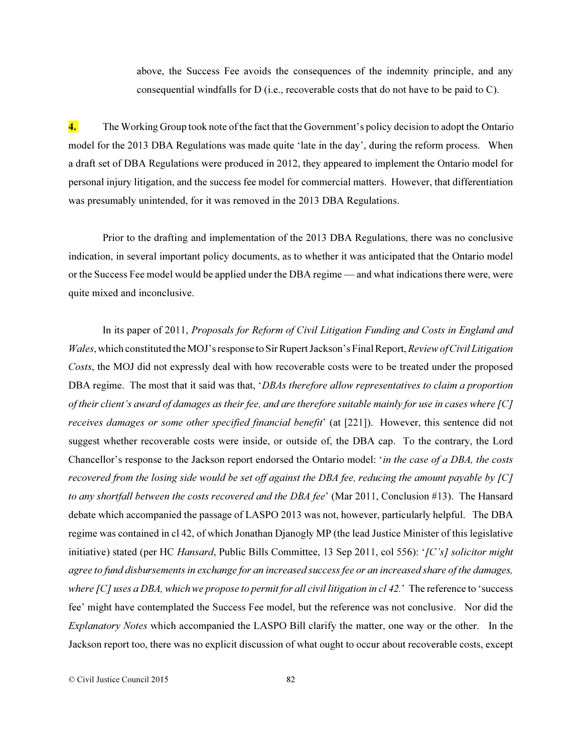above, the Success Fee avoids the consequences of the indemnity principle, and any consequential windfalls for D (i.e., recoverable costs that do not have to be paid to C).

4. The Working Group took note of the fact that the Government's policy decision to adopt the Ontario model for the 2013 DBA Regulations was made quite 'late in the day', during the reform process. When a draft set of DBA Regulations were produced in 2012, they appeared to implement the Ontario model for personal injury litigation, and the success fee model for commercial matters. However, that differentiation was presumably unintended, for it was removed in the 2013 DBA Regulations.

Prior to the drafting and implementation of the 2013 DBA Regulations, there was no conclusive indication, in several important policy documents, as to whether it was anticipated that the Ontario model or the Success Fee model would be applied under the DBA regime — and what indications there were, were quite mixed and inconclusive.

In its paper of 2011, *Proposals for Reform of Civil Litigation Funding and Costs in England and Wales*, which constituted the MOJ's response to Sir Rupert Jackson's Final Report, *Review of Civil Litigation Costs*, the MOJ did not expressly deal with how recoverable costs were to be treated under the proposed DBA regime. The most that it said was that, '*DBAs therefore allow representatives to claim a proportion of their client's award of damages as their fee, and are therefore suitable mainly for use in cases where [C] receives damages or some other specified financial benefit*' (at [221]). However, this sentence did not suggest whether recoverable costs were inside, or outside of, the DBA cap. To the contrary, the Lord Chancellor's response to the Jackson report endorsed the Ontario model: '*in the case of a DBA, the costs recovered from the losing side would be set off against the DBA fee, reducing the amount payable by [C] to any shortfall between the costs recovered and the DBA fee*' (Mar 2011, Conclusion #13). The Hansard debate which accompanied the passage of LASPO 2013 was not, however, particularly helpful. The DBA regime was contained in cl 42, of which Jonathan Djanogly MP (the lead Justice Minister of this legislative initiative) stated (per HC *Hansard*, Public Bills Committee, 13 Sep 2011, col 556): '*[C's] solicitor might agree to fund disbursements in exchange for an increased success fee or an increased share of the damages, where [C] uses a DBA, which we propose to permit for all civil litigation in cl 42.*' The reference to 'success fee' might have contemplated the Success Fee model, but the reference was not conclusive. Nor did the *Explanatory Notes* which accompanied the LASPO Bill clarify the matter, one way or the other. In the Jackson report too, there was no explicit discussion of what ought to occur about recoverable costs, except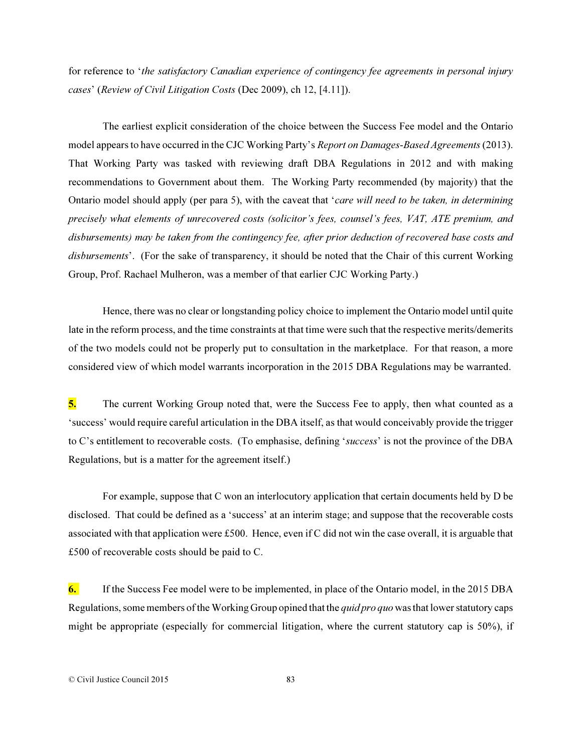for reference to '*the satisfactory Canadian experience of contingency fee agreements in personal injury cases*' (*Review of Civil Litigation Costs* (Dec 2009), ch 12, [4.11]).

The earliest explicit consideration of the choice between the Success Fee model and the Ontario model appears to have occurred in the CJC Working Party's *Report on Damages-Based Agreements* (2013). That Working Party was tasked with reviewing draft DBA Regulations in 2012 and with making recommendations to Government about them. The Working Party recommended (by majority) that the Ontario model should apply (per para 5), with the caveat that '*care will need to be taken, in determining precisely what elements of unrecovered costs (solicitor's fees, counsel's fees, VAT, ATE premium, and disbursements) may be taken from the contingency fee, after prior deduction of recovered base costs and disbursements*'. (For the sake of transparency, it should be noted that the Chair of this current Working Group, Prof. Rachael Mulheron, was a member of that earlier CJC Working Party.)

Hence, there was no clear or longstanding policy choice to implement the Ontario model until quite late in the reform process, and the time constraints at that time were such that the respective merits/demerits of the two models could not be properly put to consultation in the marketplace. For that reason, a more considered view of which model warrants incorporation in the 2015 DBA Regulations may be warranted.

5. The current Working Group noted that, were the Success Fee to apply, then what counted as a 'success' would require careful articulation in the DBA itself, as that would conceivably provide the trigger to C's entitlement to recoverable costs. (To emphasise, defining '*success*' is not the province of the DBA Regulations, but is a matter for the agreement itself.)

For example, suppose that C won an interlocutory application that certain documents held by D be disclosed. That could be defined as a 'success' at an interim stage; and suppose that the recoverable costs associated with that application were £500. Hence, even if C did not win the case overall, it is arguable that £500 of recoverable costs should be paid to C.

6. If the Success Fee model were to be implemented, in place of the Ontario model, in the 2015 DBA Regulations, some members of the Working Group opined that the *quid pro quo* was that lower statutory caps might be appropriate (especially for commercial litigation, where the current statutory cap is 50%), if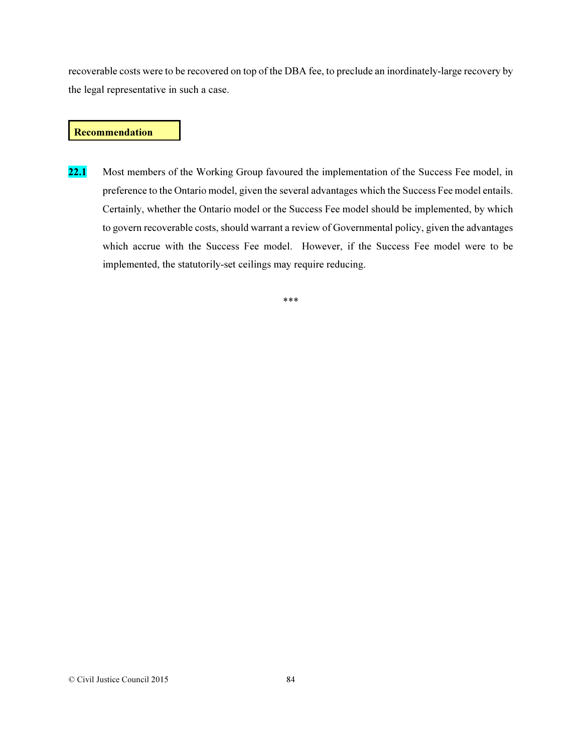recoverable costs were to be recovered on top of the DBA fee, to preclude an inordinately-large recovery by the legal representative in such a case.

### Recommendation

22.1 Most members of the Working Group favoured the implementation of the Success Fee model, in preference to the Ontario model, given the several advantages which the Success Fee model entails. Certainly, whether the Ontario model or the Success Fee model should be implemented, by which to govern recoverable costs, should warrant a review of Governmental policy, given the advantages which accrue with the Success Fee model. However, if the Success Fee model were to be implemented, the statutorily-set ceilings may require reducing.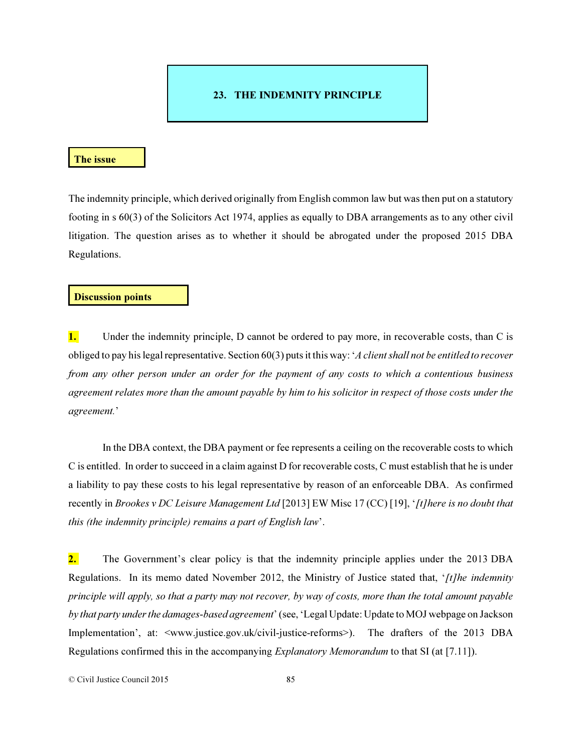# 23. THE INDEMNITY PRINCIPLE

#### The issue

The indemnity principle, which derived originally from English common law but was then put on a statutory footing in s 60(3) of the Solicitors Act 1974, applies as equally to DBA arrangements as to any other civil litigation. The question arises as to whether it should be abrogated under the proposed 2015 DBA Regulations.

# Discussion points

1. Under the indemnity principle, D cannot be ordered to pay more, in recoverable costs, than C is obliged to pay his legal representative. Section 60(3) puts it this way: '*A client shall not be entitled to recover from any other person under an order for the payment of any costs to which a contentious business agreement relates more than the amount payable by him to his solicitor in respect of those costs under the agreement.*'

In the DBA context, the DBA payment or fee represents a ceiling on the recoverable costs to which C is entitled. In order to succeed in a claim against D for recoverable costs, C must establish that he is under a liability to pay these costs to his legal representative by reason of an enforceable DBA. As confirmed recently in *Brookes v DC Leisure Management Ltd* [2013] EW Misc 17 (CC) [19], '*[t]here is no doubt that this (the indemnity principle) remains a part of English law*'.

2. The Government's clear policy is that the indemnity principle applies under the 2013 DBA Regulations. In its memo dated November 2012, the Ministry of Justice stated that, '*[t]he indemnity principle will apply, so that a party may not recover, by way of costs, more than the total amount payable by that party under the damages-based agreement*' (see, 'Legal Update: Update to MOJ webpage on Jackson Implementation', at: <www.justice.gov.uk/civil-justice-reforms>). The drafters of the 2013 DBA Regulations confirmed this in the accompanying *Explanatory Memorandum* to that SI (at [7.11]).

© Civil Justice Council 2015 85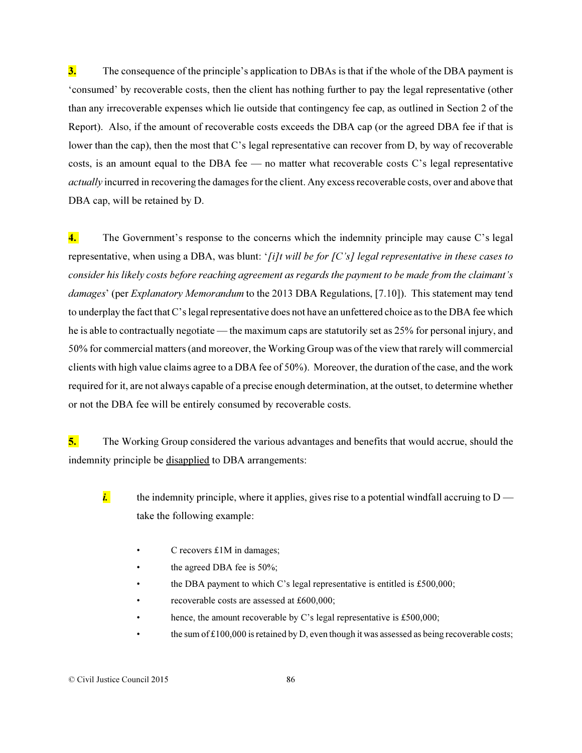3. The consequence of the principle's application to DBAs is that if the whole of the DBA payment is 'consumed' by recoverable costs, then the client has nothing further to pay the legal representative (other than any irrecoverable expenses which lie outside that contingency fee cap, as outlined in Section 2 of the Report). Also, if the amount of recoverable costs exceeds the DBA cap (or the agreed DBA fee if that is lower than the cap), then the most that C's legal representative can recover from D, by way of recoverable costs, is an amount equal to the DBA fee — no matter what recoverable costs C's legal representative *actually* incurred in recovering the damages for the client. Any excess recoverable costs, over and above that DBA cap, will be retained by D.

4. The Government's response to the concerns which the indemnity principle may cause C's legal representative, when using a DBA, was blunt: '*[i]t will be for [C's] legal representative in these cases to consider his likely costs before reaching agreement as regards the payment to be made from the claimant's damages*' (per *Explanatory Memorandum* to the 2013 DBA Regulations, [7.10]). This statement may tend to underplay the fact that C's legal representative does not have an unfettered choice as to the DBA fee which he is able to contractually negotiate — the maximum caps are statutorily set as 25% for personal injury, and 50% for commercial matters (and moreover, the Working Group was of the view that rarely will commercial clients with high value claims agree to a DBA fee of 50%). Moreover, the duration of the case, and the work required for it, are not always capable of a precise enough determination, at the outset, to determine whether or not the DBA fee will be entirely consumed by recoverable costs.

5. The Working Group considered the various advantages and benefits that would accrue, should the indemnity principle be disapplied to DBA arrangements:

- *i.* the indemnity principle, where it applies, gives rise to a potential windfall accruing to  $D$  take the following example:
	- $C$  recovers  $£1M$  in damages;
	- the agreed DBA fee is 50%;
	- the DBA payment to which C's legal representative is entitled is £500,000;
	- recoverable costs are assessed at £600,000;
	- hence, the amount recoverable by C's legal representative is £500,000;
	- the sum of £100,000 is retained by D, even though it was assessed as being recoverable costs;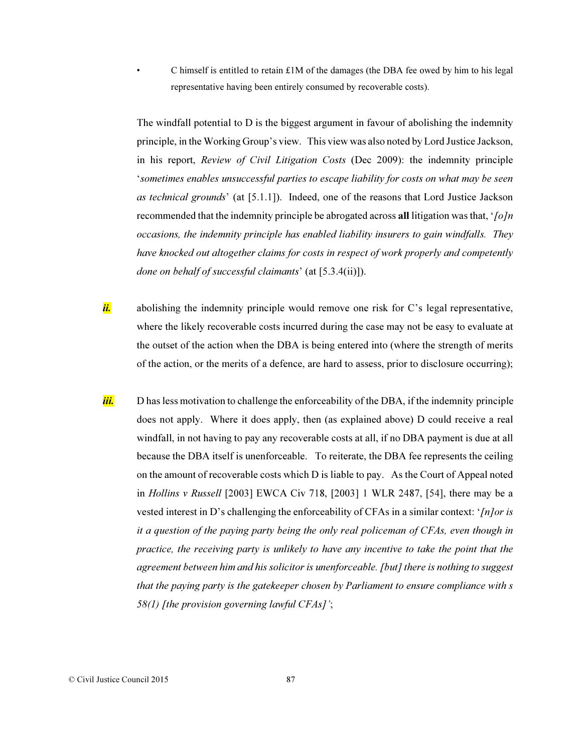C himself is entitled to retain  $£1M$  of the damages (the DBA fee owed by him to his legal representative having been entirely consumed by recoverable costs).

The windfall potential to D is the biggest argument in favour of abolishing the indemnity principle, in the Working Group's view. This view was also noted by Lord Justice Jackson, in his report, *Review of Civil Litigation Costs* (Dec 2009): the indemnity principle '*sometimes enables unsuccessful parties to escape liability for costs on what may be seen as technical grounds*' (at [5.1.1]). Indeed, one of the reasons that Lord Justice Jackson recommended that the indemnity principle be abrogated across all litigation was that, '*[o]n occasions, the indemnity principle has enabled liability insurers to gain windfalls. They have knocked out altogether claims for costs in respect of work properly and competently done on behalf of successful claimants*' (at [5.3.4(ii)]).

- *ii.* abolishing the indemnity principle would remove one risk for C's legal representative, where the likely recoverable costs incurred during the case may not be easy to evaluate at the outset of the action when the DBA is being entered into (where the strength of merits of the action, or the merits of a defence, are hard to assess, prior to disclosure occurring);
- *iii.* D has less motivation to challenge the enforceability of the DBA, if the indemnity principle does not apply. Where it does apply, then (as explained above) D could receive a real windfall, in not having to pay any recoverable costs at all, if no DBA payment is due at all because the DBA itself is unenforceable. To reiterate, the DBA fee represents the ceiling on the amount of recoverable costs which D is liable to pay. As the Court of Appeal noted in *Hollins v Russell* [2003] EWCA Civ 718, [2003] 1 WLR 2487, [54], there may be a vested interest in D's challenging the enforceability of CFAs in a similar context: '*[n]or is it a question of the paying party being the only real policeman of CFAs, even though in practice, the receiving party is unlikely to have any incentive to take the point that the agreement between him and his solicitor is unenforceable. [but] there is nothing to suggest that the paying party is the gatekeeper chosen by Parliament to ensure compliance with s 58(1) [the provision governing lawful CFAs]'*;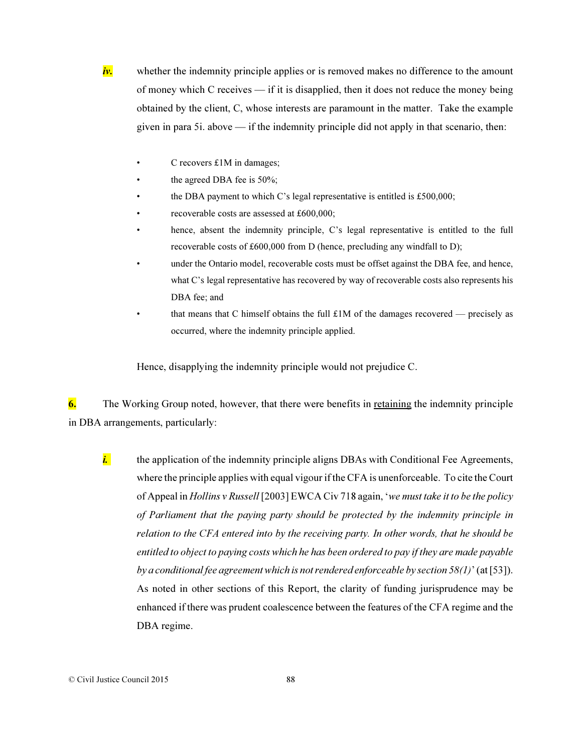*iv.* whether the indemnity principle applies or is removed makes no difference to the amount of money which C receives — if it is disapplied, then it does not reduce the money being obtained by the client, C, whose interests are paramount in the matter. Take the example given in para 5i. above — if the indemnity principle did not apply in that scenario, then:

- C recovers  $£1M$  in damages;
- the agreed DBA fee is  $50\%$ ;
- the DBA payment to which C's legal representative is entitled is £500,000;
- recoverable costs are assessed at £600,000;
- hence, absent the indemnity principle, C's legal representative is entitled to the full recoverable costs of £600,000 from D (hence, precluding any windfall to D);
- under the Ontario model, recoverable costs must be offset against the DBA fee, and hence, what C's legal representative has recovered by way of recoverable costs also represents his DBA fee; and
- that means that C himself obtains the full  $£1M$  of the damages recovered precisely as occurred, where the indemnity principle applied.

Hence, disapplying the indemnity principle would not prejudice C.

6. The Working Group noted, however, that there were benefits in retaining the indemnity principle in DBA arrangements, particularly:

*i.* the application of the indemnity principle aligns DBAs with Conditional Fee Agreements, where the principle applies with equal vigour if the CFA is unenforceable. To cite the Court of Appeal in *Hollins v Russell* [2003] EWCA Civ 718 again, '*we must take it to be the policy of Parliament that the paying party should be protected by the indemnity principle in relation to the CFA entered into by the receiving party. In other words, that he should be entitled to object to paying costs which he has been ordered to pay if they are made payable by a conditional fee agreement which is not rendered enforceable by section 58(1)*' (at [53]). As noted in other sections of this Report, the clarity of funding jurisprudence may be enhanced if there was prudent coalescence between the features of the CFA regime and the DBA regime.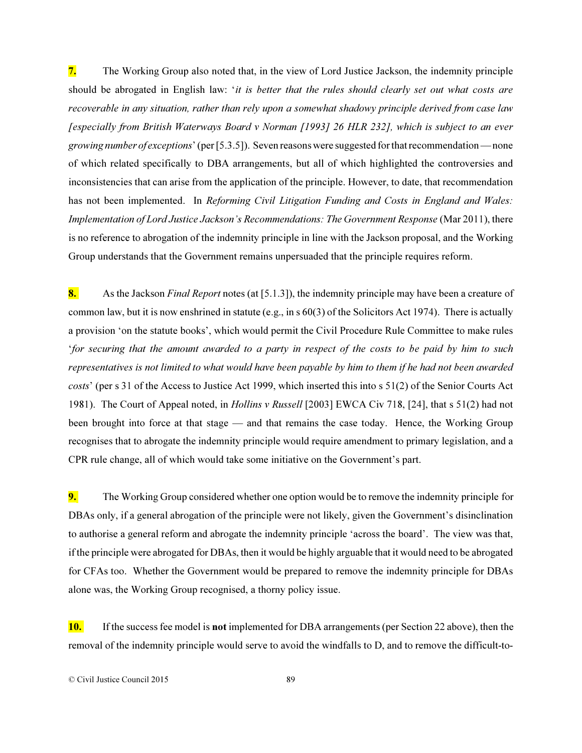7. The Working Group also noted that, in the view of Lord Justice Jackson, the indemnity principle should be abrogated in English law: '*it is better that the rules should clearly set out what costs are recoverable in any situation, rather than rely upon a somewhat shadowy principle derived from case law [especially from British Waterways Board v Norman [1993] 26 HLR 232], which is subject to an ever growing number of exceptions*' (per [5.3.5]). Seven reasons were suggested for that recommendation — none of which related specifically to DBA arrangements, but all of which highlighted the controversies and inconsistencies that can arise from the application of the principle. However, to date, that recommendation has not been implemented. In *Reforming Civil Litigation Funding and Costs in England and Wales: Implementation of Lord Justice Jackson's Recommendations: The Government Response* (Mar 2011), there is no reference to abrogation of the indemnity principle in line with the Jackson proposal, and the Working Group understands that the Government remains unpersuaded that the principle requires reform.

8. As the Jackson *Final Report* notes (at [5.1.3]), the indemnity principle may have been a creature of common law, but it is now enshrined in statute (e.g., in s 60(3) of the Solicitors Act 1974). There is actually a provision 'on the statute books', which would permit the Civil Procedure Rule Committee to make rules '*for securing that the amount awarded to a party in respect of the costs to be paid by him to such representatives is not limited to what would have been payable by him to them if he had not been awarded costs*' (per s 31 of the Access to Justice Act 1999, which inserted this into s 51(2) of the Senior Courts Act 1981). The Court of Appeal noted, in *Hollins v Russell* [2003] EWCA Civ 718, [24], that s 51(2) had not been brought into force at that stage — and that remains the case today. Hence, the Working Group recognises that to abrogate the indemnity principle would require amendment to primary legislation, and a CPR rule change, all of which would take some initiative on the Government's part.

9. The Working Group considered whether one option would be to remove the indemnity principle for DBAs only, if a general abrogation of the principle were not likely, given the Government's disinclination to authorise a general reform and abrogate the indemnity principle 'across the board'. The view was that, if the principle were abrogated for DBAs, then it would be highly arguable that it would need to be abrogated for CFAs too. Whether the Government would be prepared to remove the indemnity principle for DBAs alone was, the Working Group recognised, a thorny policy issue.

10. If the success fee model is not implemented for DBA arrangements (per Section 22 above), then the removal of the indemnity principle would serve to avoid the windfalls to D, and to remove the difficult-to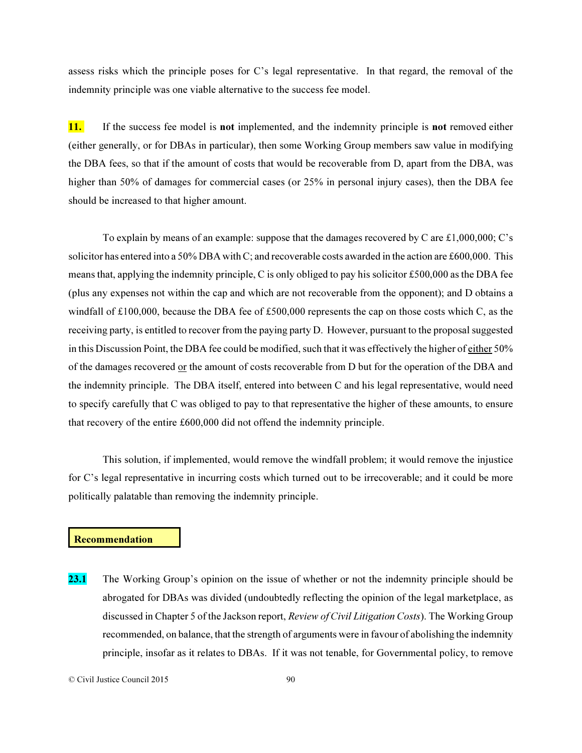assess risks which the principle poses for C's legal representative. In that regard, the removal of the indemnity principle was one viable alternative to the success fee model.

11. If the success fee model is not implemented, and the indemnity principle is not removed either (either generally, or for DBAs in particular), then some Working Group members saw value in modifying the DBA fees, so that if the amount of costs that would be recoverable from D, apart from the DBA, was higher than 50% of damages for commercial cases (or 25% in personal injury cases), then the DBA fee should be increased to that higher amount.

To explain by means of an example: suppose that the damages recovered by C are £1,000,000; C's solicitor has entered into a 50% DBA with C; and recoverable costs awarded in the action are £600,000. This means that, applying the indemnity principle, C is only obliged to pay his solicitor  $\pounds 500,000$  as the DBA fee (plus any expenses not within the cap and which are not recoverable from the opponent); and D obtains a windfall of £100,000, because the DBA fee of £500,000 represents the cap on those costs which C, as the receiving party, is entitled to recover from the paying party D. However, pursuant to the proposal suggested in this Discussion Point, the DBA fee could be modified, such that it was effectively the higher of either 50% of the damages recovered or the amount of costs recoverable from D but for the operation of the DBA and the indemnity principle. The DBA itself, entered into between C and his legal representative, would need to specify carefully that C was obliged to pay to that representative the higher of these amounts, to ensure that recovery of the entire £600,000 did not offend the indemnity principle.

This solution, if implemented, would remove the windfall problem; it would remove the injustice for C's legal representative in incurring costs which turned out to be irrecoverable; and it could be more politically palatable than removing the indemnity principle.

### **Recommendation**

23.1 The Working Group's opinion on the issue of whether or not the indemnity principle should be abrogated for DBAs was divided (undoubtedly reflecting the opinion of the legal marketplace, as discussed in Chapter 5 of the Jackson report, *Review of Civil Litigation Costs*). The Working Group recommended, on balance, that the strength of arguments were in favour of abolishing the indemnity principle, insofar as it relates to DBAs. If it was not tenable, for Governmental policy, to remove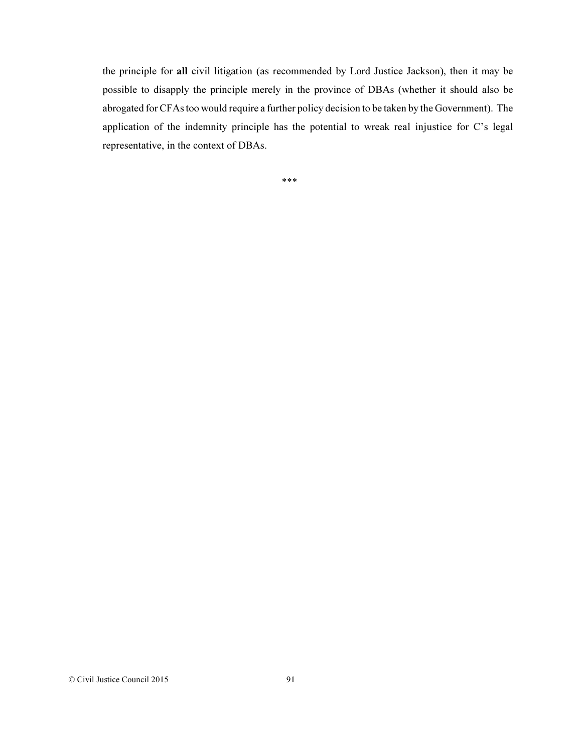the principle for all civil litigation (as recommended by Lord Justice Jackson), then it may be possible to disapply the principle merely in the province of DBAs (whether it should also be abrogated for CFAs too would require a further policy decision to be taken by the Government). The application of the indemnity principle has the potential to wreak real injustice for C's legal representative, in the context of DBAs.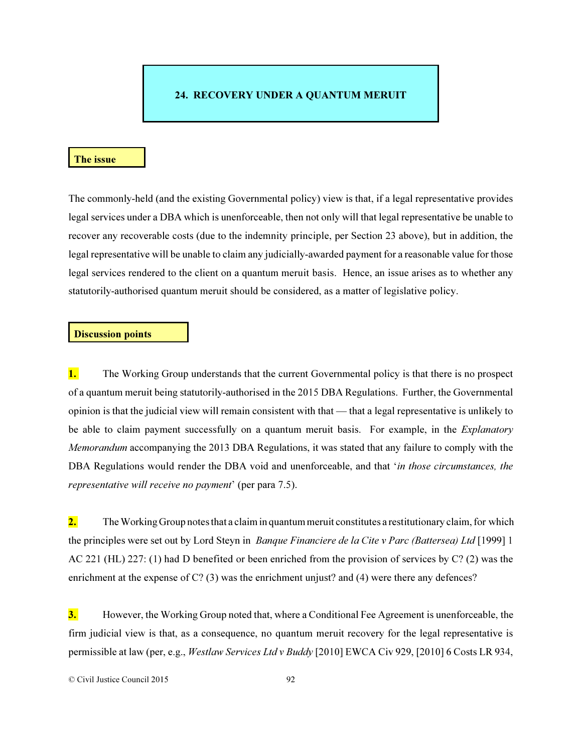# 24. RECOVERY UNDER A QUANTUM MERUIT

#### The issue

The commonly-held (and the existing Governmental policy) view is that, if a legal representative provides legal services under a DBA which is unenforceable, then not only will that legal representative be unable to recover any recoverable costs (due to the indemnity principle, per Section 23 above), but in addition, the legal representative will be unable to claim any judicially-awarded payment for a reasonable value for those legal services rendered to the client on a quantum meruit basis. Hence, an issue arises as to whether any statutorily-authorised quantum meruit should be considered, as a matter of legislative policy.

#### Discussion points

**1.** The Working Group understands that the current Governmental policy is that there is no prospect of a quantum meruit being statutorily-authorised in the 2015 DBA Regulations. Further, the Governmental opinion is that the judicial view will remain consistent with that — that a legal representative is unlikely to be able to claim payment successfully on a quantum meruit basis. For example, in the *Explanatory Memorandum* accompanying the 2013 DBA Regulations, it was stated that any failure to comply with the DBA Regulations would render the DBA void and unenforceable, and that '*in those circumstances, the representative will receive no payment*' (per para 7.5).

2. The Working Group notes that a claim in quantum meruit constitutes a restitutionary claim, for which the principles were set out by Lord Steyn in *Banque Financiere de la Cite v Parc (Battersea) Ltd* [1999] 1 AC 221 (HL) 227: (1) had D benefited or been enriched from the provision of services by C? (2) was the enrichment at the expense of C? (3) was the enrichment unjust? and (4) were there any defences?

**3.** However, the Working Group noted that, where a Conditional Fee Agreement is unenforceable, the firm judicial view is that, as a consequence, no quantum meruit recovery for the legal representative is permissible at law (per, e.g., *Westlaw Services Ltd v Buddy* [2010] EWCA Civ 929, [2010] 6 Costs LR 934,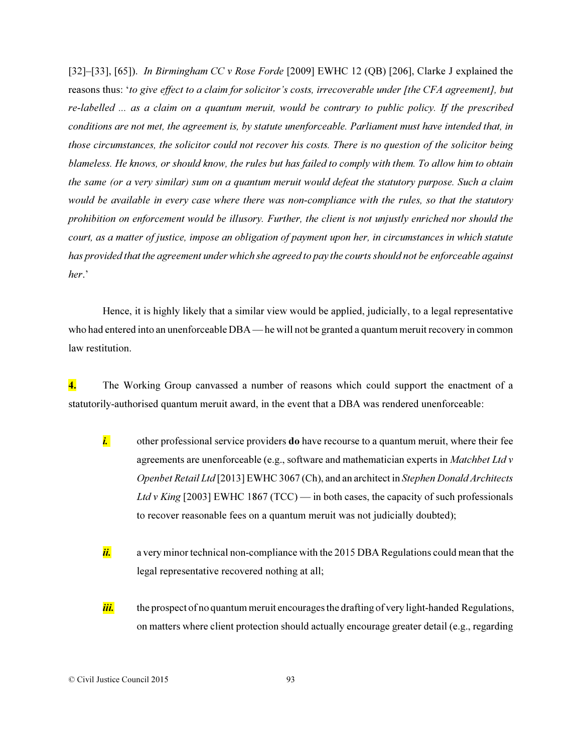[32]–[33], [65]). *In Birmingham CC v Rose Forde* [2009] EWHC 12 (QB) [206], Clarke J explained the reasons thus: '*to give effect to a claim for solicitor's costs, irrecoverable under [the CFA agreement], but re-labelled ... as a claim on a quantum meruit, would be contrary to public policy. If the prescribed conditions are not met, the agreement is, by statute unenforceable. Parliament must have intended that, in those circumstances, the solicitor could not recover his costs. There is no question of the solicitor being blameless. He knows, or should know, the rules but has failed to comply with them. To allow him to obtain the same (or a very similar) sum on a quantum meruit would defeat the statutory purpose. Such a claim would be available in every case where there was non-compliance with the rules, so that the statutory prohibition on enforcement would be illusory. Further, the client is not unjustly enriched nor should the court, as a matter of justice, impose an obligation of payment upon her, in circumstances in which statute has provided that the agreement under which she agreed to pay the courts should not be enforceable against her*.'

Hence, it is highly likely that a similar view would be applied, judicially, to a legal representative who had entered into an unenforceable DBA — he will not be granted a quantum meruit recovery in common law restitution.

4. The Working Group canvassed a number of reasons which could support the enactment of a statutorily-authorised quantum meruit award, in the event that a DBA was rendered unenforceable:

- *i.* other professional service providers **do** have recourse to a quantum meruit, where their fee agreements are unenforceable (e.g., software and mathematician experts in *Matchbet Ltd v Openbet Retail Ltd* [2013] EWHC 3067 (Ch), and an architect in *Stephen Donald Architects* Ltd v King [2003] EWHC 1867 (TCC) — in both cases, the capacity of such professionals to recover reasonable fees on a quantum meruit was not judicially doubted);
- *ii.* a very minor technical non-compliance with the 2015 DBA Regulations could mean that the legal representative recovered nothing at all;
- *iii.* the prospect of no quantum meruit encourages the drafting of very light-handed Regulations, on matters where client protection should actually encourage greater detail (e.g., regarding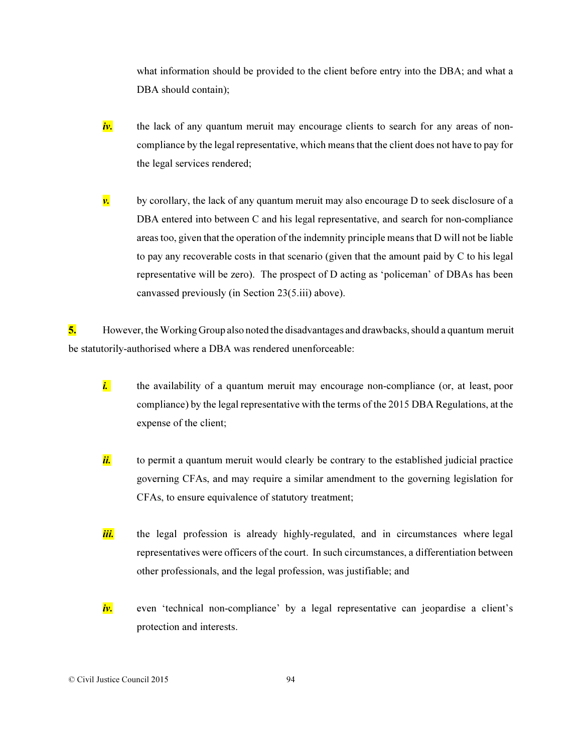what information should be provided to the client before entry into the DBA; and what a DBA should contain);

- *iv.* the lack of any quantum meruit may encourage clients to search for any areas of noncompliance by the legal representative, which means that the client does not have to pay for the legal services rendered;
- $\nu$ , by corollary, the lack of any quantum meruit may also encourage D to seek disclosure of a DBA entered into between C and his legal representative, and search for non-compliance areas too, given that the operation of the indemnity principle means that D will not be liable to pay any recoverable costs in that scenario (given that the amount paid by C to his legal representative will be zero). The prospect of D acting as 'policeman' of DBAs has been canvassed previously (in Section 23(5.iii) above).

5. However, the Working Group also noted the disadvantages and drawbacks, should a quantum meruit be statutorily-authorised where a DBA was rendered unenforceable:

- *i.* the availability of a quantum meruit may encourage non-compliance (or, at least, poor compliance) by the legal representative with the terms of the 2015 DBA Regulations, at the expense of the client;
- *ii.* to permit a quantum meruit would clearly be contrary to the established judicial practice governing CFAs, and may require a similar amendment to the governing legislation for CFAs, to ensure equivalence of statutory treatment;
- *iii.* the legal profession is already highly-regulated, and in circumstances where legal representatives were officers of the court. In such circumstances, a differentiation between other professionals, and the legal profession, was justifiable; and
- *iv.* even 'technical non-compliance' by a legal representative can jeopardise a client's protection and interests.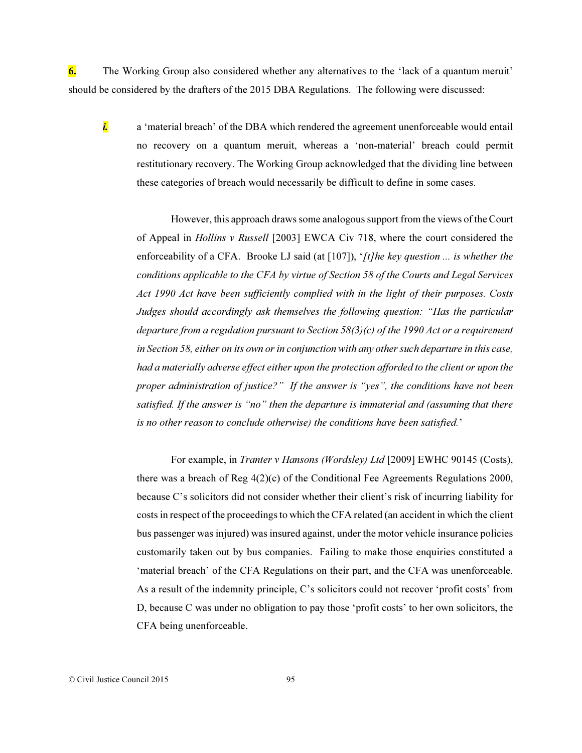6. The Working Group also considered whether any alternatives to the 'lack of a quantum meruit' should be considered by the drafters of the 2015 DBA Regulations. The following were discussed:

*i.* a 'material breach' of the DBA which rendered the agreement unenforceable would entail no recovery on a quantum meruit, whereas a 'non-material' breach could permit restitutionary recovery. The Working Group acknowledged that the dividing line between these categories of breach would necessarily be difficult to define in some cases.

However, this approach draws some analogous support from the views of the Court of Appeal in *Hollins v Russell* [2003] EWCA Civ 718, where the court considered the enforceability of a CFA. Brooke LJ said (at [107]), '*[t]he key question ... is whether the conditions applicable to the CFA by virtue of Section 58 of the Courts and Legal Services Act 1990 Act have been sufficiently complied with in the light of their purposes. Costs Judges should accordingly ask themselves the following question: "Has the particular departure from a regulation pursuant to Section 58(3)(c) of the 1990 Act or a requirement in Section 58, either on its own or in conjunction with any other such departure in this case, had a materially adverse effect either upon the protection afforded to the client or upon the proper administration of justice?" If the answer is "yes", the conditions have not been satisfied. If the answer is "no" then the departure is immaterial and (assuming that there is no other reason to conclude otherwise) the conditions have been satisfied.*'

For example, in *Tranter v Hansons (Wordsley) Ltd* [2009] EWHC 90145 (Costs), there was a breach of Reg 4(2)(c) of the Conditional Fee Agreements Regulations 2000, because C's solicitors did not consider whether their client's risk of incurring liability for costs in respect of the proceedings to which the CFA related (an accident in which the client bus passenger was injured) was insured against, under the motor vehicle insurance policies customarily taken out by bus companies. Failing to make those enquiries constituted a 'material breach' of the CFA Regulations on their part, and the CFA was unenforceable. As a result of the indemnity principle, C's solicitors could not recover 'profit costs' from D, because C was under no obligation to pay those 'profit costs' to her own solicitors, the CFA being unenforceable.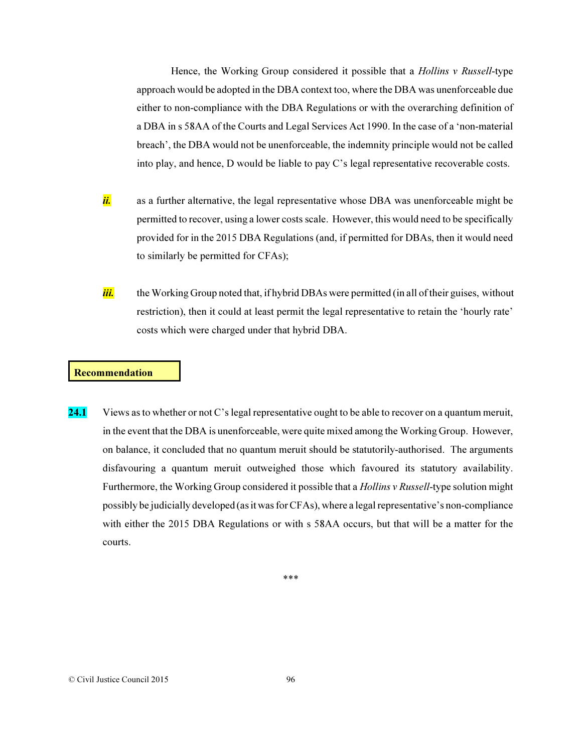Hence, the Working Group considered it possible that a *Hollins v Russell*-type approach would be adopted in the DBA context too, where the DBA was unenforceable due either to non-compliance with the DBA Regulations or with the overarching definition of a DBA in s 58AA of the Courts and Legal Services Act 1990. In the case of a 'non-material breach', the DBA would not be unenforceable, the indemnity principle would not be called into play, and hence, D would be liable to pay C's legal representative recoverable costs.

- ii. as a further alternative, the legal representative whose DBA was unenforceable might be permitted to recover, using a lower costs scale. However, this would need to be specifically provided for in the 2015 DBA Regulations (and, if permitted for DBAs, then it would need to similarly be permitted for CFAs);
- *iii.* the Working Group noted that, if hybrid DBAs were permitted (in all of their guises, without restriction), then it could at least permit the legal representative to retain the 'hourly rate' costs which were charged under that hybrid DBA.

### Recommendation

24.1 Views as to whether or not C's legal representative ought to be able to recover on a quantum meruit, in the event that the DBA is unenforceable, were quite mixed among the Working Group. However, on balance, it concluded that no quantum meruit should be statutorily-authorised. The arguments disfavouring a quantum meruit outweighed those which favoured its statutory availability. Furthermore, the Working Group considered it possible that a *Hollins v Russell*-type solution might possibly be judicially developed (as it was for CFAs), where a legal representative's non-compliance with either the 2015 DBA Regulations or with s 58AA occurs, but that will be a matter for the courts.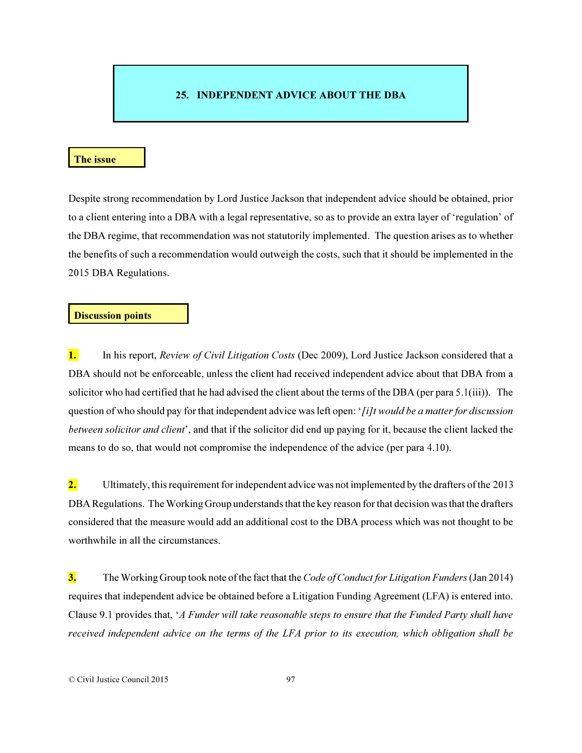# 25. INDEPENDENT ADVICE ABOUT THE DBA

#### The issue

Despite strong recommendation by Lord Justice Jackson that independent advice should be obtained, prior to a client entering into a DBA with a legal representative, so as to provide an extra layer of 'regulation' of the DBA regime, that recommendation was not statutorily implemented. The question arises as to whether the benefits of such a recommendation would outweigh the costs, such that it should be implemented in the 2015 DBA Regulations.

### Discussion points

1. In his report, *Review of Civil Litigation Costs* (Dec 2009), Lord Justice Jackson considered that a DBA should not be enforceable, unless the client had received independent advice about that DBA from a solicitor who had certified that he had advised the client about the terms of the DBA (per para 5.1(iii)). The question of who should pay for that independent advice was left open: '*[i]t would be a matter for discussion between solicitor and client*', and that if the solicitor did end up paying for it, because the client lacked the means to do so, that would not compromise the independence of the advice (per para 4.10).

2. Ultimately, this requirement for independent advice was not implemented by the drafters of the 2013 DBA Regulations. The Working Group understands that the key reason for that decision was that the drafters considered that the measure would add an additional cost to the DBA process which was not thought to be worthwhile in all the circumstances.

3. The Working Group took note of the fact that the *Code of Conduct for Litigation Funders* (Jan 2014) requires that independent advice be obtained before a Litigation Funding Agreement (LFA) is entered into. Clause 9.1 provides that, '*A Funder will take reasonable steps to ensure that the Funded Party shall have received independent advice on the terms of the LFA prior to its execution, which obligation shall be*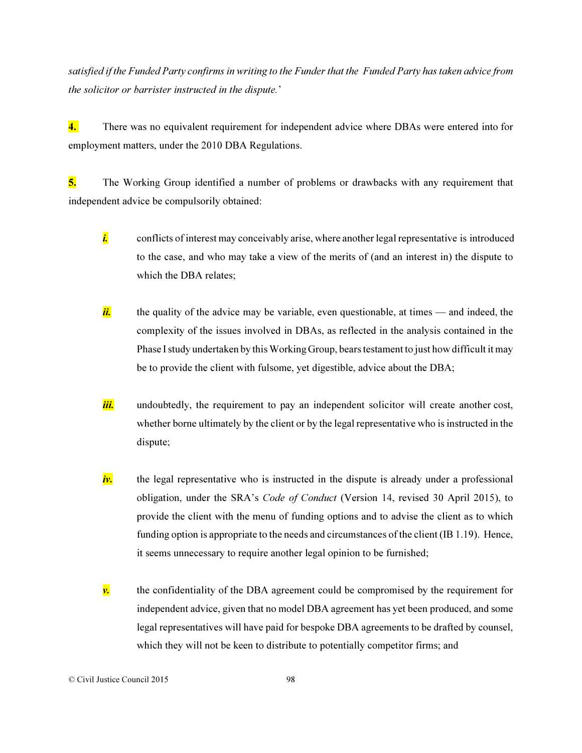*satisfied if the Funded Party confirms in writing to the Funder that the Funded Party has taken advice from the solicitor or barrister instructed in the dispute.*'

4. There was no equivalent requirement for independent advice where DBAs were entered into for employment matters, under the 2010 DBA Regulations.

5. The Working Group identified a number of problems or drawbacks with any requirement that independent advice be compulsorily obtained:

- *i.* conflicts of interest may conceivably arise, where another legal representative is introduced to the case, and who may take a view of the merits of (and an interest in) the dispute to which the DBA relates;
- ii. the quality of the advice may be variable, even questionable, at times and indeed, the complexity of the issues involved in DBAs, as reflected in the analysis contained in the Phase I study undertaken by this Working Group, bears testament to just how difficult it may be to provide the client with fulsome, yet digestible, advice about the DBA;
- *iii.* undoubtedly, the requirement to pay an independent solicitor will create another cost, whether borne ultimately by the client or by the legal representative who is instructed in the dispute;
- *iv.* the legal representative who is instructed in the dispute is already under a professional obligation, under the SRA's *Code of Conduct* (Version 14, revised 30 April 2015), to provide the client with the menu of funding options and to advise the client as to which funding option is appropriate to the needs and circumstances of the client (IB 1.19). Hence, it seems unnecessary to require another legal opinion to be furnished;
- $\nu$ , the confidentiality of the DBA agreement could be compromised by the requirement for independent advice, given that no model DBA agreement has yet been produced, and some legal representatives will have paid for bespoke DBA agreements to be drafted by counsel, which they will not be keen to distribute to potentially competitor firms; and

#### © Civil Justice Council 2015 98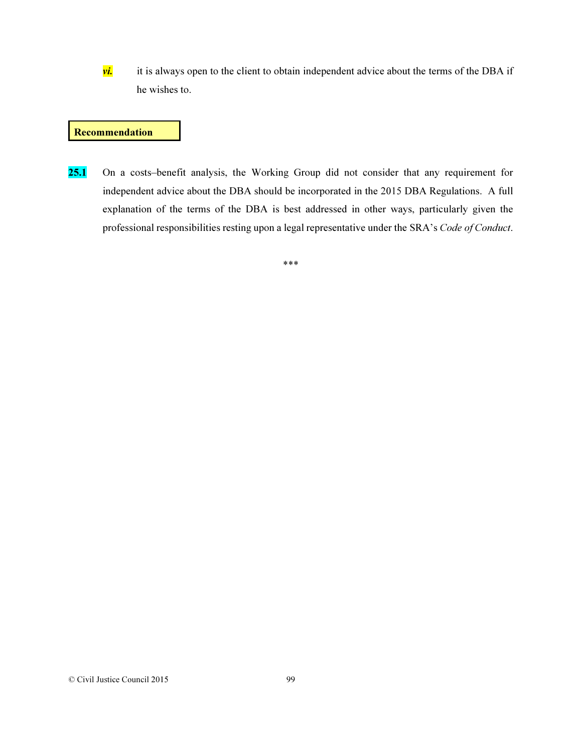*vi.* it is always open to the client to obtain independent advice about the terms of the DBA if he wishes to.

### **Recommendation**

25.1 On a costs–benefit analysis, the Working Group did not consider that any requirement for independent advice about the DBA should be incorporated in the 2015 DBA Regulations. A full explanation of the terms of the DBA is best addressed in other ways, particularly given the professional responsibilities resting upon a legal representative under the SRA's *Code of Conduct*.

\*\*\*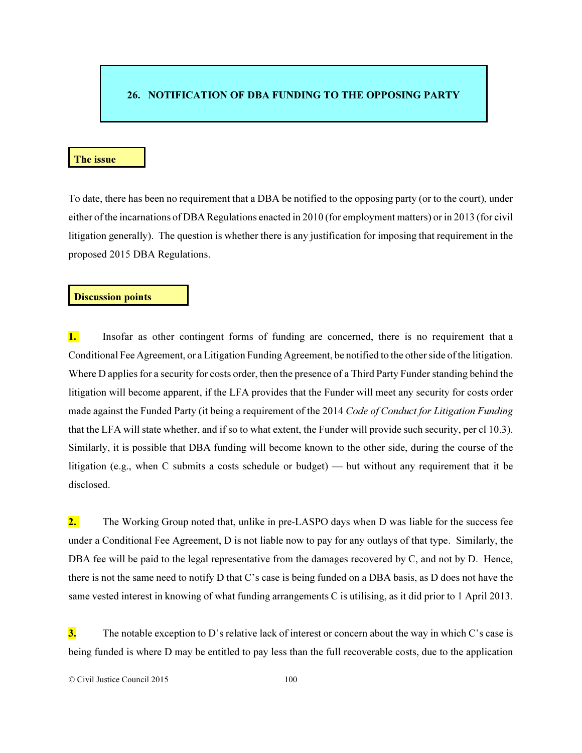## 26. NOTIFICATION OF DBA FUNDING TO THE OPPOSING PARTY

#### The issue

To date, there has been no requirement that a DBA be notified to the opposing party (or to the court), under either of the incarnations of DBA Regulations enacted in 2010 (for employment matters) or in 2013 (for civil litigation generally). The question is whether there is any justification for imposing that requirement in the proposed 2015 DBA Regulations.

## Discussion points

1. Insofar as other contingent forms of funding are concerned, there is no requirement that a Conditional Fee Agreement, or a Litigation Funding Agreement, be notified to the other side of the litigation. Where D applies for a security for costs order, then the presence of a Third Party Funder standing behind the litigation will become apparent, if the LFA provides that the Funder will meet any security for costs order made against the Funded Party (it being a requirement of the 2014 *Code of Conduct for Litigation Funding* that the LFA will state whether, and if so to what extent, the Funder will provide such security, per cl 10.3). Similarly, it is possible that DBA funding will become known to the other side, during the course of the litigation (e.g., when C submits a costs schedule or budget) — but without any requirement that it be disclosed.

2. The Working Group noted that, unlike in pre-LASPO days when D was liable for the success fee under a Conditional Fee Agreement, D is not liable now to pay for any outlays of that type. Similarly, the DBA fee will be paid to the legal representative from the damages recovered by C, and not by D. Hence, there is not the same need to notify D that C's case is being funded on a DBA basis, as D does not have the same vested interest in knowing of what funding arrangements C is utilising, as it did prior to 1 April 2013.

 $3.$  The notable exception to D's relative lack of interest or concern about the way in which C's case is being funded is where D may be entitled to pay less than the full recoverable costs, due to the application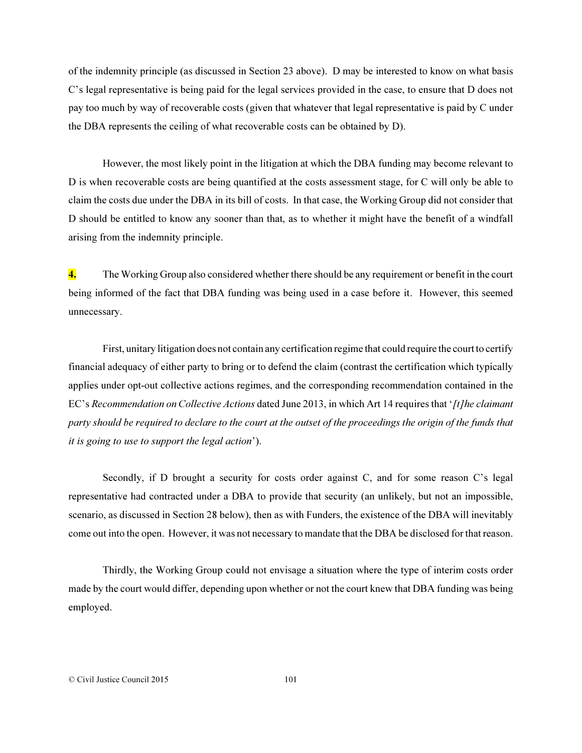of the indemnity principle (as discussed in Section 23 above). D may be interested to know on what basis C's legal representative is being paid for the legal services provided in the case, to ensure that D does not pay too much by way of recoverable costs (given that whatever that legal representative is paid by C under the DBA represents the ceiling of what recoverable costs can be obtained by D).

However, the most likely point in the litigation at which the DBA funding may become relevant to D is when recoverable costs are being quantified at the costs assessment stage, for C will only be able to claim the costs due under the DBA in its bill of costs. In that case, the Working Group did not consider that D should be entitled to know any sooner than that, as to whether it might have the benefit of a windfall arising from the indemnity principle.

4. The Working Group also considered whether there should be any requirement or benefit in the court being informed of the fact that DBA funding was being used in a case before it. However, this seemed unnecessary.

First, unitary litigation does not contain any certification regime that could require the court to certify financial adequacy of either party to bring or to defend the claim (contrast the certification which typically applies under opt-out collective actions regimes, and the corresponding recommendation contained in the EC's *Recommendation on Collective Actions* dated June 2013, in which Art 14 requires that '*[t]he claimant party should be required to declare to the court at the outset of the proceedings the origin of the funds that it is going to use to support the legal action*').

Secondly, if D brought a security for costs order against C, and for some reason C's legal representative had contracted under a DBA to provide that security (an unlikely, but not an impossible, scenario, as discussed in Section 28 below), then as with Funders, the existence of the DBA will inevitably come out into the open. However, it was not necessary to mandate that the DBA be disclosed for that reason.

Thirdly, the Working Group could not envisage a situation where the type of interim costs order made by the court would differ, depending upon whether or not the court knew that DBA funding was being employed.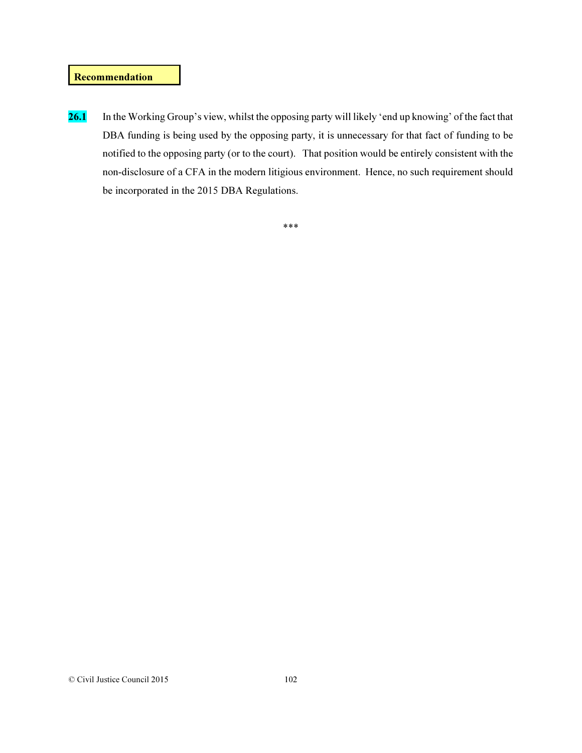### Recommendation

26.1 In the Working Group's view, whilst the opposing party will likely 'end up knowing' of the fact that DBA funding is being used by the opposing party, it is unnecessary for that fact of funding to be notified to the opposing party (or to the court). That position would be entirely consistent with the non-disclosure of a CFA in the modern litigious environment. Hence, no such requirement should be incorporated in the 2015 DBA Regulations.

\*\*\*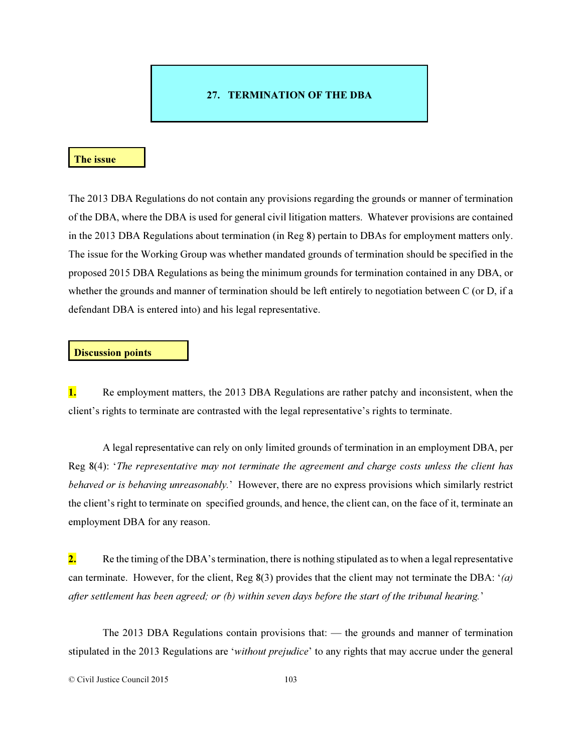## 27. TERMINATION OF THE DBA

#### The issue

The 2013 DBA Regulations do not contain any provisions regarding the grounds or manner of termination of the DBA, where the DBA is used for general civil litigation matters. Whatever provisions are contained in the 2013 DBA Regulations about termination (in Reg 8) pertain to DBAs for employment matters only. The issue for the Working Group was whether mandated grounds of termination should be specified in the proposed 2015 DBA Regulations as being the minimum grounds for termination contained in any DBA, or whether the grounds and manner of termination should be left entirely to negotiation between C (or D, if a defendant DBA is entered into) and his legal representative.

#### Discussion points

1. Re employment matters, the 2013 DBA Regulations are rather patchy and inconsistent, when the client's rights to terminate are contrasted with the legal representative's rights to terminate.

A legal representative can rely on only limited grounds of termination in an employment DBA, per Reg 8(4): '*The representative may not terminate the agreement and charge costs unless the client has behaved or is behaving unreasonably.*' However, there are no express provisions which similarly restrict the client's right to terminate on specified grounds, and hence, the client can, on the face of it, terminate an employment DBA for any reason.

2. Re the timing of the DBA's termination, there is nothing stipulated as to when a legal representative can terminate. However, for the client, Reg 8(3) provides that the client may not terminate the DBA: '*(a) after settlement has been agreed; or (b) within seven days before the start of the tribunal hearing.*'

The 2013 DBA Regulations contain provisions that: — the grounds and manner of termination stipulated in the 2013 Regulations are '*without prejudice*' to any rights that may accrue under the general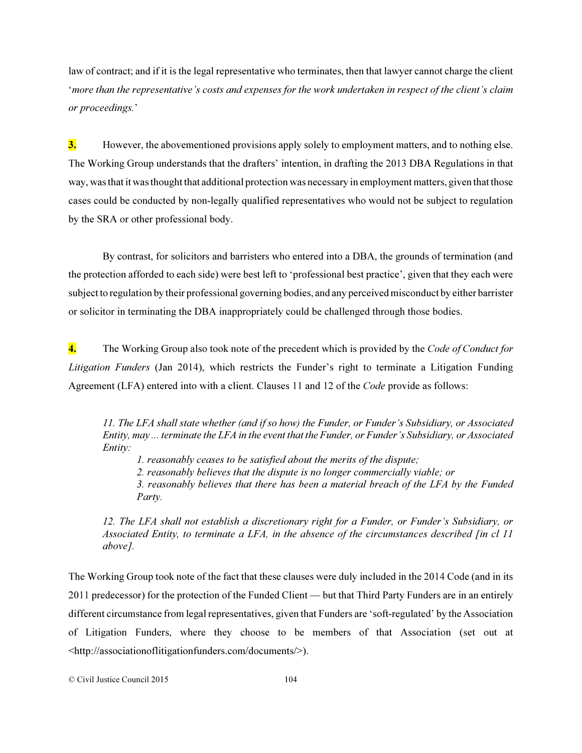law of contract; and if it is the legal representative who terminates, then that lawyer cannot charge the client '*more than the representative's costs and expenses for the work undertaken in respect of the client's claim or proceedings.*'

**3.** However, the abovementioned provisions apply solely to employment matters, and to nothing else. The Working Group understands that the drafters' intention, in drafting the 2013 DBA Regulations in that way, was that it was thought that additional protection was necessary in employment matters, given that those cases could be conducted by non-legally qualified representatives who would not be subject to regulation by the SRA or other professional body.

By contrast, for solicitors and barristers who entered into a DBA, the grounds of termination (and the protection afforded to each side) were best left to 'professional best practice', given that they each were subject to regulation by their professional governing bodies, and any perceived misconduct by either barrister or solicitor in terminating the DBA inappropriately could be challenged through those bodies.

4. The Working Group also took note of the precedent which is provided by the *Code of Conduct for Litigation Funders* (Jan 2014), which restricts the Funder's right to terminate a Litigation Funding Agreement (LFA) entered into with a client. Clauses 11 and 12 of the *Code* provide as follows:

*11. The LFA shall state whether (and if so how) the Funder, or Funder's Subsidiary, or Associated Entity, may ... terminate the LFA in the event that the Funder, or Funder's Subsidiary, or Associated Entity:* 

*1. reasonably ceases to be satisfied about the merits of the dispute;* 

*2. reasonably believes that the dispute is no longer commercially viable; or* 

*3. reasonably believes that there has been a material breach of the LFA by the Funded Party.* 

*12. The LFA shall not establish a discretionary right for a Funder, or Funder's Subsidiary, or Associated Entity, to terminate a LFA, in the absence of the circumstances described [in cl 11 above].* 

The Working Group took note of the fact that these clauses were duly included in the 2014 Code (and in its 2011 predecessor) for the protection of the Funded Client — but that Third Party Funders are in an entirely different circumstance from legal representatives, given that Funders are 'soft-regulated' by the Association of Litigation Funders, where they choose to be members of that Association (set out at <http://associationoflitigationfunders.com/documents/>).

© Civil Justice Council 2015 104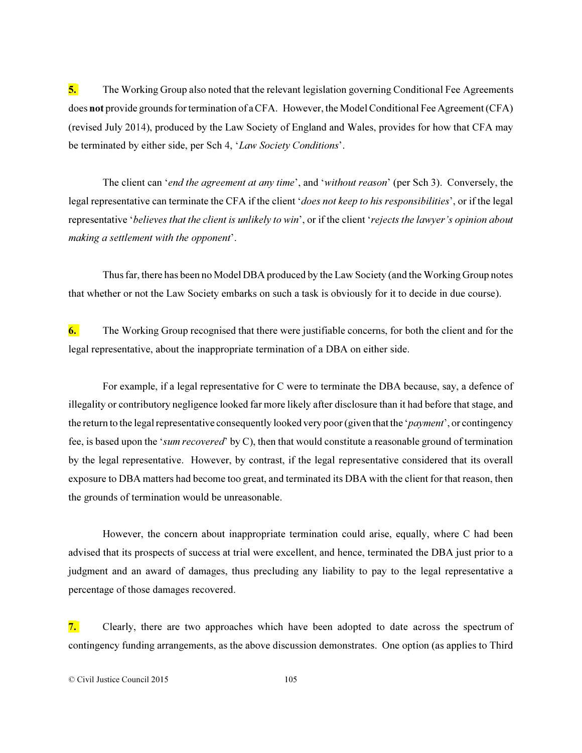5. The Working Group also noted that the relevant legislation governing Conditional Fee Agreements does not provide grounds for termination of a CFA. However, the Model Conditional Fee Agreement (CFA) (revised July 2014), produced by the Law Society of England and Wales, provides for how that CFA may be terminated by either side, per Sch 4, '*Law Society Conditions*'.

The client can '*end the agreement at any time*', and '*without reason*' (per Sch 3). Conversely, the legal representative can terminate the CFA if the client '*does not keep to his responsibilities*', or if the legal representative '*believes that the client is unlikely to win*', or if the client '*rejects the lawyer's opinion about making a settlement with the opponent*'.

Thus far, there has been no Model DBA produced by the Law Society (and the Working Group notes that whether or not the Law Society embarks on such a task is obviously for it to decide in due course).

6. The Working Group recognised that there were justifiable concerns, for both the client and for the legal representative, about the inappropriate termination of a DBA on either side.

For example, if a legal representative for C were to terminate the DBA because, say, a defence of illegality or contributory negligence looked far more likely after disclosure than it had before that stage, and the return to the legal representative consequently looked very poor (given that the '*payment*', or contingency fee, is based upon the '*sum recovered*' by C), then that would constitute a reasonable ground of termination by the legal representative. However, by contrast, if the legal representative considered that its overall exposure to DBA matters had become too great, and terminated its DBA with the client for that reason, then the grounds of termination would be unreasonable.

However, the concern about inappropriate termination could arise, equally, where C had been advised that its prospects of success at trial were excellent, and hence, terminated the DBA just prior to a judgment and an award of damages, thus precluding any liability to pay to the legal representative a percentage of those damages recovered.

7. Clearly, there are two approaches which have been adopted to date across the spectrum of contingency funding arrangements, as the above discussion demonstrates. One option (as applies to Third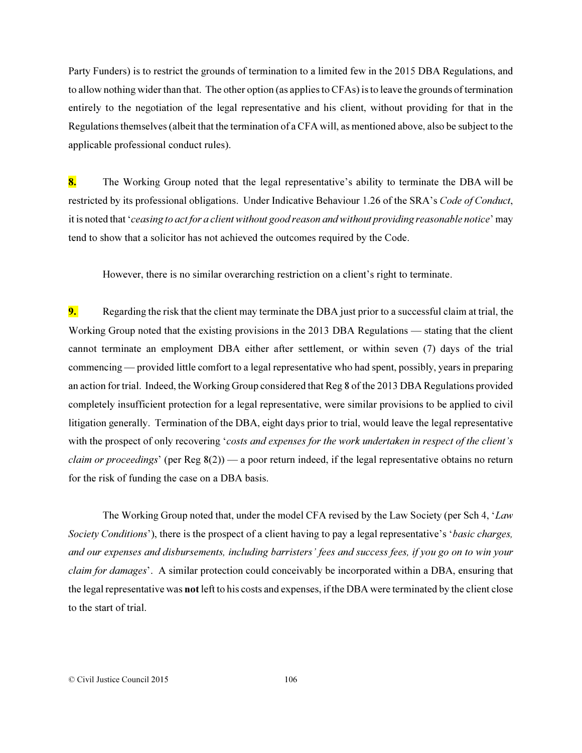Party Funders) is to restrict the grounds of termination to a limited few in the 2015 DBA Regulations, and to allow nothing wider than that. The other option (as applies to CFAs) is to leave the grounds of termination entirely to the negotiation of the legal representative and his client, without providing for that in the Regulations themselves (albeit that the termination of a CFA will, as mentioned above, also be subject to the applicable professional conduct rules).

8. The Working Group noted that the legal representative's ability to terminate the DBA will be restricted by its professional obligations. Under Indicative Behaviour 1.26 of the SRA's *Code of Conduct*, it is noted that '*ceasing to act for a client without good reason and without providing reasonable notice*' may tend to show that a solicitor has not achieved the outcomes required by the Code.

However, there is no similar overarching restriction on a client's right to terminate.

9. Regarding the risk that the client may terminate the DBA just prior to a successful claim at trial, the Working Group noted that the existing provisions in the 2013 DBA Regulations — stating that the client cannot terminate an employment DBA either after settlement, or within seven (7) days of the trial commencing — provided little comfort to a legal representative who had spent, possibly, years in preparing an action for trial. Indeed, the Working Group considered that Reg 8 of the 2013 DBA Regulations provided completely insufficient protection for a legal representative, were similar provisions to be applied to civil litigation generally. Termination of the DBA, eight days prior to trial, would leave the legal representative with the prospect of only recovering '*costs and expenses for the work undertaken in respect of the client's claim or proceedings*' (per Reg 8(2)) — a poor return indeed, if the legal representative obtains no return for the risk of funding the case on a DBA basis.

The Working Group noted that, under the model CFA revised by the Law Society (per Sch 4, '*Law Society Conditions*'), there is the prospect of a client having to pay a legal representative's '*basic charges, and our expenses and disbursements, including barristers' fees and success fees, if you go on to win your claim for damages*'. A similar protection could conceivably be incorporated within a DBA, ensuring that the legal representative was not left to his costs and expenses, if the DBA were terminated by the client close to the start of trial.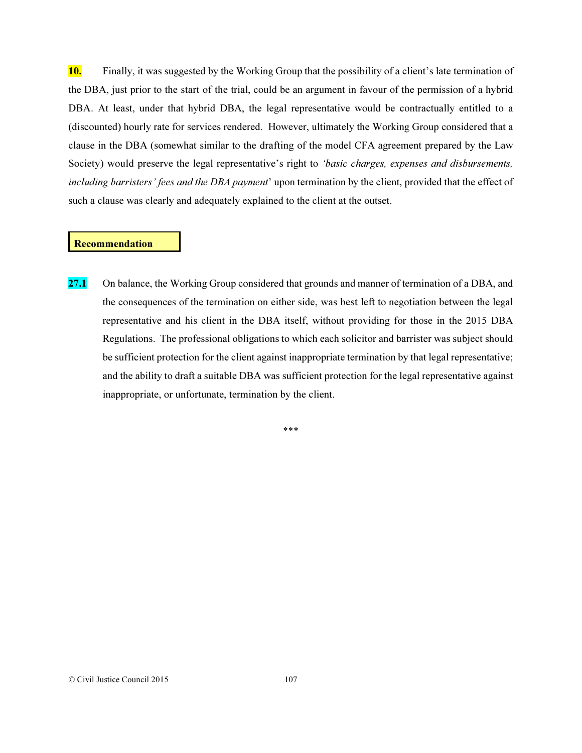10. Finally, it was suggested by the Working Group that the possibility of a client's late termination of the DBA, just prior to the start of the trial, could be an argument in favour of the permission of a hybrid DBA. At least, under that hybrid DBA, the legal representative would be contractually entitled to a (discounted) hourly rate for services rendered. However, ultimately the Working Group considered that a clause in the DBA (somewhat similar to the drafting of the model CFA agreement prepared by the Law Society) would preserve the legal representative's right to *'basic charges, expenses and disbursements, including barristers' fees and the DBA payment*' upon termination by the client, provided that the effect of such a clause was clearly and adequately explained to the client at the outset.

#### Recommendation

27.1 On balance, the Working Group considered that grounds and manner of termination of a DBA, and the consequences of the termination on either side, was best left to negotiation between the legal representative and his client in the DBA itself, without providing for those in the 2015 DBA Regulations. The professional obligations to which each solicitor and barrister was subject should be sufficient protection for the client against inappropriate termination by that legal representative; and the ability to draft a suitable DBA was sufficient protection for the legal representative against inappropriate, or unfortunate, termination by the client.

\*\*\*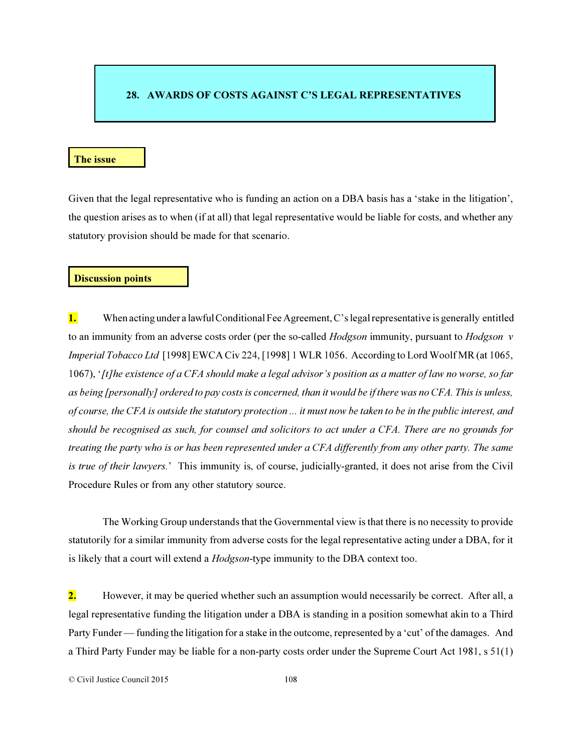## 28. AWARDS OF COSTS AGAINST C'S LEGAL REPRESENTATIVES

#### The issue

Given that the legal representative who is funding an action on a DBA basis has a 'stake in the litigation', the question arises as to when (if at all) that legal representative would be liable for costs, and whether any statutory provision should be made for that scenario.

#### Discussion points

1. When acting under a lawful Conditional Fee Agreement, C's legal representative is generally entitled to an immunity from an adverse costs order (per the so-called *Hodgson* immunity, pursuant to *Hodgson v Imperial Tobacco Ltd* [1998] EWCA Civ 224, [1998] 1 WLR 1056. According to Lord Woolf MR (at 1065, 1067), '*[t]he existence of a CFA should make a legal advisor's position as a matter of law no worse, so far as being [personally] ordered to pay costs is concerned, than it would be if there was no CFA. This is unless, of course, the CFA is outside the statutory protection ... it must now be taken to be in the public interest, and should be recognised as such, for counsel and solicitors to act under a CFA. There are no grounds for treating the party who is or has been represented under a CFA differently from any other party. The same is true of their lawyers.*' This immunity is, of course, judicially-granted, it does not arise from the Civil Procedure Rules or from any other statutory source.

The Working Group understands that the Governmental view is that there is no necessity to provide statutorily for a similar immunity from adverse costs for the legal representative acting under a DBA, for it is likely that a court will extend a *Hodgson*-type immunity to the DBA context too.

2. However, it may be queried whether such an assumption would necessarily be correct. After all, a legal representative funding the litigation under a DBA is standing in a position somewhat akin to a Third Party Funder — funding the litigation for a stake in the outcome, represented by a 'cut' of the damages. And a Third Party Funder may be liable for a non-party costs order under the Supreme Court Act 1981, s 51(1)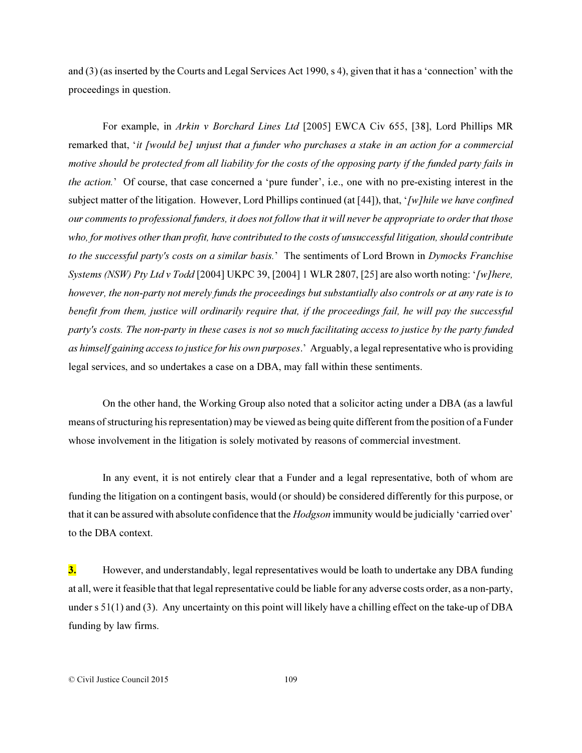and (3) (as inserted by the Courts and Legal Services Act 1990, s 4), given that it has a 'connection' with the proceedings in question.

For example, in *Arkin v Borchard Lines Ltd* [2005] EWCA Civ 655, [38], Lord Phillips MR remarked that, '*it [would be] unjust that a funder who purchases a stake in an action for a commercial motive should be protected from all liability for the costs of the opposing party if the funded party fails in the action.*' Of course, that case concerned a 'pure funder', i.e., one with no pre-existing interest in the subject matter of the litigation. However, Lord Phillips continued (at [44]), that, '*[w]hile we have confined our comments to professional funders, it does not follow that it will never be appropriate to order that those who, for motives other than profit, have contributed to the costs of unsuccessful litigation, should contribute to the successful party's costs on a similar basis.*' The sentiments of Lord Brown in *Dymocks Franchise Systems (NSW) Pty Ltd v Todd* [2004] UKPC 39, [2004] 1 WLR 2807, [25] are also worth noting: '*[w]here, however, the non-party not merely funds the proceedings but substantially also controls or at any rate is to benefit from them, justice will ordinarily require that, if the proceedings fail, he will pay the successful party's costs. The non-party in these cases is not so much facilitating access to justice by the party funded as himself gaining access to justice for his own purposes*.' Arguably, a legal representative who is providing legal services, and so undertakes a case on a DBA, may fall within these sentiments.

On the other hand, the Working Group also noted that a solicitor acting under a DBA (as a lawful means of structuring his representation) may be viewed as being quite different from the position of a Funder whose involvement in the litigation is solely motivated by reasons of commercial investment.

In any event, it is not entirely clear that a Funder and a legal representative, both of whom are funding the litigation on a contingent basis, would (or should) be considered differently for this purpose, or that it can be assured with absolute confidence that the *Hodgson* immunity would be judicially 'carried over' to the DBA context.

3. However, and understandably, legal representatives would be loath to undertake any DBA funding at all, were it feasible that that legal representative could be liable for any adverse costs order, as a non-party, under s 51(1) and (3). Any uncertainty on this point will likely have a chilling effect on the take-up of DBA funding by law firms.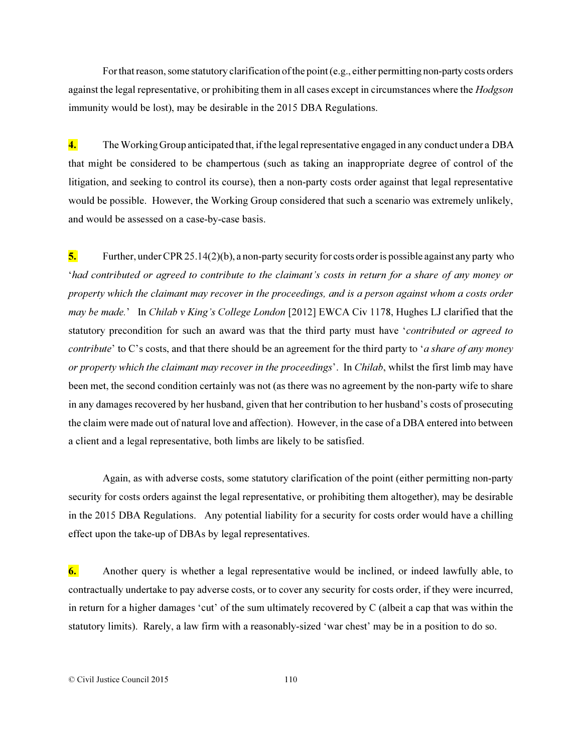For that reason, some statutory clarification of the point (e.g., either permitting non-party costs orders against the legal representative, or prohibiting them in all cases except in circumstances where the *Hodgson* immunity would be lost), may be desirable in the 2015 DBA Regulations.

4. The Working Group anticipated that, if the legal representative engaged in any conduct under a DBA that might be considered to be champertous (such as taking an inappropriate degree of control of the litigation, and seeking to control its course), then a non-party costs order against that legal representative would be possible. However, the Working Group considered that such a scenario was extremely unlikely, and would be assessed on a case-by-case basis.

5. Further, under CPR 25.14(2)(b), a non-party security for costs order is possible against any party who '*had contributed or agreed to contribute to the claimant's costs in return for a share of any money or property which the claimant may recover in the proceedings, and is a person against whom a costs order may be made.*' In *Chilab v King's College London* [2012] EWCA Civ 1178, Hughes LJ clarified that the statutory precondition for such an award was that the third party must have '*contributed or agreed to contribute*' to C's costs, and that there should be an agreement for the third party to '*a share of any money or property which the claimant may recover in the proceedings*'. In *Chilab*, whilst the first limb may have been met, the second condition certainly was not (as there was no agreement by the non-party wife to share in any damages recovered by her husband, given that her contribution to her husband's costs of prosecuting the claim were made out of natural love and affection). However, in the case of a DBA entered into between a client and a legal representative, both limbs are likely to be satisfied.

Again, as with adverse costs, some statutory clarification of the point (either permitting non-party security for costs orders against the legal representative, or prohibiting them altogether), may be desirable in the 2015 DBA Regulations. Any potential liability for a security for costs order would have a chilling effect upon the take-up of DBAs by legal representatives.

6. Another query is whether a legal representative would be inclined, or indeed lawfully able, to contractually undertake to pay adverse costs, or to cover any security for costs order, if they were incurred, in return for a higher damages 'cut' of the sum ultimately recovered by C (albeit a cap that was within the statutory limits). Rarely, a law firm with a reasonably-sized 'war chest' may be in a position to do so.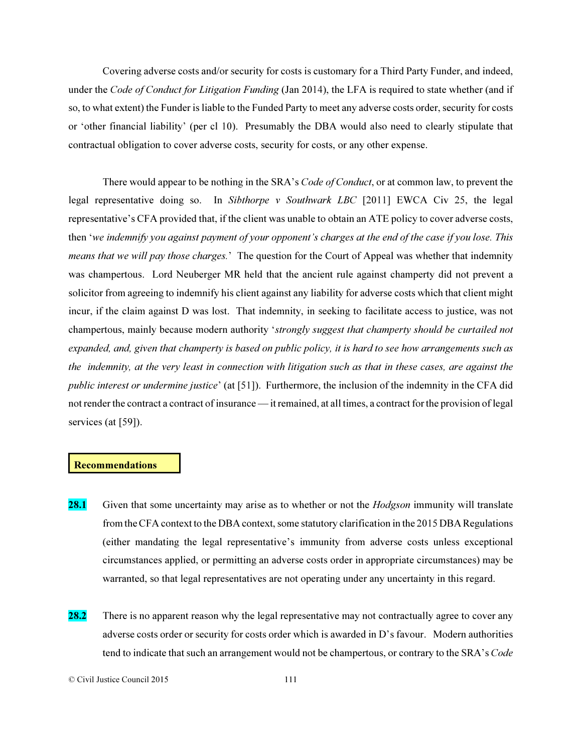Covering adverse costs and/or security for costs is customary for a Third Party Funder, and indeed, under the *Code of Conduct for Litigation Funding* (Jan 2014), the LFA is required to state whether (and if so, to what extent) the Funder is liable to the Funded Party to meet any adverse costs order, security for costs or 'other financial liability' (per cl 10). Presumably the DBA would also need to clearly stipulate that contractual obligation to cover adverse costs, security for costs, or any other expense.

There would appear to be nothing in the SRA's *Code of Conduct*, or at common law, to prevent the legal representative doing so. In *Sibthorpe v Southwark LBC* [2011] EWCA Civ 25, the legal representative's CFA provided that, if the client was unable to obtain an ATE policy to cover adverse costs, then '*we indemnify you against payment of your opponent's charges at the end of the case if you lose. This means that we will pay those charges.*' The question for the Court of Appeal was whether that indemnity was champertous. Lord Neuberger MR held that the ancient rule against champerty did not prevent a solicitor from agreeing to indemnify his client against any liability for adverse costs which that client might incur, if the claim against D was lost. That indemnity, in seeking to facilitate access to justice, was not champertous, mainly because modern authority '*strongly suggest that champerty should be curtailed not expanded, and, given that champerty is based on public policy, it is hard to see how arrangements such as the indemnity, at the very least in connection with litigation such as that in these cases, are against the public interest or undermine justice*' (at [51]). Furthermore, the inclusion of the indemnity in the CFA did not render the contract a contract of insurance — it remained, at all times, a contract for the provision of legal services (at [59]).

### **Recommendations**

- 28.1 Given that some uncertainty may arise as to whether or not the *Hodgson* immunity will translate from the CFA context to the DBA context, some statutory clarification in the 2015 DBA Regulations (either mandating the legal representative's immunity from adverse costs unless exceptional circumstances applied, or permitting an adverse costs order in appropriate circumstances) may be warranted, so that legal representatives are not operating under any uncertainty in this regard.
- 28.2 There is no apparent reason why the legal representative may not contractually agree to cover any adverse costs order or security for costs order which is awarded in D's favour. Modern authorities tend to indicate that such an arrangement would not be champertous, or contrary to the SRA's *Code*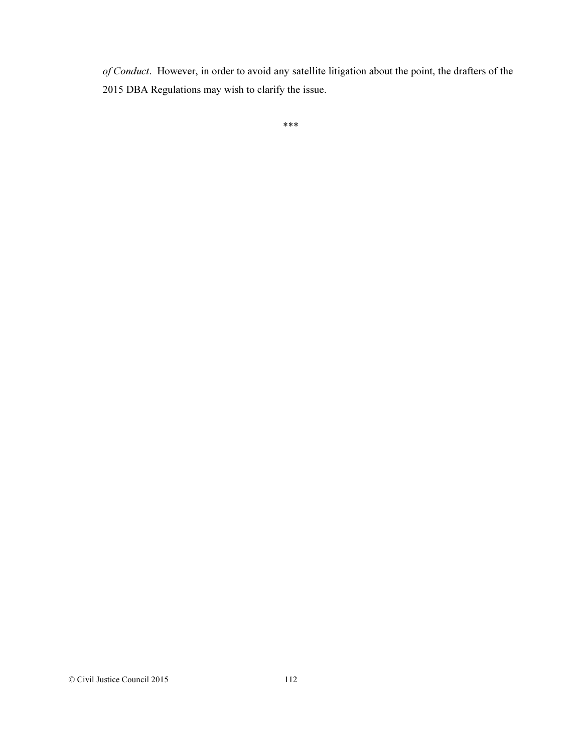*of Conduct*. However, in order to avoid any satellite litigation about the point, the drafters of the 2015 DBA Regulations may wish to clarify the issue.

```
***
```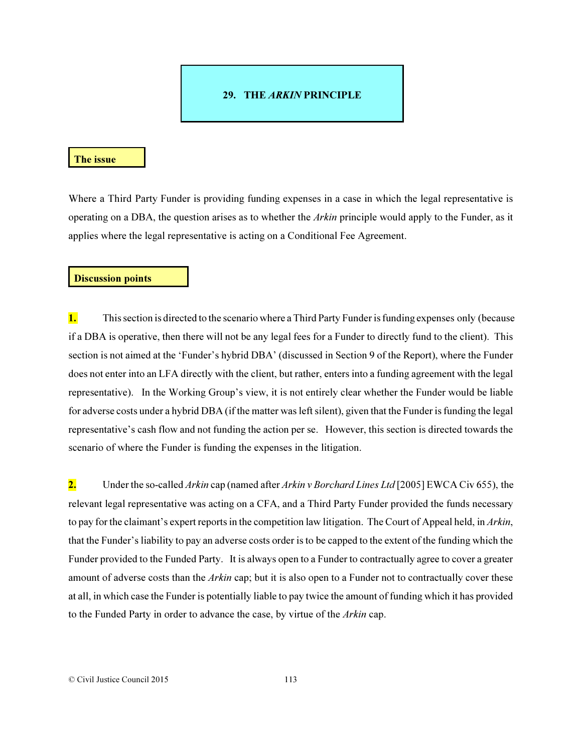## 29. THE *ARKIN* PRINCIPLE

#### The issue

Where a Third Party Funder is providing funding expenses in a case in which the legal representative is operating on a DBA, the question arises as to whether the *Arkin* principle would apply to the Funder, as it applies where the legal representative is acting on a Conditional Fee Agreement.

#### Discussion points

1. This section is directed to the scenario where a Third Party Funder is funding expenses only (because if a DBA is operative, then there will not be any legal fees for a Funder to directly fund to the client). This section is not aimed at the 'Funder's hybrid DBA' (discussed in Section 9 of the Report), where the Funder does not enter into an LFA directly with the client, but rather, enters into a funding agreement with the legal representative). In the Working Group's view, it is not entirely clear whether the Funder would be liable for adverse costs under a hybrid DBA (if the matter was left silent), given that the Funder is funding the legal representative's cash flow and not funding the action per se. However, this section is directed towards the scenario of where the Funder is funding the expenses in the litigation.

2. Under the so-called *Arkin* cap (named after *Arkin v Borchard Lines Ltd* [2005] EWCA Civ 655), the relevant legal representative was acting on a CFA, and a Third Party Funder provided the funds necessary to pay for the claimant's expert reports in the competition law litigation. The Court of Appeal held, in *Arkin*, that the Funder's liability to pay an adverse costs order is to be capped to the extent of the funding which the Funder provided to the Funded Party. It is always open to a Funder to contractually agree to cover a greater amount of adverse costs than the *Arkin* cap; but it is also open to a Funder not to contractually cover these at all, in which case the Funder is potentially liable to pay twice the amount of funding which it has provided to the Funded Party in order to advance the case, by virtue of the *Arkin* cap.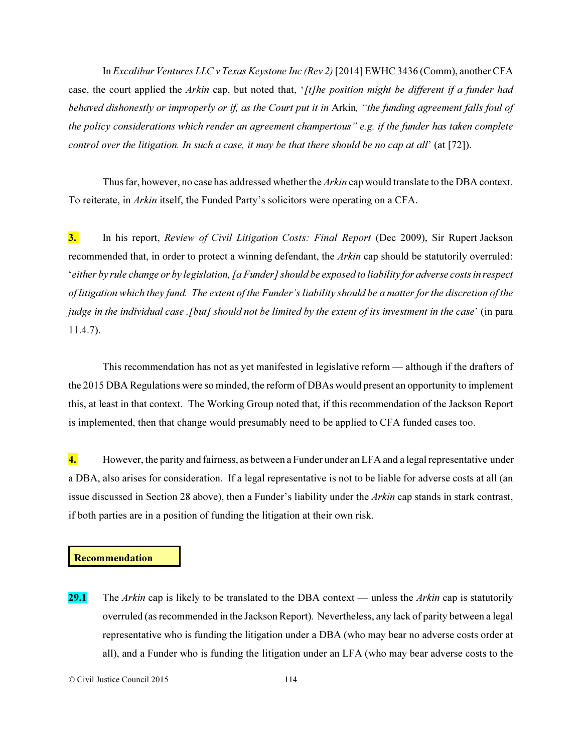In *Excalibur Ventures LLC v Texas Keystone Inc (Rev 2)* [2014] EWHC 3436 (Comm), another CFA case, the court applied the *Arkin* cap, but noted that, '*[t]he position might be different if a funder had behaved dishonestly or improperly or if, as the Court put it in* Arkin*, "the funding agreement falls foul of the policy considerations which render an agreement champertous" e.g. if the funder has taken complete control over the litigation. In such a case, it may be that there should be no cap at all*' (at [72]).

Thus far, however, no case has addressed whether the *Arkin* cap would translate to the DBA context. To reiterate, in *Arkin* itself, the Funded Party's solicitors were operating on a CFA.

3. In his report, *Review of Civil Litigation Costs: Final Report* (Dec 2009), Sir Rupert Jackson recommended that, in order to protect a winning defendant, the *Arkin* cap should be statutorily overruled: '*either by rule change or by legislation, [a Funder] should be exposed to liability for adverse costs in respect of litigation which they fund. The extent of the Funder's liability should be a matter for the discretion of the judge in the individual case ,[but] should not be limited by the extent of its investment in the case*' (in para 11.4.7).

This recommendation has not as yet manifested in legislative reform — although if the drafters of the 2015 DBA Regulations were so minded, the reform of DBAs would present an opportunity to implement this, at least in that context. The Working Group noted that, if this recommendation of the Jackson Report is implemented, then that change would presumably need to be applied to CFA funded cases too.

4. However, the parity and fairness, as between a Funder under an LFA and a legal representative under a DBA, also arises for consideration. If a legal representative is not to be liable for adverse costs at all (an issue discussed in Section 28 above), then a Funder's liability under the *Arkin* cap stands in stark contrast, if both parties are in a position of funding the litigation at their own risk.

#### Recommendation

29.1 The *Arkin* cap is likely to be translated to the DBA context — unless the *Arkin* cap is statutorily overruled (as recommended in the Jackson Report). Nevertheless, any lack of parity between a legal representative who is funding the litigation under a DBA (who may bear no adverse costs order at all), and a Funder who is funding the litigation under an LFA (who may bear adverse costs to the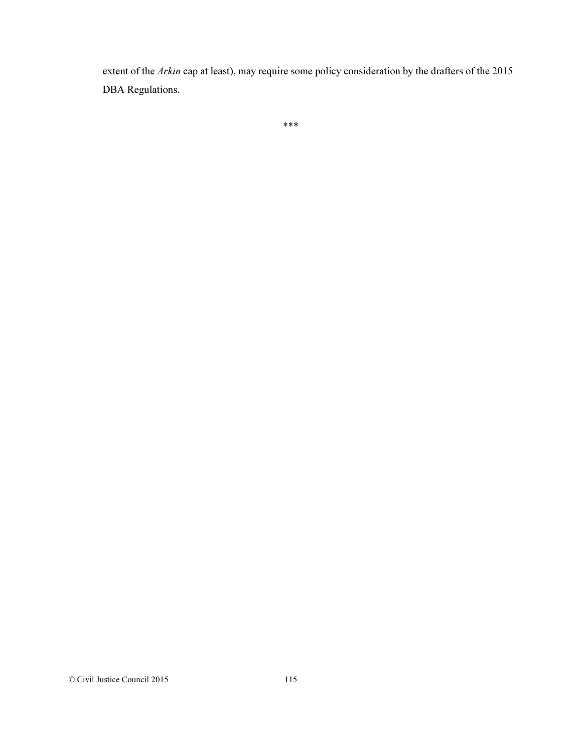extent of the *Arkin* cap at least), may require some policy consideration by the drafters of the 2015 DBA Regulations.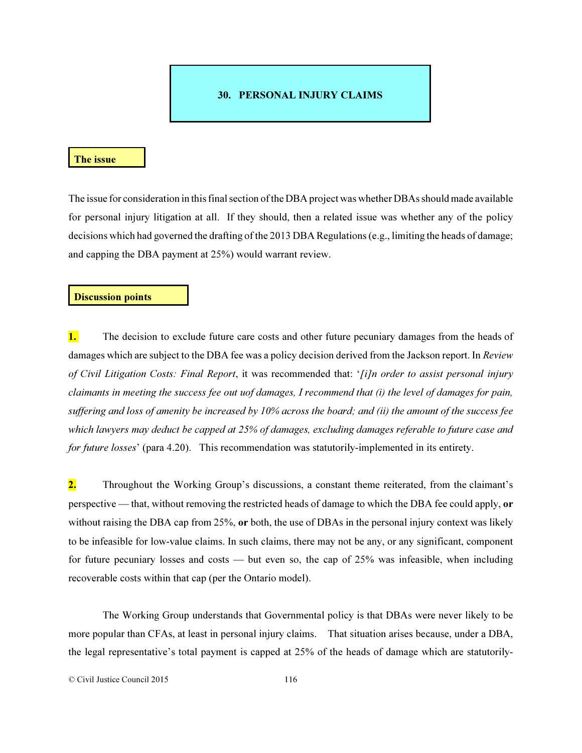## 30. PERSONAL INJURY CLAIMS

#### The issue

The issue for consideration in this final section of the DBA project was whether DBAs should made available for personal injury litigation at all. If they should, then a related issue was whether any of the policy decisions which had governed the drafting of the 2013 DBA Regulations (e.g., limiting the heads of damage; and capping the DBA payment at 25%) would warrant review.

## Discussion points

**1.** The decision to exclude future care costs and other future pecuniary damages from the heads of damages which are subject to the DBA fee was a policy decision derived from the Jackson report. In *Review of Civil Litigation Costs: Final Report*, it was recommended that: '*[i]n order to assist personal injury claimants in meeting the success fee out uof damages, I recommend that (i) the level of damages for pain, suffering and loss of amenity be increased by 10% across the board; and (ii) the amount of the success fee which lawyers may deduct be capped at 25% of damages, excluding damages referable to future case and for future losses*' (para 4.20). This recommendation was statutorily-implemented in its entirety.

2. Throughout the Working Group's discussions, a constant theme reiterated, from the claimant's perspective — that, without removing the restricted heads of damage to which the DBA fee could apply, or without raising the DBA cap from 25%, or both, the use of DBAs in the personal injury context was likely to be infeasible for low-value claims. In such claims, there may not be any, or any significant, component for future pecuniary losses and costs — but even so, the cap of 25% was infeasible, when including recoverable costs within that cap (per the Ontario model).

The Working Group understands that Governmental policy is that DBAs were never likely to be more popular than CFAs, at least in personal injury claims. That situation arises because, under a DBA, the legal representative's total payment is capped at 25% of the heads of damage which are statutorily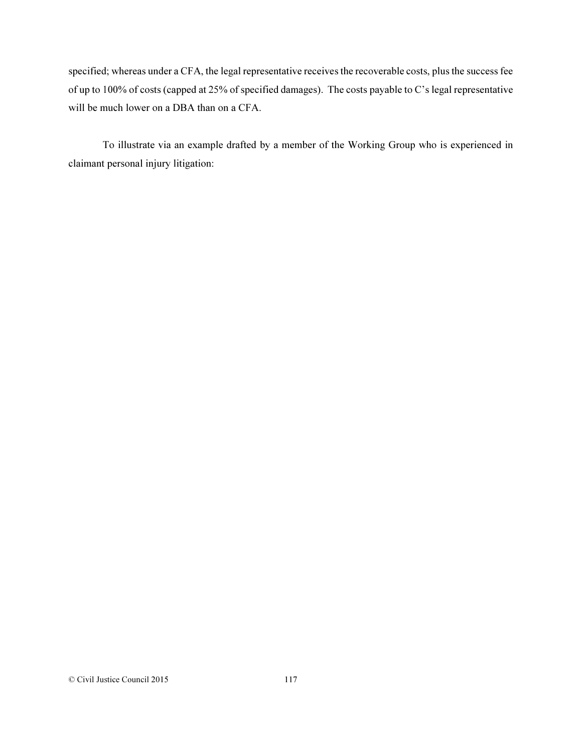specified; whereas under a CFA, the legal representative receives the recoverable costs, plus the success fee of up to 100% of costs (capped at 25% of specified damages). The costs payable to C's legal representative will be much lower on a DBA than on a CFA.

To illustrate via an example drafted by a member of the Working Group who is experienced in claimant personal injury litigation: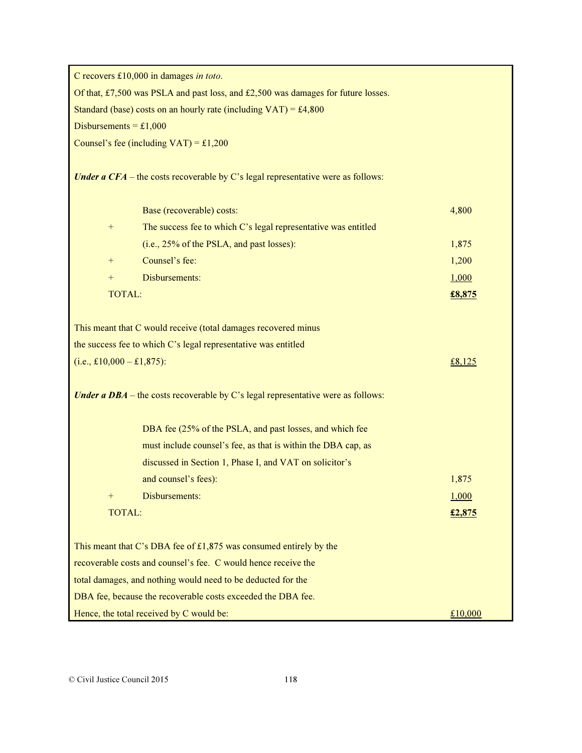C recovers £10,000 in damages in toto.

Of that, £7,500 was PSLA and past loss, and £2,500 was damages for future losses.

Standard (base) costs on an hourly rate (including  $VAT$ ) = £4,800

Disbursements =  $£1,000$ 

Counsel's fee (including  $VAT$ ) = £1,200

Under a  $CFA$  – the costs recoverable by C's legal representative were as follows:

|               | Base (recoverable) costs:                                      | 4,800  |
|---------------|----------------------------------------------------------------|--------|
| $+$           | The success fee to which C's legal representative was entitled |        |
|               | (i.e., 25% of the PSLA, and past losses):                      | 1,875  |
| $+$           | Counsel's fee:                                                 | 1,200  |
|               | Disbursements:                                                 | 1,000  |
| <b>TOTAL:</b> |                                                                | £8,875 |
|               |                                                                |        |

This meant that C would receive (total damages recovered minus

the success fee to which C's legal representative was entitled

| $(i.e., £10,000 - £1,875)$ : | £8,125 |
|------------------------------|--------|
|                              |        |

Under a  $DBA$  – the costs recoverable by C's legal representative were as follows:

|                                                     | DBA fee (25% of the PSLA, and past losses, and which fee<br>must include counsel's fee, as that is within the DBA cap, as |        |  |  |
|-----------------------------------------------------|---------------------------------------------------------------------------------------------------------------------------|--------|--|--|
|                                                     | discussed in Section 1, Phase I, and VAT on solicitor's                                                                   |        |  |  |
|                                                     | and counsel's fees):                                                                                                      | 1,875  |  |  |
| $+$                                                 | Disbursements:                                                                                                            | 1,000  |  |  |
| <b>TOTAL:</b>                                       |                                                                                                                           | £2,875 |  |  |
|                                                     |                                                                                                                           |        |  |  |
|                                                     | This meant that C's DBA fee of $£1,875$ was consumed entirely by the                                                      |        |  |  |
|                                                     | recoverable costs and counsel's fee. C would hence receive the                                                            |        |  |  |
|                                                     | total damages, and nothing would need to be deducted for the                                                              |        |  |  |
|                                                     | DBA fee, because the recoverable costs exceeded the DBA fee.                                                              |        |  |  |
| Hence, the total received by C would be:<br>£10,000 |                                                                                                                           |        |  |  |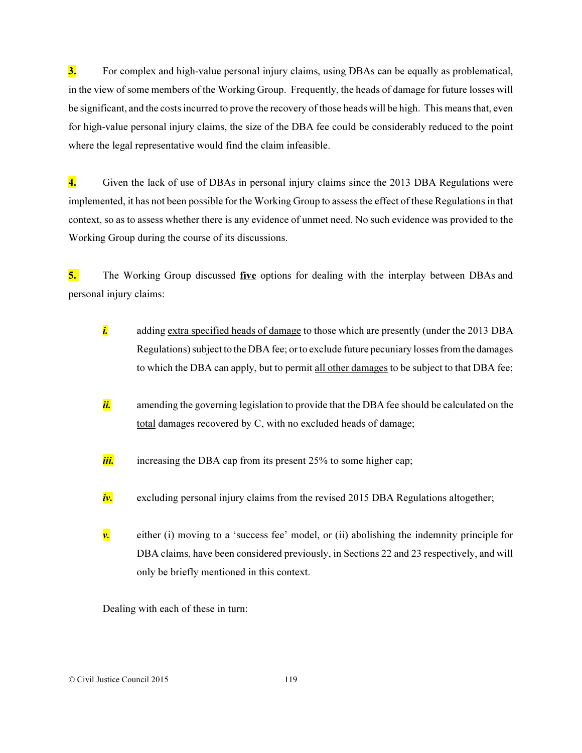3. For complex and high-value personal injury claims, using DBAs can be equally as problematical, in the view of some members of the Working Group. Frequently, the heads of damage for future losses will be significant, and the costs incurred to prove the recovery of those heads will be high. This means that, even for high-value personal injury claims, the size of the DBA fee could be considerably reduced to the point where the legal representative would find the claim infeasible.

4. Given the lack of use of DBAs in personal injury claims since the 2013 DBA Regulations were implemented, it has not been possible for the Working Group to assess the effect of these Regulations in that context, so as to assess whether there is any evidence of unmet need. No such evidence was provided to the Working Group during the course of its discussions.

5. The Working Group discussed five options for dealing with the interplay between DBAs and personal injury claims:

- *i.* adding extra specified heads of damage to those which are presently (under the 2013 DBA Regulations) subject to the DBA fee; or to exclude future pecuniary losses from the damages to which the DBA can apply, but to permit all other damages to be subject to that DBA fee;
- i. amending the governing legislation to provide that the DBA fee should be calculated on the total damages recovered by C, with no excluded heads of damage;
- *iii.* increasing the DBA cap from its present 25% to some higher cap;
- *iv.* excluding personal injury claims from the revised 2015 DBA Regulations altogether;
- $\nu$  either (i) moving to a 'success fee' model, or (ii) abolishing the indemnity principle for DBA claims, have been considered previously, in Sections 22 and 23 respectively, and will only be briefly mentioned in this context.

Dealing with each of these in turn: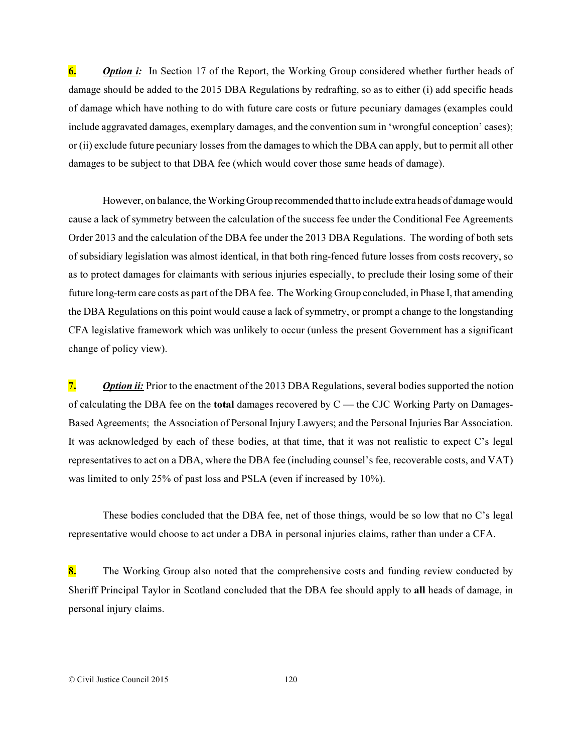**6. Option i:** In Section 17 of the Report, the Working Group considered whether further heads of damage should be added to the 2015 DBA Regulations by redrafting, so as to either (i) add specific heads of damage which have nothing to do with future care costs or future pecuniary damages (examples could include aggravated damages, exemplary damages, and the convention sum in 'wrongful conception' cases); or (ii) exclude future pecuniary losses from the damages to which the DBA can apply, but to permit all other damages to be subject to that DBA fee (which would cover those same heads of damage).

However, on balance, the Working Group recommended that to include extra heads of damage would cause a lack of symmetry between the calculation of the success fee under the Conditional Fee Agreements Order 2013 and the calculation of the DBA fee under the 2013 DBA Regulations. The wording of both sets of subsidiary legislation was almost identical, in that both ring-fenced future losses from costs recovery, so as to protect damages for claimants with serious injuries especially, to preclude their losing some of their future long-term care costs as part of the DBA fee. The Working Group concluded, in Phase I, that amending the DBA Regulations on this point would cause a lack of symmetry, or prompt a change to the longstanding CFA legislative framework which was unlikely to occur (unless the present Government has a significant change of policy view).

**7.** *Option ii:* Prior to the enactment of the 2013 DBA Regulations, several bodies supported the notion of calculating the DBA fee on the **total** damages recovered by  $C$  — the CJC Working Party on Damages-Based Agreements; the Association of Personal Injury Lawyers; and the Personal Injuries Bar Association. It was acknowledged by each of these bodies, at that time, that it was not realistic to expect C's legal representatives to act on a DBA, where the DBA fee (including counsel's fee, recoverable costs, and VAT) was limited to only 25% of past loss and PSLA (even if increased by 10%).

These bodies concluded that the DBA fee, net of those things, would be so low that no C's legal representative would choose to act under a DBA in personal injuries claims, rather than under a CFA.

8. The Working Group also noted that the comprehensive costs and funding review conducted by Sheriff Principal Taylor in Scotland concluded that the DBA fee should apply to all heads of damage, in personal injury claims.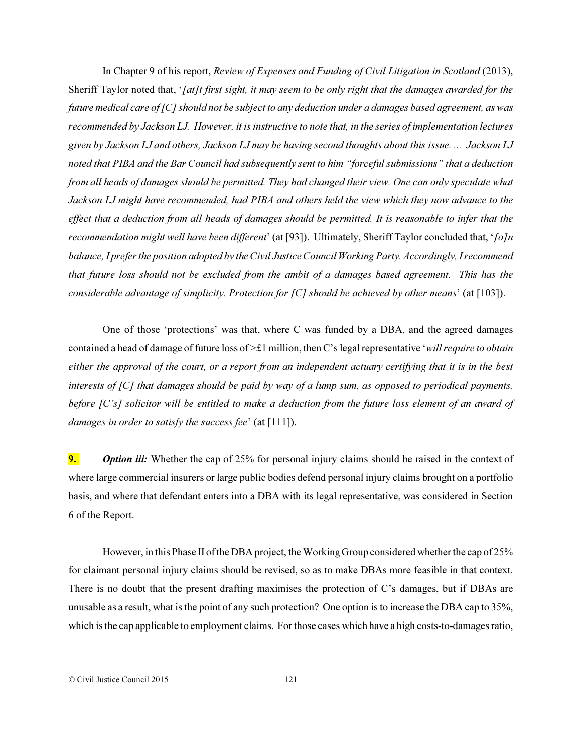In Chapter 9 of his report, *Review of Expenses and Funding of Civil Litigation in Scotland* (2013), Sheriff Taylor noted that, '*[at]t first sight, it may seem to be only right that the damages awarded for the future medical care of [C] should not be subject to any deduction under a damages based agreement, as was recommended by Jackson LJ. However, it is instructive to note that, in the series of implementation lectures given by Jackson LJ and others, Jackson LJ may be having second thoughts about this issue. ... Jackson LJ noted that PIBA and the Bar Council had subsequently sent to him "forceful submissions" that a deduction from all heads of damages should be permitted. They had changed their view. One can only speculate what Jackson LJ might have recommended, had PIBA and others held the view which they now advance to the effect that a deduction from all heads of damages should be permitted. It is reasonable to infer that the recommendation might well have been different*' (at [93]). Ultimately, Sheriff Taylor concluded that, '*[o]n balance, I prefer the position adopted by the Civil Justice Council Working Party. Accordingly, I recommend that future loss should not be excluded from the ambit of a damages based agreement. This has the considerable advantage of simplicity. Protection for [C] should be achieved by other means*' (at [103]).

One of those 'protections' was that, where C was funded by a DBA, and the agreed damages contained a head of damage of future loss of >£1 million, then C's legal representative '*will require to obtain either the approval of the court, or a report from an independent actuary certifying that it is in the best interests of [C] that damages should be paid by way of a lump sum, as opposed to periodical payments, before [C's] solicitor will be entitled to make a deduction from the future loss element of an award of damages in order to satisfy the success fee*' (at [111]).

**9.** *Option iii:* Whether the cap of 25% for personal injury claims should be raised in the context of where large commercial insurers or large public bodies defend personal injury claims brought on a portfolio basis, and where that defendant enters into a DBA with its legal representative, was considered in Section 6 of the Report.

However, in this Phase II of the DBA project, the Working Group considered whether the cap of 25% for claimant personal injury claims should be revised, so as to make DBAs more feasible in that context. There is no doubt that the present drafting maximises the protection of C's damages, but if DBAs are unusable as a result, what is the point of any such protection? One option is to increase the DBA cap to 35%, which is the cap applicable to employment claims. For those cases which have a high costs-to-damages ratio,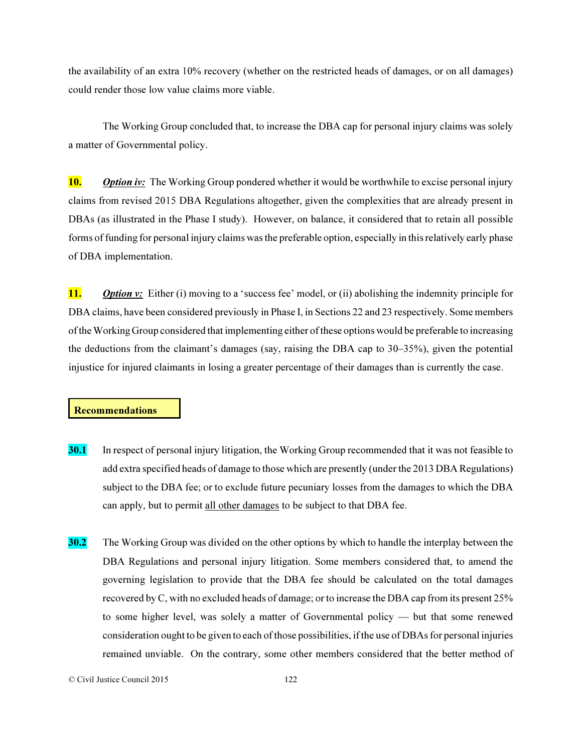the availability of an extra 10% recovery (whether on the restricted heads of damages, or on all damages) could render those low value claims more viable.

The Working Group concluded that, to increase the DBA cap for personal injury claims was solely a matter of Governmental policy.

**10.** *Option iv:* The Working Group pondered whether it would be worthwhile to excise personal injury claims from revised 2015 DBA Regulations altogether, given the complexities that are already present in DBAs (as illustrated in the Phase I study). However, on balance, it considered that to retain all possible forms of funding for personal injury claims was the preferable option, especially in this relatively early phase of DBA implementation.

11. *Option v:* Either (i) moving to a 'success fee' model, or (ii) abolishing the indemnity principle for DBA claims, have been considered previously in Phase I, in Sections 22 and 23 respectively. Some members of the Working Group considered that implementing either of these options would be preferable to increasing the deductions from the claimant's damages (say, raising the DBA cap to 30–35%), given the potential injustice for injured claimants in losing a greater percentage of their damages than is currently the case.

### Recommendations

- 30.1 In respect of personal injury litigation, the Working Group recommended that it was not feasible to add extra specified heads of damage to those which are presently (under the 2013 DBA Regulations) subject to the DBA fee; or to exclude future pecuniary losses from the damages to which the DBA can apply, but to permit all other damages to be subject to that DBA fee.
- 30.2 The Working Group was divided on the other options by which to handle the interplay between the DBA Regulations and personal injury litigation. Some members considered that, to amend the governing legislation to provide that the DBA fee should be calculated on the total damages recovered by C, with no excluded heads of damage; or to increase the DBA cap from its present 25% to some higher level, was solely a matter of Governmental policy — but that some renewed consideration ought to be given to each of those possibilities, if the use of DBAs for personal injuries remained unviable. On the contrary, some other members considered that the better method of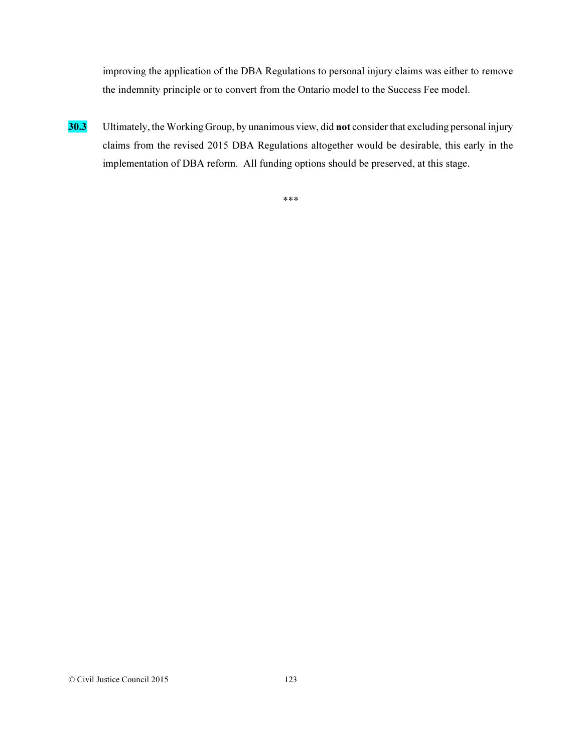improving the application of the DBA Regulations to personal injury claims was either to remove the indemnity principle or to convert from the Ontario model to the Success Fee model.

30.3 Ultimately, the Working Group, by unanimous view, did not consider that excluding personal injury claims from the revised 2015 DBA Regulations altogether would be desirable, this early in the implementation of DBA reform. All funding options should be preserved, at this stage.

\*\*\*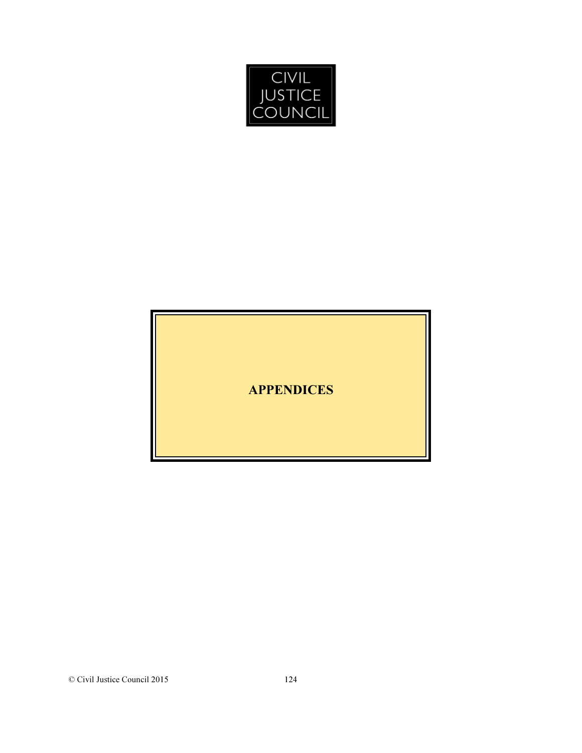

APPENDICES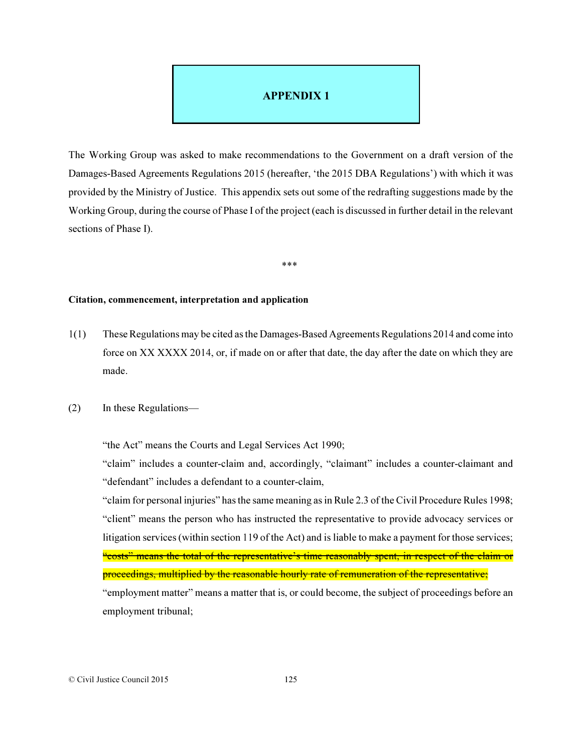## APPENDIX 1

The Working Group was asked to make recommendations to the Government on a draft version of the Damages-Based Agreements Regulations 2015 (hereafter, 'the 2015 DBA Regulations') with which it was provided by the Ministry of Justice. This appendix sets out some of the redrafting suggestions made by the Working Group, during the course of Phase I of the project (each is discussed in further detail in the relevant sections of Phase I).

\*\*\*

## Citation, commencement, interpretation and application

- 1(1) These Regulations may be cited as the Damages-Based Agreements Regulations 2014 and come into force on XX XXXX 2014, or, if made on or after that date, the day after the date on which they are made.
- (2) In these Regulations—

"the Act" means the Courts and Legal Services Act 1990;

"claim" includes a counter-claim and, accordingly, "claimant" includes a counter-claimant and "defendant" includes a defendant to a counter-claim,

"claim for personal injuries" has the same meaning as in Rule 2.3 of the Civil Procedure Rules 1998; "client" means the person who has instructed the representative to provide advocacy services or litigation services (within section 119 of the Act) and is liable to make a payment for those services; "costs" means the total of the representative's time reasonably spent, in respect of the claim or proceedings, multiplied by the reasonable hourly rate of remuneration of the representative; "employment matter" means a matter that is, or could become, the subject of proceedings before an employment tribunal;

© Civil Justice Council 2015 125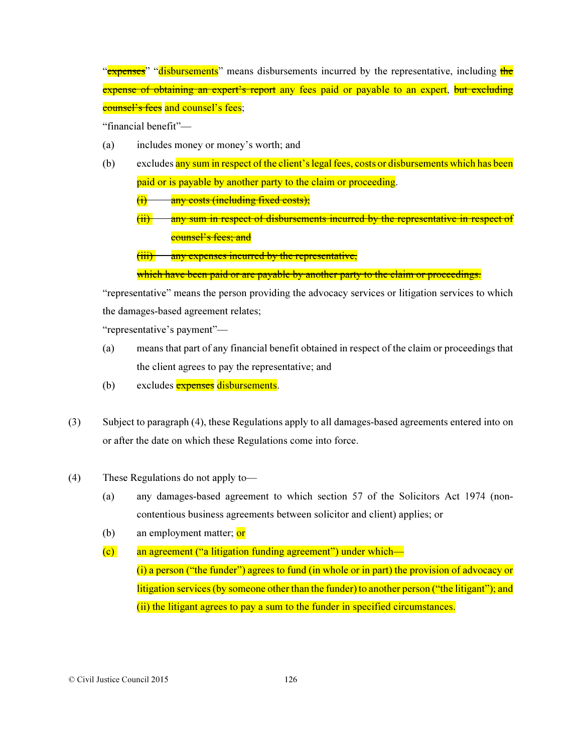"**expenses**" "disbursements" means disbursements incurred by the representative, including the expense of obtaining an expert's report any fees paid or payable to an expert, but excluding counsel's fees and counsel's fees;

"financial benefit"—

- (a) includes money or money's worth; and
- (b) excludes any sum in respect of the client's legal fees, costs or disbursements which has been paid or is payable by another party to the claim or proceeding.
	- $(i)$  any costs (including fixed costs);
	- (ii) any sum in respect of disbursements incurred by the representative in respect of counsel's fees; and

(iii) any expenses incurred by the representative,

which have been paid or are payable by another party to the claim or proceedings.

"representative" means the person providing the advocacy services or litigation services to which the damages-based agreement relates;

"representative's payment"—

- (a) means that part of any financial benefit obtained in respect of the claim or proceedings that the client agrees to pay the representative; and
- (b) excludes **expenses** disbursements.
- (3) Subject to paragraph (4), these Regulations apply to all damages-based agreements entered into on or after the date on which these Regulations come into force.
- (4) These Regulations do not apply to—
	- (a) any damages-based agreement to which section 57 of the Solicitors Act 1974 (noncontentious business agreements between solicitor and client) applies; or
	- (b) an employment matter;  $\overline{or}$
	- (c) an agreement ("a litigation funding agreement") under which— (i) a person ("the funder") agrees to fund (in whole or in part) the provision of advocacy or litigation services (by someone other than the funder) to another person ("the litigant"); and (ii) the litigant agrees to pay a sum to the funder in specified circumstances.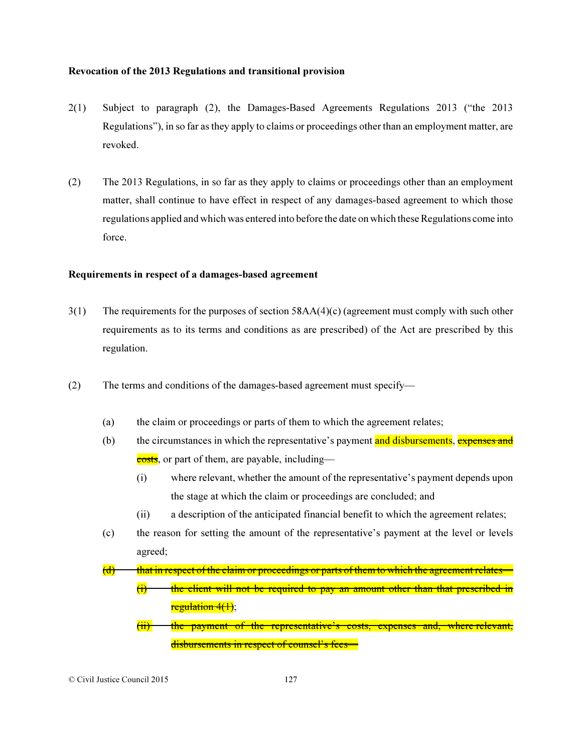#### Revocation of the 2013 Regulations and transitional provision

- 2(1) Subject to paragraph (2), the Damages-Based Agreements Regulations 2013 ("the 2013 Regulations"), in so far as they apply to claims or proceedings other than an employment matter, are revoked.
- (2) The 2013 Regulations, in so far as they apply to claims or proceedings other than an employment matter, shall continue to have effect in respect of any damages-based agreement to which those regulations applied and which was entered into before the date on which these Regulations come into force.

#### Requirements in respect of a damages-based agreement

- 3(1) The requirements for the purposes of section 58AA(4)(c) (agreement must comply with such other requirements as to its terms and conditions as are prescribed) of the Act are prescribed by this regulation.
- (2) The terms and conditions of the damages-based agreement must specify—
	- (a) the claim or proceedings or parts of them to which the agreement relates;
	- (b) the circumstances in which the representative's payment and disbursements, expenses and costs, or part of them, are payable, including—
		- (i) where relevant, whether the amount of the representative's payment depends upon the stage at which the claim or proceedings are concluded; and
		- (ii) a description of the anticipated financial benefit to which the agreement relates;
	- (c) the reason for setting the amount of the representative's payment at the level or levels agreed;

 $(d)$  that in respect of the claim or proceedings or parts of them to which the agreement relates-

- $(i)$  the client will not be required to pay an amount other than that prescribed in  $regulation 4(1);$
- (ii) the payment of the representative's costs, expenses and, where relevant, disbursements in respect of counsel's fees-

© Civil Justice Council 2015 127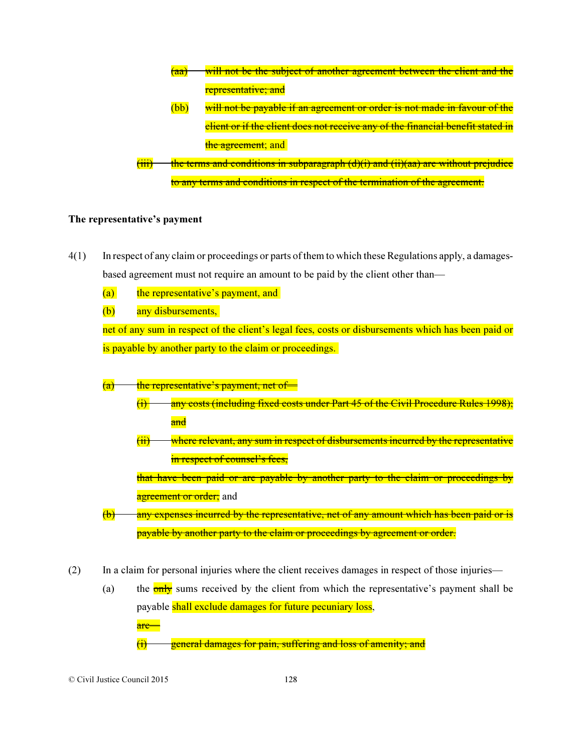

### The representative's payment

- 4(1) In respect of any claim or proceedings or parts of them to which these Regulations apply, a damagesbased agreement must not require an amount to be paid by the client other than—
	- (a) the representative's payment, and
	- (b) any disbursements,

net of any sum in respect of the client's legal fees, costs or disbursements which has been paid or is payable by another party to the claim or proceedings.

- $(a)$  the representative's payment, net of—
	- $(i)$  any costs (including fixed costs under Part 45 of the Civil Procedure Rules 1998); and
	- $(i)$  where relevant, any sum in respect of disbursements incurred by the representative in respect of counsel's fees,

that have been paid or are payable by another party to the claim or proceedings by agreement or order; and

- $(b)$  any expenses incurred by the representative, net of any amount which has been paid or is payable by another party to the claim or proceedings by agreement or order.
- (2) In a claim for personal injuries where the client receives damages in respect of those injuries—
	- (a) the  $\frac{0}{\text{only}}$  sums received by the client from which the representative's payment shall be payable shall exclude damages for future pecuniary loss, are—  $(i)$  general damages for pain, suffering and loss of amenity; and

© Civil Justice Council 2015 128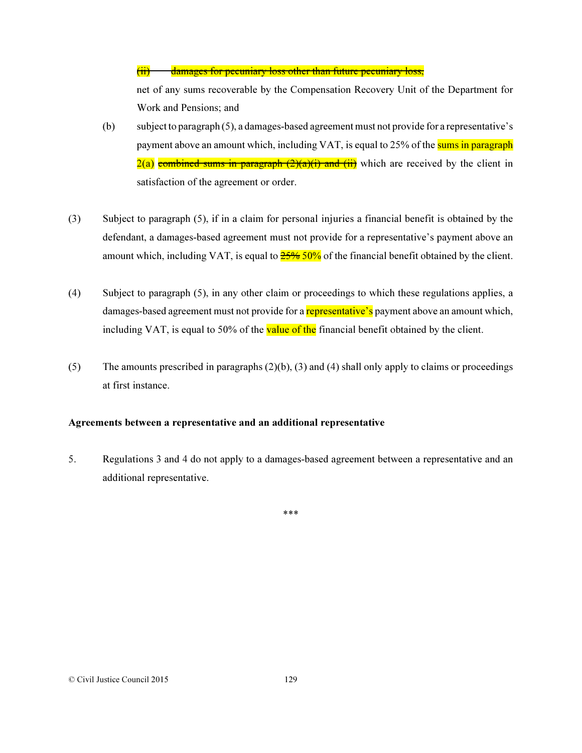(ii) damages for pecuniary loss other than future pecuniary loss,

net of any sums recoverable by the Compensation Recovery Unit of the Department for Work and Pensions; and

- (b) subject to paragraph (5), a damages-based agreement must not provide for a representative's payment above an amount which, including VAT, is equal to 25% of the sums in paragraph  $2(a)$  combined sums in paragraph  $(2)(a)(i)$  and (ii)</del> which are received by the client in satisfaction of the agreement or order.
- (3) Subject to paragraph (5), if in a claim for personal injuries a financial benefit is obtained by the defendant, a damages-based agreement must not provide for a representative's payment above an amount which, including VAT, is equal to  $\frac{25\%50\%}{25\%}$  of the financial benefit obtained by the client.
- (4) Subject to paragraph (5), in any other claim or proceedings to which these regulations applies, a damages-based agreement must not provide for a **representative's** payment above an amount which, including VAT, is equal to 50% of the value of the financial benefit obtained by the client.
- (5) The amounts prescribed in paragraphs  $(2)(b)$ ,  $(3)$  and  $(4)$  shall only apply to claims or proceedings at first instance.

### Agreements between a representative and an additional representative

5. Regulations 3 and 4 do not apply to a damages-based agreement between a representative and an additional representative.

\*\*\*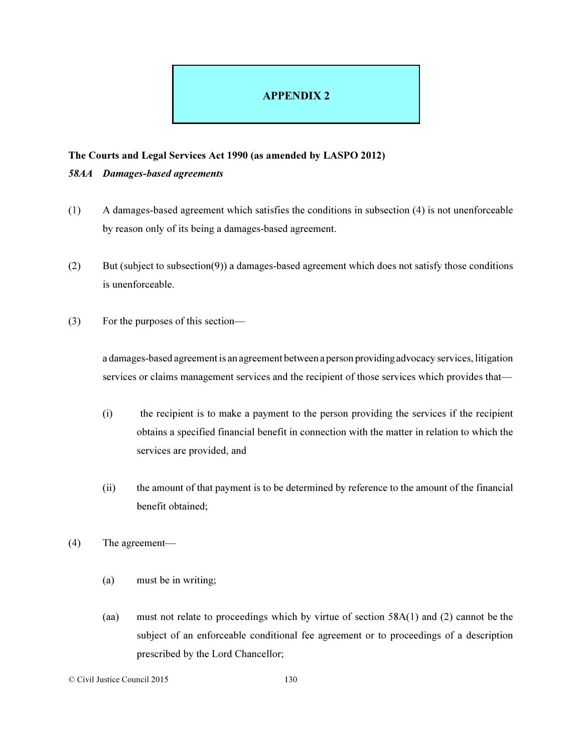# APPENDIX 2

### The Courts and Legal Services Act 1990 (as amended by LASPO 2012)

### *58AA Damages-based agreements*

- (1) A damages-based agreement which satisfies the conditions in subsection (4) is not unenforceable by reason only of its being a damages-based agreement.
- (2) But (subject to subsection(9)) a damages-based agreement which does not satisfy those conditions is unenforceable.
- (3) For the purposes of this section—

a damages-based agreement is an agreement between a person providing advocacy services, litigation services or claims management services and the recipient of those services which provides that—

- (i) the recipient is to make a payment to the person providing the services if the recipient obtains a specified financial benefit in connection with the matter in relation to which the services are provided, and
- (ii) the amount of that payment is to be determined by reference to the amount of the financial benefit obtained;
- (4) The agreement—
	- (a) must be in writing;
	- (aa) must not relate to proceedings which by virtue of section 58A(1) and (2) cannot be the subject of an enforceable conditional fee agreement or to proceedings of a description prescribed by the Lord Chancellor;
- © Civil Justice Council 2015 130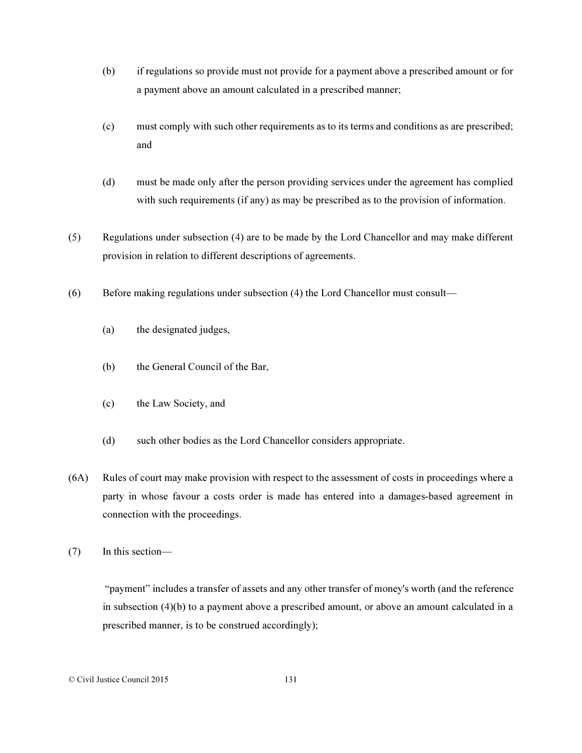- (b) if regulations so provide must not provide for a payment above a prescribed amount or for a payment above an amount calculated in a prescribed manner;
- (c) must comply with such other requirements as to its terms and conditions as are prescribed; and
- (d) must be made only after the person providing services under the agreement has complied with such requirements (if any) as may be prescribed as to the provision of information.
- (5) Regulations under subsection (4) are to be made by the Lord Chancellor and may make different provision in relation to different descriptions of agreements.
- (6) Before making regulations under subsection (4) the Lord Chancellor must consult—
	- (a) the designated judges,
	- (b) the General Council of the Bar,
	- (c) the Law Society, and
	- (d) such other bodies as the Lord Chancellor considers appropriate.
- (6A) Rules of court may make provision with respect to the assessment of costs in proceedings where a party in whose favour a costs order is made has entered into a damages-based agreement in connection with the proceedings.
- (7) In this section—

"payment" includes a transfer of assets and any other transfer of money's worth (and the reference in subsection (4)(b) to a payment above a prescribed amount, or above an amount calculated in a prescribed manner, is to be construed accordingly);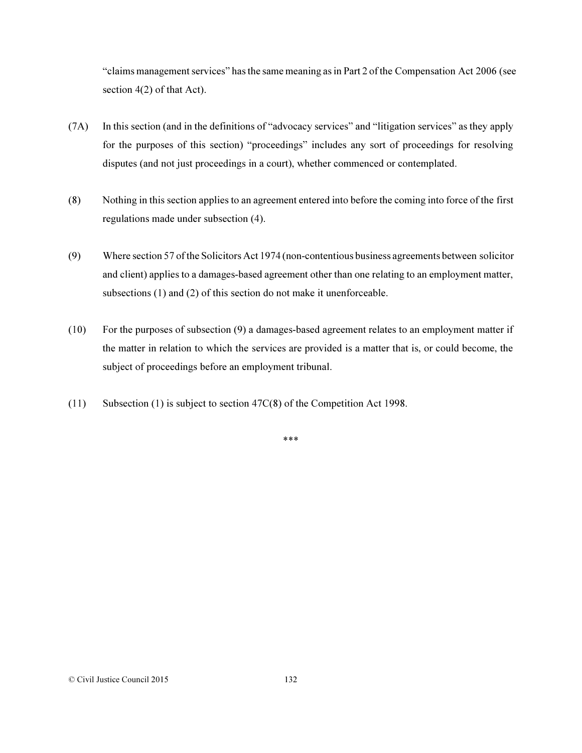"claims management services" has the same meaning as in Part 2 of the Compensation Act 2006 (see section 4(2) of that Act).

- (7A) In this section (and in the definitions of "advocacy services" and "litigation services" as they apply for the purposes of this section) "proceedings" includes any sort of proceedings for resolving disputes (and not just proceedings in a court), whether commenced or contemplated.
- (8) Nothing in this section applies to an agreement entered into before the coming into force of the first regulations made under subsection (4).
- (9) Where section 57 of the Solicitors Act 1974 (non-contentious business agreements between solicitor and client) applies to a damages-based agreement other than one relating to an employment matter, subsections (1) and (2) of this section do not make it unenforceable.
- (10) For the purposes of subsection (9) a damages-based agreement relates to an employment matter if the matter in relation to which the services are provided is a matter that is, or could become, the subject of proceedings before an employment tribunal.
- (11) Subsection (1) is subject to section 47C(8) of the Competition Act 1998.

\*\*\*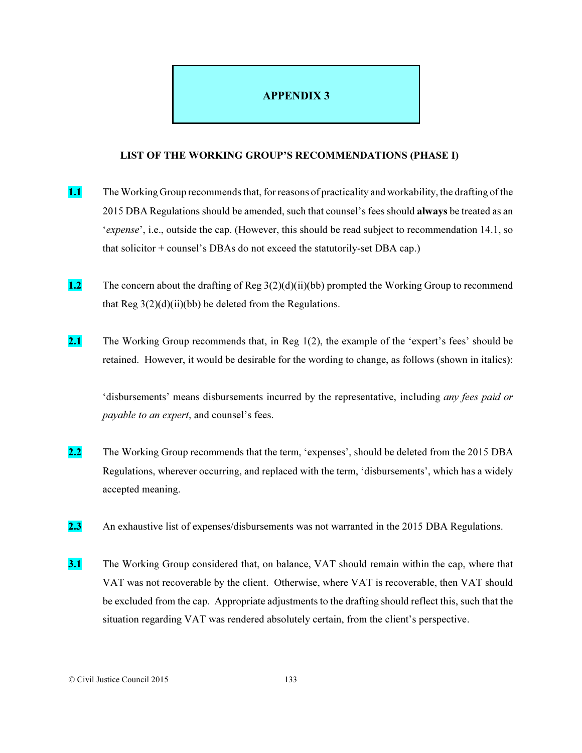# APPENDIX 3

#### LIST OF THE WORKING GROUP'S RECOMMENDATIONS (PHASE I)

- 1.1 The Working Group recommends that, for reasons of practicality and workability, the drafting of the 2015 DBA Regulations should be amended, such that counsel's fees should **always** be treated as an '*expense*', i.e., outside the cap. (However, this should be read subject to recommendation 14.1, so that solicitor + counsel's DBAs do not exceed the statutorily-set DBA cap.)
- 1.2 The concern about the drafting of Reg 3(2)(d)(ii)(bb) prompted the Working Group to recommend that Reg  $3(2)(d)(ii)(bb)$  be deleted from the Regulations.
- 2.1 The Working Group recommends that, in Reg  $1(2)$ , the example of the 'expert's fees' should be retained. However, it would be desirable for the wording to change, as follows (shown in italics):

'disbursements' means disbursements incurred by the representative, including *any fees paid or payable to an expert*, and counsel's fees.

- 2.2 The Working Group recommends that the term, 'expenses', should be deleted from the 2015 DBA Regulations, wherever occurring, and replaced with the term, 'disbursements', which has a widely accepted meaning.
- 2.3 An exhaustive list of expenses/disbursements was not warranted in the 2015 DBA Regulations.
- 3.1 The Working Group considered that, on balance, VAT should remain within the cap, where that VAT was not recoverable by the client. Otherwise, where VAT is recoverable, then VAT should be excluded from the cap. Appropriate adjustments to the drafting should reflect this, such that the situation regarding VAT was rendered absolutely certain, from the client's perspective.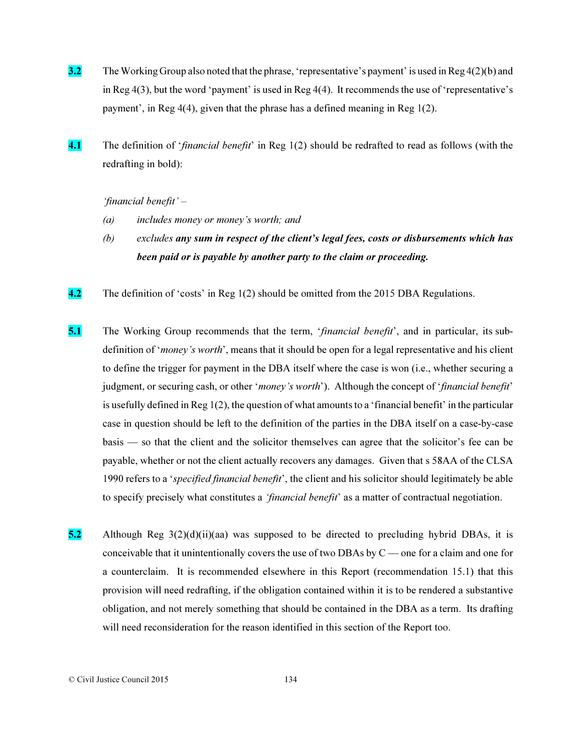- **3.2** The Working Group also noted that the phrase, 'representative's payment' is used in Reg 4(2)(b) and in Reg 4(3), but the word 'payment' is used in Reg 4(4). It recommends the use of 'representative's payment', in Reg 4(4), given that the phrase has a defined meaning in Reg 1(2).
- 4.1 The definition of '*financial benefit*' in Reg 1(2) should be redrafted to read as follows (with the redrafting in bold):

*'financial benefit' –* 

- *(a) includes money or money's worth; and*
- *(b) excludes any sum in respect of the client's legal fees, costs or disbursements which has been paid or is payable by another party to the claim or proceeding.*
- 4.2 The definition of 'costs' in Reg 1(2) should be omitted from the 2015 DBA Regulations.
- 5.1 The Working Group recommends that the term, '*financial benefit*', and in particular, its subdefinition of '*money's worth*', means that it should be open for a legal representative and his client to define the trigger for payment in the DBA itself where the case is won (i.e., whether securing a judgment, or securing cash, or other '*money's worth*'). Although the concept of '*financial benefit*' is usefully defined in Reg 1(2), the question of what amounts to a 'financial benefit' in the particular case in question should be left to the definition of the parties in the DBA itself on a case-by-case basis — so that the client and the solicitor themselves can agree that the solicitor's fee can be payable, whether or not the client actually recovers any damages. Given that s 58AA of the CLSA 1990 refers to a '*specified financial benefit*', the client and his solicitor should legitimately be able to specify precisely what constitutes a *'financial benefit*' as a matter of contractual negotiation.
- 5.2 Although Reg  $3(2)(d)(ii)(aa)$  was supposed to be directed to precluding hybrid DBAs, it is conceivable that it unintentionally covers the use of two DBAs by C — one for a claim and one for a counterclaim. It is recommended elsewhere in this Report (recommendation 15.1) that this provision will need redrafting, if the obligation contained within it is to be rendered a substantive obligation, and not merely something that should be contained in the DBA as a term. Its drafting will need reconsideration for the reason identified in this section of the Report too.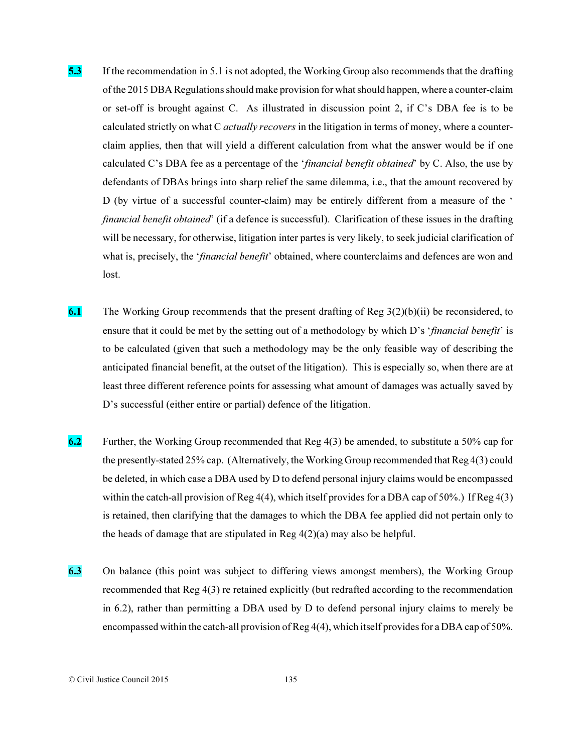- 5.3 If the recommendation in 5.1 is not adopted, the Working Group also recommends that the drafting of the 2015 DBA Regulations should make provision for what should happen, where a counter-claim or set-off is brought against C. As illustrated in discussion point 2, if C's DBA fee is to be calculated strictly on what C *actually recovers* in the litigation in terms of money, where a counterclaim applies, then that will yield a different calculation from what the answer would be if one calculated C's DBA fee as a percentage of the '*financial benefit obtained*' by C. Also, the use by defendants of DBAs brings into sharp relief the same dilemma, i.e., that the amount recovered by D (by virtue of a successful counter-claim) may be entirely different from a measure of the ' *financial benefit obtained*' (if a defence is successful). Clarification of these issues in the drafting will be necessary, for otherwise, litigation inter partes is very likely, to seek judicial clarification of what is, precisely, the '*financial benefit*' obtained, where counterclaims and defences are won and lost.
- 6.1 The Working Group recommends that the present drafting of Reg  $3(2)(b)(ii)$  be reconsidered, to ensure that it could be met by the setting out of a methodology by which D's '*financial benefit*' is to be calculated (given that such a methodology may be the only feasible way of describing the anticipated financial benefit, at the outset of the litigation). This is especially so, when there are at least three different reference points for assessing what amount of damages was actually saved by D's successful (either entire or partial) defence of the litigation.
- 6.2 Further, the Working Group recommended that Reg  $4(3)$  be amended, to substitute a 50% cap for the presently-stated 25% cap. (Alternatively, the Working Group recommended that Reg 4(3) could be deleted, in which case a DBA used by D to defend personal injury claims would be encompassed within the catch-all provision of Reg 4(4), which itself provides for a DBA cap of 50%.) If Reg 4(3) is retained, then clarifying that the damages to which the DBA fee applied did not pertain only to the heads of damage that are stipulated in Reg  $4(2)(a)$  may also be helpful.
- 6.3 On balance (this point was subject to differing views amongst members), the Working Group recommended that Reg 4(3) re retained explicitly (but redrafted according to the recommendation in 6.2), rather than permitting a DBA used by D to defend personal injury claims to merely be encompassed within the catch-all provision of Reg 4(4), which itself provides for a DBA cap of 50%.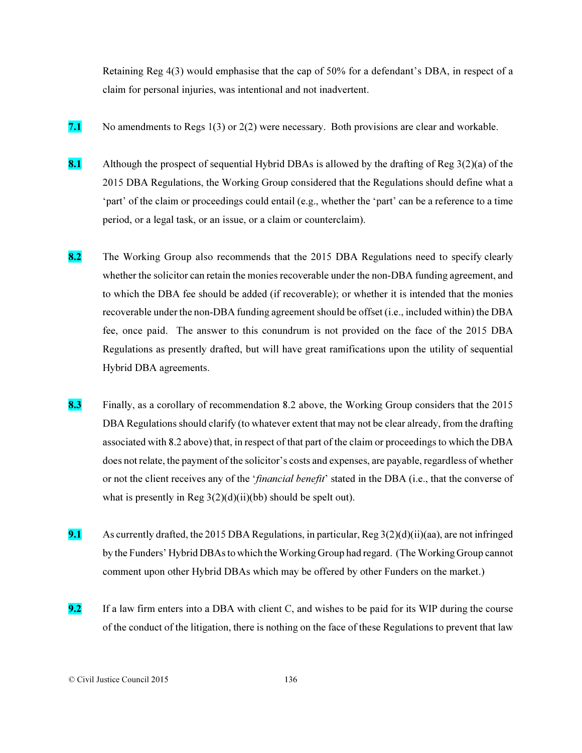Retaining Reg 4(3) would emphasise that the cap of 50% for a defendant's DBA, in respect of a claim for personal injuries, was intentional and not inadvertent.

- 7.1 No amendments to Regs  $1(3)$  or  $2(2)$  were necessary. Both provisions are clear and workable.
- 8.1 Although the prospect of sequential Hybrid DBAs is allowed by the drafting of Reg  $3(2)(a)$  of the 2015 DBA Regulations, the Working Group considered that the Regulations should define what a 'part' of the claim or proceedings could entail (e.g., whether the 'part' can be a reference to a time period, or a legal task, or an issue, or a claim or counterclaim).
- 8.2 The Working Group also recommends that the 2015 DBA Regulations need to specify clearly whether the solicitor can retain the monies recoverable under the non-DBA funding agreement, and to which the DBA fee should be added (if recoverable); or whether it is intended that the monies recoverable under the non-DBA funding agreement should be offset (i.e., included within) the DBA fee, once paid. The answer to this conundrum is not provided on the face of the 2015 DBA Regulations as presently drafted, but will have great ramifications upon the utility of sequential Hybrid DBA agreements.
- 8.3 Finally, as a corollary of recommendation 8.2 above, the Working Group considers that the 2015 DBA Regulations should clarify (to whatever extent that may not be clear already, from the drafting associated with 8.2 above) that, in respect of that part of the claim or proceedings to which the DBA does not relate, the payment of the solicitor's costs and expenses, are payable, regardless of whether or not the client receives any of the '*financial benefit*' stated in the DBA (i.e., that the converse of what is presently in Reg  $3(2)(d)(ii)(bb)$  should be spelt out).
- 9.1 As currently drafted, the 2015 DBA Regulations, in particular,  $\text{Reg } 3(2)(d)(ii)(aa)$ , are not infringed by the Funders' Hybrid DBAs to which the Working Group had regard. (The Working Group cannot comment upon other Hybrid DBAs which may be offered by other Funders on the market.)
- 9.2 If a law firm enters into a DBA with client C, and wishes to be paid for its WIP during the course of the conduct of the litigation, there is nothing on the face of these Regulations to prevent that law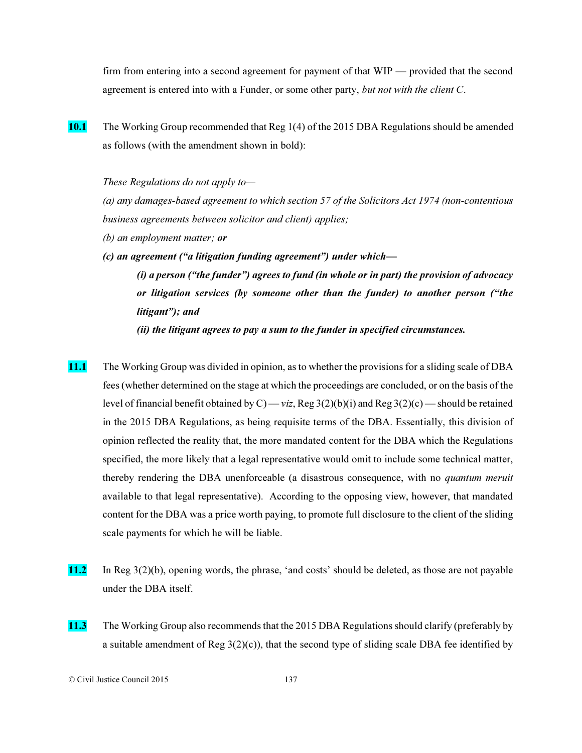firm from entering into a second agreement for payment of that WIP — provided that the second agreement is entered into with a Funder, or some other party, *but not with the client C*.

10.1 The Working Group recommended that Reg 1(4) of the 2015 DBA Regulations should be amended as follows (with the amendment shown in bold):

*These Regulations do not apply to—*

*(a) any damages-based agreement to which section 57 of the Solicitors Act 1974 (non-contentious business agreements between solicitor and client) applies;* 

- *(b) an employment matter; or*
- *(c) an agreement ("a litigation funding agreement") under which— (i) a person ("the funder") agrees to fund (in whole or in part) the provision of advocacy or litigation services (by someone other than the funder) to another person ("the litigant"); and*

*(ii) the litigant agrees to pay a sum to the funder in specified circumstances.*

- 11.1 The Working Group was divided in opinion, as to whether the provisions for a sliding scale of DBA fees (whether determined on the stage at which the proceedings are concluded, or on the basis of the level of financial benefit obtained by C) — *viz*, Reg 3(2)(b)(i) and Reg 3(2)(c) — should be retained in the 2015 DBA Regulations, as being requisite terms of the DBA. Essentially, this division of opinion reflected the reality that, the more mandated content for the DBA which the Regulations specified, the more likely that a legal representative would omit to include some technical matter, thereby rendering the DBA unenforceable (a disastrous consequence, with no *quantum meruit* available to that legal representative). According to the opposing view, however, that mandated content for the DBA was a price worth paying, to promote full disclosure to the client of the sliding scale payments for which he will be liable.
- 11.2 In Reg 3(2)(b), opening words, the phrase, 'and costs' should be deleted, as those are not payable under the DBA itself.
- 11.3 The Working Group also recommends that the 2015 DBA Regulations should clarify (preferably by a suitable amendment of Reg  $3(2)(c)$ ), that the second type of sliding scale DBA fee identified by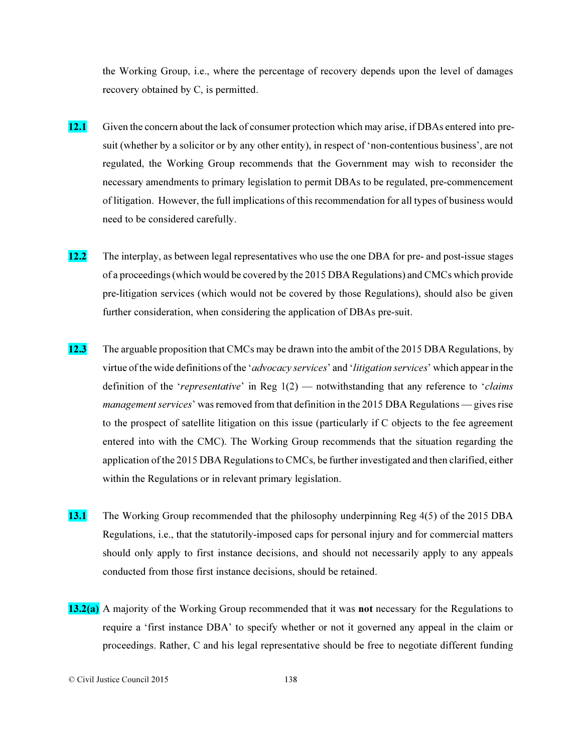the Working Group, i.e., where the percentage of recovery depends upon the level of damages recovery obtained by C, is permitted.

- 12.1 Given the concern about the lack of consumer protection which may arise, if DBAs entered into presuit (whether by a solicitor or by any other entity), in respect of 'non-contentious business', are not regulated, the Working Group recommends that the Government may wish to reconsider the necessary amendments to primary legislation to permit DBAs to be regulated, pre-commencement of litigation. However, the full implications of this recommendation for all types of business would need to be considered carefully.
- 12.2 The interplay, as between legal representatives who use the one DBA for pre- and post-issue stages of a proceedings (which would be covered by the 2015 DBA Regulations) and CMCs which provide pre-litigation services (which would not be covered by those Regulations), should also be given further consideration, when considering the application of DBAs pre-suit.
- 12.3 The arguable proposition that CMCs may be drawn into the ambit of the 2015 DBA Regulations, by virtue of the wide definitions of the '*advocacy services*' and '*litigation services*' which appear in the definition of the '*representative*' in Reg 1(2) — notwithstanding that any reference to '*claims management services*' was removed from that definition in the 2015 DBA Regulations — gives rise to the prospect of satellite litigation on this issue (particularly if C objects to the fee agreement entered into with the CMC). The Working Group recommends that the situation regarding the application of the 2015 DBA Regulations to CMCs, be further investigated and then clarified, either within the Regulations or in relevant primary legislation.
- 13.1 The Working Group recommended that the philosophy underpinning Reg 4(5) of the 2015 DBA Regulations, i.e., that the statutorily-imposed caps for personal injury and for commercial matters should only apply to first instance decisions, and should not necessarily apply to any appeals conducted from those first instance decisions, should be retained.
- 13.2(a) A majority of the Working Group recommended that it was not necessary for the Regulations to require a 'first instance DBA' to specify whether or not it governed any appeal in the claim or proceedings. Rather, C and his legal representative should be free to negotiate different funding

<sup>©</sup> Civil Justice Council 2015 138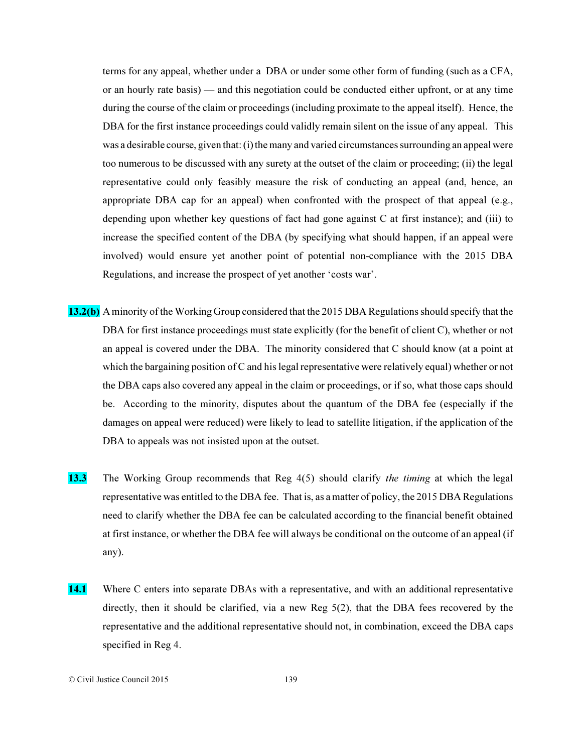terms for any appeal, whether under a DBA or under some other form of funding (such as a CFA, or an hourly rate basis) — and this negotiation could be conducted either upfront, or at any time during the course of the claim or proceedings (including proximate to the appeal itself). Hence, the DBA for the first instance proceedings could validly remain silent on the issue of any appeal. This was a desirable course, given that: (i) the many and varied circumstances surrounding an appeal were too numerous to be discussed with any surety at the outset of the claim or proceeding; (ii) the legal representative could only feasibly measure the risk of conducting an appeal (and, hence, an appropriate DBA cap for an appeal) when confronted with the prospect of that appeal (e.g., depending upon whether key questions of fact had gone against C at first instance); and (iii) to increase the specified content of the DBA (by specifying what should happen, if an appeal were involved) would ensure yet another point of potential non-compliance with the 2015 DBA Regulations, and increase the prospect of yet another 'costs war'.

- 13.2(b) A minority of the Working Group considered that the 2015 DBA Regulations should specify that the DBA for first instance proceedings must state explicitly (for the benefit of client C), whether or not an appeal is covered under the DBA. The minority considered that C should know (at a point at which the bargaining position of C and his legal representative were relatively equal) whether or not the DBA caps also covered any appeal in the claim or proceedings, or if so, what those caps should be. According to the minority, disputes about the quantum of the DBA fee (especially if the damages on appeal were reduced) were likely to lead to satellite litigation, if the application of the DBA to appeals was not insisted upon at the outset.
- 13.3 The Working Group recommends that Reg 4(5) should clarify *the timing* at which the legal representative was entitled to the DBA fee. That is, as a matter of policy, the 2015 DBA Regulations need to clarify whether the DBA fee can be calculated according to the financial benefit obtained at first instance, or whether the DBA fee will always be conditional on the outcome of an appeal (if any).
- 14.1 Where C enters into separate DBAs with a representative, and with an additional representative directly, then it should be clarified, via a new Reg 5(2), that the DBA fees recovered by the representative and the additional representative should not, in combination, exceed the DBA caps specified in Reg 4.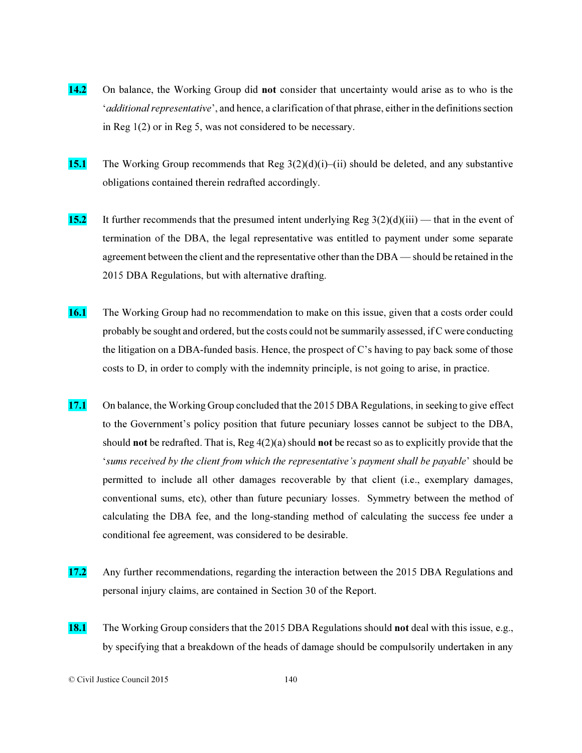- 14.2 On balance, the Working Group did not consider that uncertainty would arise as to who is the '*additional representative*', and hence, a clarification of that phrase, either in the definitions section in Reg 1(2) or in Reg 5, was not considered to be necessary.
- **15.1** The Working Group recommends that Reg  $3(2)(d)(i)$ –(ii) should be deleted, and any substantive obligations contained therein redrafted accordingly.
- 15.2 It further recommends that the presumed intent underlying Reg  $3(2)(d)(iii)$  that in the event of termination of the DBA, the legal representative was entitled to payment under some separate agreement between the client and the representative other than the DBA — should be retained in the 2015 DBA Regulations, but with alternative drafting.
- 16.1 The Working Group had no recommendation to make on this issue, given that a costs order could probably be sought and ordered, but the costs could not be summarily assessed, if C were conducting the litigation on a DBA-funded basis. Hence, the prospect of C's having to pay back some of those costs to D, in order to comply with the indemnity principle, is not going to arise, in practice.
- 17.1 On balance, the Working Group concluded that the 2015 DBA Regulations, in seeking to give effect to the Government's policy position that future pecuniary losses cannot be subject to the DBA, should **not** be redrafted. That is,  $\text{Reg }4(2)(a)$  should **not** be recast so as to explicitly provide that the '*sums received by the client from which the representative's payment shall be payable*' should be permitted to include all other damages recoverable by that client (i.e., exemplary damages, conventional sums, etc), other than future pecuniary losses. Symmetry between the method of calculating the DBA fee, and the long-standing method of calculating the success fee under a conditional fee agreement, was considered to be desirable.
- 17.2 Any further recommendations, regarding the interaction between the 2015 DBA Regulations and personal injury claims, are contained in Section 30 of the Report.
- 18.1 The Working Group considers that the 2015 DBA Regulations should not deal with this issue, e.g., by specifying that a breakdown of the heads of damage should be compulsorily undertaken in any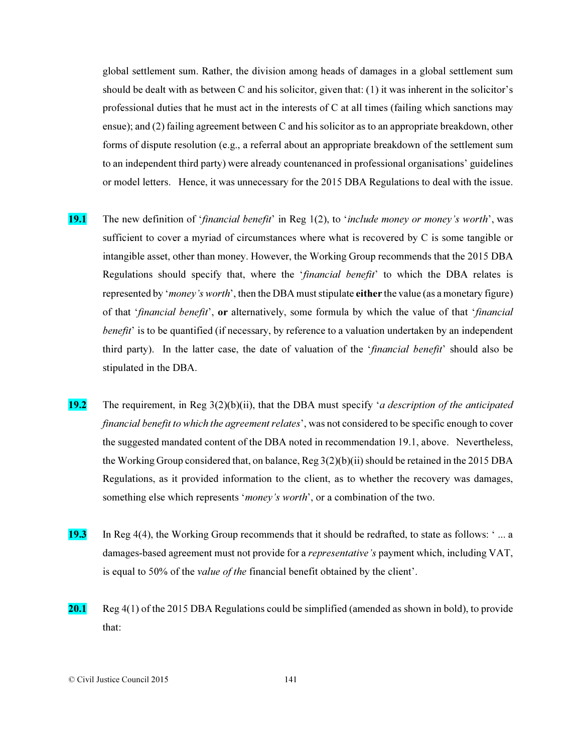global settlement sum. Rather, the division among heads of damages in a global settlement sum should be dealt with as between C and his solicitor, given that: (1) it was inherent in the solicitor's professional duties that he must act in the interests of C at all times (failing which sanctions may ensue); and (2) failing agreement between C and his solicitor as to an appropriate breakdown, other forms of dispute resolution (e.g., a referral about an appropriate breakdown of the settlement sum to an independent third party) were already countenanced in professional organisations' guidelines or model letters. Hence, it was unnecessary for the 2015 DBA Regulations to deal with the issue.

- 19.1 The new definition of '*financial benefit*' in Reg 1(2), to '*include money or money's worth*', was sufficient to cover a myriad of circumstances where what is recovered by C is some tangible or intangible asset, other than money. However, the Working Group recommends that the 2015 DBA Regulations should specify that, where the '*financial benefit*' to which the DBA relates is represented by '*money's worth*', then the DBA must stipulate either the value (as a monetary figure) of that '*financial benefit*', or alternatively, some formula by which the value of that '*financial benefit*' is to be quantified (if necessary, by reference to a valuation undertaken by an independent third party). In the latter case, the date of valuation of the '*financial benefit*' should also be stipulated in the DBA.
- 19.2 The requirement, in Reg 3(2)(b)(ii), that the DBA must specify '*a description of the anticipated financial benefit to which the agreement relates*', was not considered to be specific enough to cover the suggested mandated content of the DBA noted in recommendation 19.1, above. Nevertheless, the Working Group considered that, on balance, Reg 3(2)(b)(ii) should be retained in the 2015 DBA Regulations, as it provided information to the client, as to whether the recovery was damages, something else which represents '*money's worth*', or a combination of the two.
- 19.3 In Reg 4(4), the Working Group recommends that it should be redrafted, to state as follows: ' ... a damages-based agreement must not provide for a *representative's* payment which, including VAT, is equal to 50% of the *value of the* financial benefit obtained by the client'.
- 20.1 Reg 4(1) of the 2015 DBA Regulations could be simplified (amended as shown in bold), to provide that: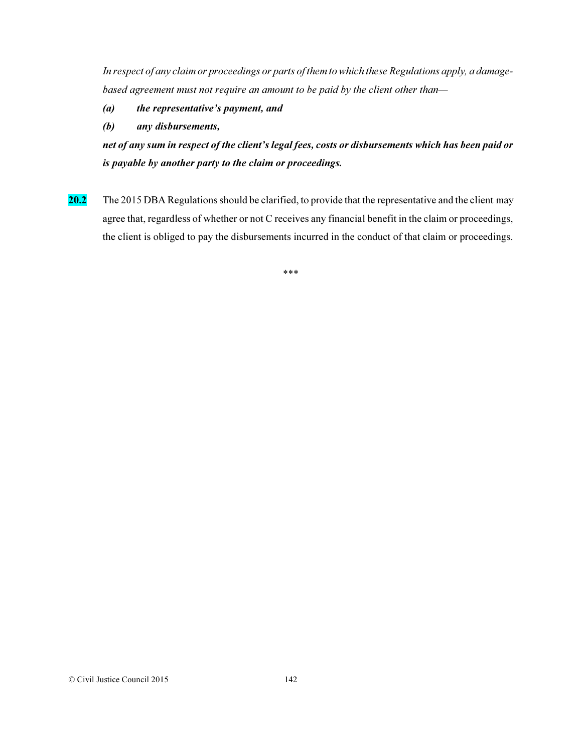*In respect of any claim or proceedings or parts of them to which these Regulations apply, a damagebased agreement must not require an amount to be paid by the client other than—*

- *(a) the representative's payment, and*
- *(b) any disbursements,*

*net of any sum in respect of the client's legal fees, costs or disbursements which has been paid or is payable by another party to the claim or proceedings.* 

20.2 The 2015 DBA Regulations should be clarified, to provide that the representative and the client may agree that, regardless of whether or not C receives any financial benefit in the claim or proceedings, the client is obliged to pay the disbursements incurred in the conduct of that claim or proceedings.

\*\*\*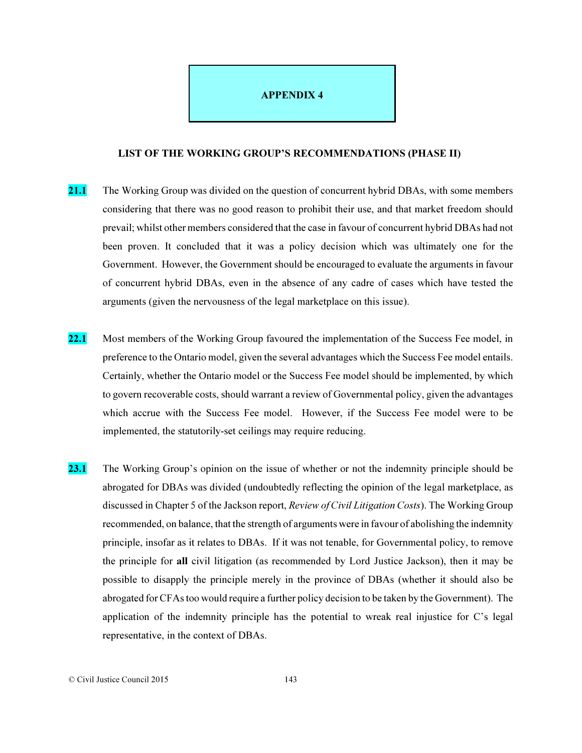## APPENDIX 4

## LIST OF THE WORKING GROUP'S RECOMMENDATIONS (PHASE II)

- 21.1 The Working Group was divided on the question of concurrent hybrid DBAs, with some members considering that there was no good reason to prohibit their use, and that market freedom should prevail; whilst other members considered that the case in favour of concurrent hybrid DBAs had not been proven. It concluded that it was a policy decision which was ultimately one for the Government. However, the Government should be encouraged to evaluate the arguments in favour of concurrent hybrid DBAs, even in the absence of any cadre of cases which have tested the arguments (given the nervousness of the legal marketplace on this issue).
- 22.1 Most members of the Working Group favoured the implementation of the Success Fee model, in preference to the Ontario model, given the several advantages which the Success Fee model entails. Certainly, whether the Ontario model or the Success Fee model should be implemented, by which to govern recoverable costs, should warrant a review of Governmental policy, given the advantages which accrue with the Success Fee model. However, if the Success Fee model were to be implemented, the statutorily-set ceilings may require reducing.
- 23.1 The Working Group's opinion on the issue of whether or not the indemnity principle should be abrogated for DBAs was divided (undoubtedly reflecting the opinion of the legal marketplace, as discussed in Chapter 5 of the Jackson report, *Review of Civil Litigation Costs*). The Working Group recommended, on balance, that the strength of arguments were in favour of abolishing the indemnity principle, insofar as it relates to DBAs. If it was not tenable, for Governmental policy, to remove the principle for all civil litigation (as recommended by Lord Justice Jackson), then it may be possible to disapply the principle merely in the province of DBAs (whether it should also be abrogated for CFAs too would require a further policy decision to be taken by the Government). The application of the indemnity principle has the potential to wreak real injustice for C's legal representative, in the context of DBAs.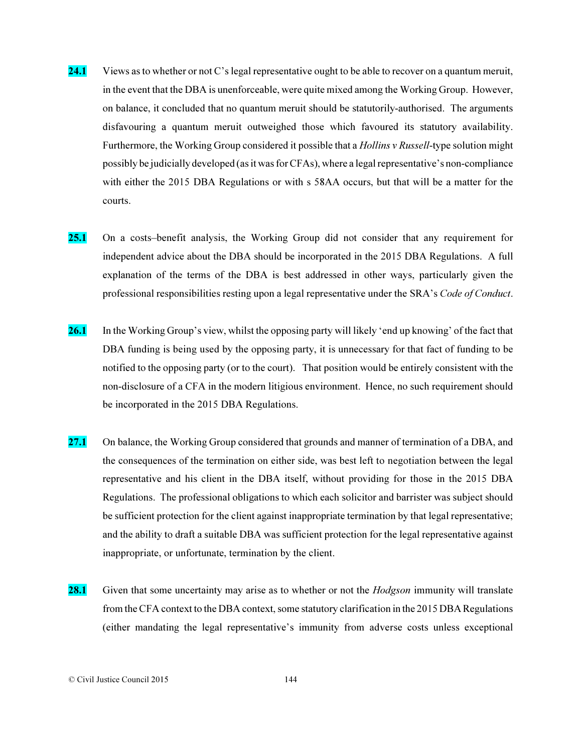- 24.1 Views as to whether or not C's legal representative ought to be able to recover on a quantum meruit, in the event that the DBA is unenforceable, were quite mixed among the Working Group. However, on balance, it concluded that no quantum meruit should be statutorily-authorised. The arguments disfavouring a quantum meruit outweighed those which favoured its statutory availability. Furthermore, the Working Group considered it possible that a *Hollins v Russell*-type solution might possibly be judicially developed (as it was for CFAs), where a legal representative's non-compliance with either the 2015 DBA Regulations or with s 58AA occurs, but that will be a matter for the courts.
- 25.1 On a costs–benefit analysis, the Working Group did not consider that any requirement for independent advice about the DBA should be incorporated in the 2015 DBA Regulations. A full explanation of the terms of the DBA is best addressed in other ways, particularly given the professional responsibilities resting upon a legal representative under the SRA's *Code of Conduct*.
- 26.1 In the Working Group's view, whilst the opposing party will likely 'end up knowing' of the fact that DBA funding is being used by the opposing party, it is unnecessary for that fact of funding to be notified to the opposing party (or to the court). That position would be entirely consistent with the non-disclosure of a CFA in the modern litigious environment. Hence, no such requirement should be incorporated in the 2015 DBA Regulations.
- 27.1 On balance, the Working Group considered that grounds and manner of termination of a DBA, and the consequences of the termination on either side, was best left to negotiation between the legal representative and his client in the DBA itself, without providing for those in the 2015 DBA Regulations. The professional obligations to which each solicitor and barrister was subject should be sufficient protection for the client against inappropriate termination by that legal representative; and the ability to draft a suitable DBA was sufficient protection for the legal representative against inappropriate, or unfortunate, termination by the client.
- 28.1 Given that some uncertainty may arise as to whether or not the *Hodgson* immunity will translate from the CFA context to the DBA context, some statutory clarification in the 2015 DBA Regulations (either mandating the legal representative's immunity from adverse costs unless exceptional